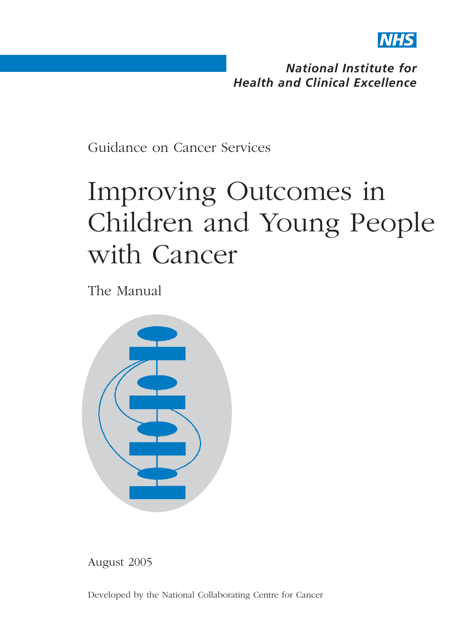

*National Institute for Health and Clinical Excellence*

Guidance on Cancer Services

# Improving Outcomes in Children and Young People with Cancer

The Manual



August 2005

Developed by the National Collaborating Centre for Cancer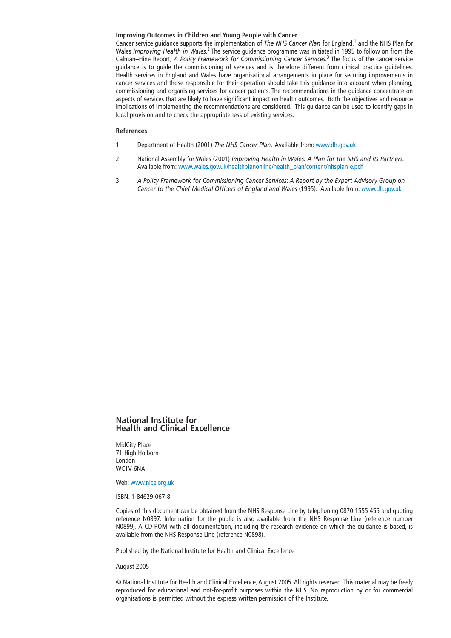Cancer service quidance supports the implementation of *The NHS Cancer Plan* for England,<sup>1</sup> and the NHS Plan for Wales *Improving Health in Wales.*<sup>2</sup> The service guidance programme was initiated in 1995 to follow on from the Calman–Hine Report, *A Policy Framework for Commissioning Cancer Services.*<sup>3</sup> The focus of the cancer service guidance is to guide the commissioning of services and is therefore different from clinical practice guidelines. Health services in England and Wales have organisational arrangements in place for securing improvements in cancer services and those responsible for their operation should take this guidance into account when planning, commissioning and organising services for cancer patients. The recommendations in the guidance concentrate on aspects of services that are likely to have significant impact on health outcomes. Both the objectives and resource implications of implementing the recommendations are considered. This guidance can be used to identify gaps in local provision and to check the appropriateness of existing services.

#### **References**

- 1. Department of Health (2001) *The NHS Cancer Plan.* Available from: www.dh.gov.uk
- 2. National Assembly for Wales (2001) *Improving Health in Wales: A Plan for the NHS and its Partners.* Available from: www.wales.gov.uk/healthplanonline/health\_plan/content/nhsplan-e.pdf
- 3. *A Policy Framework for Commissioning Cancer Services*: *A Report by the Expert Advisory Group on Cancer to the Chief Medical Officers of England and Wales* (1995). Available from: www.dh.gov.uk

#### **National Institute for Health and Clinical Excellence**

MidCity Place 71 High Holborn London WC1V 6NA

Web: www.nice.org.uk

ISBN: 1-84629-067-8

Copies of this document can be obtained from the NHS Response Line by telephoning 0870 1555 455 and quoting reference N0897. Information for the public is also available from the NHS Response Line (reference number N0899). A CD-ROM with all documentation, including the research evidence on which the guidance is based, is available from the NHS Response Line (reference N0898).

Published by the National Institute for Health and Clinical Excellence

August 2005

© National Institute for Health and Clinical Excellence, August 2005. All rights reserved. This material may be freely reproduced for educational and not-for-profit purposes within the NHS. No reproduction by or for commercial organisations is permitted without the express written permission of the Institute.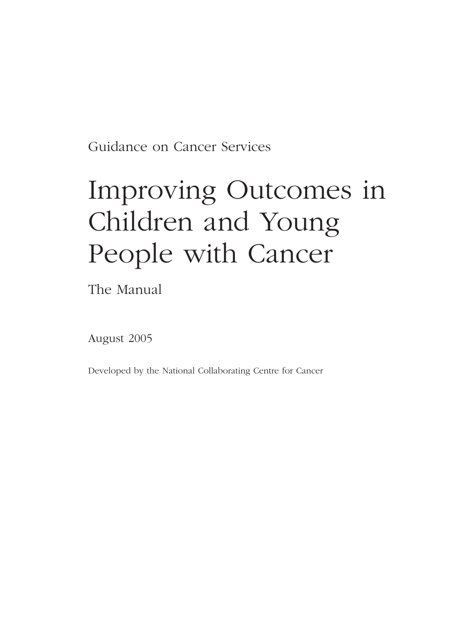Guidance on Cancer Services

# Improving Outcomes in Children and Young People with Cancer

The Manual

August 2005

Developed by the National Collaborating Centre for Cancer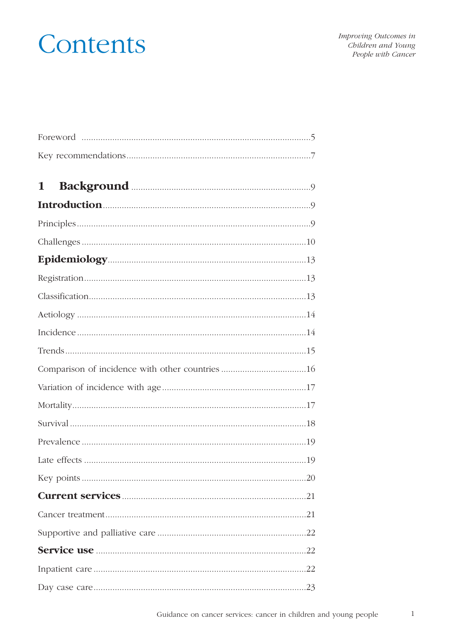# Contents

Improving Outcomes in Children and Young People with Cancer

| 1                                               |
|-------------------------------------------------|
|                                                 |
|                                                 |
|                                                 |
|                                                 |
|                                                 |
|                                                 |
|                                                 |
|                                                 |
|                                                 |
| Comparison of incidence with other countries 16 |
|                                                 |
|                                                 |
|                                                 |
|                                                 |
|                                                 |
|                                                 |
|                                                 |
|                                                 |
|                                                 |
|                                                 |
|                                                 |
|                                                 |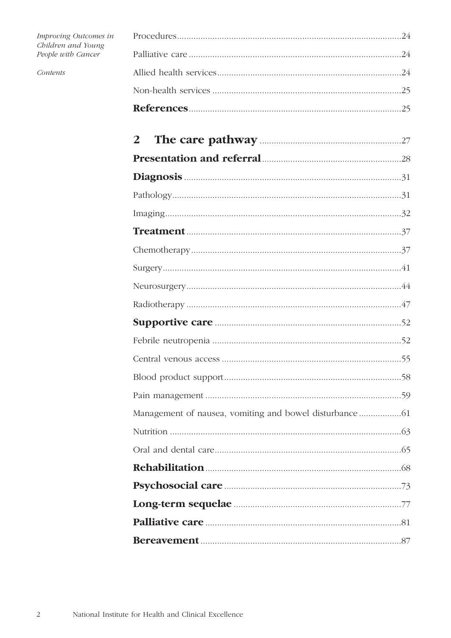| Improving Outcomes in<br>Children and Young<br>People with Cancer |   |
|-------------------------------------------------------------------|---|
|                                                                   |   |
| Contents                                                          |   |
|                                                                   |   |
|                                                                   |   |
|                                                                   | 2 |
|                                                                   |   |
|                                                                   |   |
|                                                                   |   |
|                                                                   |   |
|                                                                   |   |
|                                                                   |   |
|                                                                   |   |
|                                                                   |   |
|                                                                   |   |
|                                                                   |   |
|                                                                   |   |
|                                                                   |   |
|                                                                   |   |
|                                                                   |   |
|                                                                   |   |
|                                                                   |   |
|                                                                   |   |
|                                                                   |   |
|                                                                   |   |
|                                                                   |   |
|                                                                   |   |
|                                                                   |   |

 $\overline{c}$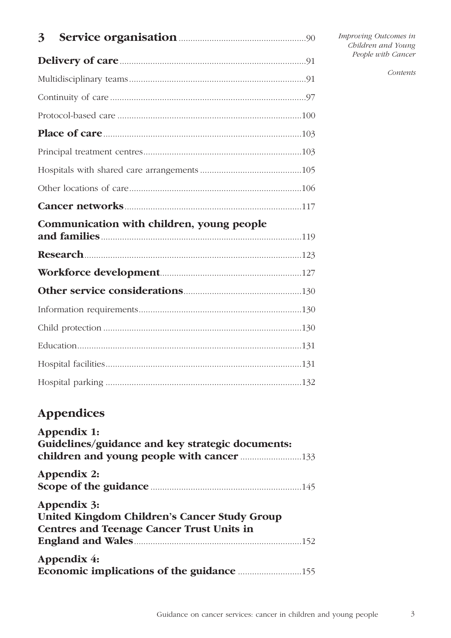| 3                                         |  |
|-------------------------------------------|--|
|                                           |  |
|                                           |  |
|                                           |  |
|                                           |  |
|                                           |  |
|                                           |  |
|                                           |  |
|                                           |  |
|                                           |  |
| Communication with children, young people |  |
|                                           |  |
|                                           |  |
|                                           |  |
|                                           |  |
|                                           |  |
|                                           |  |
|                                           |  |
|                                           |  |
| <b>Appendices</b>                         |  |
| Appendix 1:                               |  |

| Guidelines/guidance and key strategic documents:                                                |  |
|-------------------------------------------------------------------------------------------------|--|
|                                                                                                 |  |
| Appendix 2:                                                                                     |  |
| Scope of the guidance <b>Examine Scope</b> of the guidance <b>Examine Scope</b> of the guidance |  |
| Appendix 3:                                                                                     |  |
| United Kingdom Children's Cancer Study Group                                                    |  |
| <b>Centres and Teenage Cancer Trust Units in</b>                                                |  |
|                                                                                                 |  |
| Appendix 4:                                                                                     |  |
|                                                                                                 |  |

*Contents*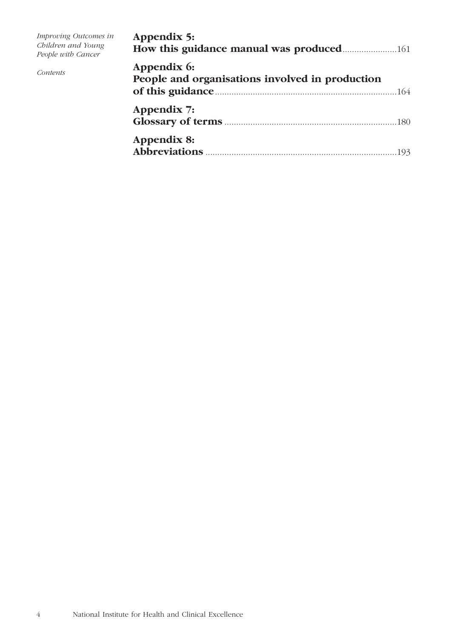| Improving Outcomes in<br>Children and Young<br>People with Cancer | Appendix 5:                                                    |
|-------------------------------------------------------------------|----------------------------------------------------------------|
| Contents                                                          | Appendix 6:<br>People and organisations involved in production |
|                                                                   | Appendix 7:                                                    |
|                                                                   | Appendix 8:                                                    |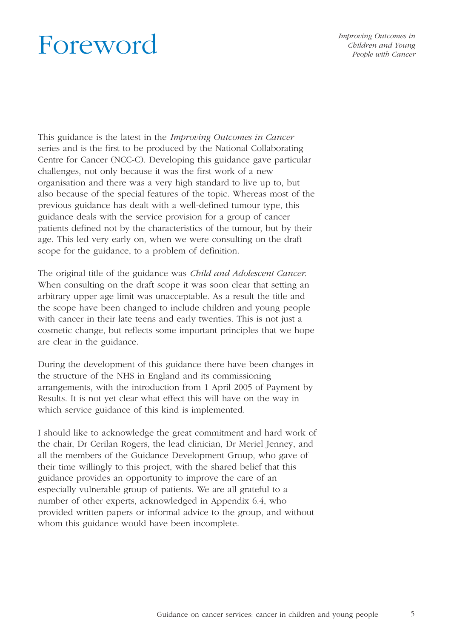# Foreword

*Improving Outcomes in Children and Young People with Cancer* 

This guidance is the latest in the *Improving Outcomes in Cancer* series and is the first to be produced by the National Collaborating Centre for Cancer (NCC-C). Developing this guidance gave particular challenges, not only because it was the first work of a new organisation and there was a very high standard to live up to, but also because of the special features of the topic. Whereas most of the previous guidance has dealt with a well-defined tumour type, this guidance deals with the service provision for a group of cancer patients defined not by the characteristics of the tumour, but by their age. This led very early on, when we were consulting on the draft scope for the guidance, to a problem of definition.

The original title of the guidance was *Child and Adolescent Cancer*. When consulting on the draft scope it was soon clear that setting an arbitrary upper age limit was unacceptable. As a result the title and the scope have been changed to include children and young people with cancer in their late teens and early twenties. This is not just a cosmetic change, but reflects some important principles that we hope are clear in the guidance.

During the development of this guidance there have been changes in the structure of the NHS in England and its commissioning arrangements, with the introduction from 1 April 2005 of Payment by Results. It is not yet clear what effect this will have on the way in which service guidance of this kind is implemented.

I should like to acknowledge the great commitment and hard work of the chair, Dr Cerilan Rogers, the lead clinician, Dr Meriel Jenney, and all the members of the Guidance Development Group, who gave of their time willingly to this project, with the shared belief that this guidance provides an opportunity to improve the care of an especially vulnerable group of patients. We are all grateful to a number of other experts, acknowledged in Appendix 6.4, who provided written papers or informal advice to the group, and without whom this guidance would have been incomplete.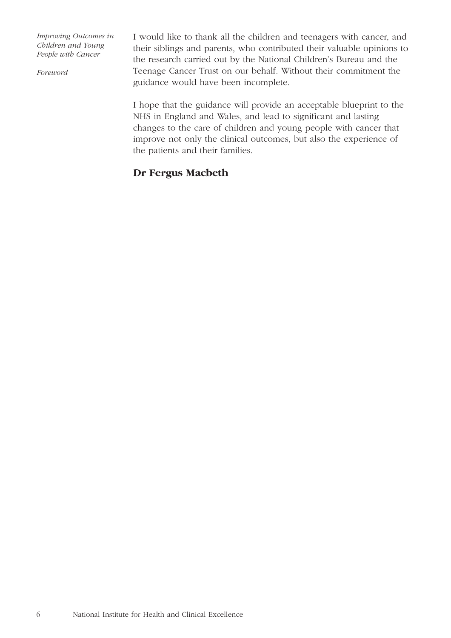*Foreword*

I would like to thank all the children and teenagers with cancer, and their siblings and parents, who contributed their valuable opinions to the research carried out by the National Children's Bureau and the Teenage Cancer Trust on our behalf. Without their commitment the guidance would have been incomplete.

I hope that the guidance will provide an acceptable blueprint to the NHS in England and Wales, and lead to significant and lasting changes to the care of children and young people with cancer that improve not only the clinical outcomes, but also the experience of the patients and their families.

# **Dr Fergus Macbeth**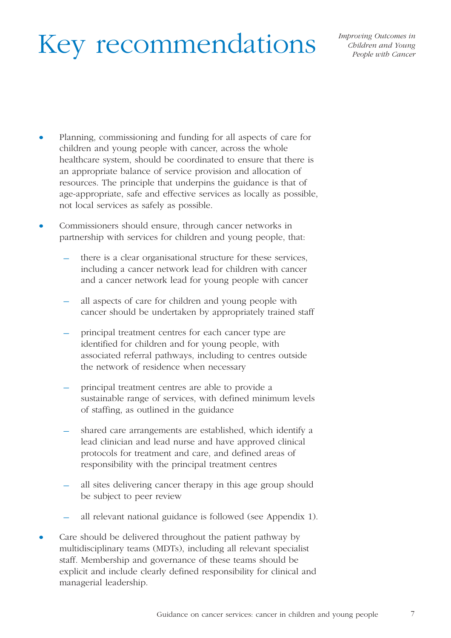# Key recommendations

- Planning, commissioning and funding for all aspects of care for children and young people with cancer, across the whole healthcare system, should be coordinated to ensure that there is an appropriate balance of service provision and allocation of resources. The principle that underpins the guidance is that of age-appropriate, safe and effective services as locally as possible, not local services as safely as possible.
- Commissioners should ensure, through cancer networks in partnership with services for children and young people, that:
	- there is a clear organisational structure for these services, including a cancer network lead for children with cancer and a cancer network lead for young people with cancer
	- all aspects of care for children and young people with cancer should be undertaken by appropriately trained staff
	- principal treatment centres for each cancer type are identified for children and for young people, with associated referral pathways, including to centres outside the network of residence when necessary
	- principal treatment centres are able to provide a sustainable range of services, with defined minimum levels of staffing, as outlined in the guidance
	- shared care arrangements are established, which identify a lead clinician and lead nurse and have approved clinical protocols for treatment and care, and defined areas of responsibility with the principal treatment centres
	- all sites delivering cancer therapy in this age group should be subject to peer review
	- all relevant national guidance is followed (see Appendix 1).
- Care should be delivered throughout the patient pathway by multidisciplinary teams (MDTs), including all relevant specialist staff. Membership and governance of these teams should be explicit and include clearly defined responsibility for clinical and managerial leadership.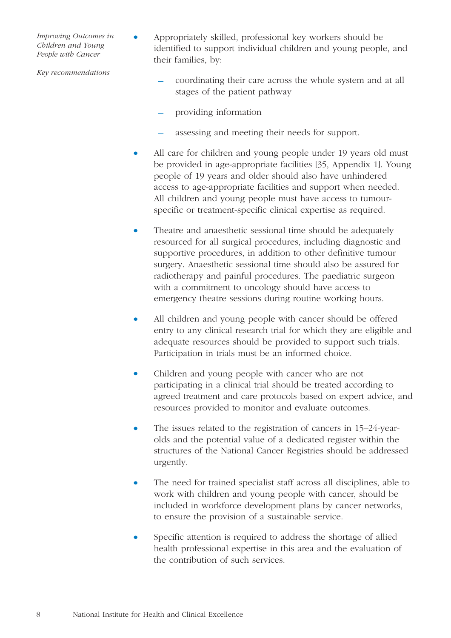*Key recommendations*

- Appropriately skilled, professional key workers should be identified to support individual children and young people, and their families, by:
	- coordinating their care across the whole system and at all stages of the patient pathway
	- providing information
	- assessing and meeting their needs for support.
- All care for children and young people under 19 years old must be provided in age-appropriate facilities [35, Appendix 1]. Young people of 19 years and older should also have unhindered access to age-appropriate facilities and support when needed. All children and young people must have access to tumourspecific or treatment-specific clinical expertise as required.
- Theatre and anaesthetic sessional time should be adequately resourced for all surgical procedures, including diagnostic and supportive procedures, in addition to other definitive tumour surgery. Anaesthetic sessional time should also be assured for radiotherapy and painful procedures. The paediatric surgeon with a commitment to oncology should have access to emergency theatre sessions during routine working hours.
- All children and young people with cancer should be offered entry to any clinical research trial for which they are eligible and adequate resources should be provided to support such trials. Participation in trials must be an informed choice.
- Children and young people with cancer who are not participating in a clinical trial should be treated according to agreed treatment and care protocols based on expert advice, and resources provided to monitor and evaluate outcomes.
- The issues related to the registration of cancers in 15–24-yearolds and the potential value of a dedicated register within the structures of the National Cancer Registries should be addressed urgently.
- The need for trained specialist staff across all disciplines, able to work with children and young people with cancer, should be included in workforce development plans by cancer networks, to ensure the provision of a sustainable service.
- Specific attention is required to address the shortage of allied health professional expertise in this area and the evaluation of the contribution of such services.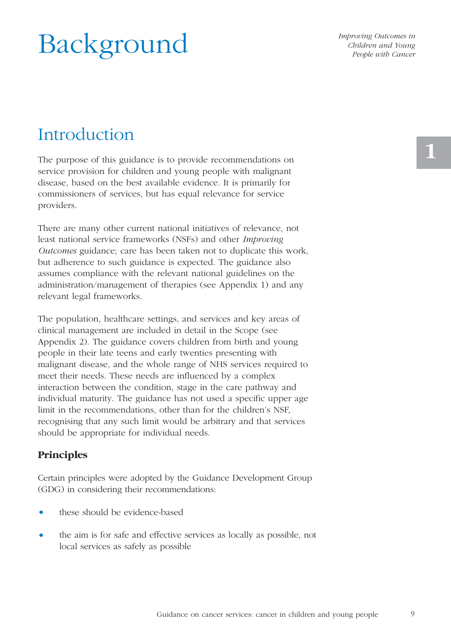# Background

*Improving Outcomes in Children and Young People with Cancer* 

# Introduction

The purpose of this guidance is to provide recommendations on service provision for children and young people with malignant disease, based on the best available evidence. It is primarily for commissioners of services, but has equal relevance for service providers.

There are many other current national initiatives of relevance, not least national service frameworks (NSFs) and other *Improving Outcomes* guidance; care has been taken not to duplicate this work, but adherence to such guidance is expected. The guidance also assumes compliance with the relevant national guidelines on the administration/management of therapies (see Appendix 1) and any relevant legal frameworks.

The population, healthcare settings, and services and key areas of clinical management are included in detail in the Scope (see Appendix 2). The guidance covers children from birth and young people in their late teens and early twenties presenting with malignant disease, and the whole range of NHS services required to meet their needs. These needs are influenced by a complex interaction between the condition, stage in the care pathway and individual maturity. The guidance has not used a specific upper age limit in the recommendations, other than for the children's NSF, recognising that any such limit would be arbitrary and that services should be appropriate for individual needs.

# **Principles**

Certain principles were adopted by the Guidance Development Group (GDG) in considering their recommendations:

- these should be evidence-based
- the aim is for safe and effective services as locally as possible, not local services as safely as possible

**1**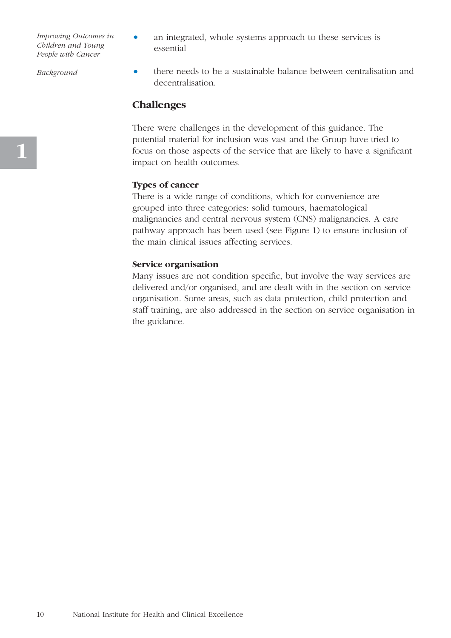*Background*

- an integrated, whole systems approach to these services is essential
- there needs to be a sustainable balance between centralisation and decentralisation.

## **Challenges**

There were challenges in the development of this guidance. The potential material for inclusion was vast and the Group have tried to focus on those aspects of the service that are likely to have a significant impact on health outcomes.

#### **Types of cancer**

There is a wide range of conditions, which for convenience are grouped into three categories: solid tumours, haematological malignancies and central nervous system (CNS) malignancies. A care pathway approach has been used (see Figure 1) to ensure inclusion of the main clinical issues affecting services.

#### **Service organisation**

Many issues are not condition specific, but involve the way services are delivered and/or organised, and are dealt with in the section on service organisation. Some areas, such as data protection, child protection and staff training, are also addressed in the section on service organisation in the guidance.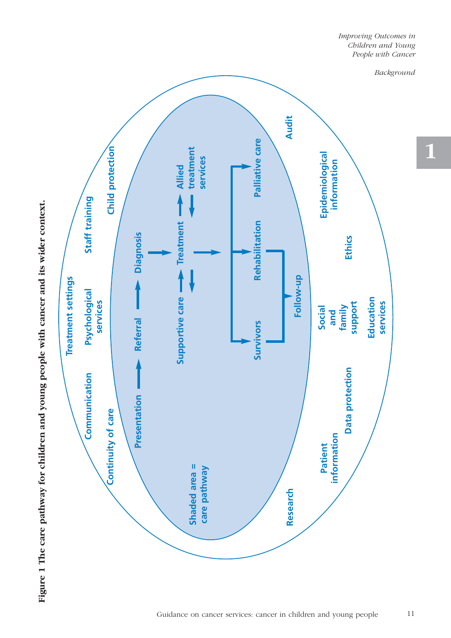

**1**



Figure 1 The care pathway for children and young people with cancer and its wider context. **Figure 1 The care pathway for children and young people with cancer and its wider context.**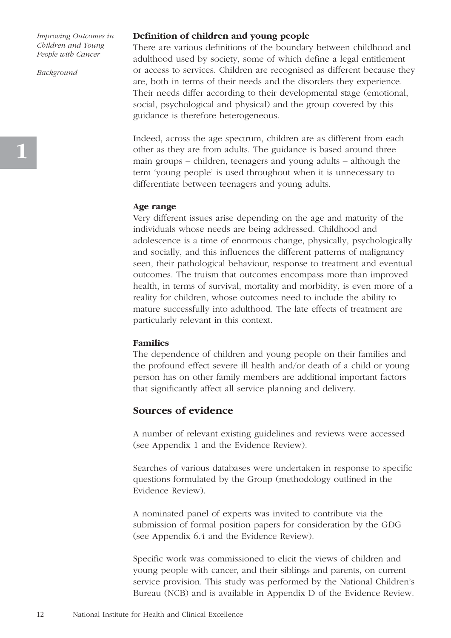*Background*

#### **Definition of children and young people**

There are various definitions of the boundary between childhood and adulthood used by society, some of which define a legal entitlement or access to services. Children are recognised as different because they are, both in terms of their needs and the disorders they experience. Their needs differ according to their developmental stage (emotional, social, psychological and physical) and the group covered by this guidance is therefore heterogeneous.

Indeed, across the age spectrum, children are as different from each other as they are from adults. The guidance is based around three main groups – children, teenagers and young adults – although the term 'young people' is used throughout when it is unnecessary to differentiate between teenagers and young adults.

#### **Age range**

Very different issues arise depending on the age and maturity of the individuals whose needs are being addressed. Childhood and adolescence is a time of enormous change, physically, psychologically and socially, and this influences the different patterns of malignancy seen, their pathological behaviour, response to treatment and eventual outcomes. The truism that outcomes encompass more than improved health, in terms of survival, mortality and morbidity, is even more of a reality for children, whose outcomes need to include the ability to mature successfully into adulthood. The late effects of treatment are particularly relevant in this context.

#### **Families**

The dependence of children and young people on their families and the profound effect severe ill health and/or death of a child or young person has on other family members are additional important factors that significantly affect all service planning and delivery.

### **Sources of evidence**

A number of relevant existing guidelines and reviews were accessed (see Appendix 1 and the Evidence Review).

Searches of various databases were undertaken in response to specific questions formulated by the Group (methodology outlined in the Evidence Review).

A nominated panel of experts was invited to contribute via the submission of formal position papers for consideration by the GDG (see Appendix 6.4 and the Evidence Review).

Specific work was commissioned to elicit the views of children and young people with cancer, and their siblings and parents, on current service provision. This study was performed by the National Children's Bureau (NCB) and is available in Appendix D of the Evidence Review.

**1**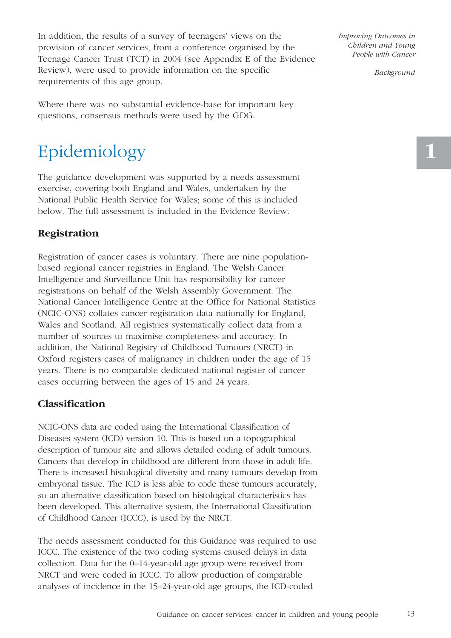In addition, the results of a survey of teenagers' views on the provision of cancer services, from a conference organised by the Teenage Cancer Trust (TCT) in 2004 (see Appendix E of the Evidence Review), were used to provide information on the specific requirements of this age group.

Where there was no substantial evidence-base for important key questions, consensus methods were used by the GDG.

# Epidemiology

The guidance development was supported by a needs assessment exercise, covering both England and Wales, undertaken by the National Public Health Service for Wales; some of this is included below. The full assessment is included in the Evidence Review.

# **Registration**

Registration of cancer cases is voluntary. There are nine populationbased regional cancer registries in England. The Welsh Cancer Intelligence and Surveillance Unit has responsibility for cancer registrations on behalf of the Welsh Assembly Government. The National Cancer Intelligence Centre at the Office for National Statistics (NCIC-ONS) collates cancer registration data nationally for England, Wales and Scotland. All registries systematically collect data from a number of sources to maximise completeness and accuracy. In addition, the National Registry of Childhood Tumours (NRCT) in Oxford registers cases of malignancy in children under the age of 15 years. There is no comparable dedicated national register of cancer cases occurring between the ages of 15 and 24 years.

# **Classification**

NCIC-ONS data are coded using the International Classification of Diseases system (ICD) version 10. This is based on a topographical description of tumour site and allows detailed coding of adult tumours. Cancers that develop in childhood are different from those in adult life. There is increased histological diversity and many tumours develop from embryonal tissue. The ICD is less able to code these tumours accurately, so an alternative classification based on histological characteristics has been developed. This alternative system, the International Classification of Childhood Cancer (ICCC), is used by the NRCT.

The needs assessment conducted for this Guidance was required to use ICCC. The existence of the two coding systems caused delays in data collection. Data for the 0–14-year-old age group were received from NRCT and were coded in ICCC. To allow production of comparable analyses of incidence in the 15–24-year-old age groups, the ICD-coded

*Improving Outcomes in Children and Young People with Cancer* 

*Background*

13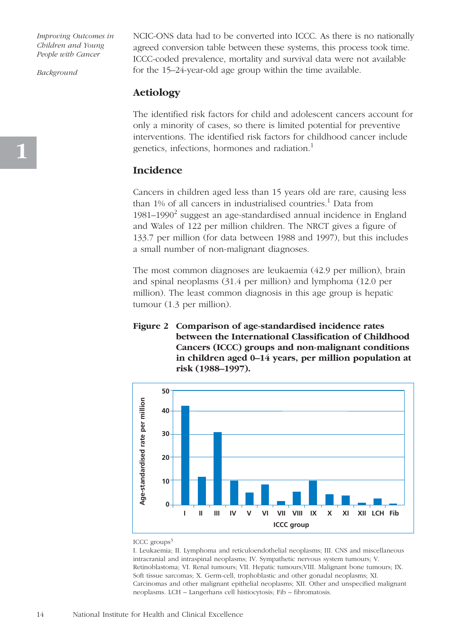*Background*

NCIC-ONS data had to be converted into ICCC. As there is no nationally agreed conversion table between these systems, this process took time. ICCC-coded prevalence, mortality and survival data were not available for the 15–24-year-old age group within the time available.

### **Aetiology**

The identified risk factors for child and adolescent cancers account for only a minority of cases, so there is limited potential for preventive interventions. The identified risk factors for childhood cancer include genetics, infections, hormones and radiation.<sup>1</sup>

#### **Incidence**

Cancers in children aged less than 15 years old are rare, causing less than 1% of all cancers in industrialised countries.<sup>1</sup> Data from 1981–1990<sup>2</sup> suggest an age-standardised annual incidence in England and Wales of 122 per million children. The NRCT gives a figure of 133.7 per million (for data between 1988 and 1997), but this includes a small number of non-malignant diagnoses.

The most common diagnoses are leukaemia (42.9 per million), brain and spinal neoplasms (31.4 per million) and lymphoma (12.0 per million). The least common diagnosis in this age group is hepatic tumour (1.3 per million).

#### **Figure 2 Comparison of age-standardised incidence rates between the International Classification of Childhood Cancers (ICCC) groups and non-malignant conditions in children aged 0–14 years, per million population at risk (1988–1997).**



ICCC groups $3$ 

I. Leukaemia; II. Lymphoma and reticuloendothelial neoplasms; III. CNS and miscellaneous intracranial and intraspinal neoplasms; IV. Sympathetic nervous system tumours; V. Retinoblastoma; VI. Renal tumours; VII. Hepatic tumours;VIII. Malignant bone tumours; IX. Soft tissue sarcomas; X. Germ-cell, trophoblastic and other gonadal neoplasms; XI. Carcinomas and other malignant epithelial neoplasms; XII. Other and unspecified malignant neoplasms. LCH – Langerhans cell histiocytosis; Fib – fibromatosis.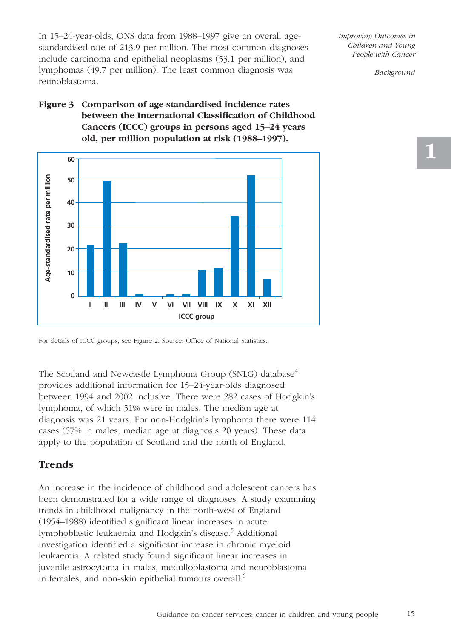In 15–24-year-olds, ONS data from 1988–1997 give an overall agestandardised rate of 213.9 per million. The most common diagnoses include carcinoma and epithelial neoplasms (53.1 per million), and lymphomas (49.7 per million). The least common diagnosis was retinoblastoma.

# **Figure 3 Comparison of age-standardised incidence rates between the International Classification of Childhood Cancers (ICCC) groups in persons aged 15–24 years old, per million population at risk (1988–1997).**



*Improving Outcomes in Children and Young People with Cancer* 

*Background*

The Scotland and Newcastle Lymphoma Group (SNLG) database<sup>4</sup> provides additional information for 15–24-year-olds diagnosed between 1994 and 2002 inclusive. There were 282 cases of Hodgkin's lymphoma, of which 51% were in males. The median age at diagnosis was 21 years. For non-Hodgkin's lymphoma there were 114 cases (57% in males, median age at diagnosis 20 years). These data apply to the population of Scotland and the north of England.

# **Trends**

An increase in the incidence of childhood and adolescent cancers has been demonstrated for a wide range of diagnoses. A study examining trends in childhood malignancy in the north-west of England (1954–1988) identified significant linear increases in acute lymphoblastic leukaemia and Hodgkin's disease.<sup>5</sup> Additional investigation identified a significant increase in chronic myeloid leukaemia. A related study found significant linear increases in juvenile astrocytoma in males, medulloblastoma and neuroblastoma in females, and non-skin epithelial tumours overall.<sup>6</sup>

For details of ICCC groups, see Figure 2. Source: Office of National Statistics.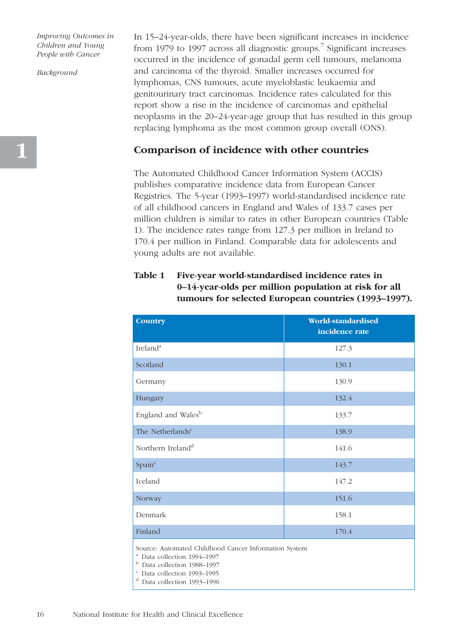*Background*

In 15–24-year-olds, there have been significant increases in incidence from 1979 to 1997 across all diagnostic groups.<sup>7</sup> Significant increases occurred in the incidence of gonadal germ cell tumours, melanoma and carcinoma of the thyroid. Smaller increases occurred for lymphomas, CNS tumours, acute myeloblastic leukaemia and genitourinary tract carcinomas. Incidence rates calculated for this report show a rise in the incidence of carcinomas and epithelial neoplasms in the 20–24-year-age group that has resulted in this group replacing lymphoma as the most common group overall (ONS).

## **Comparison of incidence with other countries**

The Automated Childhood Cancer Information System (ACCIS) publishes comparative incidence data from European Cancer Registries. The 5-year (1993–1997) world-standardised incidence rate of all childhood cancers in England and Wales of 133.7 cases per million children is similar to rates in other European countries (Table 1). The incidence rates range from 127.3 per million in Ireland to 170.4 per million in Finland. Comparable data for adolescents and young adults are not available.

## **Table 1 Five-year world-standardised incidence rates in 0–14-year-olds per million population at risk for all tumours for selected European countries (1993–1997).**

| <b>Country</b>                                                                                                                                                                      | World-standardised<br>incidence rate |  |
|-------------------------------------------------------------------------------------------------------------------------------------------------------------------------------------|--------------------------------------|--|
| Ireland <sup>a</sup>                                                                                                                                                                | 127.3                                |  |
| Scotland                                                                                                                                                                            | 130.1                                |  |
| Germany                                                                                                                                                                             | 130.9                                |  |
| Hungary                                                                                                                                                                             | 132.4                                |  |
| England and Wales <sup>b</sup>                                                                                                                                                      | 133.7                                |  |
| The Netherlands <sup>c</sup>                                                                                                                                                        | 138.9                                |  |
| Northern Ireland <sup>d</sup>                                                                                                                                                       | 141.6                                |  |
| Spain <sup>c</sup>                                                                                                                                                                  | 143.7                                |  |
| Iceland                                                                                                                                                                             | 147.2                                |  |
| Norway                                                                                                                                                                              | 151.6                                |  |
| Denmark                                                                                                                                                                             | 158.1                                |  |
| Finland                                                                                                                                                                             | 170.4                                |  |
| Source: Automated Childhood Cancer Information System<br><sup>a</sup> Data collection 1994-1997<br><sup>b</sup> Data collection 1988-1997<br><sup>c</sup> Data collection 1993-1995 |                                      |  |

d Data collection 1993–1996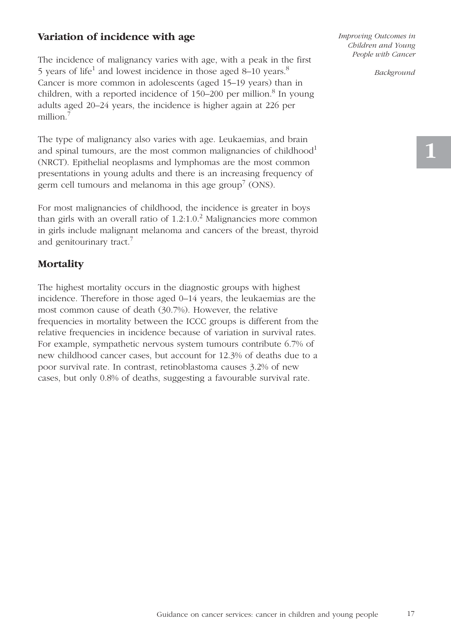# **Variation of incidence with age**

The incidence of malignancy varies with age, with a peak in the first 5 years of life<sup>1</sup> and lowest incidence in those aged 8–10 years.<sup>8</sup> Cancer is more common in adolescents (aged 15–19 years) than in children, with a reported incidence of  $150-200$  per million.<sup>8</sup> In young adults aged 20–24 years, the incidence is higher again at 226 per million.<sup>7</sup>

The type of malignancy also varies with age. Leukaemias, and brain and spinal tumours, are the most common malignancies of childhood<sup>1</sup> (NRCT). Epithelial neoplasms and lymphomas are the most common presentations in young adults and there is an increasing frequency of germ cell tumours and melanoma in this age group<sup>7</sup> (ONS).

For most malignancies of childhood, the incidence is greater in boys than girls with an overall ratio of  $1.2:1.0<sup>2</sup>$  Malignancies more common in girls include malignant melanoma and cancers of the breast, thyroid and genitourinary tract.<sup>7</sup>

# **Mortality**

The highest mortality occurs in the diagnostic groups with highest incidence. Therefore in those aged 0–14 years, the leukaemias are the most common cause of death (30.7%). However, the relative frequencies in mortality between the ICCC groups is different from the relative frequencies in incidence because of variation in survival rates. For example, sympathetic nervous system tumours contribute 6.7% of new childhood cancer cases, but account for 12.3% of deaths due to a poor survival rate. In contrast, retinoblastoma causes 3.2% of new cases, but only 0.8% of deaths, suggesting a favourable survival rate.

*Improving Outcomes in Children and Young People with Cancer* 

*Background*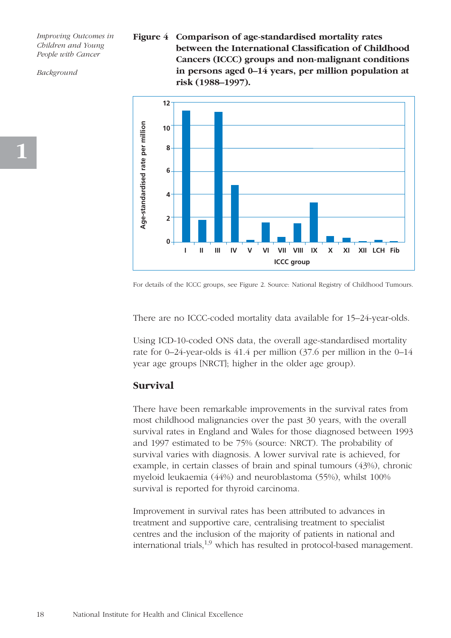*Background*

**Figure 4 Comparison of age-standardised mortality rates between the International Classification of Childhood Cancers (ICCC) groups and non-malignant conditions in persons aged 0–14 years, per million population at risk (1988–1997).** 



For details of the ICCC groups, see Figure 2. Source: National Registry of Childhood Tumours.

There are no ICCC-coded mortality data available for 15–24-year-olds.

Using ICD-10-coded ONS data, the overall age-standardised mortality rate for 0–24-year-olds is 41.4 per million (37.6 per million in the 0–14 year age groups [NRCT]; higher in the older age group).

## **Survival**

There have been remarkable improvements in the survival rates from most childhood malignancies over the past 30 years, with the overall survival rates in England and Wales for those diagnosed between 1993 and 1997 estimated to be 75% (source: NRCT). The probability of survival varies with diagnosis. A lower survival rate is achieved, for example, in certain classes of brain and spinal tumours (43%), chronic myeloid leukaemia (44%) and neuroblastoma (55%), whilst 100% survival is reported for thyroid carcinoma.

Improvement in survival rates has been attributed to advances in treatment and supportive care, centralising treatment to specialist centres and the inclusion of the majority of patients in national and international trials, $1,9$  which has resulted in protocol-based management.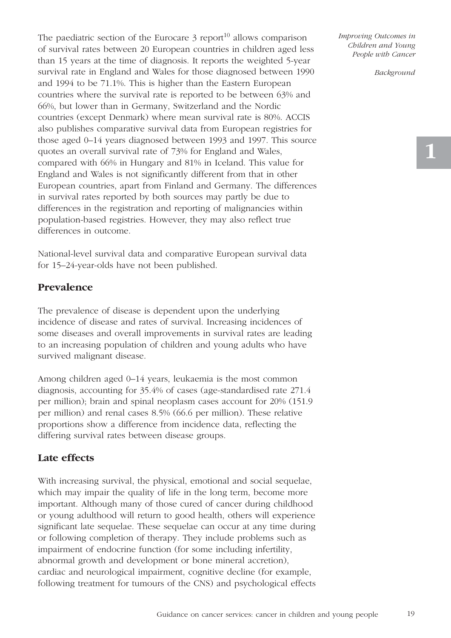The paediatric section of the Eurocare  $\beta$  report<sup>10</sup> allows comparison of survival rates between 20 European countries in children aged less than 15 years at the time of diagnosis. It reports the weighted 5-year survival rate in England and Wales for those diagnosed between 1990 and 1994 to be 71.1%. This is higher than the Eastern European countries where the survival rate is reported to be between 63% and 66%, but lower than in Germany, Switzerland and the Nordic countries (except Denmark) where mean survival rate is 80%. ACCIS also publishes comparative survival data from European registries for those aged 0–14 years diagnosed between 1993 and 1997. This source quotes an overall survival rate of 73% for England and Wales, compared with 66% in Hungary and 81% in Iceland. This value for England and Wales is not significantly different from that in other European countries, apart from Finland and Germany. The differences in survival rates reported by both sources may partly be due to differences in the registration and reporting of malignancies within population-based registries. However, they may also reflect true differences in outcome.

National-level survival data and comparative European survival data for 15–24-year-olds have not been published.

### **Prevalence**

The prevalence of disease is dependent upon the underlying incidence of disease and rates of survival. Increasing incidences of some diseases and overall improvements in survival rates are leading to an increasing population of children and young adults who have survived malignant disease.

Among children aged 0–14 years, leukaemia is the most common diagnosis, accounting for 35.4% of cases (age-standardised rate 271.4 per million); brain and spinal neoplasm cases account for 20% (151.9 per million) and renal cases 8.5% (66.6 per million). These relative proportions show a difference from incidence data, reflecting the differing survival rates between disease groups.

### **Late effects**

With increasing survival, the physical, emotional and social sequelae, which may impair the quality of life in the long term, become more important. Although many of those cured of cancer during childhood or young adulthood will return to good health, others will experience significant late sequelae. These sequelae can occur at any time during or following completion of therapy. They include problems such as impairment of endocrine function (for some including infertility, abnormal growth and development or bone mineral accretion), cardiac and neurological impairment, cognitive decline (for example, following treatment for tumours of the CNS) and psychological effects *Improving Outcomes in Children and Young People with Cancer* 

*Background*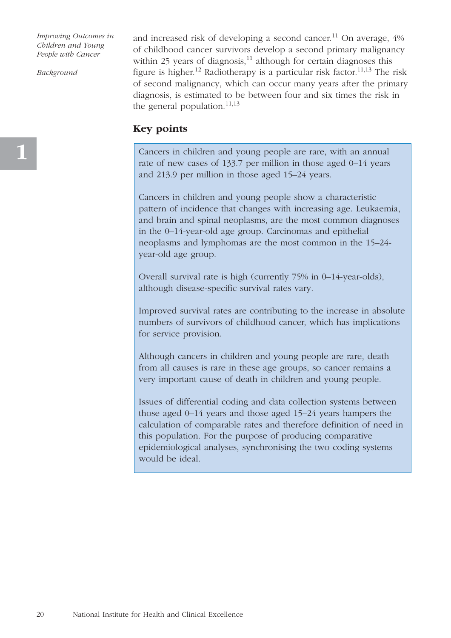*Background*

and increased risk of developing a second cancer.<sup>11</sup> On average,  $4\%$ of childhood cancer survivors develop a second primary malignancy within 25 years of diagnosis, $^{11}$  although for certain diagnoses this figure is higher.<sup>12</sup> Radiotherapy is a particular risk factor.<sup>11,13</sup> The risk of second malignancy, which can occur many years after the primary diagnosis, is estimated to be between four and six times the risk in the general population.<sup>11,13</sup>

# **Key points**

Cancers in children and young people are rare, with an annual rate of new cases of 133.7 per million in those aged 0–14 years and 213.9 per million in those aged 15–24 years.

Cancers in children and young people show a characteristic pattern of incidence that changes with increasing age. Leukaemia, and brain and spinal neoplasms, are the most common diagnoses in the 0–14-year-old age group. Carcinomas and epithelial neoplasms and lymphomas are the most common in the 15–24 year-old age group.

Overall survival rate is high (currently 75% in 0–14-year-olds), although disease-specific survival rates vary.

Improved survival rates are contributing to the increase in absolute numbers of survivors of childhood cancer, which has implications for service provision.

Although cancers in children and young people are rare, death from all causes is rare in these age groups, so cancer remains a very important cause of death in children and young people.

Issues of differential coding and data collection systems between those aged 0–14 years and those aged 15–24 years hampers the calculation of comparable rates and therefore definition of need in this population. For the purpose of producing comparative epidemiological analyses, synchronising the two coding systems would be ideal.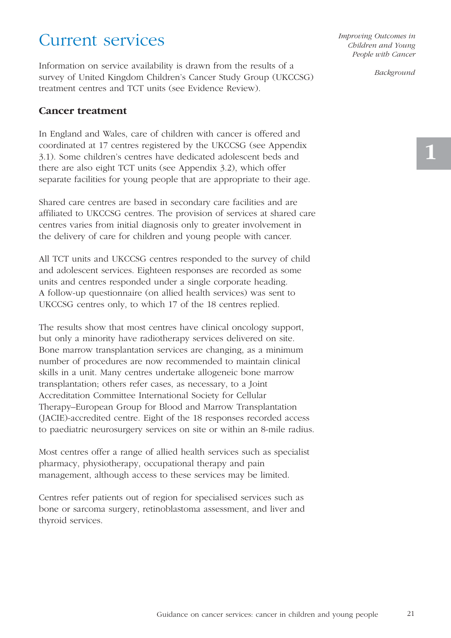# Current services

Information on service availability is drawn from the results of a survey of United Kingdom Children's Cancer Study Group (UKCCSG) treatment centres and TCT units (see Evidence Review).

### **Cancer treatment**

In England and Wales, care of children with cancer is offered and coordinated at 17 centres registered by the UKCCSG (see Appendix 3.1). Some children's centres have dedicated adolescent beds and there are also eight TCT units (see Appendix 3.2), which offer separate facilities for young people that are appropriate to their age.

Shared care centres are based in secondary care facilities and are affiliated to UKCCSG centres. The provision of services at shared care centres varies from initial diagnosis only to greater involvement in the delivery of care for children and young people with cancer.

All TCT units and UKCCSG centres responded to the survey of child and adolescent services. Eighteen responses are recorded as some units and centres responded under a single corporate heading. A follow-up questionnaire (on allied health services) was sent to UKCCSG centres only, to which 17 of the 18 centres replied.

The results show that most centres have clinical oncology support, but only a minority have radiotherapy services delivered on site. Bone marrow transplantation services are changing, as a minimum number of procedures are now recommended to maintain clinical skills in a unit. Many centres undertake allogeneic bone marrow transplantation; others refer cases, as necessary, to a Joint Accreditation Committee International Society for Cellular Therapy–European Group for Blood and Marrow Transplantation (JACIE)-accredited centre. Eight of the 18 responses recorded access to paediatric neurosurgery services on site or within an 8-mile radius.

Most centres offer a range of allied health services such as specialist pharmacy, physiotherapy, occupational therapy and pain management, although access to these services may be limited.

Centres refer patients out of region for specialised services such as bone or sarcoma surgery, retinoblastoma assessment, and liver and thyroid services.

*Improving Outcomes in Children and Young People with Cancer* 

*Background*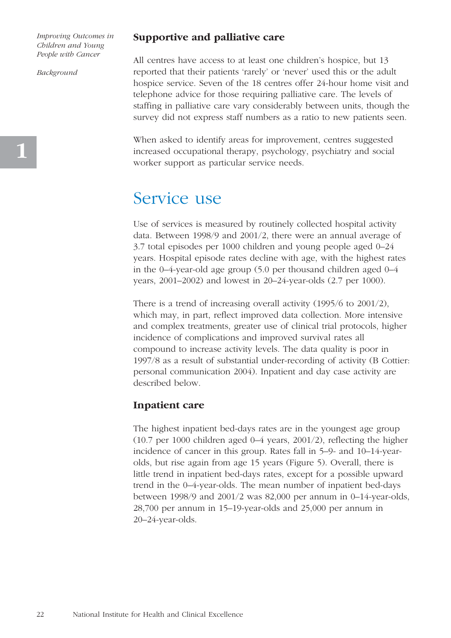*Background*

### **Supportive and palliative care**

All centres have access to at least one children's hospice, but 13 reported that their patients 'rarely' or 'never' used this or the adult hospice service. Seven of the 18 centres offer 24-hour home visit and telephone advice for those requiring palliative care. The levels of staffing in palliative care vary considerably between units, though the survey did not express staff numbers as a ratio to new patients seen.

When asked to identify areas for improvement, centres suggested increased occupational therapy, psychology, psychiatry and social worker support as particular service needs.

# Service use

Use of services is measured by routinely collected hospital activity data. Between 1998/9 and 2001/2, there were an annual average of 3.7 total episodes per 1000 children and young people aged 0–24 years. Hospital episode rates decline with age, with the highest rates in the 0–4-year-old age group (5.0 per thousand children aged 0–4 years, 2001–2002) and lowest in 20–24-year-olds (2.7 per 1000).

There is a trend of increasing overall activity (1995/6 to 2001/2), which may, in part, reflect improved data collection. More intensive and complex treatments, greater use of clinical trial protocols, higher incidence of complications and improved survival rates all compound to increase activity levels. The data quality is poor in 1997/8 as a result of substantial under-recording of activity (B Cottier: personal communication 2004). Inpatient and day case activity are described below.

#### **Inpatient care**

The highest inpatient bed-days rates are in the youngest age group (10.7 per 1000 children aged 0–4 years, 2001/2), reflecting the higher incidence of cancer in this group. Rates fall in 5–9- and 10–14-yearolds, but rise again from age 15 years (Figure 5). Overall, there is little trend in inpatient bed-days rates, except for a possible upward trend in the 0–4-year-olds. The mean number of inpatient bed-days between 1998/9 and 2001/2 was 82,000 per annum in 0–14-year-olds, 28,700 per annum in 15–19-year-olds and 25,000 per annum in 20–24-year-olds.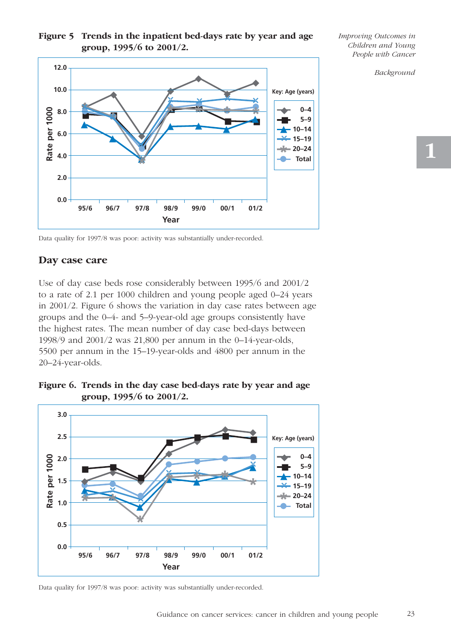## **Figure 5 Trends in the inpatient bed-days rate by year and age group, 1995/6 to 2001/2.**

**12.0** ◆ ◆ **10.0** ◆ **Key: Age (years)** ◆ ◆ ✛✛**• •** ✛ $\tilde{\mathbf{z}}$ **• • \* \* \* \* \***✛ ◆ **• •** ▲ ■ ■ Rate per 1000 ◆ **0–4 Rate per 1000 8.0 ■ ■ ■ ■ ■ \*** ✛■ **5–9** ■ ■ ▲  $\begin{array}{c} \begin{array}{c} \begin{array}{c} \end{array} \end{array}$ ▲ **10–14 6.0** ◆ ▲ <del></del><del>术</del> 15–19 ✛**•**  $\mathbb{Z}$ **20–24 \* 4.0** ▲ **• Total \* 2.0 0.0 95/6 96/7 97/8 98/9 99/0 00/1 01/2 Year**

*Improving Outcomes in Children and Young People with Cancer* 

*Background*

23

Data quality for 1997/8 was poor: activity was substantially under-recorded.

# **Day case care**

Use of day case beds rose considerably between 1995/6 and 2001/2 to a rate of 2.1 per 1000 children and young people aged 0–24 years in 2001/2. Figure 6 shows the variation in day case rates between age groups and the 0–4- and 5–9-year-old age groups consistently have the highest rates. The mean number of day case bed-days between 1998/9 and 2001/2 was 21,800 per annum in the 0–14-year-olds, 5500 per annum in the 15–19-year-olds and 4800 per annum in the 20–24-year-olds.





Data quality for 1997/8 was poor: activity was substantially under-recorded.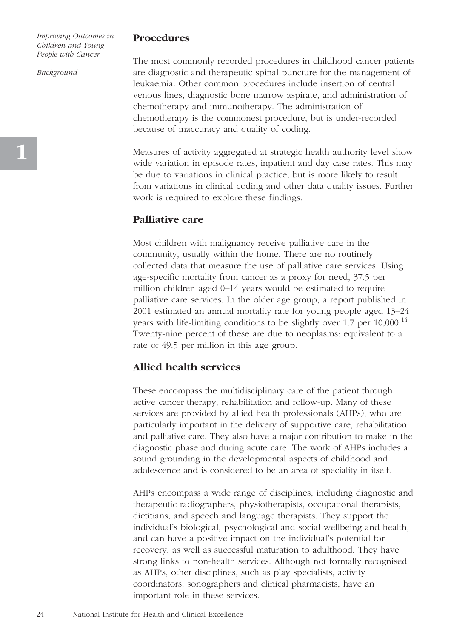*Background*

#### **Procedures**

The most commonly recorded procedures in childhood cancer patients are diagnostic and therapeutic spinal puncture for the management of leukaemia. Other common procedures include insertion of central venous lines, diagnostic bone marrow aspirate, and administration of chemotherapy and immunotherapy. The administration of chemotherapy is the commonest procedure, but is under-recorded because of inaccuracy and quality of coding.

Measures of activity aggregated at strategic health authority level show wide variation in episode rates, inpatient and day case rates. This may be due to variations in clinical practice, but is more likely to result from variations in clinical coding and other data quality issues. Further work is required to explore these findings.

### **Palliative care**

Most children with malignancy receive palliative care in the community, usually within the home. There are no routinely collected data that measure the use of palliative care services. Using age-specific mortality from cancer as a proxy for need, 37.5 per million children aged 0–14 years would be estimated to require palliative care services. In the older age group, a report published in 2001 estimated an annual mortality rate for young people aged 13–24 years with life-limiting conditions to be slightly over 1.7 per  $10,000$ .<sup>14</sup> Twenty-nine percent of these are due to neoplasms: equivalent to a rate of 49.5 per million in this age group.

### **Allied health services**

These encompass the multidisciplinary care of the patient through active cancer therapy, rehabilitation and follow-up. Many of these services are provided by allied health professionals (AHPs), who are particularly important in the delivery of supportive care, rehabilitation and palliative care. They also have a major contribution to make in the diagnostic phase and during acute care. The work of AHPs includes a sound grounding in the developmental aspects of childhood and adolescence and is considered to be an area of speciality in itself.

AHPs encompass a wide range of disciplines, including diagnostic and therapeutic radiographers, physiotherapists, occupational therapists, dietitians, and speech and language therapists. They support the individual's biological, psychological and social wellbeing and health, and can have a positive impact on the individual's potential for recovery, as well as successful maturation to adulthood. They have strong links to non-health services. Although not formally recognised as AHPs, other disciplines, such as play specialists, activity coordinators, sonographers and clinical pharmacists, have an important role in these services.

**1**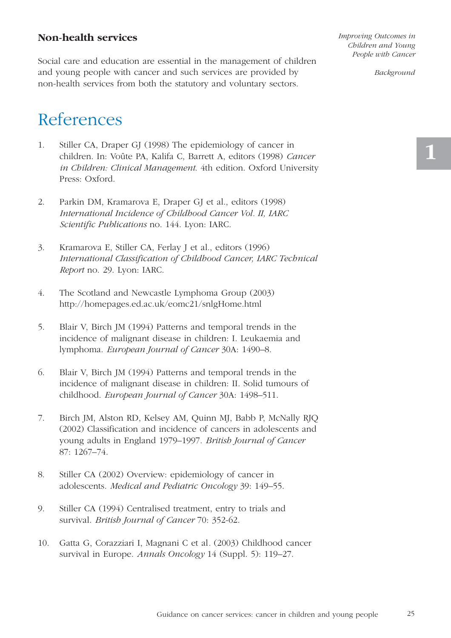# **Non-health services**

Social care and education are essential in the management of children and young people with cancer and such services are provided by non-health services from both the statutory and voluntary sectors.

# References

- 1. Stiller CA, Draper GJ (1998) The epidemiology of cancer in children. In: Voûte PA, Kalifa C, Barrett A, editors (1998) *Cancer in Children: Clinical Management*. 4th edition. Oxford University Press: Oxford.
- 2. Parkin DM, Kramarova E, Draper GJ et al., editors (1998) *International Incidence of Childhood Cancer Vol. II, IARC Scientific Publications* no. 144. Lyon: IARC.
- 3. Kramarova E, Stiller CA, Ferlay J et al., editors (1996) *International Classification of Childhood Cancer, IARC Technical Report* no. 29. Lyon: IARC.
- 4. The Scotland and Newcastle Lymphoma Group (2003) http://homepages.ed.ac.uk/eomc21/snlgHome.html
- 5. Blair V, Birch JM (1994) Patterns and temporal trends in the incidence of malignant disease in children: I. Leukaemia and lymphoma. *European Journal of Cancer* 30A: 1490–8.
- 6. Blair V, Birch JM (1994) Patterns and temporal trends in the incidence of malignant disease in children: II. Solid tumours of childhood. *European Journal of Cancer* 30A: 1498–511.
- 7. Birch JM, Alston RD, Kelsey AM, Quinn MJ, Babb P, McNally RJQ (2002) Classification and incidence of cancers in adolescents and young adults in England 1979–1997. *British Journal of Cancer* 87: 1267–74.
- 8. Stiller CA (2002) Overview: epidemiology of cancer in adolescents. *Medical and Pediatric Oncology* 39: 149–55.
- 9. Stiller CA (1994) Centralised treatment, entry to trials and survival. *British Journal of Cancer* 70: 352-62.
- 10. Gatta G, Corazziari I, Magnani C et al*.* (2003) Childhood cancer survival in Europe. *Annals Oncology* 14 (Suppl. 5): 119–27.

*Improving Outcomes in Children and Young People with Cancer* 

*Background*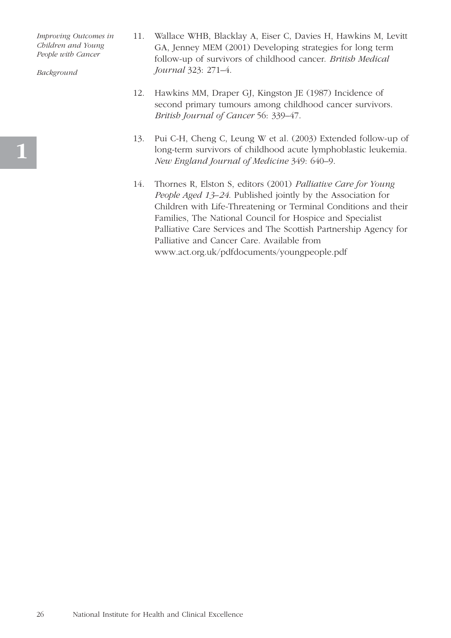*Background*

- 11. Wallace WHB, Blacklay A, Eiser C, Davies H, Hawkins M, Levitt GA, Jenney MEM (2001) Developing strategies for long term follow-up of survivors of childhood cancer. *British Medical Journal* 323: 271–4.
- 12. Hawkins MM, Draper GJ, Kingston JE (1987) Incidence of second primary tumours among childhood cancer survivors. *British Journal of Cancer* 56: 339–47.
- 13. Pui C-H, Cheng C, Leung W et al. (2003) Extended follow-up of long-term survivors of childhood acute lymphoblastic leukemia. *New England Journal of Medicine* 349: 640–9.
- 14. Thornes R, Elston S, editors (2001) *Palliative Care for Young People Aged 13–24*. Published jointly by the Association for Children with Life-Threatening or Terminal Conditions and their Families, The National Council for Hospice and Specialist Palliative Care Services and The Scottish Partnership Agency for Palliative and Cancer Care. Available from www.act.org.uk/pdfdocuments/youngpeople.pdf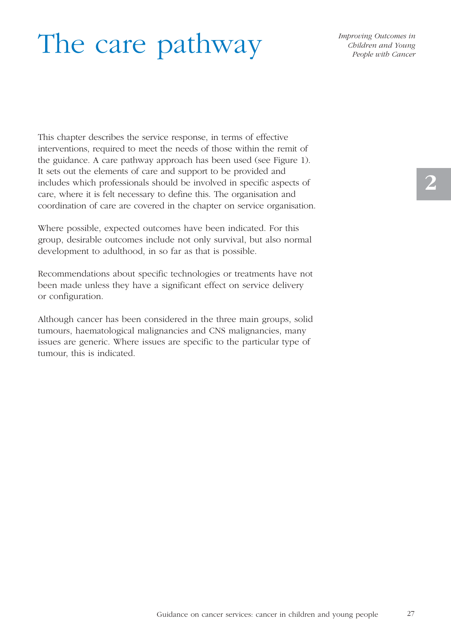# The care pathway

*Improving Outcomes in Children and Young People with Cancer* 

This chapter describes the service response, in terms of effective interventions, required to meet the needs of those within the remit of the guidance. A care pathway approach has been used (see Figure 1). It sets out the elements of care and support to be provided and includes which professionals should be involved in specific aspects of care, where it is felt necessary to define this. The organisation and coordination of care are covered in the chapter on service organisation.

Where possible, expected outcomes have been indicated. For this group, desirable outcomes include not only survival, but also normal development to adulthood, in so far as that is possible.

Recommendations about specific technologies or treatments have not been made unless they have a significant effect on service delivery or configuration.

Although cancer has been considered in the three main groups, solid tumours, haematological malignancies and CNS malignancies, many issues are generic. Where issues are specific to the particular type of tumour, this is indicated.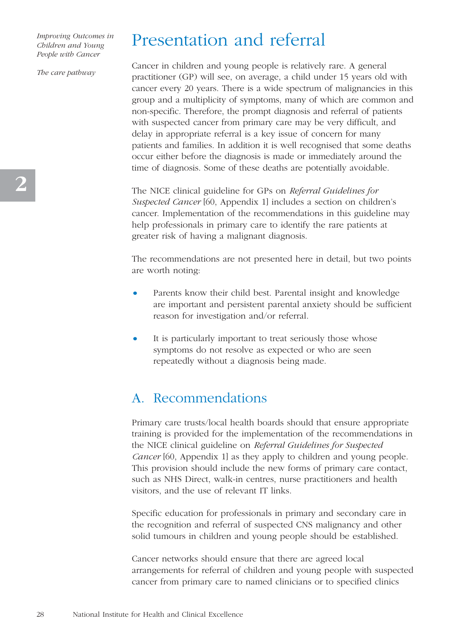*The care pathway*

# Presentation and referral

Cancer in children and young people is relatively rare. A general practitioner (GP) will see, on average, a child under 15 years old with cancer every 20 years. There is a wide spectrum of malignancies in this group and a multiplicity of symptoms, many of which are common and non-specific. Therefore, the prompt diagnosis and referral of patients with suspected cancer from primary care may be very difficult, and delay in appropriate referral is a key issue of concern for many patients and families. In addition it is well recognised that some deaths occur either before the diagnosis is made or immediately around the time of diagnosis. Some of these deaths are potentially avoidable.

The NICE clinical guideline for GPs on *Referral Guidelines for Suspected Cancer* [60, Appendix 1] includes a section on children's cancer. Implementation of the recommendations in this guideline may help professionals in primary care to identify the rare patients at greater risk of having a malignant diagnosis.

The recommendations are not presented here in detail, but two points are worth noting:

- Parents know their child best. Parental insight and knowledge are important and persistent parental anxiety should be sufficient reason for investigation and/or referral.
- It is particularly important to treat seriously those whose symptoms do not resolve as expected or who are seen repeatedly without a diagnosis being made.

# A. Recommendations

Primary care trusts/local health boards should that ensure appropriate training is provided for the implementation of the recommendations in the NICE clinical guideline on *Referral Guidelines for Suspected Cancer* [60, Appendix 1] as they apply to children and young people. This provision should include the new forms of primary care contact, such as NHS Direct, walk-in centres, nurse practitioners and health visitors, and the use of relevant IT links.

Specific education for professionals in primary and secondary care in the recognition and referral of suspected CNS malignancy and other solid tumours in children and young people should be established.

Cancer networks should ensure that there are agreed local arrangements for referral of children and young people with suspected cancer from primary care to named clinicians or to specified clinics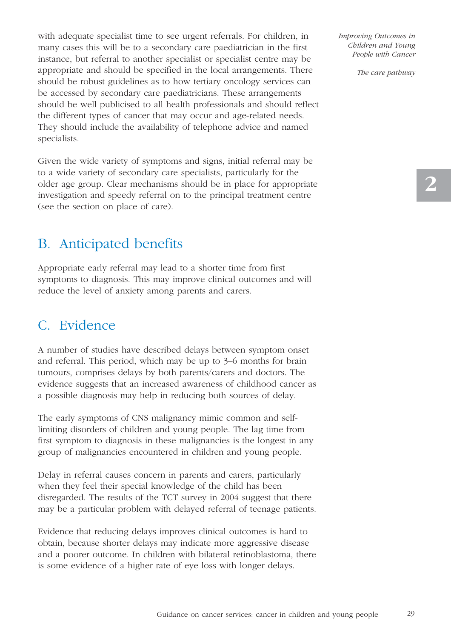with adequate specialist time to see urgent referrals. For children, in many cases this will be to a secondary care paediatrician in the first instance, but referral to another specialist or specialist centre may be appropriate and should be specified in the local arrangements. There should be robust guidelines as to how tertiary oncology services can be accessed by secondary care paediatricians. These arrangements should be well publicised to all health professionals and should reflect the different types of cancer that may occur and age-related needs. They should include the availability of telephone advice and named specialists.

Given the wide variety of symptoms and signs, initial referral may be to a wide variety of secondary care specialists, particularly for the older age group. Clear mechanisms should be in place for appropriate investigation and speedy referral on to the principal treatment centre (see the section on place of care).

# B. Anticipated benefits

Appropriate early referral may lead to a shorter time from first symptoms to diagnosis. This may improve clinical outcomes and will reduce the level of anxiety among parents and carers.

# C. Evidence

A number of studies have described delays between symptom onset and referral. This period, which may be up to 3–6 months for brain tumours, comprises delays by both parents/carers and doctors. The evidence suggests that an increased awareness of childhood cancer as a possible diagnosis may help in reducing both sources of delay.

The early symptoms of CNS malignancy mimic common and selflimiting disorders of children and young people. The lag time from first symptom to diagnosis in these malignancies is the longest in any group of malignancies encountered in children and young people.

Delay in referral causes concern in parents and carers, particularly when they feel their special knowledge of the child has been disregarded. The results of the TCT survey in 2004 suggest that there may be a particular problem with delayed referral of teenage patients.

Evidence that reducing delays improves clinical outcomes is hard to obtain, because shorter delays may indicate more aggressive disease and a poorer outcome. In children with bilateral retinoblastoma, there is some evidence of a higher rate of eye loss with longer delays.

*Improving Outcomes in Children and Young People with Cancer* 

*The care pathway*

29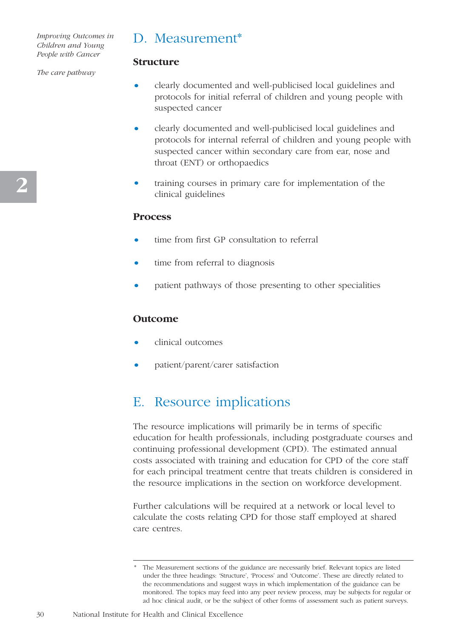# D. Measurement\*

#### *The care pathway*

- clearly documented and well-publicised local guidelines and protocols for initial referral of children and young people with suspected cancer
- clearly documented and well-publicised local guidelines and protocols for internal referral of children and young people with suspected cancer within secondary care from ear, nose and throat (ENT) or orthopaedics
- training courses in primary care for implementation of the clinical guidelines

#### **Process**

**Structure**

- time from first GP consultation to referral
- time from referral to diagnosis
- patient pathways of those presenting to other specialities

### **Outcome**

- clinical outcomes
- patient/parent/carer satisfaction

# E. Resource implications

The resource implications will primarily be in terms of specific education for health professionals, including postgraduate courses and continuing professional development (CPD). The estimated annual costs associated with training and education for CPD of the core staff for each principal treatment centre that treats children is considered in the resource implications in the section on workforce development.

Further calculations will be required at a network or local level to calculate the costs relating CPD for those staff employed at shared care centres.

30

The Measurement sections of the guidance are necessarily brief. Relevant topics are listed under the three headings: 'Structure', 'Process' and 'Outcome'. These are directly related to the recommendations and suggest ways in which implementation of the guidance can be monitored. The topics may feed into any peer review process, may be subjects for regular or ad hoc clinical audit, or be the subject of other forms of assessment such as patient surveys.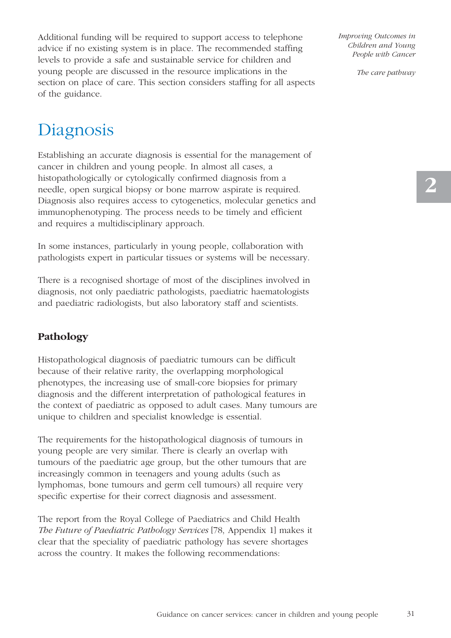Additional funding will be required to support access to telephone advice if no existing system is in place. The recommended staffing levels to provide a safe and sustainable service for children and young people are discussed in the resource implications in the section on place of care. This section considers staffing for all aspects of the guidance.

# Diagnosis

Establishing an accurate diagnosis is essential for the management of cancer in children and young people. In almost all cases, a histopathologically or cytologically confirmed diagnosis from a needle, open surgical biopsy or bone marrow aspirate is required. Diagnosis also requires access to cytogenetics, molecular genetics and immunophenotyping. The process needs to be timely and efficient and requires a multidisciplinary approach.

In some instances, particularly in young people, collaboration with pathologists expert in particular tissues or systems will be necessary.

There is a recognised shortage of most of the disciplines involved in diagnosis, not only paediatric pathologists, paediatric haematologists and paediatric radiologists, but also laboratory staff and scientists.

# **Pathology**

Histopathological diagnosis of paediatric tumours can be difficult because of their relative rarity, the overlapping morphological phenotypes, the increasing use of small-core biopsies for primary diagnosis and the different interpretation of pathological features in the context of paediatric as opposed to adult cases. Many tumours are unique to children and specialist knowledge is essential.

The requirements for the histopathological diagnosis of tumours in young people are very similar. There is clearly an overlap with tumours of the paediatric age group, but the other tumours that are increasingly common in teenagers and young adults (such as lymphomas, bone tumours and germ cell tumours) all require very specific expertise for their correct diagnosis and assessment.

The report from the Royal College of Paediatrics and Child Health *The Future of Paediatric Pathology Services* [78, Appendix 1] makes it clear that the speciality of paediatric pathology has severe shortages across the country. It makes the following recommendations:

*Improving Outcomes in Children and Young People with Cancer* 

*The care pathway*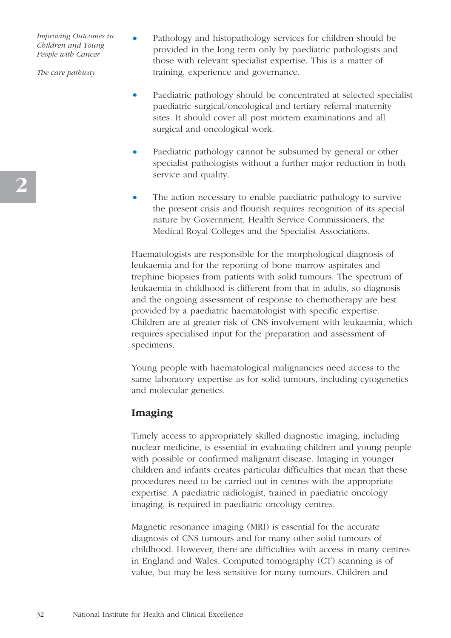*The care pathway*

- Pathology and histopathology services for children should be provided in the long term only by paediatric pathologists and those with relevant specialist expertise. This is a matter of training, experience and governance.
- Paediatric pathology should be concentrated at selected specialist paediatric surgical/oncological and tertiary referral maternity sites. It should cover all post mortem examinations and all surgical and oncological work.
- Paediatric pathology cannot be subsumed by general or other specialist pathologists without a further major reduction in both service and quality.
- The action necessary to enable paediatric pathology to survive the present crisis and flourish requires recognition of its special nature by Government, Health Service Commissioners, the Medical Royal Colleges and the Specialist Associations.

Haematologists are responsible for the morphological diagnosis of leukaemia and for the reporting of bone marrow aspirates and trephine biopsies from patients with solid tumours. The spectrum of leukaemia in childhood is different from that in adults, so diagnosis and the ongoing assessment of response to chemotherapy are best provided by a paediatric haematologist with specific expertise. Children are at greater risk of CNS involvement with leukaemia, which requires specialised input for the preparation and assessment of specimens.

Young people with haematological malignancies need access to the same laboratory expertise as for solid tumours, including cytogenetics and molecular genetics.

# **Imaging**

Timely access to appropriately skilled diagnostic imaging, including nuclear medicine, is essential in evaluating children and young people with possible or confirmed malignant disease. Imaging in younger children and infants creates particular difficulties that mean that these procedures need to be carried out in centres with the appropriate expertise. A paediatric radiologist, trained in paediatric oncology imaging, is required in paediatric oncology centres.

Magnetic resonance imaging (MRI) is essential for the accurate diagnosis of CNS tumours and for many other solid tumours of childhood. However, there are difficulties with access in many centres in England and Wales. Computed tomography (CT) scanning is of value, but may be less sensitive for many tumours. Children and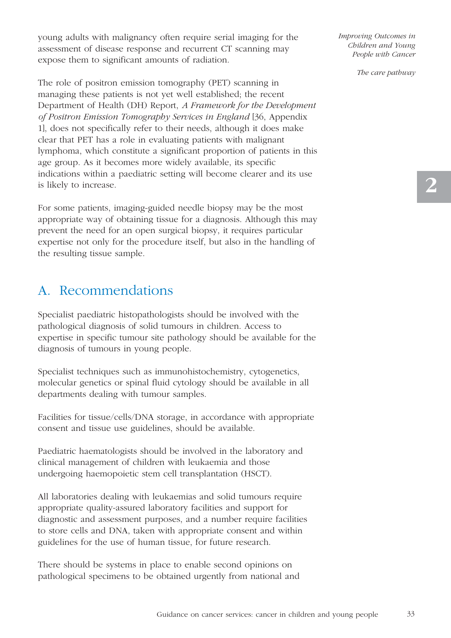young adults with malignancy often require serial imaging for the assessment of disease response and recurrent CT scanning may expose them to significant amounts of radiation.

The role of positron emission tomography (PET) scanning in managing these patients is not yet well established; the recent Department of Health (DH) Report, *A Framework for the Development of Positron Emission Tomography Services in England* [36, Appendix 1], does not specifically refer to their needs, although it does make clear that PET has a role in evaluating patients with malignant lymphoma, which constitute a significant proportion of patients in this age group. As it becomes more widely available, its specific indications within a paediatric setting will become clearer and its use is likely to increase.

For some patients, imaging-guided needle biopsy may be the most appropriate way of obtaining tissue for a diagnosis. Although this may prevent the need for an open surgical biopsy, it requires particular expertise not only for the procedure itself, but also in the handling of the resulting tissue sample.

# A. Recommendations

Specialist paediatric histopathologists should be involved with the pathological diagnosis of solid tumours in children. Access to expertise in specific tumour site pathology should be available for the diagnosis of tumours in young people.

Specialist techniques such as immunohistochemistry, cytogenetics, molecular genetics or spinal fluid cytology should be available in all departments dealing with tumour samples.

Facilities for tissue/cells/DNA storage, in accordance with appropriate consent and tissue use guidelines, should be available.

Paediatric haematologists should be involved in the laboratory and clinical management of children with leukaemia and those undergoing haemopoietic stem cell transplantation (HSCT).

All laboratories dealing with leukaemias and solid tumours require appropriate quality-assured laboratory facilities and support for diagnostic and assessment purposes, and a number require facilities to store cells and DNA, taken with appropriate consent and within guidelines for the use of human tissue, for future research.

There should be systems in place to enable second opinions on pathological specimens to be obtained urgently from national and *Improving Outcomes in Children and Young People with Cancer* 

*The care pathway*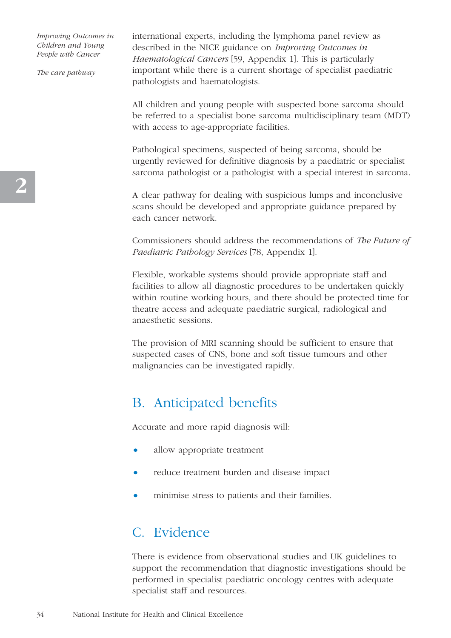*The care pathway*

international experts, including the lymphoma panel review as described in the NICE guidance on *Improving Outcomes in Haematological Cancers* [59, Appendix 1]. This is particularly important while there is a current shortage of specialist paediatric pathologists and haematologists.

All children and young people with suspected bone sarcoma should be referred to a specialist bone sarcoma multidisciplinary team (MDT) with access to age-appropriate facilities.

Pathological specimens, suspected of being sarcoma, should be urgently reviewed for definitive diagnosis by a paediatric or specialist sarcoma pathologist or a pathologist with a special interest in sarcoma.

A clear pathway for dealing with suspicious lumps and inconclusive scans should be developed and appropriate guidance prepared by each cancer network.

Commissioners should address the recommendations of *The Future of Paediatric Pathology Services* [78, Appendix 1].

Flexible, workable systems should provide appropriate staff and facilities to allow all diagnostic procedures to be undertaken quickly within routine working hours, and there should be protected time for theatre access and adequate paediatric surgical, radiological and anaesthetic sessions.

The provision of MRI scanning should be sufficient to ensure that suspected cases of CNS, bone and soft tissue tumours and other malignancies can be investigated rapidly.

## B. Anticipated benefits

Accurate and more rapid diagnosis will:

- allow appropriate treatment
- reduce treatment burden and disease impact
- minimise stress to patients and their families.

## C. Evidence

There is evidence from observational studies and UK guidelines to support the recommendation that diagnostic investigations should be performed in specialist paediatric oncology centres with adequate specialist staff and resources.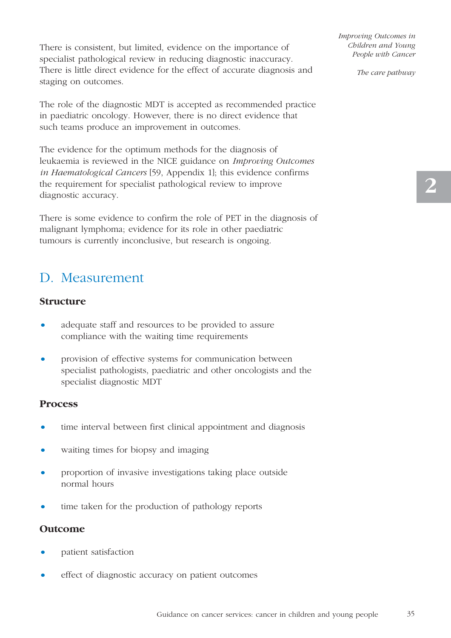There is consistent, but limited, evidence on the importance of specialist pathological review in reducing diagnostic inaccuracy. There is little direct evidence for the effect of accurate diagnosis and staging on outcomes.

The role of the diagnostic MDT is accepted as recommended practice in paediatric oncology. However, there is no direct evidence that such teams produce an improvement in outcomes.

The evidence for the optimum methods for the diagnosis of leukaemia is reviewed in the NICE guidance on *Improving Outcomes in Haematological Cancers* [59, Appendix 1]; this evidence confirms the requirement for specialist pathological review to improve diagnostic accuracy.

There is some evidence to confirm the role of PET in the diagnosis of malignant lymphoma; evidence for its role in other paediatric tumours is currently inconclusive, but research is ongoing.

## D. Measurement

#### **Structure**

- adequate staff and resources to be provided to assure compliance with the waiting time requirements
- provision of effective systems for communication between specialist pathologists, paediatric and other oncologists and the specialist diagnostic MDT

#### **Process**

- time interval between first clinical appointment and diagnosis
- waiting times for biopsy and imaging
- proportion of invasive investigations taking place outside normal hours
- time taken for the production of pathology reports

#### **Outcome**

- patient satisfaction
- effect of diagnostic accuracy on patient outcomes

*Improving Outcomes in Children and Young People with Cancer*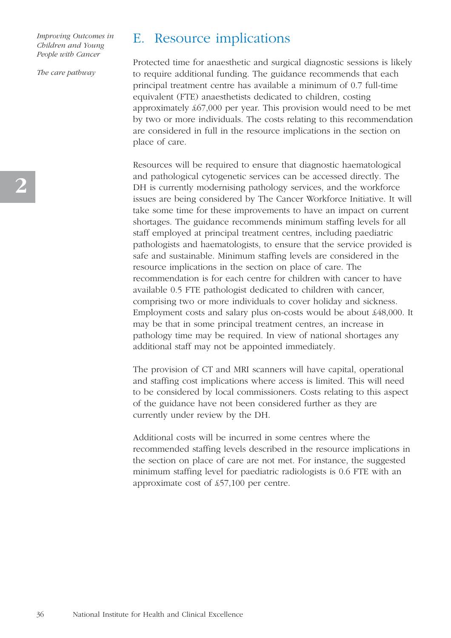*The care pathway*

## E. Resource implications

Protected time for anaesthetic and surgical diagnostic sessions is likely to require additional funding. The guidance recommends that each principal treatment centre has available a minimum of 0.7 full-time equivalent (FTE) anaesthetists dedicated to children, costing approximately £67,000 per year. This provision would need to be met by two or more individuals. The costs relating to this recommendation are considered in full in the resource implications in the section on place of care.

Resources will be required to ensure that diagnostic haematological and pathological cytogenetic services can be accessed directly. The DH is currently modernising pathology services, and the workforce issues are being considered by The Cancer Workforce Initiative. It will take some time for these improvements to have an impact on current shortages. The guidance recommends minimum staffing levels for all staff employed at principal treatment centres, including paediatric pathologists and haematologists, to ensure that the service provided is safe and sustainable. Minimum staffing levels are considered in the resource implications in the section on place of care. The recommendation is for each centre for children with cancer to have available 0.5 FTE pathologist dedicated to children with cancer, comprising two or more individuals to cover holiday and sickness. Employment costs and salary plus on-costs would be about £48,000. It may be that in some principal treatment centres, an increase in pathology time may be required. In view of national shortages any additional staff may not be appointed immediately.

The provision of CT and MRI scanners will have capital, operational and staffing cost implications where access is limited. This will need to be considered by local commissioners. Costs relating to this aspect of the guidance have not been considered further as they are currently under review by the DH.

Additional costs will be incurred in some centres where the recommended staffing levels described in the resource implications in the section on place of care are not met. For instance, the suggested minimum staffing level for paediatric radiologists is 0.6 FTE with an approximate cost of £57,100 per centre.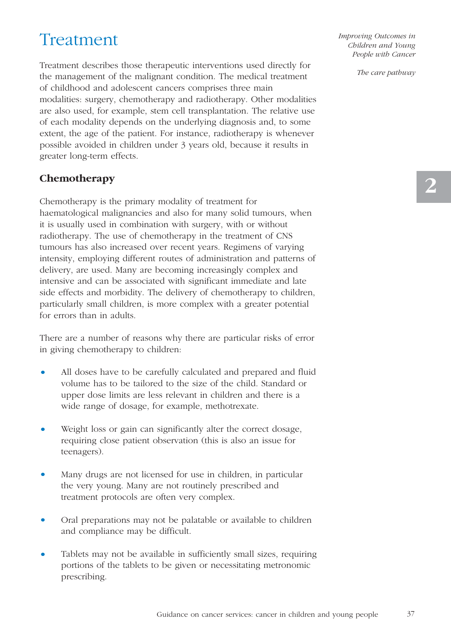# Treatment

Treatment describes those therapeutic interventions used directly for the management of the malignant condition. The medical treatment of childhood and adolescent cancers comprises three main modalities: surgery, chemotherapy and radiotherapy. Other modalities are also used, for example, stem cell transplantation. The relative use of each modality depends on the underlying diagnosis and, to some extent, the age of the patient. For instance, radiotherapy is whenever possible avoided in children under 3 years old, because it results in greater long-term effects.

#### **Chemotherapy**

Chemotherapy is the primary modality of treatment for haematological malignancies and also for many solid tumours, when it is usually used in combination with surgery, with or without radiotherapy. The use of chemotherapy in the treatment of CNS tumours has also increased over recent years. Regimens of varying intensity, employing different routes of administration and patterns of delivery, are used. Many are becoming increasingly complex and intensive and can be associated with significant immediate and late side effects and morbidity. The delivery of chemotherapy to children, particularly small children, is more complex with a greater potential for errors than in adults.

There are a number of reasons why there are particular risks of error in giving chemotherapy to children:

- All doses have to be carefully calculated and prepared and fluid volume has to be tailored to the size of the child. Standard or upper dose limits are less relevant in children and there is a wide range of dosage, for example, methotrexate.
- Weight loss or gain can significantly alter the correct dosage, requiring close patient observation (this is also an issue for teenagers).
- Many drugs are not licensed for use in children, in particular the very young. Many are not routinely prescribed and treatment protocols are often very complex.
- Oral preparations may not be palatable or available to children and compliance may be difficult.
- Tablets may not be available in sufficiently small sizes, requiring portions of the tablets to be given or necessitating metronomic prescribing.

*Improving Outcomes in Children and Young People with Cancer*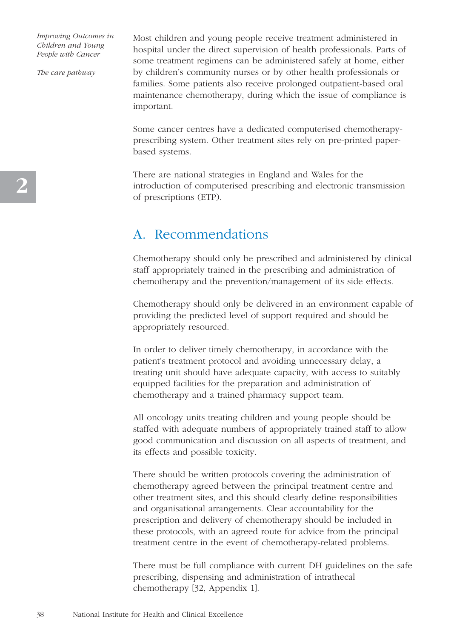*The care pathway*

Most children and young people receive treatment administered in hospital under the direct supervision of health professionals. Parts of some treatment regimens can be administered safely at home, either by children's community nurses or by other health professionals or families. Some patients also receive prolonged outpatient-based oral maintenance chemotherapy, during which the issue of compliance is important.

Some cancer centres have a dedicated computerised chemotherapyprescribing system. Other treatment sites rely on pre-printed paperbased systems.

There are national strategies in England and Wales for the introduction of computerised prescribing and electronic transmission of prescriptions (ETP).

### A. Recommendations

Chemotherapy should only be prescribed and administered by clinical staff appropriately trained in the prescribing and administration of chemotherapy and the prevention/management of its side effects.

Chemotherapy should only be delivered in an environment capable of providing the predicted level of support required and should be appropriately resourced.

In order to deliver timely chemotherapy, in accordance with the patient's treatment protocol and avoiding unnecessary delay, a treating unit should have adequate capacity, with access to suitably equipped facilities for the preparation and administration of chemotherapy and a trained pharmacy support team.

All oncology units treating children and young people should be staffed with adequate numbers of appropriately trained staff to allow good communication and discussion on all aspects of treatment, and its effects and possible toxicity.

There should be written protocols covering the administration of chemotherapy agreed between the principal treatment centre and other treatment sites, and this should clearly define responsibilities and organisational arrangements. Clear accountability for the prescription and delivery of chemotherapy should be included in these protocols, with an agreed route for advice from the principal treatment centre in the event of chemotherapy-related problems.

There must be full compliance with current DH guidelines on the safe prescribing, dispensing and administration of intrathecal chemotherapy [32, Appendix 1].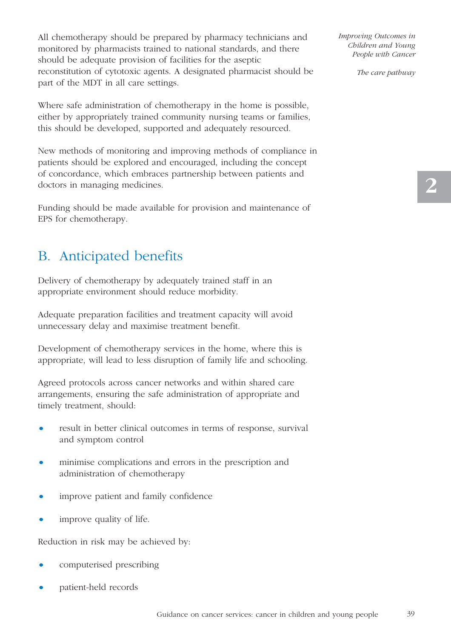All chemotherapy should be prepared by pharmacy technicians and monitored by pharmacists trained to national standards, and there should be adequate provision of facilities for the aseptic reconstitution of cytotoxic agents. A designated pharmacist should be part of the MDT in all care settings.

Where safe administration of chemotherapy in the home is possible, either by appropriately trained community nursing teams or families, this should be developed, supported and adequately resourced.

New methods of monitoring and improving methods of compliance in patients should be explored and encouraged, including the concept of concordance, which embraces partnership between patients and doctors in managing medicines.

Funding should be made available for provision and maintenance of EPS for chemotherapy.

## B. Anticipated benefits

Delivery of chemotherapy by adequately trained staff in an appropriate environment should reduce morbidity.

Adequate preparation facilities and treatment capacity will avoid unnecessary delay and maximise treatment benefit.

Development of chemotherapy services in the home, where this is appropriate, will lead to less disruption of family life and schooling.

Agreed protocols across cancer networks and within shared care arrangements, ensuring the safe administration of appropriate and timely treatment, should:

- result in better clinical outcomes in terms of response, survival and symptom control
- minimise complications and errors in the prescription and administration of chemotherapy
- improve patient and family confidence
- improve quality of life.

Reduction in risk may be achieved by:

- computerised prescribing
- patient-held records

*Improving Outcomes in Children and Young People with Cancer*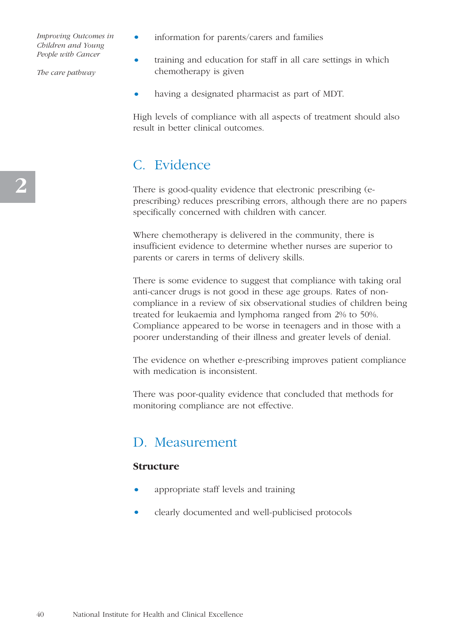*The care pathway*

- information for parents/carers and families
- training and education for staff in all care settings in which chemotherapy is given
- having a designated pharmacist as part of MDT.

High levels of compliance with all aspects of treatment should also result in better clinical outcomes.

## C. Evidence

There is good-quality evidence that electronic prescribing (eprescribing) reduces prescribing errors, although there are no papers specifically concerned with children with cancer.

Where chemotherapy is delivered in the community, there is insufficient evidence to determine whether nurses are superior to parents or carers in terms of delivery skills.

There is some evidence to suggest that compliance with taking oral anti-cancer drugs is not good in these age groups. Rates of noncompliance in a review of six observational studies of children being treated for leukaemia and lymphoma ranged from 2% to 50%. Compliance appeared to be worse in teenagers and in those with a poorer understanding of their illness and greater levels of denial.

The evidence on whether e-prescribing improves patient compliance with medication is inconsistent.

There was poor-quality evidence that concluded that methods for monitoring compliance are not effective.

### D. Measurement

#### **Structure**

- appropriate staff levels and training
- clearly documented and well-publicised protocols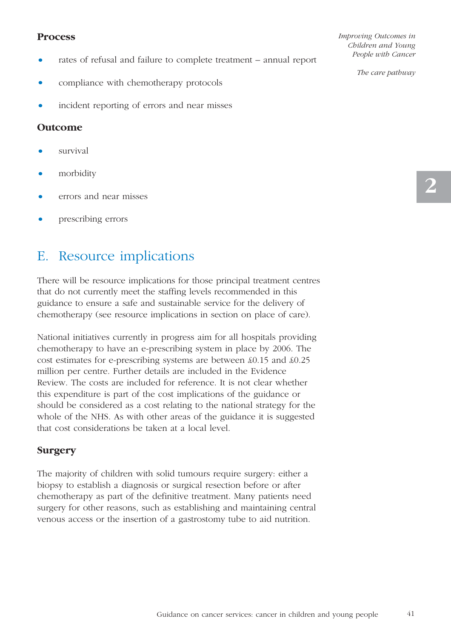#### **Process**

- rates of refusal and failure to complete treatment annual report
- compliance with chemotherapy protocols
- incident reporting of errors and near misses

#### **Outcome**

- survival
- morbidity
- errors and near misses
- prescribing errors

## E. Resource implications

There will be resource implications for those principal treatment centres that do not currently meet the staffing levels recommended in this guidance to ensure a safe and sustainable service for the delivery of chemotherapy (see resource implications in section on place of care).

National initiatives currently in progress aim for all hospitals providing chemotherapy to have an e-prescribing system in place by 2006. The cost estimates for e-prescribing systems are between £0.15 and £0.25 million per centre. Further details are included in the Evidence Review. The costs are included for reference. It is not clear whether this expenditure is part of the cost implications of the guidance or should be considered as a cost relating to the national strategy for the whole of the NHS. As with other areas of the guidance it is suggested that cost considerations be taken at a local level.

#### **Surgery**

The majority of children with solid tumours require surgery: either a biopsy to establish a diagnosis or surgical resection before or after chemotherapy as part of the definitive treatment. Many patients need surgery for other reasons, such as establishing and maintaining central venous access or the insertion of a gastrostomy tube to aid nutrition.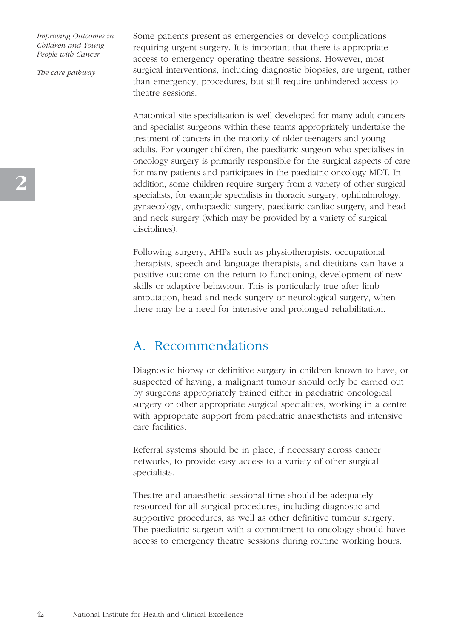*The care pathway*

Some patients present as emergencies or develop complications requiring urgent surgery. It is important that there is appropriate access to emergency operating theatre sessions. However, most surgical interventions, including diagnostic biopsies, are urgent, rather than emergency, procedures, but still require unhindered access to theatre sessions.

Anatomical site specialisation is well developed for many adult cancers and specialist surgeons within these teams appropriately undertake the treatment of cancers in the majority of older teenagers and young adults. For younger children, the paediatric surgeon who specialises in oncology surgery is primarily responsible for the surgical aspects of care for many patients and participates in the paediatric oncology MDT. In addition, some children require surgery from a variety of other surgical specialists, for example specialists in thoracic surgery, ophthalmology, gynaecology, orthopaedic surgery, paediatric cardiac surgery, and head and neck surgery (which may be provided by a variety of surgical disciplines).

Following surgery, AHPs such as physiotherapists, occupational therapists, speech and language therapists, and dietitians can have a positive outcome on the return to functioning, development of new skills or adaptive behaviour. This is particularly true after limb amputation, head and neck surgery or neurological surgery, when there may be a need for intensive and prolonged rehabilitation.

### A. Recommendations

Diagnostic biopsy or definitive surgery in children known to have, or suspected of having, a malignant tumour should only be carried out by surgeons appropriately trained either in paediatric oncological surgery or other appropriate surgical specialities, working in a centre with appropriate support from paediatric anaesthetists and intensive care facilities.

Referral systems should be in place, if necessary across cancer networks, to provide easy access to a variety of other surgical specialists.

Theatre and anaesthetic sessional time should be adequately resourced for all surgical procedures, including diagnostic and supportive procedures, as well as other definitive tumour surgery. The paediatric surgeon with a commitment to oncology should have access to emergency theatre sessions during routine working hours.

**2**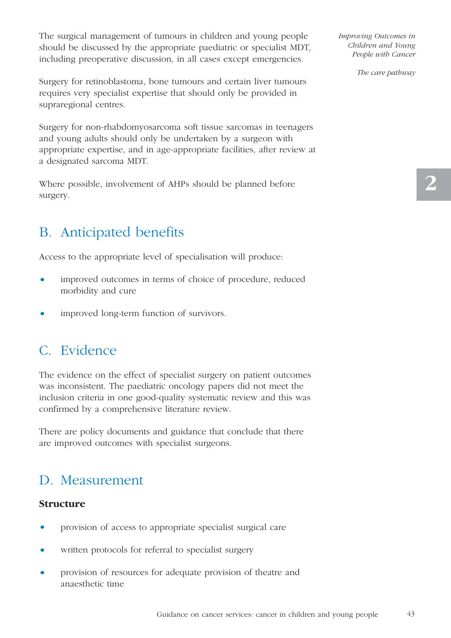The surgical management of tumours in children and young people should be discussed by the appropriate paediatric or specialist MDT, including preoperative discussion, in all cases except emergencies.

Surgery for retinoblastoma, bone tumours and certain liver tumours requires very specialist expertise that should only be provided in supraregional centres.

Surgery for non-rhabdomyosarcoma soft tissue sarcomas in teenagers and young adults should only be undertaken by a surgeon with appropriate expertise, and in age-appropriate facilities, after review at a designated sarcoma MDT.

Where possible, involvement of AHPs should be planned before surgery.

## B. Anticipated benefits

Access to the appropriate level of specialisation will produce:

- improved outcomes in terms of choice of procedure, reduced morbidity and cure
- improved long-term function of survivors.

### C. Evidence

The evidence on the effect of specialist surgery on patient outcomes was inconsistent. The paediatric oncology papers did not meet the inclusion criteria in one good-quality systematic review and this was confirmed by a comprehensive literature review.

There are policy documents and guidance that conclude that there are improved outcomes with specialist surgeons.

## D. Measurement

#### **Structure**

- provision of access to appropriate specialist surgical care
- written protocols for referral to specialist surgery
- provision of resources for adequate provision of theatre and anaesthetic time

*Improving Outcomes in Children and Young People with Cancer*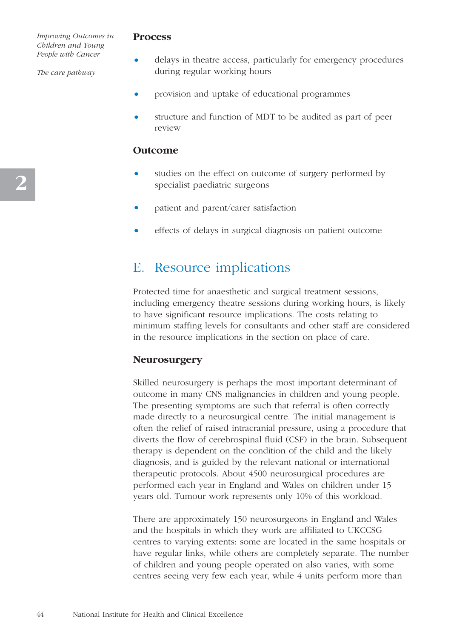*The care pathway*

#### **Process**

- delays in theatre access, particularly for emergency procedures during regular working hours
- provision and uptake of educational programmes
- structure and function of MDT to be audited as part of peer review

#### **Outcome**

- studies on the effect on outcome of surgery performed by specialist paediatric surgeons
- patient and parent/carer satisfaction
- effects of delays in surgical diagnosis on patient outcome

## E. Resource implications

Protected time for anaesthetic and surgical treatment sessions, including emergency theatre sessions during working hours, is likely to have significant resource implications. The costs relating to minimum staffing levels for consultants and other staff are considered in the resource implications in the section on place of care.

#### **Neurosurgery**

Skilled neurosurgery is perhaps the most important determinant of outcome in many CNS malignancies in children and young people. The presenting symptoms are such that referral is often correctly made directly to a neurosurgical centre. The initial management is often the relief of raised intracranial pressure, using a procedure that diverts the flow of cerebrospinal fluid (CSF) in the brain. Subsequent therapy is dependent on the condition of the child and the likely diagnosis, and is guided by the relevant national or international therapeutic protocols. About 4500 neurosurgical procedures are performed each year in England and Wales on children under 15 years old. Tumour work represents only 10% of this workload.

There are approximately 150 neurosurgeons in England and Wales and the hospitals in which they work are affiliated to UKCCSG centres to varying extents: some are located in the same hospitals or have regular links, while others are completely separate. The number of children and young people operated on also varies, with some centres seeing very few each year, while 4 units perform more than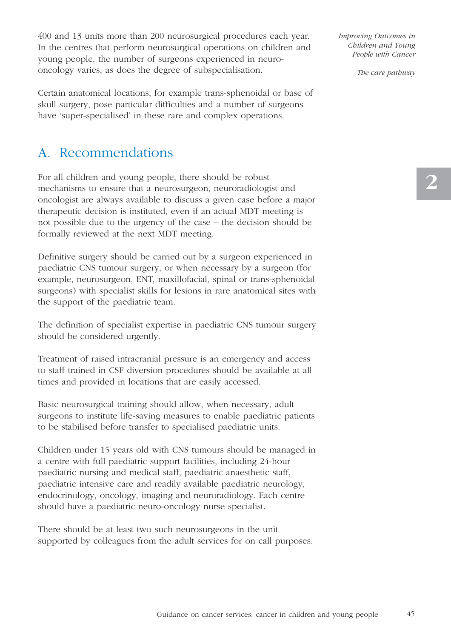400 and 13 units more than 200 neurosurgical procedures each year. In the centres that perform neurosurgical operations on children and young people, the number of surgeons experienced in neurooncology varies, as does the degree of subspecialisation.

Certain anatomical locations, for example trans-sphenoidal or base of skull surgery, pose particular difficulties and a number of surgeons have 'super-specialised' in these rare and complex operations.

## A. Recommendations

For all children and young people, there should be robust mechanisms to ensure that a neurosurgeon, neuroradiologist and oncologist are always available to discuss a given case before a major therapeutic decision is instituted, even if an actual MDT meeting is not possible due to the urgency of the case – the decision should be formally reviewed at the next MDT meeting.

Definitive surgery should be carried out by a surgeon experienced in paediatric CNS tumour surgery, or when necessary by a surgeon (for example, neurosurgeon, ENT, maxillofacial, spinal or trans-sphenoidal surgeons) with specialist skills for lesions in rare anatomical sites with the support of the paediatric team.

The definition of specialist expertise in paediatric CNS tumour surgery should be considered urgently.

Treatment of raised intracranial pressure is an emergency and access to staff trained in CSF diversion procedures should be available at all times and provided in locations that are easily accessed.

Basic neurosurgical training should allow, when necessary, adult surgeons to institute life-saving measures to enable paediatric patients to be stabilised before transfer to specialised paediatric units.

Children under 15 years old with CNS tumours should be managed in a centre with full paediatric support facilities, including 24-hour paediatric nursing and medical staff, paediatric anaesthetic staff, paediatric intensive care and readily available paediatric neurology, endocrinology, oncology, imaging and neuroradiology. Each centre should have a paediatric neuro-oncology nurse specialist.

There should be at least two such neurosurgeons in the unit supported by colleagues from the adult services for on call purposes. *Improving Outcomes in Children and Young People with Cancer*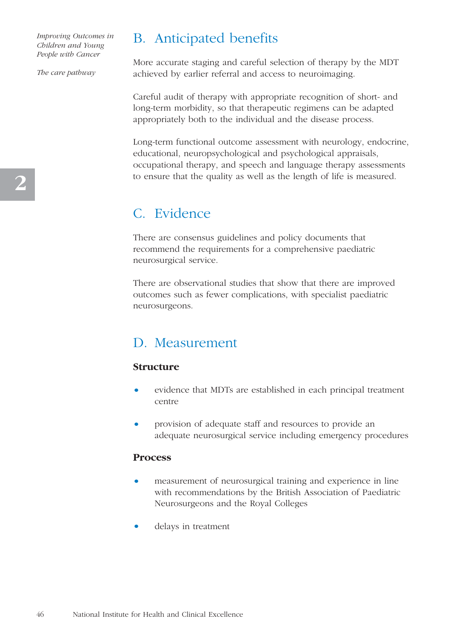*The care pathway*

## B. Anticipated benefits

More accurate staging and careful selection of therapy by the MDT achieved by earlier referral and access to neuroimaging.

Careful audit of therapy with appropriate recognition of short- and long-term morbidity, so that therapeutic regimens can be adapted appropriately both to the individual and the disease process.

Long-term functional outcome assessment with neurology, endocrine, educational, neuropsychological and psychological appraisals, occupational therapy, and speech and language therapy assessments to ensure that the quality as well as the length of life is measured.

## C. Evidence

There are consensus guidelines and policy documents that recommend the requirements for a comprehensive paediatric neurosurgical service.

There are observational studies that show that there are improved outcomes such as fewer complications, with specialist paediatric neurosurgeons.

## D. Measurement

#### **Structure**

- evidence that MDTs are established in each principal treatment centre
- provision of adequate staff and resources to provide an adequate neurosurgical service including emergency procedures

#### **Process**

- measurement of neurosurgical training and experience in line with recommendations by the British Association of Paediatric Neurosurgeons and the Royal Colleges
- delays in treatment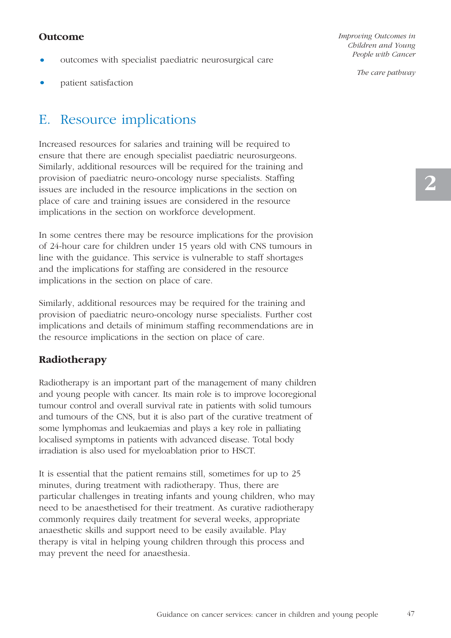#### **Outcome**

- outcomes with specialist paediatric neurosurgical care
- patient satisfaction

## E. Resource implications

Increased resources for salaries and training will be required to ensure that there are enough specialist paediatric neurosurgeons. Similarly, additional resources will be required for the training and provision of paediatric neuro-oncology nurse specialists. Staffing issues are included in the resource implications in the section on place of care and training issues are considered in the resource implications in the section on workforce development.

In some centres there may be resource implications for the provision of 24-hour care for children under 15 years old with CNS tumours in line with the guidance. This service is vulnerable to staff shortages and the implications for staffing are considered in the resource implications in the section on place of care.

Similarly, additional resources may be required for the training and provision of paediatric neuro-oncology nurse specialists. Further cost implications and details of minimum staffing recommendations are in the resource implications in the section on place of care.

#### **Radiotherapy**

Radiotherapy is an important part of the management of many children and young people with cancer. Its main role is to improve locoregional tumour control and overall survival rate in patients with solid tumours and tumours of the CNS, but it is also part of the curative treatment of some lymphomas and leukaemias and plays a key role in palliating localised symptoms in patients with advanced disease. Total body irradiation is also used for myeloablation prior to HSCT.

It is essential that the patient remains still, sometimes for up to 25 minutes, during treatment with radiotherapy. Thus, there are particular challenges in treating infants and young children, who may need to be anaesthetised for their treatment. As curative radiotherapy commonly requires daily treatment for several weeks, appropriate anaesthetic skills and support need to be easily available. Play therapy is vital in helping young children through this process and may prevent the need for anaesthesia.

*Improving Outcomes in Children and Young People with Cancer*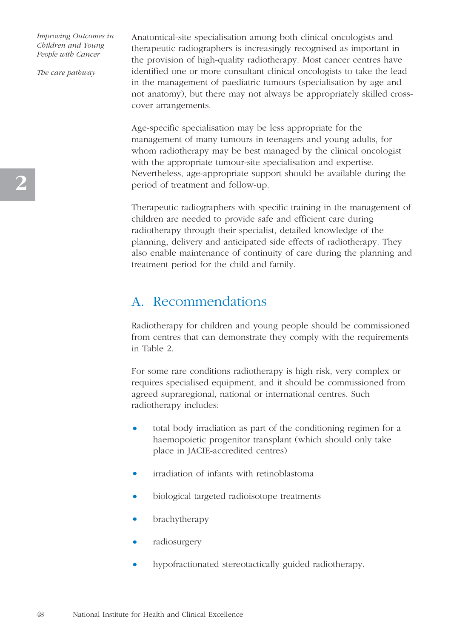*The care pathway*

Anatomical-site specialisation among both clinical oncologists and therapeutic radiographers is increasingly recognised as important in the provision of high-quality radiotherapy. Most cancer centres have identified one or more consultant clinical oncologists to take the lead in the management of paediatric tumours (specialisation by age and not anatomy), but there may not always be appropriately skilled crosscover arrangements.

Age-specific specialisation may be less appropriate for the management of many tumours in teenagers and young adults, for whom radiotherapy may be best managed by the clinical oncologist with the appropriate tumour-site specialisation and expertise. Nevertheless, age-appropriate support should be available during the period of treatment and follow-up.

Therapeutic radiographers with specific training in the management of children are needed to provide safe and efficient care during radiotherapy through their specialist, detailed knowledge of the planning, delivery and anticipated side effects of radiotherapy. They also enable maintenance of continuity of care during the planning and treatment period for the child and family.

### A. Recommendations

Radiotherapy for children and young people should be commissioned from centres that can demonstrate they comply with the requirements in Table 2.

For some rare conditions radiotherapy is high risk, very complex or requires specialised equipment, and it should be commissioned from agreed supraregional, national or international centres. Such radiotherapy includes:

- total body irradiation as part of the conditioning regimen for a haemopoietic progenitor transplant (which should only take place in JACIE-accredited centres)
- irradiation of infants with retinoblastoma
- biological targeted radioisotope treatments
- brachytherapy
- radiosurgery
- hypofractionated stereotactically guided radiotherapy.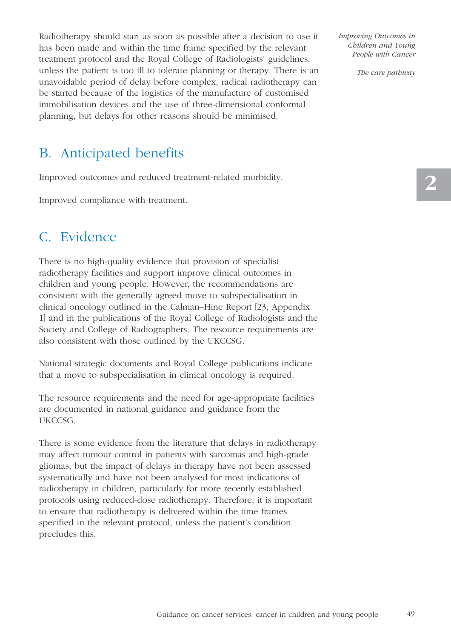Radiotherapy should start as soon as possible after a decision to use it has been made and within the time frame specified by the relevant treatment protocol and the Royal College of Radiologists' guidelines, unless the patient is too ill to tolerate planning or therapy. There is an unavoidable period of delay before complex, radical radiotherapy can be started because of the logistics of the manufacture of customised immobilisation devices and the use of three-dimensional conformal planning, but delays for other reasons should be minimised.

*Improving Outcomes in Children and Young People with Cancer* 

*The care pathway*

## B. Anticipated benefits

Improved outcomes and reduced treatment-related morbidity.

Improved compliance with treatment.

### C. Evidence

There is no high-quality evidence that provision of specialist radiotherapy facilities and support improve clinical outcomes in children and young people. However, the recommendations are consistent with the generally agreed move to subspecialisation in clinical oncology outlined in the Calman–Hine Report [23, Appendix 1] and in the publications of the Royal College of Radiologists and the Society and College of Radiographers. The resource requirements are also consistent with those outlined by the UKCCSG.

National strategic documents and Royal College publications indicate that a move to subspecialisation in clinical oncology is required.

The resource requirements and the need for age-appropriate facilities are documented in national guidance and guidance from the UKCCSG.

There is some evidence from the literature that delays in radiotherapy may affect tumour control in patients with sarcomas and high-grade gliomas, but the impact of delays in therapy have not been assessed systematically and have not been analysed for most indications of radiotherapy in children, particularly for more recently established protocols using reduced-dose radiotherapy. Therefore, it is important to ensure that radiotherapy is delivered within the time frames specified in the relevant protocol, unless the patient's condition precludes this.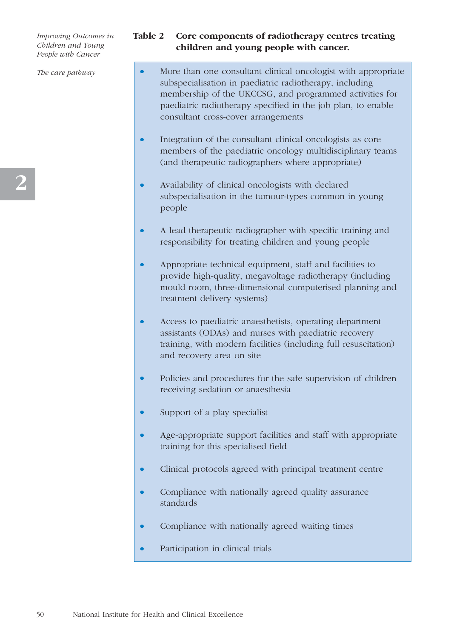*The care pathway*

#### **Table 2 Core components of radiotherapy centres treating children and young people with cancer.**

- More than one consultant clinical oncologist with appropriate subspecialisation in paediatric radiotherapy, including membership of the UKCCSG, and programmed activities for paediatric radiotherapy specified in the job plan, to enable consultant cross-cover arrangements
- Integration of the consultant clinical oncologists as core members of the paediatric oncology multidisciplinary teams (and therapeutic radiographers where appropriate)
- Availability of clinical oncologists with declared subspecialisation in the tumour-types common in young people
- A lead therapeutic radiographer with specific training and responsibility for treating children and young people
- Appropriate technical equipment, staff and facilities to provide high-quality, megavoltage radiotherapy (including mould room, three-dimensional computerised planning and treatment delivery systems)
- Access to paediatric anaesthetists, operating department assistants (ODAs) and nurses with paediatric recovery training, with modern facilities (including full resuscitation) and recovery area on site
- Policies and procedures for the safe supervision of children receiving sedation or anaesthesia
- Support of a play specialist
- Age-appropriate support facilities and staff with appropriate training for this specialised field
- Clinical protocols agreed with principal treatment centre
- Compliance with nationally agreed quality assurance standards
- Compliance with nationally agreed waiting times
- Participation in clinical trials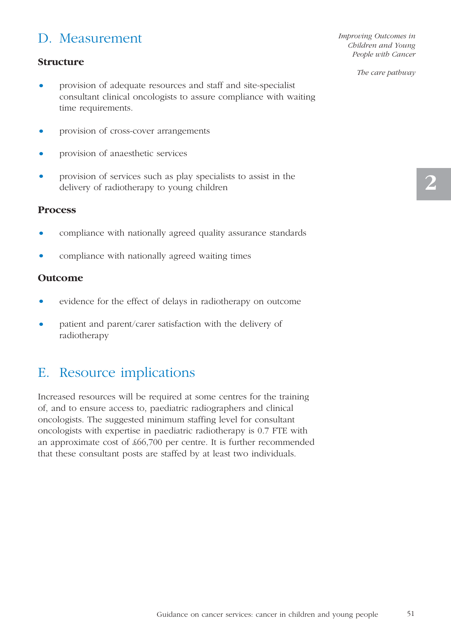## D. Measurement

#### **Structure**

- provision of adequate resources and staff and site-specialist consultant clinical oncologists to assure compliance with waiting time requirements.
- provision of cross-cover arrangements
- provision of anaesthetic services
- provision of services such as play specialists to assist in the delivery of radiotherapy to young children

#### **Process**

- compliance with nationally agreed quality assurance standards
- compliance with nationally agreed waiting times

#### **Outcome**

- evidence for the effect of delays in radiotherapy on outcome
- patient and parent/carer satisfaction with the delivery of radiotherapy

## E. Resource implications

Increased resources will be required at some centres for the training of, and to ensure access to, paediatric radiographers and clinical oncologists. The suggested minimum staffing level for consultant oncologists with expertise in paediatric radiotherapy is 0.7 FTE with an approximate cost of £66,700 per centre. It is further recommended that these consultant posts are staffed by at least two individuals.

*Improving Outcomes in Children and Young People with Cancer*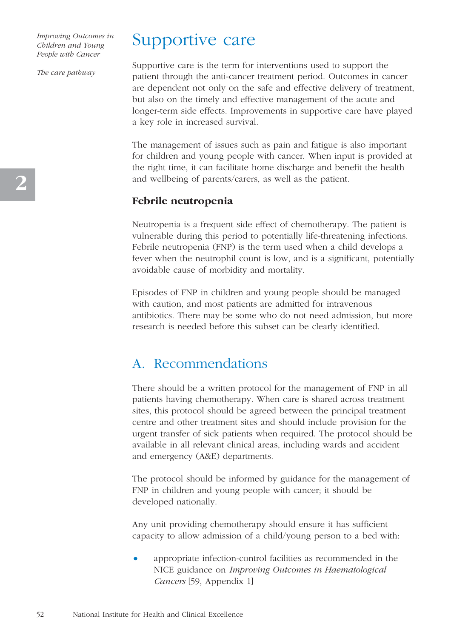*The care pathway*

# Supportive care

Supportive care is the term for interventions used to support the patient through the anti-cancer treatment period. Outcomes in cancer are dependent not only on the safe and effective delivery of treatment, but also on the timely and effective management of the acute and longer-term side effects. Improvements in supportive care have played a key role in increased survival.

The management of issues such as pain and fatigue is also important for children and young people with cancer. When input is provided at the right time, it can facilitate home discharge and benefit the health and wellbeing of parents/carers, as well as the patient.

#### **Febrile neutropenia**

Neutropenia is a frequent side effect of chemotherapy. The patient is vulnerable during this period to potentially life-threatening infections. Febrile neutropenia (FNP) is the term used when a child develops a fever when the neutrophil count is low, and is a significant, potentially avoidable cause of morbidity and mortality.

Episodes of FNP in children and young people should be managed with caution, and most patients are admitted for intravenous antibiotics. There may be some who do not need admission, but more research is needed before this subset can be clearly identified.

### A. Recommendations

There should be a written protocol for the management of FNP in all patients having chemotherapy. When care is shared across treatment sites, this protocol should be agreed between the principal treatment centre and other treatment sites and should include provision for the urgent transfer of sick patients when required. The protocol should be available in all relevant clinical areas, including wards and accident and emergency (A&E) departments.

The protocol should be informed by guidance for the management of FNP in children and young people with cancer; it should be developed nationally.

Any unit providing chemotherapy should ensure it has sufficient capacity to allow admission of a child/young person to a bed with:

• appropriate infection-control facilities as recommended in the NICE guidance on *Improving Outcomes in Haematological Cancers* [59, Appendix 1]

**2**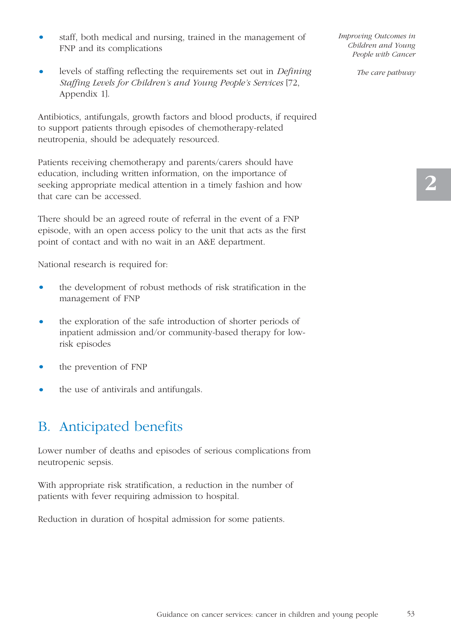- staff, both medical and nursing, trained in the management of FNP and its complications
- levels of staffing reflecting the requirements set out in *Defining Staffing Levels for Children's and Young People's Services* [72, Appendix 1].

Antibiotics, antifungals, growth factors and blood products, if required to support patients through episodes of chemotherapy-related neutropenia, should be adequately resourced.

Patients receiving chemotherapy and parents/carers should have education, including written information, on the importance of seeking appropriate medical attention in a timely fashion and how that care can be accessed.

There should be an agreed route of referral in the event of a FNP episode, with an open access policy to the unit that acts as the first point of contact and with no wait in an A&E department.

National research is required for:

- the development of robust methods of risk stratification in the management of FNP
- the exploration of the safe introduction of shorter periods of inpatient admission and/or community-based therapy for lowrisk episodes
- the prevention of FNP
- the use of antivirals and antifungals.

## B. Anticipated benefits

Lower number of deaths and episodes of serious complications from neutropenic sepsis.

With appropriate risk stratification, a reduction in the number of patients with fever requiring admission to hospital.

Reduction in duration of hospital admission for some patients.

*Improving Outcomes in Children and Young People with Cancer*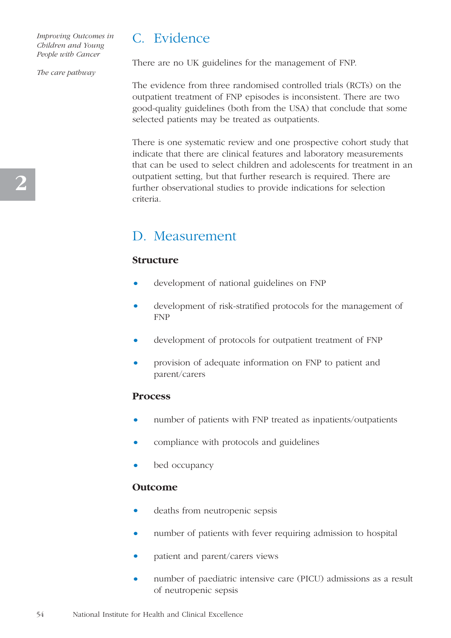*The care pathway*

C. Evidence

There are no UK guidelines for the management of FNP.

The evidence from three randomised controlled trials (RCTs) on the outpatient treatment of FNP episodes is inconsistent. There are two good-quality guidelines (both from the USA) that conclude that some selected patients may be treated as outpatients.

There is one systematic review and one prospective cohort study that indicate that there are clinical features and laboratory measurements that can be used to select children and adolescents for treatment in an outpatient setting, but that further research is required. There are further observational studies to provide indications for selection criteria.

## D. Measurement

#### **Structure**

- development of national guidelines on FNP
- development of risk-stratified protocols for the management of FNP
- development of protocols for outpatient treatment of FNP
- provision of adequate information on FNP to patient and parent/carers

#### **Process**

- number of patients with FNP treated as inpatients/outpatients
- compliance with protocols and guidelines
- bed occupancy

#### **Outcome**

- deaths from neutropenic sepsis
- number of patients with fever requiring admission to hospital
- patient and parent/carers views
- number of paediatric intensive care (PICU) admissions as a result of neutropenic sepsis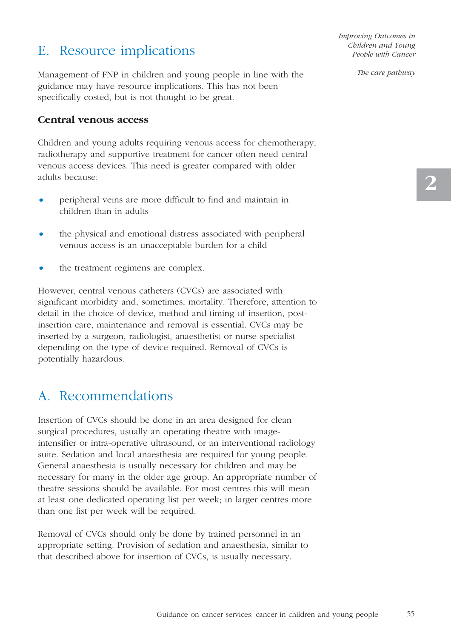## E. Resource implications

Management of FNP in children and young people in line with the guidance may have resource implications. This has not been specifically costed, but is not thought to be great.

#### **Central venous access**

Children and young adults requiring venous access for chemotherapy, radiotherapy and supportive treatment for cancer often need central venous access devices. This need is greater compared with older adults because:

- peripheral veins are more difficult to find and maintain in children than in adults
- the physical and emotional distress associated with peripheral venous access is an unacceptable burden for a child
- the treatment regimens are complex.

However, central venous catheters (CVCs) are associated with significant morbidity and, sometimes, mortality. Therefore, attention to detail in the choice of device, method and timing of insertion, postinsertion care, maintenance and removal is essential. CVCs may be inserted by a surgeon, radiologist, anaesthetist or nurse specialist depending on the type of device required. Removal of CVCs is potentially hazardous.

## A. Recommendations

Insertion of CVCs should be done in an area designed for clean surgical procedures, usually an operating theatre with imageintensifier or intra-operative ultrasound, or an interventional radiology suite. Sedation and local anaesthesia are required for young people. General anaesthesia is usually necessary for children and may be necessary for many in the older age group. An appropriate number of theatre sessions should be available. For most centres this will mean at least one dedicated operating list per week; in larger centres more than one list per week will be required.

Removal of CVCs should only be done by trained personnel in an appropriate setting. Provision of sedation and anaesthesia, similar to that described above for insertion of CVCs, is usually necessary.

*Improving Outcomes in Children and Young People with Cancer*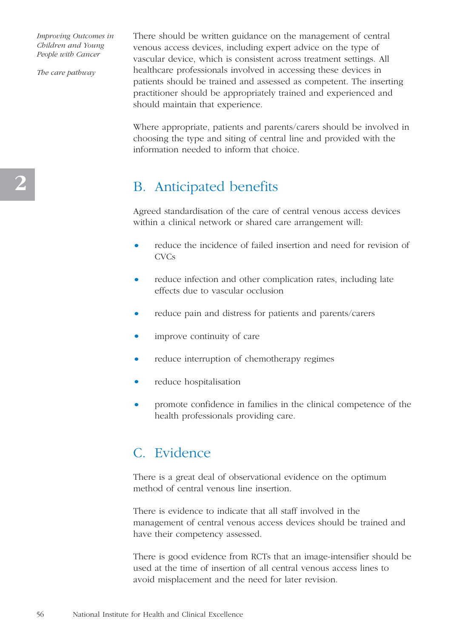*The care pathway*

There should be written guidance on the management of central venous access devices, including expert advice on the type of vascular device, which is consistent across treatment settings. All healthcare professionals involved in accessing these devices in patients should be trained and assessed as competent. The inserting practitioner should be appropriately trained and experienced and should maintain that experience.

Where appropriate, patients and parents/carers should be involved in choosing the type and siting of central line and provided with the information needed to inform that choice.

## B. Anticipated benefits

Agreed standardisation of the care of central venous access devices within a clinical network or shared care arrangement will:

- reduce the incidence of failed insertion and need for revision of **CVCs**
- reduce infection and other complication rates, including late effects due to vascular occlusion
- reduce pain and distress for patients and parents/carers
- improve continuity of care
- reduce interruption of chemotherapy regimes
- reduce hospitalisation
- promote confidence in families in the clinical competence of the health professionals providing care.

### C. Evidence

There is a great deal of observational evidence on the optimum method of central venous line insertion.

There is evidence to indicate that all staff involved in the management of central venous access devices should be trained and have their competency assessed.

There is good evidence from RCTs that an image-intensifier should be used at the time of insertion of all central venous access lines to avoid misplacement and the need for later revision.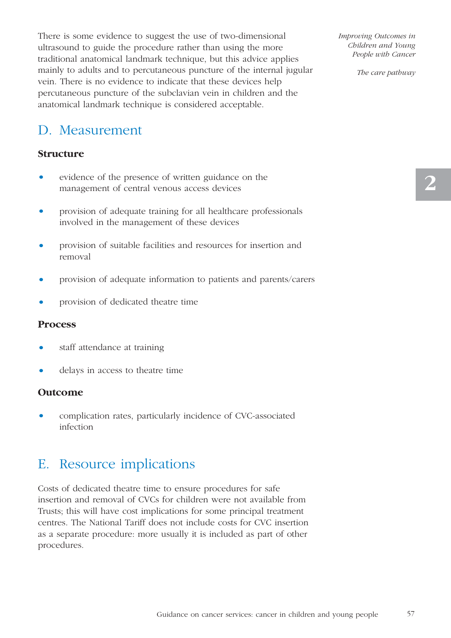There is some evidence to suggest the use of two-dimensional ultrasound to guide the procedure rather than using the more traditional anatomical landmark technique, but this advice applies mainly to adults and to percutaneous puncture of the internal jugular vein. There is no evidence to indicate that these devices help percutaneous puncture of the subclavian vein in children and the anatomical landmark technique is considered acceptable.

## D. Measurement

#### **Structure**

- evidence of the presence of written guidance on the management of central venous access devices
- provision of adequate training for all healthcare professionals involved in the management of these devices
- provision of suitable facilities and resources for insertion and removal
- provision of adequate information to patients and parents/carers
- provision of dedicated theatre time

#### **Process**

- staff attendance at training
- delays in access to theatre time

#### **Outcome**

• complication rates, particularly incidence of CVC-associated infection

### E. Resource implications

Costs of dedicated theatre time to ensure procedures for safe insertion and removal of CVCs for children were not available from Trusts; this will have cost implications for some principal treatment centres. The National Tariff does not include costs for CVC insertion as a separate procedure: more usually it is included as part of other procedures.

*Improving Outcomes in Children and Young People with Cancer*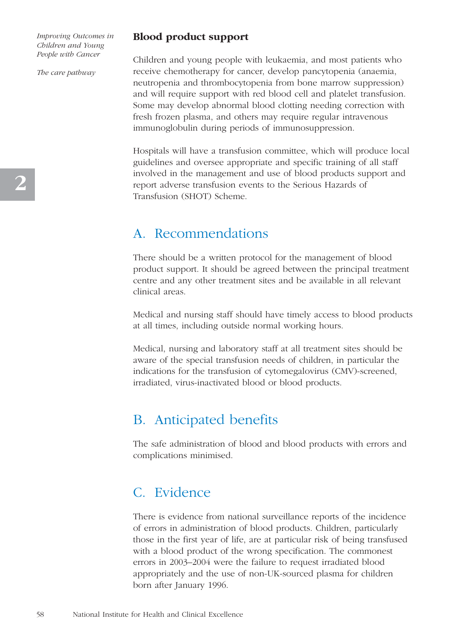*The care pathway*

#### **Blood product support**

Children and young people with leukaemia, and most patients who receive chemotherapy for cancer, develop pancytopenia (anaemia, neutropenia and thrombocytopenia from bone marrow suppression) and will require support with red blood cell and platelet transfusion. Some may develop abnormal blood clotting needing correction with fresh frozen plasma, and others may require regular intravenous immunoglobulin during periods of immunosuppression.

Hospitals will have a transfusion committee, which will produce local guidelines and oversee appropriate and specific training of all staff involved in the management and use of blood products support and report adverse transfusion events to the Serious Hazards of Transfusion (SHOT) Scheme.

### A. Recommendations

There should be a written protocol for the management of blood product support. It should be agreed between the principal treatment centre and any other treatment sites and be available in all relevant clinical areas.

Medical and nursing staff should have timely access to blood products at all times, including outside normal working hours.

Medical, nursing and laboratory staff at all treatment sites should be aware of the special transfusion needs of children, in particular the indications for the transfusion of cytomegalovirus (CMV)-screened, irradiated, virus-inactivated blood or blood products.

### B. Anticipated benefits

The safe administration of blood and blood products with errors and complications minimised.

### C. Evidence

There is evidence from national surveillance reports of the incidence of errors in administration of blood products. Children, particularly those in the first year of life, are at particular risk of being transfused with a blood product of the wrong specification. The commonest errors in 2003–2004 were the failure to request irradiated blood appropriately and the use of non-UK-sourced plasma for children born after January 1996.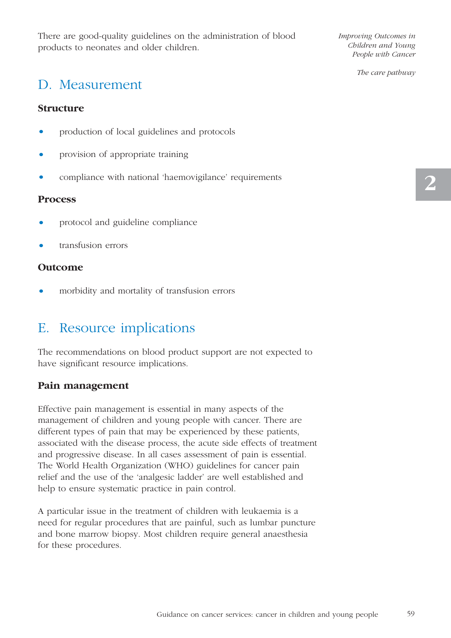There are good-quality guidelines on the administration of blood products to neonates and older children.

*Improving Outcomes in Children and Young People with Cancer* 

*The care pathway*

### D. Measurement

#### **Structure**

- production of local guidelines and protocols
- provision of appropriate training
- compliance with national 'haemovigilance' requirements

#### **Process**

- protocol and guideline compliance
- transfusion errors

#### **Outcome**

• morbidity and mortality of transfusion errors

## E. Resource implications

The recommendations on blood product support are not expected to have significant resource implications.

#### **Pain management**

Effective pain management is essential in many aspects of the management of children and young people with cancer. There are different types of pain that may be experienced by these patients, associated with the disease process, the acute side effects of treatment and progressive disease. In all cases assessment of pain is essential. The World Health Organization (WHO) guidelines for cancer pain relief and the use of the 'analgesic ladder' are well established and help to ensure systematic practice in pain control.

A particular issue in the treatment of children with leukaemia is a need for regular procedures that are painful, such as lumbar puncture and bone marrow biopsy. Most children require general anaesthesia for these procedures.

59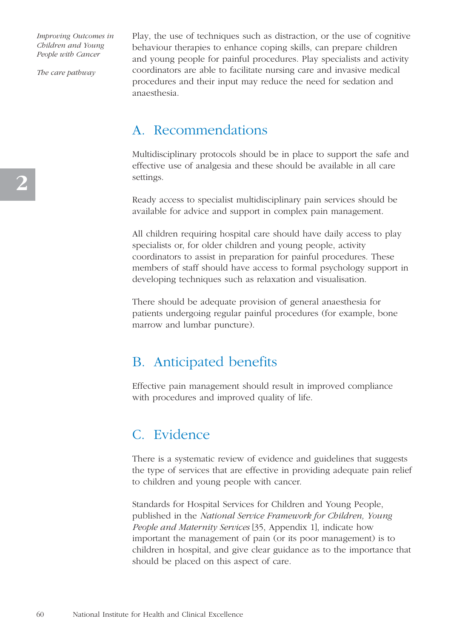*The care pathway*

Play, the use of techniques such as distraction, or the use of cognitive behaviour therapies to enhance coping skills, can prepare children and young people for painful procedures. Play specialists and activity coordinators are able to facilitate nursing care and invasive medical procedures and their input may reduce the need for sedation and anaesthesia.

### A. Recommendations

Multidisciplinary protocols should be in place to support the safe and effective use of analgesia and these should be available in all care settings.

Ready access to specialist multidisciplinary pain services should be available for advice and support in complex pain management.

All children requiring hospital care should have daily access to play specialists or, for older children and young people, activity coordinators to assist in preparation for painful procedures. These members of staff should have access to formal psychology support in developing techniques such as relaxation and visualisation.

There should be adequate provision of general anaesthesia for patients undergoing regular painful procedures (for example, bone marrow and lumbar puncture).

### B. Anticipated benefits

Effective pain management should result in improved compliance with procedures and improved quality of life.

### C. Evidence

There is a systematic review of evidence and guidelines that suggests the type of services that are effective in providing adequate pain relief to children and young people with cancer.

Standards for Hospital Services for Children and Young People, published in the *National Service Framework for Children, Young People and Maternity Services* [35, Appendix 1], indicate how important the management of pain (or its poor management) is to children in hospital, and give clear guidance as to the importance that should be placed on this aspect of care.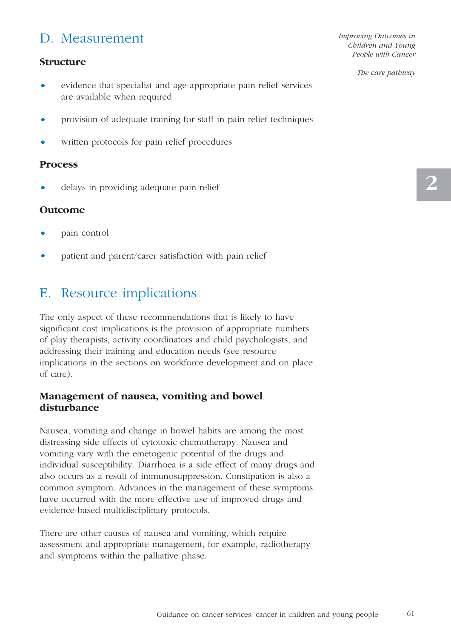## D. Measurement

#### **Structure**

- evidence that specialist and age-appropriate pain relief services are available when required
- provision of adequate training for staff in pain relief techniques
- written protocols for pain relief procedures

#### **Process**

• delays in providing adequate pain relief

#### **Outcome**

- pain control
- patient and parent/carer satisfaction with pain relief

## E. Resource implications

The only aspect of these recommendations that is likely to have significant cost implications is the provision of appropriate numbers of play therapists, activity coordinators and child psychologists, and addressing their training and education needs (see resource implications in the sections on workforce development and on place of care).

#### **Management of nausea, vomiting and bowel disturbance**

Nausea, vomiting and change in bowel habits are among the most distressing side effects of cytotoxic chemotherapy. Nausea and vomiting vary with the emetogenic potential of the drugs and individual susceptibility. Diarrhoea is a side effect of many drugs and also occurs as a result of immunosuppression. Constipation is also a common symptom. Advances in the management of these symptoms have occurred with the more effective use of improved drugs and evidence-based multidisciplinary protocols.

There are other causes of nausea and vomiting, which require assessment and appropriate management, for example, radiotherapy and symptoms within the palliative phase.

*Improving Outcomes in Children and Young People with Cancer*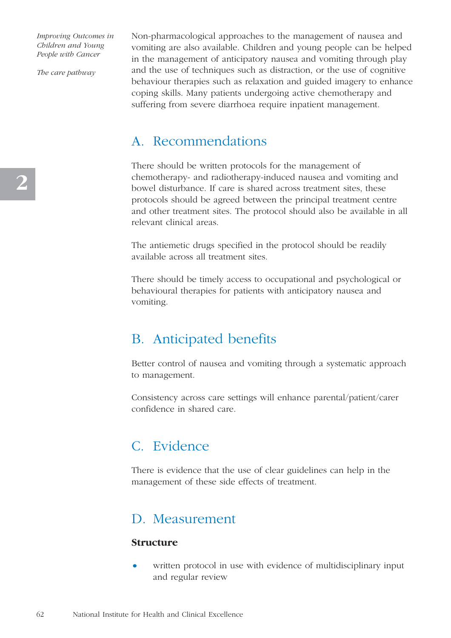*The care pathway*

Non-pharmacological approaches to the management of nausea and vomiting are also available. Children and young people can be helped in the management of anticipatory nausea and vomiting through play and the use of techniques such as distraction, or the use of cognitive behaviour therapies such as relaxation and guided imagery to enhance coping skills. Many patients undergoing active chemotherapy and suffering from severe diarrhoea require inpatient management.

### A. Recommendations

There should be written protocols for the management of chemotherapy- and radiotherapy-induced nausea and vomiting and bowel disturbance. If care is shared across treatment sites, these protocols should be agreed between the principal treatment centre and other treatment sites. The protocol should also be available in all relevant clinical areas.

The antiemetic drugs specified in the protocol should be readily available across all treatment sites.

There should be timely access to occupational and psychological or behavioural therapies for patients with anticipatory nausea and vomiting.

### B. Anticipated benefits

Better control of nausea and vomiting through a systematic approach to management.

Consistency across care settings will enhance parental/patient/carer confidence in shared care.

## C. Evidence

There is evidence that the use of clear guidelines can help in the management of these side effects of treatment.

### D. Measurement

#### **Structure**

written protocol in use with evidence of multidisciplinary input and regular review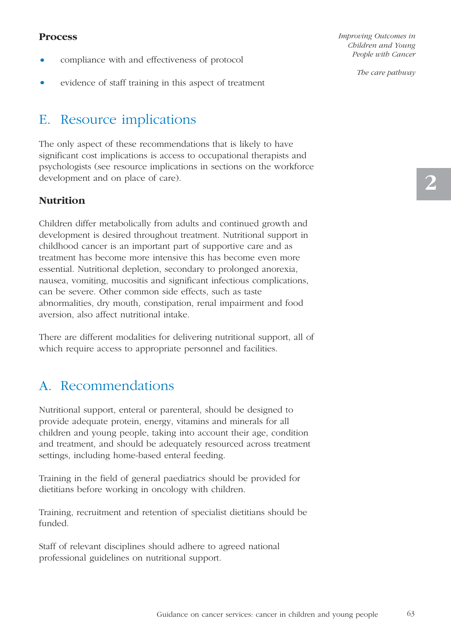#### **Process**

- compliance with and effectiveness of protocol
- evidence of staff training in this aspect of treatment

## E. Resource implications

The only aspect of these recommendations that is likely to have significant cost implications is access to occupational therapists and psychologists (see resource implications in sections on the workforce development and on place of care).

#### **Nutrition**

Children differ metabolically from adults and continued growth and development is desired throughout treatment. Nutritional support in childhood cancer is an important part of supportive care and as treatment has become more intensive this has become even more essential. Nutritional depletion, secondary to prolonged anorexia, nausea, vomiting, mucositis and significant infectious complications, can be severe. Other common side effects, such as taste abnormalities, dry mouth, constipation, renal impairment and food aversion, also affect nutritional intake.

There are different modalities for delivering nutritional support, all of which require access to appropriate personnel and facilities.

## A. Recommendations

Nutritional support, enteral or parenteral, should be designed to provide adequate protein, energy, vitamins and minerals for all children and young people, taking into account their age, condition and treatment, and should be adequately resourced across treatment settings, including home-based enteral feeding.

Training in the field of general paediatrics should be provided for dietitians before working in oncology with children.

Training, recruitment and retention of specialist dietitians should be funded.

Staff of relevant disciplines should adhere to agreed national professional guidelines on nutritional support.

*Improving Outcomes in Children and Young People with Cancer*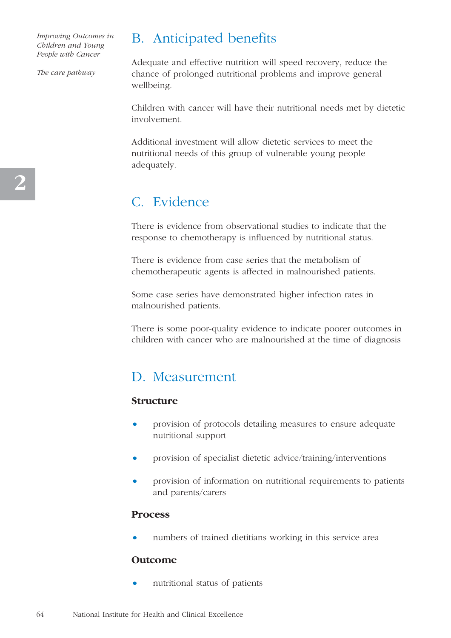*The care pathway*

## B. Anticipated benefits

Adequate and effective nutrition will speed recovery, reduce the chance of prolonged nutritional problems and improve general wellbeing.

Children with cancer will have their nutritional needs met by dietetic involvement.

Additional investment will allow dietetic services to meet the nutritional needs of this group of vulnerable young people adequately.

## C. Evidence

There is evidence from observational studies to indicate that the response to chemotherapy is influenced by nutritional status.

There is evidence from case series that the metabolism of chemotherapeutic agents is affected in malnourished patients.

Some case series have demonstrated higher infection rates in malnourished patients.

There is some poor-quality evidence to indicate poorer outcomes in children with cancer who are malnourished at the time of diagnosis

### D. Measurement

#### **Structure**

- provision of protocols detailing measures to ensure adequate nutritional support
- provision of specialist dietetic advice/training/interventions
- provision of information on nutritional requirements to patients and parents/carers

#### **Process**

numbers of trained dietitians working in this service area

#### **Outcome**

• nutritional status of patients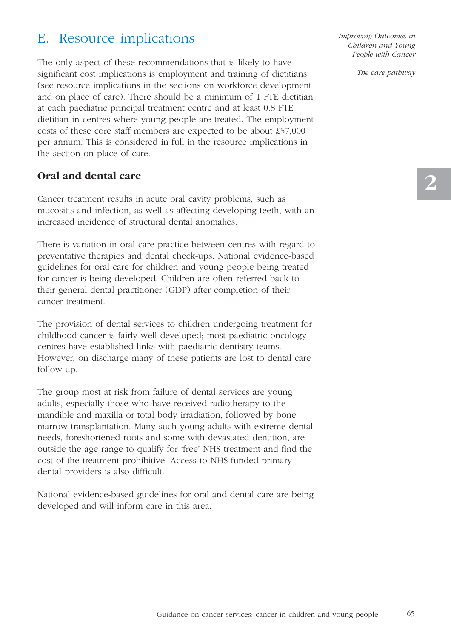## E. Resource implications

The only aspect of these recommendations that is likely to have significant cost implications is employment and training of dietitians (see resource implications in the sections on workforce development and on place of care). There should be a minimum of 1 FTE dietitian at each paediatric principal treatment centre and at least 0.8 FTE dietitian in centres where young people are treated. The employment costs of these core staff members are expected to be about £57,000 per annum. This is considered in full in the resource implications in the section on place of care.

#### **Oral and dental care**

Cancer treatment results in acute oral cavity problems, such as mucositis and infection, as well as affecting developing teeth, with an increased incidence of structural dental anomalies.

There is variation in oral care practice between centres with regard to preventative therapies and dental check-ups. National evidence-based guidelines for oral care for children and young people being treated for cancer is being developed. Children are often referred back to their general dental practitioner (GDP) after completion of their cancer treatment.

The provision of dental services to children undergoing treatment for childhood cancer is fairly well developed; most paediatric oncology centres have established links with paediatric dentistry teams. However, on discharge many of these patients are lost to dental care follow-up.

The group most at risk from failure of dental services are young adults, especially those who have received radiotherapy to the mandible and maxilla or total body irradiation, followed by bone marrow transplantation. Many such young adults with extreme dental needs, foreshortened roots and some with devastated dentition, are outside the age range to qualify for 'free' NHS treatment and find the cost of the treatment prohibitive. Access to NHS-funded primary dental providers is also difficult.

National evidence-based guidelines for oral and dental care are being developed and will inform care in this area.

*Improving Outcomes in Children and Young People with Cancer*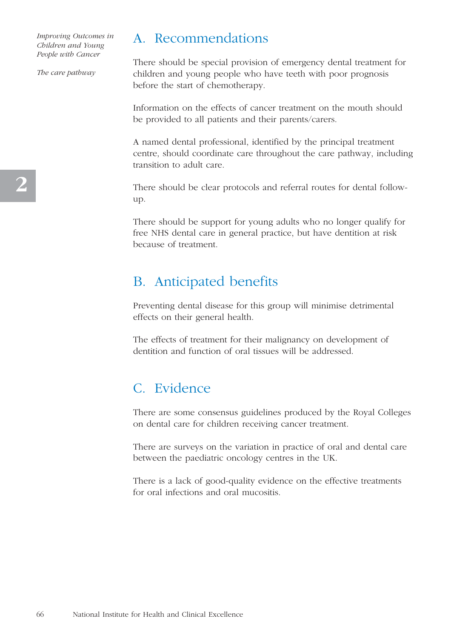*The care pathway*

### A. Recommendations

There should be special provision of emergency dental treatment for children and young people who have teeth with poor prognosis before the start of chemotherapy.

Information on the effects of cancer treatment on the mouth should be provided to all patients and their parents/carers.

A named dental professional, identified by the principal treatment centre, should coordinate care throughout the care pathway, including transition to adult care.

There should be clear protocols and referral routes for dental followup.

There should be support for young adults who no longer qualify for free NHS dental care in general practice, but have dentition at risk because of treatment.

### B. Anticipated benefits

Preventing dental disease for this group will minimise detrimental effects on their general health.

The effects of treatment for their malignancy on development of dentition and function of oral tissues will be addressed.

## C. Evidence

There are some consensus guidelines produced by the Royal Colleges on dental care for children receiving cancer treatment.

There are surveys on the variation in practice of oral and dental care between the paediatric oncology centres in the UK.

There is a lack of good-quality evidence on the effective treatments for oral infections and oral mucositis.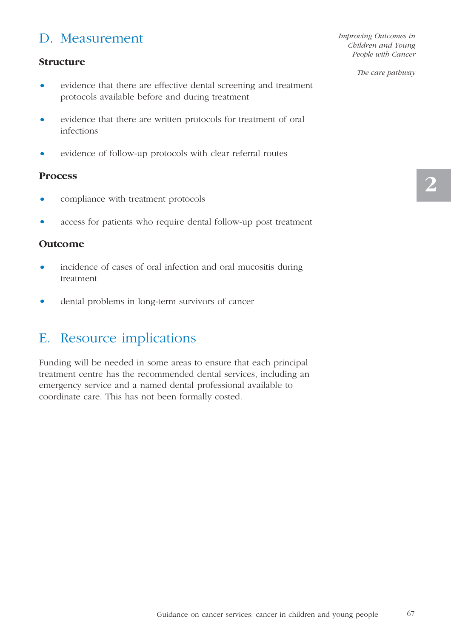## D. Measurement

#### **Structure**

- evidence that there are effective dental screening and treatment protocols available before and during treatment
- evidence that there are written protocols for treatment of oral infections
- evidence of follow-up protocols with clear referral routes

#### **Process**

- compliance with treatment protocols
- access for patients who require dental follow-up post treatment

#### **Outcome**

- incidence of cases of oral infection and oral mucositis during treatment
- dental problems in long-term survivors of cancer

### E. Resource implications

Funding will be needed in some areas to ensure that each principal treatment centre has the recommended dental services, including an emergency service and a named dental professional available to coordinate care. This has not been formally costed.

*Improving Outcomes in Children and Young People with Cancer*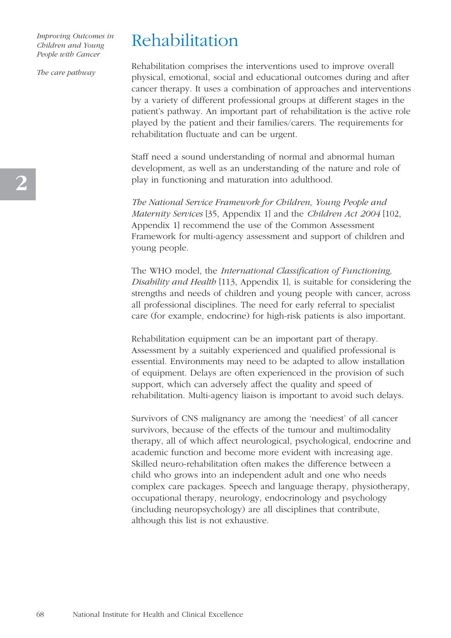*The care pathway*

# Rehabilitation

Rehabilitation comprises the interventions used to improve overall physical, emotional, social and educational outcomes during and after cancer therapy. It uses a combination of approaches and interventions by a variety of different professional groups at different stages in the patient's pathway. An important part of rehabilitation is the active role played by the patient and their families/carers. The requirements for rehabilitation fluctuate and can be urgent.

Staff need a sound understanding of normal and abnormal human development, as well as an understanding of the nature and role of play in functioning and maturation into adulthood.

*The National Service Framework for Children, Young People and Maternity Services* [35, Appendix 1] and the *Children Act 2004* [102, Appendix 1] recommend the use of the Common Assessment Framework for multi-agency assessment and support of children and young people.

The WHO model, the *International Classification of Functioning, Disability and Health* [113, Appendix 1], is suitable for considering the strengths and needs of children and young people with cancer, across all professional disciplines. The need for early referral to specialist care (for example, endocrine) for high-risk patients is also important.

Rehabilitation equipment can be an important part of therapy. Assessment by a suitably experienced and qualified professional is essential. Environments may need to be adapted to allow installation of equipment. Delays are often experienced in the provision of such support, which can adversely affect the quality and speed of rehabilitation. Multi-agency liaison is important to avoid such delays.

Survivors of CNS malignancy are among the 'neediest' of all cancer survivors, because of the effects of the tumour and multimodality therapy, all of which affect neurological, psychological, endocrine and academic function and become more evident with increasing age. Skilled neuro-rehabilitation often makes the difference between a child who grows into an independent adult and one who needs complex care packages. Speech and language therapy, physiotherapy, occupational therapy, neurology, endocrinology and psychology (including neuropsychology) are all disciplines that contribute, although this list is not exhaustive.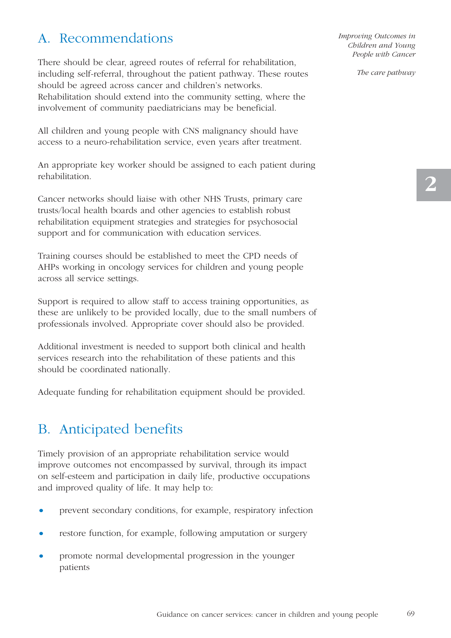## A. Recommendations

There should be clear, agreed routes of referral for rehabilitation, including self-referral, throughout the patient pathway. These routes should be agreed across cancer and children's networks. Rehabilitation should extend into the community setting, where the involvement of community paediatricians may be beneficial.

All children and young people with CNS malignancy should have access to a neuro-rehabilitation service, even years after treatment.

An appropriate key worker should be assigned to each patient during rehabilitation.

Cancer networks should liaise with other NHS Trusts, primary care trusts/local health boards and other agencies to establish robust rehabilitation equipment strategies and strategies for psychosocial support and for communication with education services.

Training courses should be established to meet the CPD needs of AHPs working in oncology services for children and young people across all service settings.

Support is required to allow staff to access training opportunities, as these are unlikely to be provided locally, due to the small numbers of professionals involved. Appropriate cover should also be provided.

Additional investment is needed to support both clinical and health services research into the rehabilitation of these patients and this should be coordinated nationally.

Adequate funding for rehabilitation equipment should be provided.

## B. Anticipated benefits

Timely provision of an appropriate rehabilitation service would improve outcomes not encompassed by survival, through its impact on self-esteem and participation in daily life, productive occupations and improved quality of life. It may help to:

- prevent secondary conditions, for example, respiratory infection
- restore function, for example, following amputation or surgery
- promote normal developmental progression in the younger patients

*Improving Outcomes in Children and Young People with Cancer*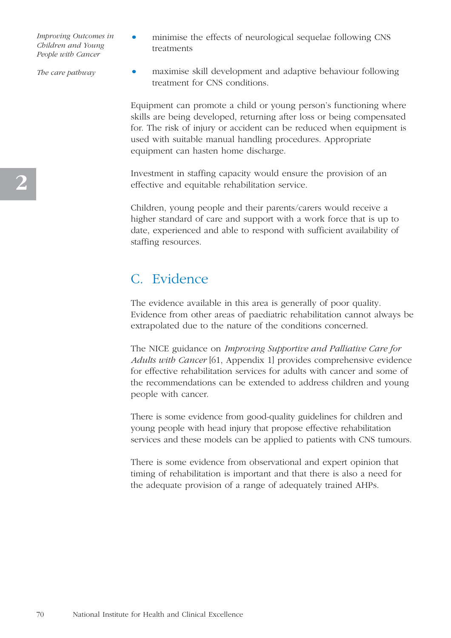• minimise the effects of neurological sequelae following CNS treatments

*The care pathway*

• maximise skill development and adaptive behaviour following treatment for CNS conditions.

Equipment can promote a child or young person's functioning where skills are being developed, returning after loss or being compensated for. The risk of injury or accident can be reduced when equipment is used with suitable manual handling procedures. Appropriate equipment can hasten home discharge.

Investment in staffing capacity would ensure the provision of an effective and equitable rehabilitation service.

Children, young people and their parents/carers would receive a higher standard of care and support with a work force that is up to date, experienced and able to respond with sufficient availability of staffing resources.

## C. Evidence

The evidence available in this area is generally of poor quality. Evidence from other areas of paediatric rehabilitation cannot always be extrapolated due to the nature of the conditions concerned.

The NICE guidance on *Improving Supportive and Palliative Care for Adults with Cancer* [61, Appendix 1] provides comprehensive evidence for effective rehabilitation services for adults with cancer and some of the recommendations can be extended to address children and young people with cancer.

There is some evidence from good-quality guidelines for children and young people with head injury that propose effective rehabilitation services and these models can be applied to patients with CNS tumours.

There is some evidence from observational and expert opinion that timing of rehabilitation is important and that there is also a need for the adequate provision of a range of adequately trained AHPs.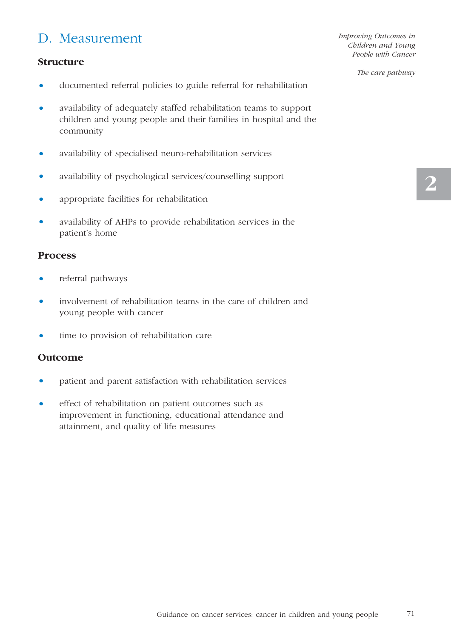## D. Measurement

#### **Structure**

• documented referral policies to guide referral for rehabilitation

- availability of adequately staffed rehabilitation teams to support children and young people and their families in hospital and the community
- availability of specialised neuro-rehabilitation services
- availability of psychological services/counselling support
- appropriate facilities for rehabilitation
- availability of AHPs to provide rehabilitation services in the patient's home

#### **Process**

- referral pathways
- involvement of rehabilitation teams in the care of children and young people with cancer
- time to provision of rehabilitation care

#### **Outcome**

- patient and parent satisfaction with rehabilitation services
- effect of rehabilitation on patient outcomes such as improvement in functioning, educational attendance and attainment, and quality of life measures

*Improving Outcomes in Children and Young People with Cancer*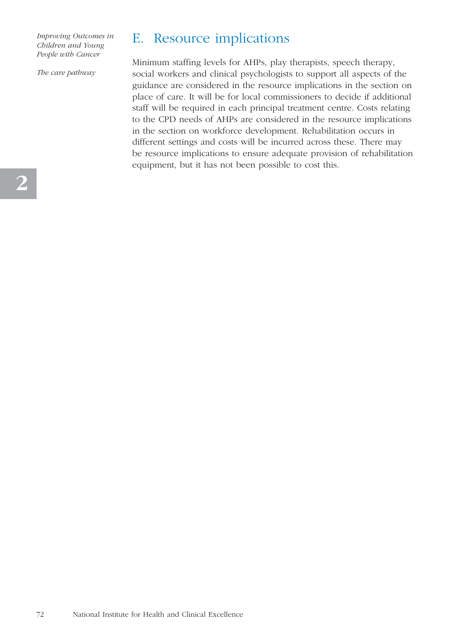*The care pathway*

## E. Resource implications

Minimum staffing levels for AHPs, play therapists, speech therapy, social workers and clinical psychologists to support all aspects of the guidance are considered in the resource implications in the section on place of care. It will be for local commissioners to decide if additional staff will be required in each principal treatment centre. Costs relating to the CPD needs of AHPs are considered in the resource implications in the section on workforce development. Rehabilitation occurs in different settings and costs will be incurred across these. There may be resource implications to ensure adequate provision of rehabilitation equipment, but it has not been possible to cost this.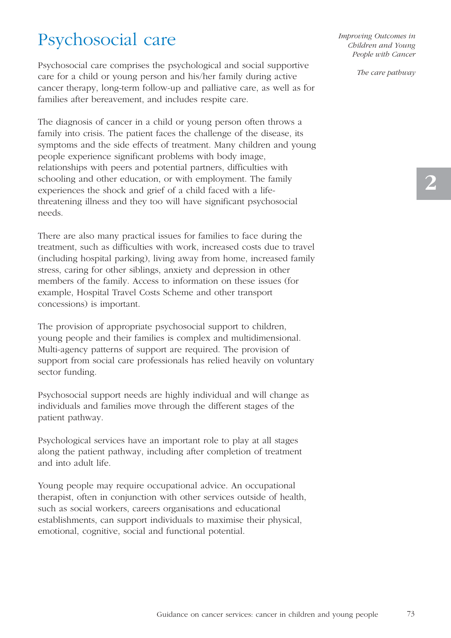## Psychosocial care

Psychosocial care comprises the psychological and social supportive care for a child or young person and his/her family during active cancer therapy, long-term follow-up and palliative care, as well as for families after bereavement, and includes respite care.

The diagnosis of cancer in a child or young person often throws a family into crisis. The patient faces the challenge of the disease, its symptoms and the side effects of treatment. Many children and young people experience significant problems with body image, relationships with peers and potential partners, difficulties with schooling and other education, or with employment. The family experiences the shock and grief of a child faced with a lifethreatening illness and they too will have significant psychosocial needs.

There are also many practical issues for families to face during the treatment, such as difficulties with work, increased costs due to travel (including hospital parking), living away from home, increased family stress, caring for other siblings, anxiety and depression in other members of the family. Access to information on these issues (for example, Hospital Travel Costs Scheme and other transport concessions) is important.

The provision of appropriate psychosocial support to children, young people and their families is complex and multidimensional. Multi-agency patterns of support are required. The provision of support from social care professionals has relied heavily on voluntary sector funding.

Psychosocial support needs are highly individual and will change as individuals and families move through the different stages of the patient pathway.

Psychological services have an important role to play at all stages along the patient pathway, including after completion of treatment and into adult life.

Young people may require occupational advice. An occupational therapist, often in conjunction with other services outside of health, such as social workers, careers organisations and educational establishments, can support individuals to maximise their physical, emotional, cognitive, social and functional potential.

*Improving Outcomes in Children and Young People with Cancer*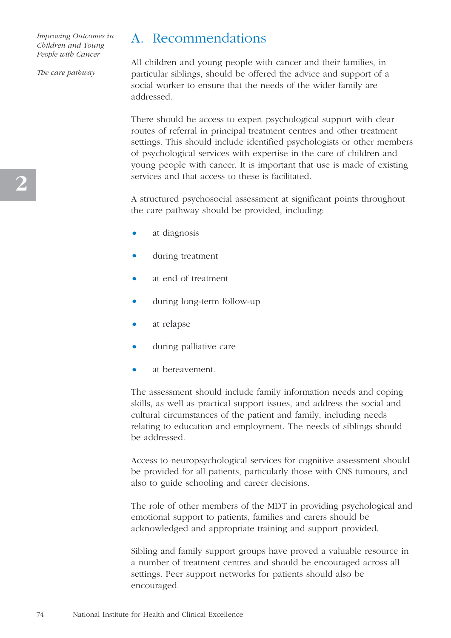*The care pathway*

## A. Recommendations

All children and young people with cancer and their families, in particular siblings, should be offered the advice and support of a social worker to ensure that the needs of the wider family are addressed.

There should be access to expert psychological support with clear routes of referral in principal treatment centres and other treatment settings. This should include identified psychologists or other members of psychological services with expertise in the care of children and young people with cancer. It is important that use is made of existing services and that access to these is facilitated.

A structured psychosocial assessment at significant points throughout the care pathway should be provided, including:

- at diagnosis
- during treatment
- at end of treatment
- during long-term follow-up
- at relapse
- during palliative care
- at bereavement.

The assessment should include family information needs and coping skills, as well as practical support issues, and address the social and cultural circumstances of the patient and family, including needs relating to education and employment. The needs of siblings should be addressed.

Access to neuropsychological services for cognitive assessment should be provided for all patients, particularly those with CNS tumours, and also to guide schooling and career decisions.

The role of other members of the MDT in providing psychological and emotional support to patients, families and carers should be acknowledged and appropriate training and support provided.

Sibling and family support groups have proved a valuable resource in a number of treatment centres and should be encouraged across all settings. Peer support networks for patients should also be encouraged.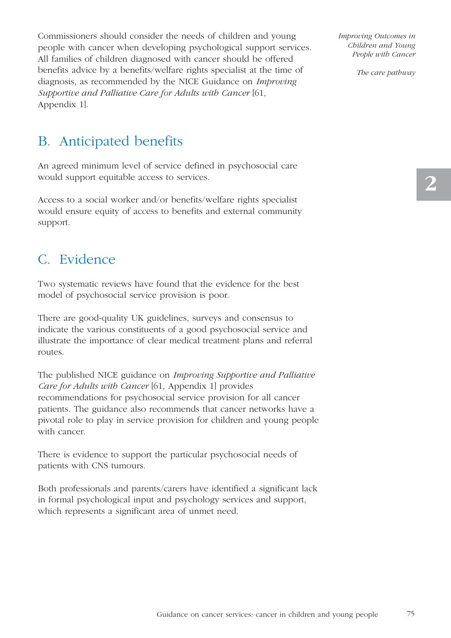Commissioners should consider the needs of children and young people with cancer when developing psychological support services. All families of children diagnosed with cancer should be offered benefits advice by a benefits/welfare rights specialist at the time of diagnosis, as recommended by the NICE Guidance on *Improving Supportive and Palliative Care for Adults with Cancer* [61, Appendix 1].

*Improving Outcomes in Children and Young People with Cancer* 

*The care pathway*

## B. Anticipated benefits

An agreed minimum level of service defined in psychosocial care would support equitable access to services.

Access to a social worker and/or benefits/welfare rights specialist would ensure equity of access to benefits and external community support.

## C. Evidence

Two systematic reviews have found that the evidence for the best model of psychosocial service provision is poor.

There are good-quality UK guidelines, surveys and consensus to indicate the various constituents of a good psychosocial service and illustrate the importance of clear medical treatment plans and referral routes.

The published NICE guidance on *Improving Supportive and Palliative Care for Adults with Cancer* [61, Appendix 1] provides recommendations for psychosocial service provision for all cancer patients. The guidance also recommends that cancer networks have a pivotal role to play in service provision for children and young people with cancer.

There is evidence to support the particular psychosocial needs of patients with CNS tumours.

Both professionals and parents/carers have identified a significant lack in formal psychological input and psychology services and support, which represents a significant area of unmet need.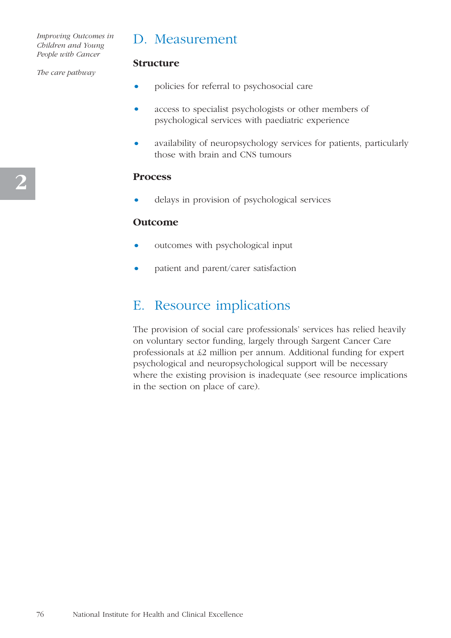## D. Measurement

#### *The care pathway*

- policies for referral to psychosocial care
- access to specialist psychologists or other members of psychological services with paediatric experience
- availability of neuropsychology services for patients, particularly those with brain and CNS tumours

#### **Process**

**Structure**

• delays in provision of psychological services

#### **Outcome**

- outcomes with psychological input
- patient and parent/carer satisfaction

## E. Resource implications

The provision of social care professionals' services has relied heavily on voluntary sector funding, largely through Sargent Cancer Care professionals at £2 million per annum. Additional funding for expert psychological and neuropsychological support will be necessary where the existing provision is inadequate (see resource implications in the section on place of care).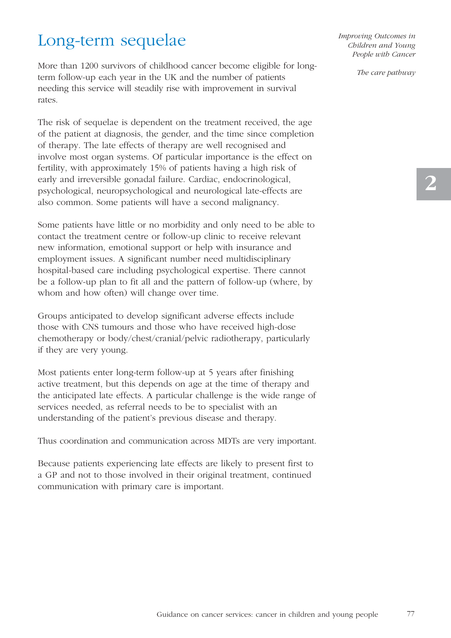## Long-term sequelae

More than 1200 survivors of childhood cancer become eligible for longterm follow-up each year in the UK and the number of patients needing this service will steadily rise with improvement in survival rates.

The risk of sequelae is dependent on the treatment received, the age of the patient at diagnosis, the gender, and the time since completion of therapy. The late effects of therapy are well recognised and involve most organ systems. Of particular importance is the effect on fertility, with approximately 15% of patients having a high risk of early and irreversible gonadal failure. Cardiac, endocrinological, psychological, neuropsychological and neurological late-effects are also common. Some patients will have a second malignancy.

Some patients have little or no morbidity and only need to be able to contact the treatment centre or follow-up clinic to receive relevant new information, emotional support or help with insurance and employment issues. A significant number need multidisciplinary hospital-based care including psychological expertise. There cannot be a follow-up plan to fit all and the pattern of follow-up (where, by whom and how often) will change over time.

Groups anticipated to develop significant adverse effects include those with CNS tumours and those who have received high-dose chemotherapy or body/chest/cranial/pelvic radiotherapy, particularly if they are very young.

Most patients enter long-term follow-up at 5 years after finishing active treatment, but this depends on age at the time of therapy and the anticipated late effects. A particular challenge is the wide range of services needed, as referral needs to be to specialist with an understanding of the patient's previous disease and therapy.

Thus coordination and communication across MDTs are very important.

Because patients experiencing late effects are likely to present first to a GP and not to those involved in their original treatment, continued communication with primary care is important.

*Improving Outcomes in Children and Young People with Cancer*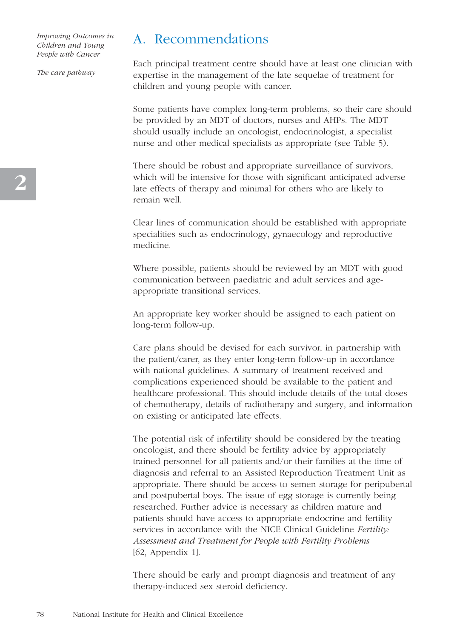*The care pathway*

## A. Recommendations

Each principal treatment centre should have at least one clinician with expertise in the management of the late sequelae of treatment for children and young people with cancer.

Some patients have complex long-term problems, so their care should be provided by an MDT of doctors, nurses and AHPs. The MDT should usually include an oncologist, endocrinologist, a specialist nurse and other medical specialists as appropriate (see Table 5).

There should be robust and appropriate surveillance of survivors, which will be intensive for those with significant anticipated adverse late effects of therapy and minimal for others who are likely to remain well.

Clear lines of communication should be established with appropriate specialities such as endocrinology, gynaecology and reproductive medicine.

Where possible, patients should be reviewed by an MDT with good communication between paediatric and adult services and ageappropriate transitional services.

An appropriate key worker should be assigned to each patient on long-term follow-up.

Care plans should be devised for each survivor, in partnership with the patient/carer, as they enter long-term follow-up in accordance with national guidelines. A summary of treatment received and complications experienced should be available to the patient and healthcare professional. This should include details of the total doses of chemotherapy, details of radiotherapy and surgery, and information on existing or anticipated late effects.

The potential risk of infertility should be considered by the treating oncologist, and there should be fertility advice by appropriately trained personnel for all patients and/or their families at the time of diagnosis and referral to an Assisted Reproduction Treatment Unit as appropriate. There should be access to semen storage for peripubertal and postpubertal boys. The issue of egg storage is currently being researched. Further advice is necessary as children mature and patients should have access to appropriate endocrine and fertility services in accordance with the NICE Clinical Guideline *Fertility: Assessment and Treatment for People with Fertility Problems* [62, Appendix 1].

There should be early and prompt diagnosis and treatment of any therapy-induced sex steroid deficiency.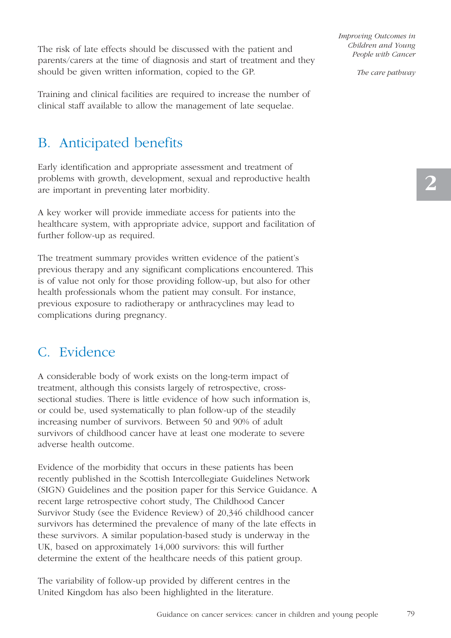The risk of late effects should be discussed with the patient and parents/carers at the time of diagnosis and start of treatment and they should be given written information, copied to the GP.

Training and clinical facilities are required to increase the number of clinical staff available to allow the management of late sequelae.

## B. Anticipated benefits

Early identification and appropriate assessment and treatment of problems with growth, development, sexual and reproductive health are important in preventing later morbidity.

A key worker will provide immediate access for patients into the healthcare system, with appropriate advice, support and facilitation of further follow-up as required.

The treatment summary provides written evidence of the patient's previous therapy and any significant complications encountered. This is of value not only for those providing follow-up, but also for other health professionals whom the patient may consult. For instance, previous exposure to radiotherapy or anthracyclines may lead to complications during pregnancy.

## C. Evidence

A considerable body of work exists on the long-term impact of treatment, although this consists largely of retrospective, crosssectional studies. There is little evidence of how such information is, or could be, used systematically to plan follow-up of the steadily increasing number of survivors. Between 50 and 90% of adult survivors of childhood cancer have at least one moderate to severe adverse health outcome.

Evidence of the morbidity that occurs in these patients has been recently published in the Scottish Intercollegiate Guidelines Network (SIGN) Guidelines and the position paper for this Service Guidance. A recent large retrospective cohort study, The Childhood Cancer Survivor Study (see the Evidence Review) of 20,346 childhood cancer survivors has determined the prevalence of many of the late effects in these survivors. A similar population-based study is underway in the UK, based on approximately 14,000 survivors: this will further determine the extent of the healthcare needs of this patient group.

The variability of follow-up provided by different centres in the United Kingdom has also been highlighted in the literature.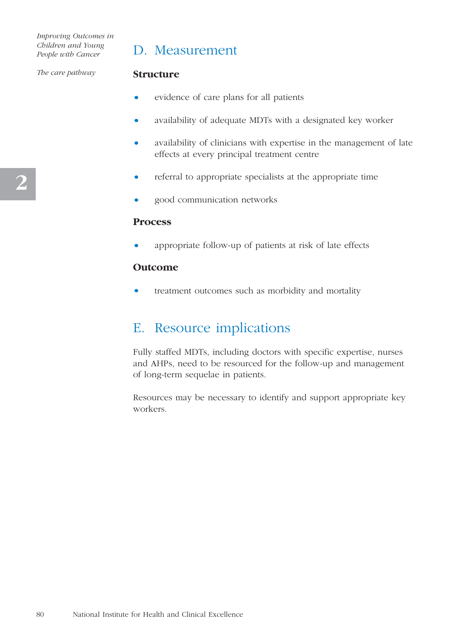*The care pathway*

## D. Measurement

#### **Structure**

- evidence of care plans for all patients
- availability of adequate MDTs with a designated key worker
- availability of clinicians with expertise in the management of late effects at every principal treatment centre
- referral to appropriate specialists at the appropriate time
- good communication networks

#### **Process**

• appropriate follow-up of patients at risk of late effects

#### **Outcome**

treatment outcomes such as morbidity and mortality

### E. Resource implications

Fully staffed MDTs, including doctors with specific expertise, nurses and AHPs, need to be resourced for the follow-up and management of long-term sequelae in patients.

Resources may be necessary to identify and support appropriate key workers.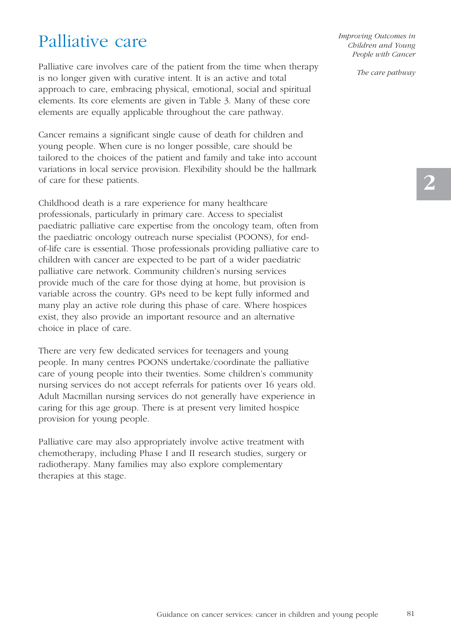## Palliative care

Palliative care involves care of the patient from the time when therapy is no longer given with curative intent. It is an active and total approach to care, embracing physical, emotional, social and spiritual elements. Its core elements are given in Table 3. Many of these core elements are equally applicable throughout the care pathway.

Cancer remains a significant single cause of death for children and young people. When cure is no longer possible, care should be tailored to the choices of the patient and family and take into account variations in local service provision. Flexibility should be the hallmark of care for these patients.

Childhood death is a rare experience for many healthcare professionals, particularly in primary care. Access to specialist paediatric palliative care expertise from the oncology team, often from the paediatric oncology outreach nurse specialist (POONS), for endof-life care is essential. Those professionals providing palliative care to children with cancer are expected to be part of a wider paediatric palliative care network. Community children's nursing services provide much of the care for those dying at home, but provision is variable across the country. GPs need to be kept fully informed and many play an active role during this phase of care. Where hospices exist, they also provide an important resource and an alternative choice in place of care.

There are very few dedicated services for teenagers and young people. In many centres POONS undertake/coordinate the palliative care of young people into their twenties. Some children's community nursing services do not accept referrals for patients over 16 years old. Adult Macmillan nursing services do not generally have experience in caring for this age group. There is at present very limited hospice provision for young people.

Palliative care may also appropriately involve active treatment with chemotherapy, including Phase I and II research studies, surgery or radiotherapy. Many families may also explore complementary therapies at this stage.

*Improving Outcomes in Children and Young People with Cancer*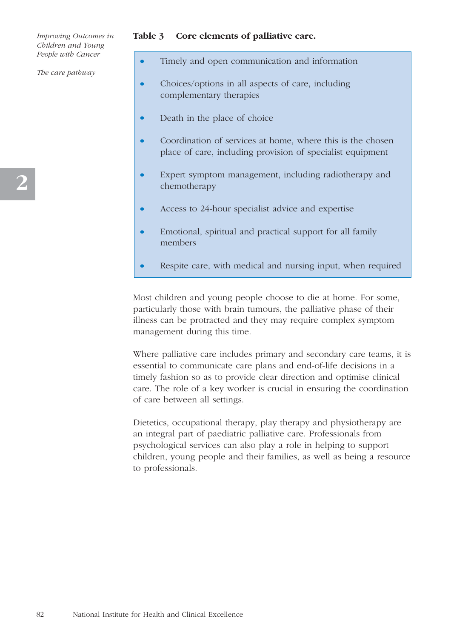*The care pathway*

#### **Table 3 Core elements of palliative care.**

- Timely and open communication and information
- Choices/options in all aspects of care, including complementary therapies
- Death in the place of choice
- Coordination of services at home, where this is the chosen place of care, including provision of specialist equipment
- Expert symptom management, including radiotherapy and chemotherapy
- Access to 24-hour specialist advice and expertise
- Emotional, spiritual and practical support for all family members
- Respite care, with medical and nursing input, when required

Most children and young people choose to die at home. For some, particularly those with brain tumours, the palliative phase of their illness can be protracted and they may require complex symptom management during this time.

Where palliative care includes primary and secondary care teams, it is essential to communicate care plans and end-of-life decisions in a timely fashion so as to provide clear direction and optimise clinical care. The role of a key worker is crucial in ensuring the coordination of care between all settings.

Dietetics, occupational therapy, play therapy and physiotherapy are an integral part of paediatric palliative care. Professionals from psychological services can also play a role in helping to support children, young people and their families, as well as being a resource to professionals.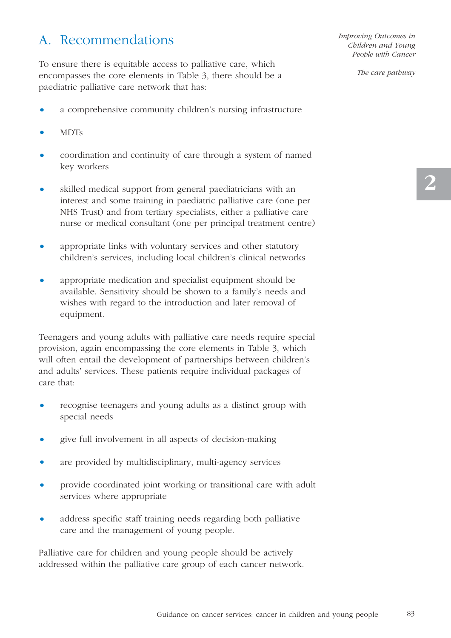## A. Recommendations

To ensure there is equitable access to palliative care, which encompasses the core elements in Table 3, there should be a paediatric palliative care network that has:

- a comprehensive community children's nursing infrastructure
- MDTs
- coordination and continuity of care through a system of named key workers
- skilled medical support from general paediatricians with an interest and some training in paediatric palliative care (one per NHS Trust) and from tertiary specialists, either a palliative care nurse or medical consultant (one per principal treatment centre)
- appropriate links with voluntary services and other statutory children's services, including local children's clinical networks
- appropriate medication and specialist equipment should be available. Sensitivity should be shown to a family's needs and wishes with regard to the introduction and later removal of equipment.

Teenagers and young adults with palliative care needs require special provision, again encompassing the core elements in Table 3, which will often entail the development of partnerships between children's and adults' services. These patients require individual packages of care that:

- recognise teenagers and young adults as a distinct group with special needs
- give full involvement in all aspects of decision-making
- are provided by multidisciplinary, multi-agency services
- provide coordinated joint working or transitional care with adult services where appropriate
- address specific staff training needs regarding both palliative care and the management of young people.

Palliative care for children and young people should be actively addressed within the palliative care group of each cancer network. *Improving Outcomes in Children and Young People with Cancer*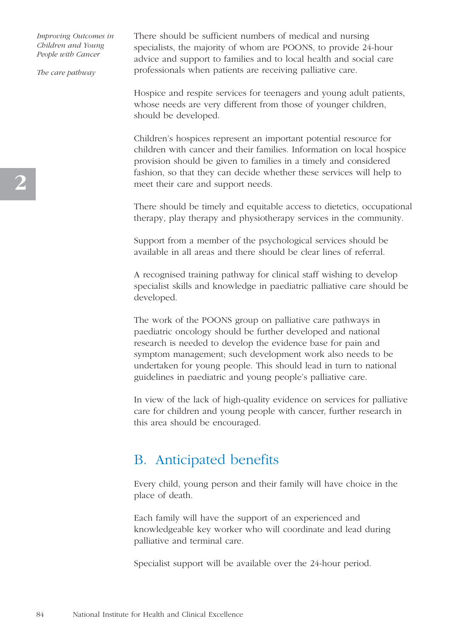*The care pathway*

There should be sufficient numbers of medical and nursing specialists, the majority of whom are POONS, to provide 24-hour advice and support to families and to local health and social care professionals when patients are receiving palliative care.

Hospice and respite services for teenagers and young adult patients, whose needs are very different from those of younger children, should be developed.

Children's hospices represent an important potential resource for children with cancer and their families. Information on local hospice provision should be given to families in a timely and considered fashion, so that they can decide whether these services will help to meet their care and support needs.

There should be timely and equitable access to dietetics, occupational therapy, play therapy and physiotherapy services in the community.

Support from a member of the psychological services should be available in all areas and there should be clear lines of referral.

A recognised training pathway for clinical staff wishing to develop specialist skills and knowledge in paediatric palliative care should be developed.

The work of the POONS group on palliative care pathways in paediatric oncology should be further developed and national research is needed to develop the evidence base for pain and symptom management; such development work also needs to be undertaken for young people. This should lead in turn to national guidelines in paediatric and young people's palliative care.

In view of the lack of high-quality evidence on services for palliative care for children and young people with cancer, further research in this area should be encouraged.

## B. Anticipated benefits

Every child, young person and their family will have choice in the place of death.

Each family will have the support of an experienced and knowledgeable key worker who will coordinate and lead during palliative and terminal care.

Specialist support will be available over the 24-hour period.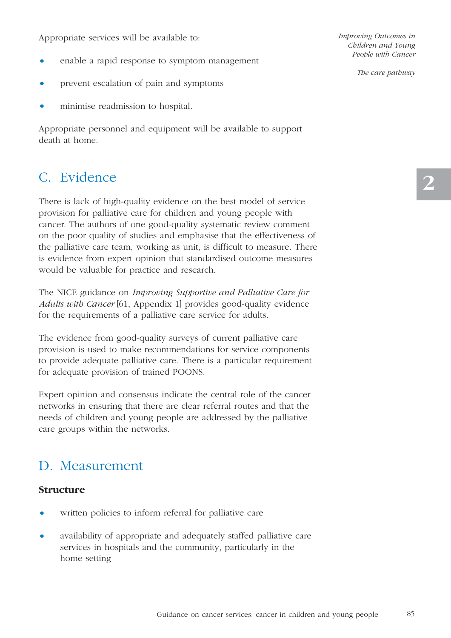Appropriate services will be available to:

- enable a rapid response to symptom management
- prevent escalation of pain and symptoms
- minimise readmission to hospital.

Appropriate personnel and equipment will be available to support death at home.

## C. Evidence

There is lack of high-quality evidence on the best model of service provision for palliative care for children and young people with cancer. The authors of one good-quality systematic review comment on the poor quality of studies and emphasise that the effectiveness of the palliative care team, working as unit, is difficult to measure. There is evidence from expert opinion that standardised outcome measures would be valuable for practice and research.

The NICE guidance on *Improving Supportive and Palliative Care for Adults with Cancer* [61, Appendix 1] provides good-quality evidence for the requirements of a palliative care service for adults.

The evidence from good-quality surveys of current palliative care provision is used to make recommendations for service components to provide adequate palliative care. There is a particular requirement for adequate provision of trained POONS.

Expert opinion and consensus indicate the central role of the cancer networks in ensuring that there are clear referral routes and that the needs of children and young people are addressed by the palliative care groups within the networks.

## D. Measurement

#### **Structure**

- written policies to inform referral for palliative care
- availability of appropriate and adequately staffed palliative care services in hospitals and the community, particularly in the home setting

*Improving Outcomes in Children and Young People with Cancer*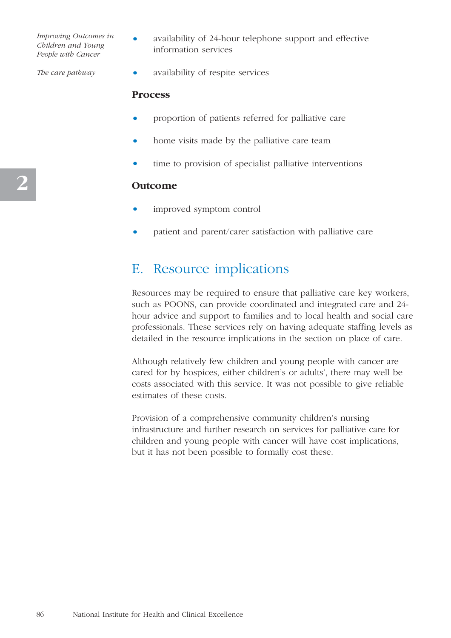*The care pathway*

- availability of 24-hour telephone support and effective information services
	- availability of respite services

#### **Process**

- proportion of patients referred for palliative care
- home visits made by the palliative care team
- time to provision of specialist palliative interventions

#### **Outcome**

- improved symptom control
- patient and parent/carer satisfaction with palliative care

## E. Resource implications

Resources may be required to ensure that palliative care key workers, such as POONS, can provide coordinated and integrated care and 24 hour advice and support to families and to local health and social care professionals. These services rely on having adequate staffing levels as detailed in the resource implications in the section on place of care.

Although relatively few children and young people with cancer are cared for by hospices, either children's or adults', there may well be costs associated with this service. It was not possible to give reliable estimates of these costs.

Provision of a comprehensive community children's nursing infrastructure and further research on services for palliative care for children and young people with cancer will have cost implications, but it has not been possible to formally cost these.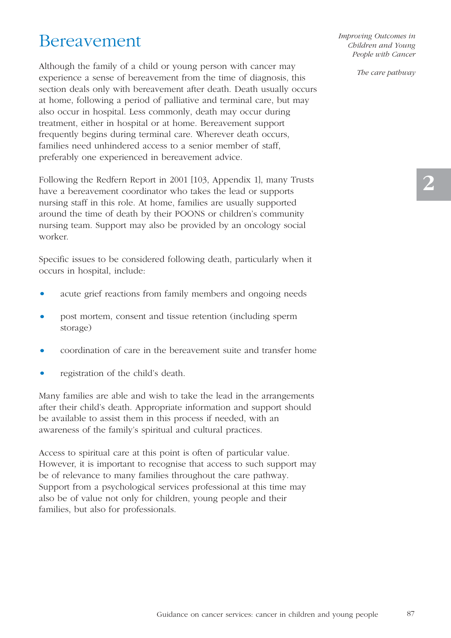## Bereavement

Although the family of a child or young person with cancer may experience a sense of bereavement from the time of diagnosis, this section deals only with bereavement after death. Death usually occurs at home, following a period of palliative and terminal care, but may also occur in hospital. Less commonly, death may occur during treatment, either in hospital or at home. Bereavement support frequently begins during terminal care. Wherever death occurs, families need unhindered access to a senior member of staff, preferably one experienced in bereavement advice.

Following the Redfern Report in 2001 [103, Appendix 1], many Trusts have a bereavement coordinator who takes the lead or supports nursing staff in this role. At home, families are usually supported around the time of death by their POONS or children's community nursing team. Support may also be provided by an oncology social worker.

Specific issues to be considered following death, particularly when it occurs in hospital, include:

- acute grief reactions from family members and ongoing needs
- post mortem, consent and tissue retention (including sperm storage)
- coordination of care in the bereavement suite and transfer home
- registration of the child's death.

Many families are able and wish to take the lead in the arrangements after their child's death. Appropriate information and support should be available to assist them in this process if needed, with an awareness of the family's spiritual and cultural practices.

Access to spiritual care at this point is often of particular value. However, it is important to recognise that access to such support may be of relevance to many families throughout the care pathway. Support from a psychological services professional at this time may also be of value not only for children, young people and their families, but also for professionals.

*Improving Outcomes in Children and Young People with Cancer*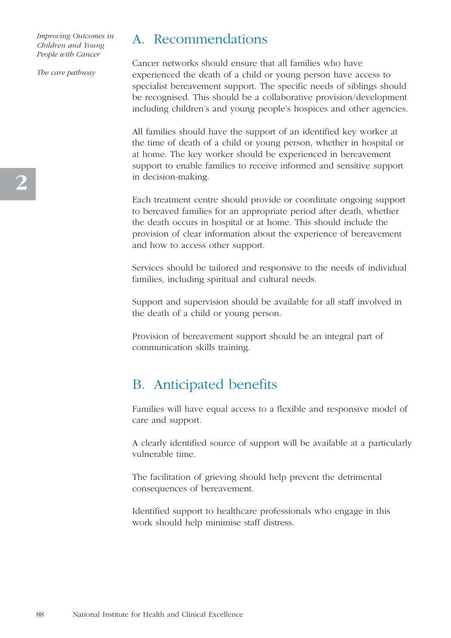*The care pathway*

## A. Recommendations

Cancer networks should ensure that all families who have experienced the death of a child or young person have access to specialist bereavement support. The specific needs of siblings should be recognised. This should be a collaborative provision/development including children's and young people's hospices and other agencies.

All families should have the support of an identified key worker at the time of death of a child or young person, whether in hospital or at home. The key worker should be experienced in bereavement support to enable families to receive informed and sensitive support in decision-making.

Each treatment centre should provide or coordinate ongoing support to bereaved families for an appropriate period after death, whether the death occurs in hospital or at home. This should include the provision of clear information about the experience of bereavement and how to access other support.

Services should be tailored and responsive to the needs of individual families, including spiritual and cultural needs.

Support and supervision should be available for all staff involved in the death of a child or young person.

Provision of bereavement support should be an integral part of communication skills training.

## B. Anticipated benefits

Families will have equal access to a flexible and responsive model of care and support.

A clearly identified source of support will be available at a particularly vulnerable time.

The facilitation of grieving should help prevent the detrimental consequences of bereavement.

Identified support to healthcare professionals who engage in this work should help minimise staff distress.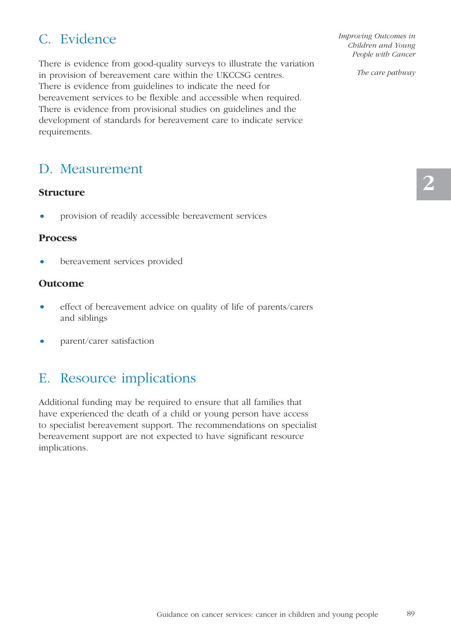## C. Evidence

There is evidence from good-quality surveys to illustrate the variation in provision of bereavement care within the UKCCSG centres. There is evidence from guidelines to indicate the need for bereavement services to be flexible and accessible when required. There is evidence from provisional studies on guidelines and the development of standards for bereavement care to indicate service requirements.

## D. Measurement

#### **Structure**

• provision of readily accessible bereavement services

#### **Process**

bereavement services provided

#### **Outcome**

- effect of bereavement advice on quality of life of parents/carers and siblings
- parent/carer satisfaction

## E. Resource implications

Additional funding may be required to ensure that all families that have experienced the death of a child or young person have access to specialist bereavement support. The recommendations on specialist bereavement support are not expected to have significant resource implications.

*Improving Outcomes in Children and Young People with Cancer*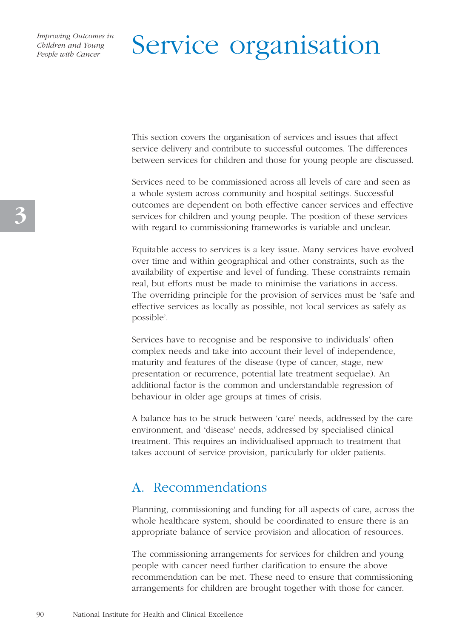# Service organisation

This section covers the organisation of services and issues that affect service delivery and contribute to successful outcomes. The differences between services for children and those for young people are discussed.

Services need to be commissioned across all levels of care and seen as a whole system across community and hospital settings. Successful outcomes are dependent on both effective cancer services and effective services for children and young people. The position of these services with regard to commissioning frameworks is variable and unclear.

Equitable access to services is a key issue. Many services have evolved over time and within geographical and other constraints, such as the availability of expertise and level of funding. These constraints remain real, but efforts must be made to minimise the variations in access. The overriding principle for the provision of services must be 'safe and effective services as locally as possible, not local services as safely as possible'.

Services have to recognise and be responsive to individuals' often complex needs and take into account their level of independence, maturity and features of the disease (type of cancer, stage, new presentation or recurrence, potential late treatment sequelae). An additional factor is the common and understandable regression of behaviour in older age groups at times of crisis.

A balance has to be struck between 'care' needs, addressed by the care environment, and 'disease' needs, addressed by specialised clinical treatment. This requires an individualised approach to treatment that takes account of service provision, particularly for older patients.

## A. Recommendations

Planning, commissioning and funding for all aspects of care, across the whole healthcare system, should be coordinated to ensure there is an appropriate balance of service provision and allocation of resources.

The commissioning arrangements for services for children and young people with cancer need further clarification to ensure the above recommendation can be met. These need to ensure that commissioning arrangements for children are brought together with those for cancer.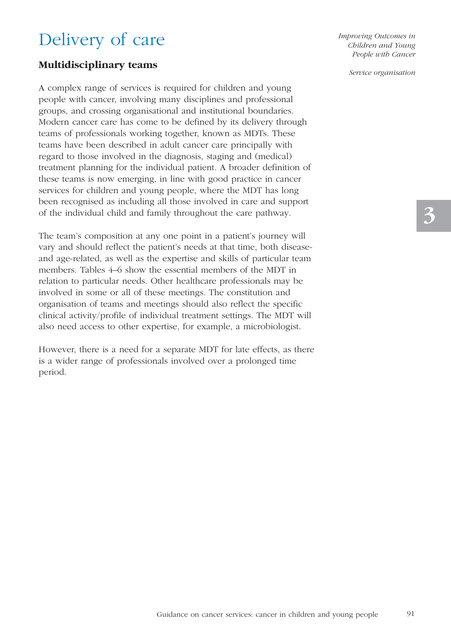## Delivery of care

#### **Multidisciplinary teams**

A complex range of services is required for children and young people with cancer, involving many disciplines and professional groups, and crossing organisational and institutional boundaries. Modern cancer care has come to be defined by its delivery through teams of professionals working together, known as MDTs. These teams have been described in adult cancer care principally with regard to those involved in the diagnosis, staging and (medical) treatment planning for the individual patient. A broader definition of these teams is now emerging, in line with good practice in cancer services for children and young people, where the MDT has long been recognised as including all those involved in care and support of the individual child and family throughout the care pathway.

The team's composition at any one point in a patient's journey will vary and should reflect the patient's needs at that time, both diseaseand age-related, as well as the expertise and skills of particular team members. Tables 4–6 show the essential members of the MDT in relation to particular needs. Other healthcare professionals may be involved in some or all of these meetings. The constitution and organisation of teams and meetings should also reflect the specific clinical activity/profile of individual treatment settings. The MDT will also need access to other expertise, for example, a microbiologist.

However, there is a need for a separate MDT for late effects, as there is a wider range of professionals involved over a prolonged time period.

*Improving Outcomes in Children and Young People with Cancer* 

*Service organisation*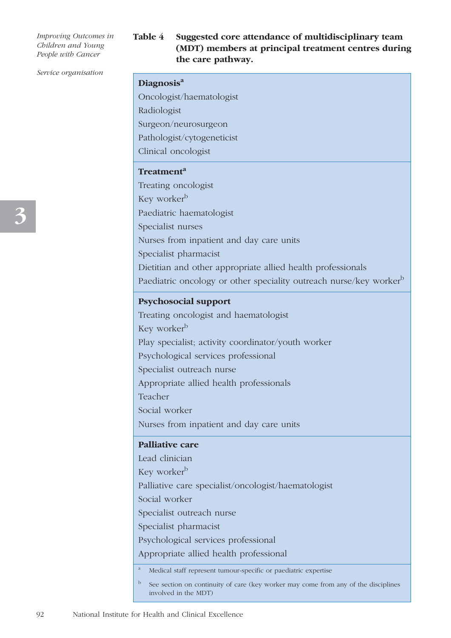#### **Table 4 Suggested core attendance of multidisciplinary team (MDT) members at principal treatment centres during the care pathway.**

#### *Service organisation*

| Diagnosis <sup>a</sup> |
|------------------------|
|------------------------|

Oncologist/haematologist Radiologist

Surgeon/neurosurgeon

Pathologist/cytogeneticist

Clinical oncologist

#### **Treatment<sup>a</sup>**

Treating oncologist Key worker<sup>b</sup> Paediatric haematologist Specialist nurses Nurses from inpatient and day care units Specialist pharmacist Dietitian and other appropriate allied health professionals Paediatric oncology or other speciality outreach nurse/key worker<sup>b</sup>

#### **Psychosocial support**

Treating oncologist and haematologist

Key worker<sup>b</sup>

Play specialist; activity coordinator/youth worker

Psychological services professional

Specialist outreach nurse

Appropriate allied health professionals

Teacher

Social worker

Nurses from inpatient and day care units

#### **Palliative care**

Lead clinician Key worker<sup>b</sup> Palliative care specialist/oncologist/haematologist Social worker Specialist outreach nurse Specialist pharmacist Psychological services professional Appropriate allied health professional <sup>a</sup> Medical staff represent tumour-specific or paediatric expertise

<sup>b</sup> See section on continuity of care (key worker may come from any of the disciplines involved in the MDT)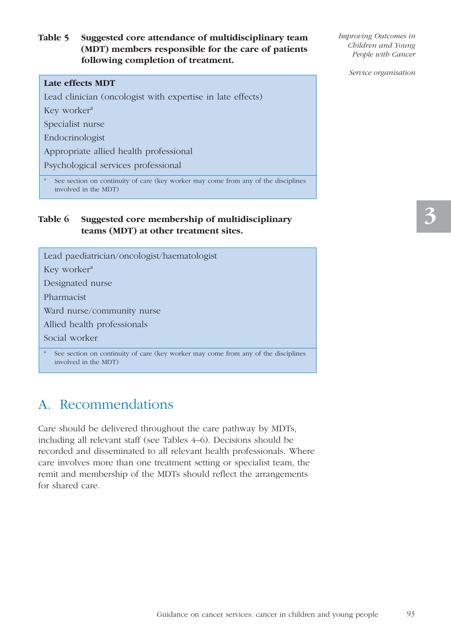#### **Table 5 Suggested core attendance of multidisciplinary team (MDT) members responsible for the care of patients following completion of treatment.**

#### **Late effects MDT**

Lead clinician (oncologist with expertise in late effects)

Key worker<sup>a</sup>

Specialist nurse

Endocrinologist

Appropriate allied health professional

Psychological services professional

See section on continuity of care (key worker may come from any of the disciplines involved in the MDT)

#### **Table 6 Suggested core membership of multidisciplinary teams (MDT) at other treatment sites.**

Lead paediatrician/oncologist/haematologist Key worker<sup>a</sup> Designated nurse Pharmacist Ward nurse/community nurse Allied health professionals Social worker See section on continuity of care (key worker may come from any of the disciplines

## A. Recommendations

involved in the MDT)

Care should be delivered throughout the care pathway by MDTs, including all relevant staff (see Tables 4–6). Decisions should be recorded and disseminated to all relevant health professionals. Where care involves more than one treatment setting or specialist team, the remit and membership of the MDTs should reflect the arrangements for shared care.

*Improving Outcomes in Children and Young People with Cancer* 

*Service organisation*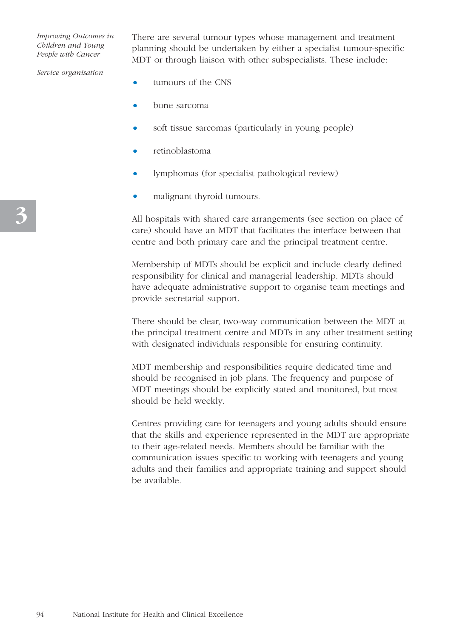There are several tumour types whose management and treatment planning should be undertaken by either a specialist tumour-specific MDT or through liaison with other subspecialists. These include:

*Service organisation*

- tumours of the CNS
- bone sarcoma
- soft tissue sarcomas (particularly in young people)
- retinoblastoma
- lymphomas (for specialist pathological review)
- malignant thyroid tumours.

All hospitals with shared care arrangements (see section on place of care) should have an MDT that facilitates the interface between that centre and both primary care and the principal treatment centre.

Membership of MDTs should be explicit and include clearly defined responsibility for clinical and managerial leadership. MDTs should have adequate administrative support to organise team meetings and provide secretarial support.

There should be clear, two-way communication between the MDT at the principal treatment centre and MDTs in any other treatment setting with designated individuals responsible for ensuring continuity.

MDT membership and responsibilities require dedicated time and should be recognised in job plans. The frequency and purpose of MDT meetings should be explicitly stated and monitored, but most should be held weekly.

Centres providing care for teenagers and young adults should ensure that the skills and experience represented in the MDT are appropriate to their age-related needs. Members should be familiar with the communication issues specific to working with teenagers and young adults and their families and appropriate training and support should be available.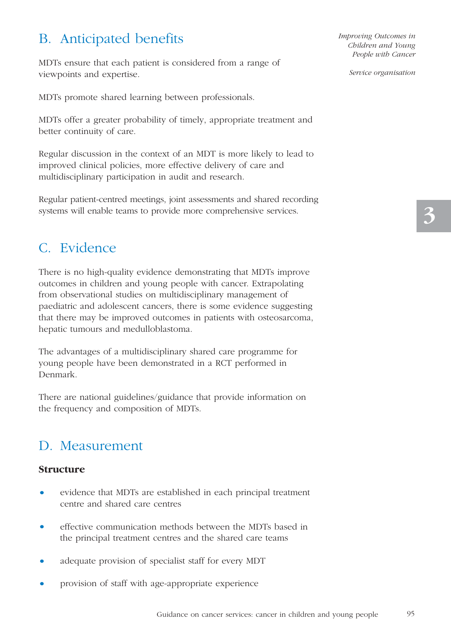## B. Anticipated benefits

MDTs ensure that each patient is considered from a range of viewpoints and expertise.

MDTs promote shared learning between professionals.

MDTs offer a greater probability of timely, appropriate treatment and better continuity of care.

Regular discussion in the context of an MDT is more likely to lead to improved clinical policies, more effective delivery of care and multidisciplinary participation in audit and research.

Regular patient-centred meetings, joint assessments and shared recording systems will enable teams to provide more comprehensive services.

## C. Evidence

There is no high-quality evidence demonstrating that MDTs improve outcomes in children and young people with cancer. Extrapolating from observational studies on multidisciplinary management of paediatric and adolescent cancers, there is some evidence suggesting that there may be improved outcomes in patients with osteosarcoma, hepatic tumours and medulloblastoma.

The advantages of a multidisciplinary shared care programme for young people have been demonstrated in a RCT performed in Denmark.

There are national guidelines/guidance that provide information on the frequency and composition of MDTs.

## D. Measurement

#### **Structure**

- evidence that MDTs are established in each principal treatment centre and shared care centres
- effective communication methods between the MDTs based in the principal treatment centres and the shared care teams
- adequate provision of specialist staff for every MDT
- provision of staff with age-appropriate experience

*Improving Outcomes in Children and Young People with Cancer* 

*Service organisation*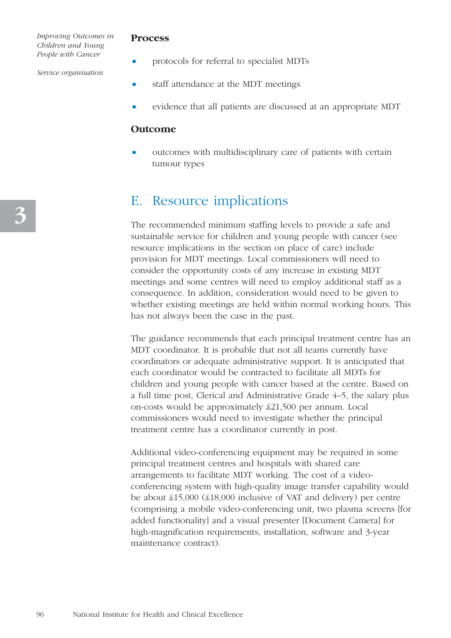#### **Process**

• protocols for referral to specialist MDTs

*Service organisation*

- staff attendance at the MDT meetings
- evidence that all patients are discussed at an appropriate MDT

#### **Outcome**

outcomes with multidisciplinary care of patients with certain tumour types

### E. Resource implications

The recommended minimum staffing levels to provide a safe and sustainable service for children and young people with cancer (see resource implications in the section on place of care) include provision for MDT meetings. Local commissioners will need to consider the opportunity costs of any increase in existing MDT meetings and some centres will need to employ additional staff as a consequence. In addition, consideration would need to be given to whether existing meetings are held within normal working hours. This has not always been the case in the past.

The guidance recommends that each principal treatment centre has an MDT coordinator. It is probable that not all teams currently have coordinators or adequate administrative support. It is anticipated that each coordinator would be contracted to facilitate all MDTs for children and young people with cancer based at the centre. Based on a full time post, Clerical and Administrative Grade 4–5, the salary plus on-costs would be approximately £21,500 per annum. Local commissioners would need to investigate whether the principal treatment centre has a coordinator currently in post.

Additional video-conferencing equipment may be required in some principal treatment centres and hospitals with shared care arrangements to facilitate MDT working. The cost of a videoconferencing system with high-quality image transfer capability would be about £15,000 (£18,000 inclusive of VAT and delivery) per centre (comprising a mobile video-conferencing unit, two plasma screens [for added functionality] and a visual presenter [Document Camera] for high-magnification requirements, installation, software and 3-year maintenance contract).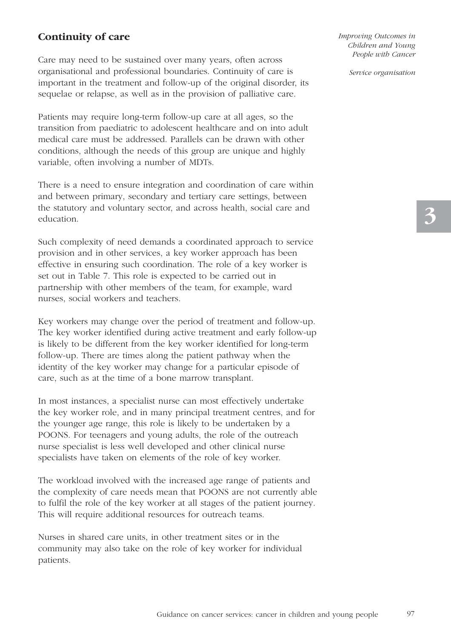#### **Continuity of care**

Care may need to be sustained over many years, often across organisational and professional boundaries. Continuity of care is important in the treatment and follow-up of the original disorder, its sequelae or relapse, as well as in the provision of palliative care.

Patients may require long-term follow-up care at all ages, so the transition from paediatric to adolescent healthcare and on into adult medical care must be addressed. Parallels can be drawn with other conditions, although the needs of this group are unique and highly variable, often involving a number of MDTs.

There is a need to ensure integration and coordination of care within and between primary, secondary and tertiary care settings, between the statutory and voluntary sector, and across health, social care and education.

Such complexity of need demands a coordinated approach to service provision and in other services, a key worker approach has been effective in ensuring such coordination. The role of a key worker is set out in Table 7. This role is expected to be carried out in partnership with other members of the team, for example, ward nurses, social workers and teachers.

Key workers may change over the period of treatment and follow-up. The key worker identified during active treatment and early follow-up is likely to be different from the key worker identified for long-term follow-up. There are times along the patient pathway when the identity of the key worker may change for a particular episode of care, such as at the time of a bone marrow transplant.

In most instances, a specialist nurse can most effectively undertake the key worker role, and in many principal treatment centres, and for the younger age range, this role is likely to be undertaken by a POONS. For teenagers and young adults, the role of the outreach nurse specialist is less well developed and other clinical nurse specialists have taken on elements of the role of key worker.

The workload involved with the increased age range of patients and the complexity of care needs mean that POONS are not currently able to fulfil the role of the key worker at all stages of the patient journey. This will require additional resources for outreach teams.

Nurses in shared care units, in other treatment sites or in the community may also take on the role of key worker for individual patients.

*Improving Outcomes in Children and Young People with Cancer* 

*Service organisation*

97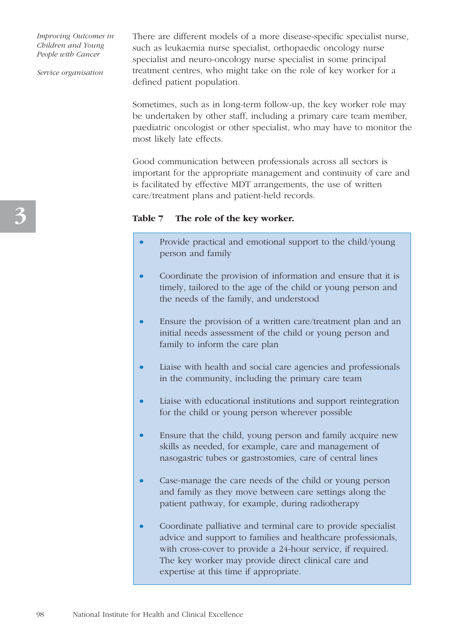*Service organisation*

There are different models of a more disease-specific specialist nurse, such as leukaemia nurse specialist, orthopaedic oncology nurse specialist and neuro-oncology nurse specialist in some principal treatment centres, who might take on the role of key worker for a defined patient population.

Sometimes, such as in long-term follow-up, the key worker role may be undertaken by other staff, including a primary care team member, paediatric oncologist or other specialist, who may have to monitor the most likely late effects.

Good communication between professionals across all sectors is important for the appropriate management and continuity of care and is facilitated by effective MDT arrangements, the use of written care/treatment plans and patient-held records.

#### **Table 7 The role of the key worker.**

- Provide practical and emotional support to the child/young person and family
- Coordinate the provision of information and ensure that it is timely, tailored to the age of the child or young person and the needs of the family, and understood
- Ensure the provision of a written care/treatment plan and an initial needs assessment of the child or young person and family to inform the care plan
- Liaise with health and social care agencies and professionals in the community, including the primary care team
- Liaise with educational institutions and support reintegration for the child or young person wherever possible
- Ensure that the child, young person and family acquire new skills as needed, for example, care and management of nasogastric tubes or gastrostomies, care of central lines
- Case-manage the care needs of the child or young person and family as they move between care settings along the patient pathway, for example, during radiotherapy
- Coordinate palliative and terminal care to provide specialist advice and support to families and healthcare professionals, with cross-cover to provide a 24-hour service, if required. The key worker may provide direct clinical care and expertise at this time if appropriate.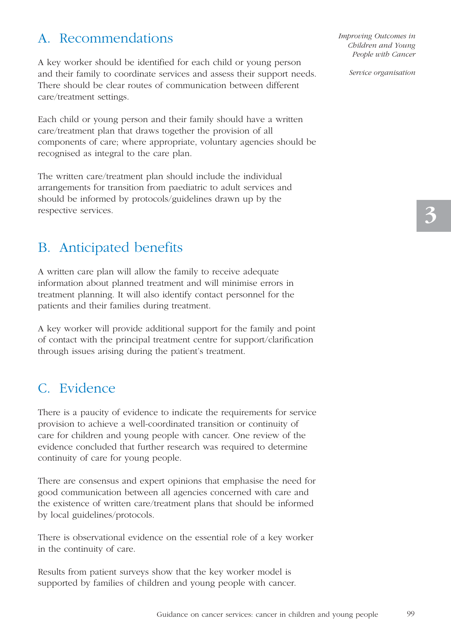## A. Recommendations

A key worker should be identified for each child or young person and their family to coordinate services and assess their support needs. There should be clear routes of communication between different care/treatment settings.

Each child or young person and their family should have a written care/treatment plan that draws together the provision of all components of care; where appropriate, voluntary agencies should be recognised as integral to the care plan.

The written care/treatment plan should include the individual arrangements for transition from paediatric to adult services and should be informed by protocols/guidelines drawn up by the respective services.

## B. Anticipated benefits

A written care plan will allow the family to receive adequate information about planned treatment and will minimise errors in treatment planning. It will also identify contact personnel for the patients and their families during treatment.

A key worker will provide additional support for the family and point of contact with the principal treatment centre for support/clarification through issues arising during the patient's treatment.

## C. Evidence

There is a paucity of evidence to indicate the requirements for service provision to achieve a well-coordinated transition or continuity of care for children and young people with cancer. One review of the evidence concluded that further research was required to determine continuity of care for young people.

There are consensus and expert opinions that emphasise the need for good communication between all agencies concerned with care and the existence of written care/treatment plans that should be informed by local guidelines/protocols.

There is observational evidence on the essential role of a key worker in the continuity of care.

Results from patient surveys show that the key worker model is supported by families of children and young people with cancer. *Improving Outcomes in Children and Young People with Cancer* 

*Service organisation*

99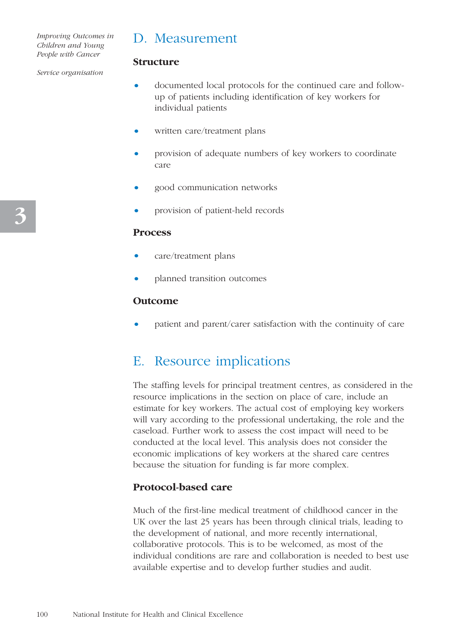### D. Measurement

**Structure**

#### *Service organisation*

- documented local protocols for the continued care and followup of patients including identification of key workers for individual patients
- written care/treatment plans
- provision of adequate numbers of key workers to coordinate care
- good communication networks
- provision of patient-held records

#### **Process**

- care/treatment plans
- planned transition outcomes

#### **Outcome**

• patient and parent/carer satisfaction with the continuity of care

### E. Resource implications

The staffing levels for principal treatment centres, as considered in the resource implications in the section on place of care, include an estimate for key workers. The actual cost of employing key workers will vary according to the professional undertaking, the role and the caseload. Further work to assess the cost impact will need to be conducted at the local level. This analysis does not consider the economic implications of key workers at the shared care centres because the situation for funding is far more complex.

#### **Protocol-based care**

Much of the first-line medical treatment of childhood cancer in the UK over the last 25 years has been through clinical trials, leading to the development of national, and more recently international, collaborative protocols. This is to be welcomed, as most of the individual conditions are rare and collaboration is needed to best use available expertise and to develop further studies and audit.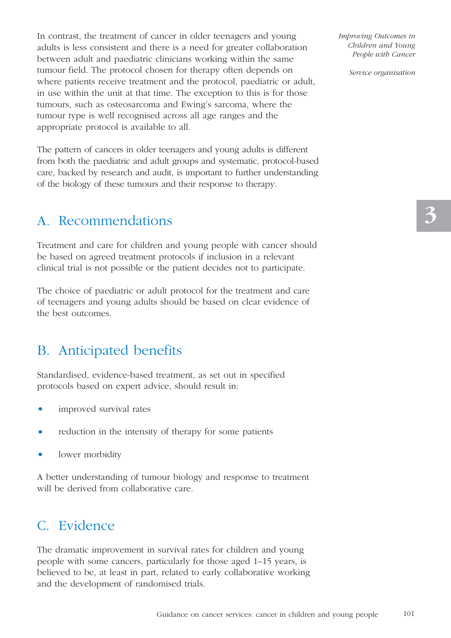In contrast, the treatment of cancer in older teenagers and young adults is less consistent and there is a need for greater collaboration between adult and paediatric clinicians working within the same tumour field. The protocol chosen for therapy often depends on where patients receive treatment and the protocol, paediatric or adult, in use within the unit at that time. The exception to this is for those tumours, such as osteosarcoma and Ewing's sarcoma, where the tumour type is well recognised across all age ranges and the appropriate protocol is available to all.

The pattern of cancers in older teenagers and young adults is different from both the paediatric and adult groups and systematic, protocol-based care, backed by research and audit, is important to further understanding of the biology of these tumours and their response to therapy.

## A. Recommendations

Treatment and care for children and young people with cancer should be based on agreed treatment protocols if inclusion in a relevant clinical trial is not possible or the patient decides not to participate.

The choice of paediatric or adult protocol for the treatment and care of teenagers and young adults should be based on clear evidence of the best outcomes.

## B. Anticipated benefits

Standardised, evidence-based treatment, as set out in specified protocols based on expert advice, should result in:

- improved survival rates
- reduction in the intensity of therapy for some patients
- lower morbidity

A better understanding of tumour biology and response to treatment will be derived from collaborative care.

## C. Evidence

The dramatic improvement in survival rates for children and young people with some cancers, particularly for those aged 1–15 years, is believed to be, at least in part, related to early collaborative working and the development of randomised trials.

*Improving Outcomes in Children and Young People with Cancer* 

*Service organisation*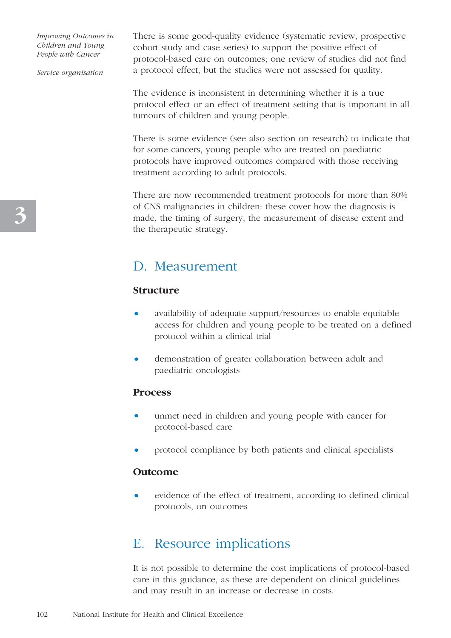*Service organisation*

There is some good-quality evidence (systematic review, prospective cohort study and case series) to support the positive effect of protocol-based care on outcomes; one review of studies did not find a protocol effect, but the studies were not assessed for quality.

The evidence is inconsistent in determining whether it is a true protocol effect or an effect of treatment setting that is important in all tumours of children and young people.

There is some evidence (see also section on research) to indicate that for some cancers, young people who are treated on paediatric protocols have improved outcomes compared with those receiving treatment according to adult protocols.

There are now recommended treatment protocols for more than 80% of CNS malignancies in children: these cover how the diagnosis is made, the timing of surgery, the measurement of disease extent and the therapeutic strategy.

## D. Measurement

#### **Structure**

- availability of adequate support/resources to enable equitable access for children and young people to be treated on a defined protocol within a clinical trial
- demonstration of greater collaboration between adult and paediatric oncologists

#### **Process**

- unmet need in children and young people with cancer for protocol-based care
- protocol compliance by both patients and clinical specialists

#### **Outcome**

• evidence of the effect of treatment, according to defined clinical protocols, on outcomes

### E. Resource implications

It is not possible to determine the cost implications of protocol-based care in this guidance, as these are dependent on clinical guidelines and may result in an increase or decrease in costs.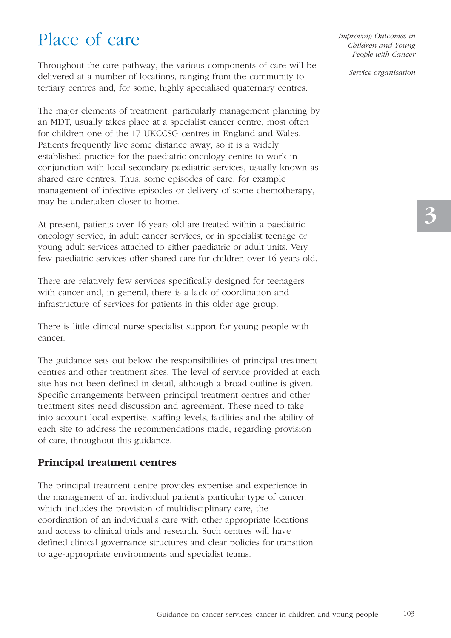## Place of care

Throughout the care pathway, the various components of care will be delivered at a number of locations, ranging from the community to tertiary centres and, for some, highly specialised quaternary centres.

The major elements of treatment, particularly management planning by an MDT, usually takes place at a specialist cancer centre, most often for children one of the 17 UKCCSG centres in England and Wales. Patients frequently live some distance away, so it is a widely established practice for the paediatric oncology centre to work in conjunction with local secondary paediatric services, usually known as shared care centres. Thus, some episodes of care, for example management of infective episodes or delivery of some chemotherapy, may be undertaken closer to home.

At present, patients over 16 years old are treated within a paediatric oncology service, in adult cancer services, or in specialist teenage or young adult services attached to either paediatric or adult units. Very few paediatric services offer shared care for children over 16 years old.

There are relatively few services specifically designed for teenagers with cancer and, in general, there is a lack of coordination and infrastructure of services for patients in this older age group.

There is little clinical nurse specialist support for young people with cancer.

The guidance sets out below the responsibilities of principal treatment centres and other treatment sites. The level of service provided at each site has not been defined in detail, although a broad outline is given. Specific arrangements between principal treatment centres and other treatment sites need discussion and agreement. These need to take into account local expertise, staffing levels, facilities and the ability of each site to address the recommendations made, regarding provision of care, throughout this guidance.

#### **Principal treatment centres**

The principal treatment centre provides expertise and experience in the management of an individual patient's particular type of cancer, which includes the provision of multidisciplinary care, the coordination of an individual's care with other appropriate locations and access to clinical trials and research. Such centres will have defined clinical governance structures and clear policies for transition to age-appropriate environments and specialist teams.

*Improving Outcomes in Children and Young People with Cancer* 

*Service organisation*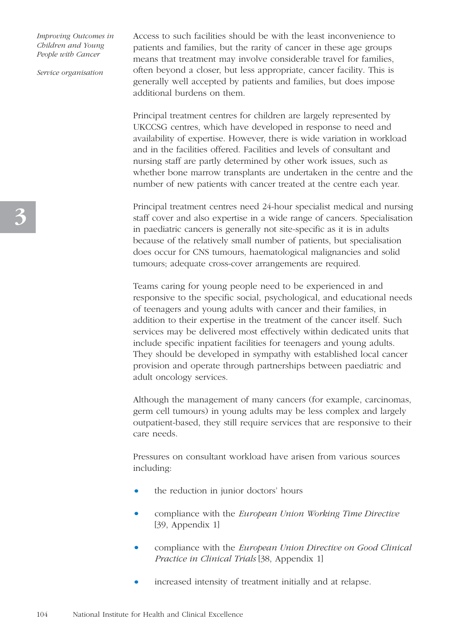*Service organisation*

Access to such facilities should be with the least inconvenience to patients and families, but the rarity of cancer in these age groups means that treatment may involve considerable travel for families, often beyond a closer, but less appropriate, cancer facility. This is generally well accepted by patients and families, but does impose additional burdens on them.

Principal treatment centres for children are largely represented by UKCCSG centres, which have developed in response to need and availability of expertise. However, there is wide variation in workload and in the facilities offered. Facilities and levels of consultant and nursing staff are partly determined by other work issues, such as whether bone marrow transplants are undertaken in the centre and the number of new patients with cancer treated at the centre each year.

Principal treatment centres need 24-hour specialist medical and nursing staff cover and also expertise in a wide range of cancers. Specialisation in paediatric cancers is generally not site-specific as it is in adults because of the relatively small number of patients, but specialisation does occur for CNS tumours, haematological malignancies and solid tumours; adequate cross-cover arrangements are required.

Teams caring for young people need to be experienced in and responsive to the specific social, psychological, and educational needs of teenagers and young adults with cancer and their families, in addition to their expertise in the treatment of the cancer itself. Such services may be delivered most effectively within dedicated units that include specific inpatient facilities for teenagers and young adults. They should be developed in sympathy with established local cancer provision and operate through partnerships between paediatric and adult oncology services.

Although the management of many cancers (for example, carcinomas, germ cell tumours) in young adults may be less complex and largely outpatient-based, they still require services that are responsive to their care needs.

Pressures on consultant workload have arisen from various sources including:

- the reduction in junior doctors' hours
- compliance with the *European Union Working Time Directive* [39, Appendix 1]
- compliance with the *European Union Directive on Good Clinical Practice in Clinical Trials* [38, Appendix 1]
- increased intensity of treatment initially and at relapse.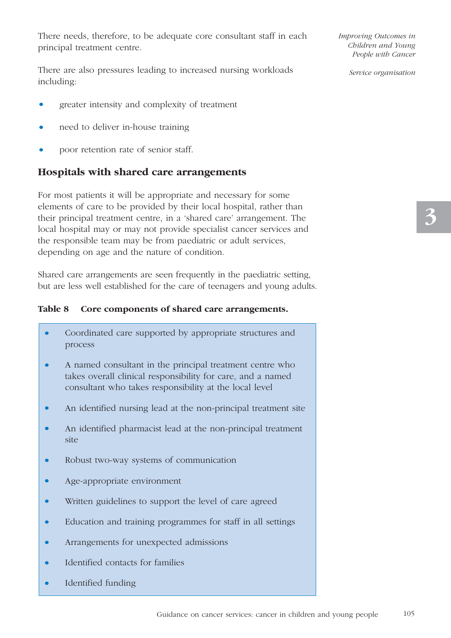There needs, therefore, to be adequate core consultant staff in each principal treatment centre.

There are also pressures leading to increased nursing workloads including:

- greater intensity and complexity of treatment
- need to deliver in-house training
- poor retention rate of senior staff.

#### **Hospitals with shared care arrangements**

For most patients it will be appropriate and necessary for some elements of care to be provided by their local hospital, rather than their principal treatment centre, in a 'shared care' arrangement. The local hospital may or may not provide specialist cancer services and the responsible team may be from paediatric or adult services, depending on age and the nature of condition.

Shared care arrangements are seen frequently in the paediatric setting, but are less well established for the care of teenagers and young adults.

#### **Table 8 Core components of shared care arrangements.**

- Coordinated care supported by appropriate structures and process
- A named consultant in the principal treatment centre who takes overall clinical responsibility for care, and a named consultant who takes responsibility at the local level
- An identified nursing lead at the non-principal treatment site
- An identified pharmacist lead at the non-principal treatment site
- Robust two-way systems of communication
- Age-appropriate environment
- Written guidelines to support the level of care agreed
- Education and training programmes for staff in all settings
- Arrangements for unexpected admissions
- Identified contacts for families
- Identified funding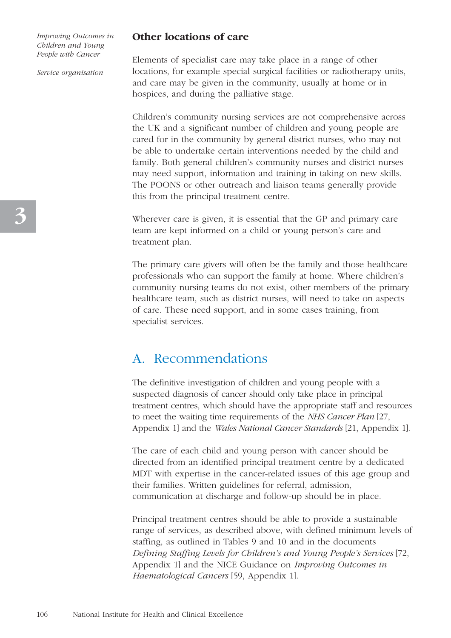*Service organisation*

#### **Other locations of care**

Elements of specialist care may take place in a range of other locations, for example special surgical facilities or radiotherapy units, and care may be given in the community, usually at home or in hospices, and during the palliative stage.

Children's community nursing services are not comprehensive across the UK and a significant number of children and young people are cared for in the community by general district nurses, who may not be able to undertake certain interventions needed by the child and family. Both general children's community nurses and district nurses may need support, information and training in taking on new skills. The POONS or other outreach and liaison teams generally provide this from the principal treatment centre.

Wherever care is given, it is essential that the GP and primary care team are kept informed on a child or young person's care and treatment plan.

The primary care givers will often be the family and those healthcare professionals who can support the family at home. Where children's community nursing teams do not exist, other members of the primary healthcare team, such as district nurses, will need to take on aspects of care. These need support, and in some cases training, from specialist services.

### A. Recommendations

The definitive investigation of children and young people with a suspected diagnosis of cancer should only take place in principal treatment centres, which should have the appropriate staff and resources to meet the waiting time requirements of the *NHS Cancer Plan* [27, Appendix 1] and the *Wales National Cancer Standards* [21, Appendix 1].

The care of each child and young person with cancer should be directed from an identified principal treatment centre by a dedicated MDT with expertise in the cancer-related issues of this age group and their families. Written guidelines for referral, admission, communication at discharge and follow-up should be in place.

Principal treatment centres should be able to provide a sustainable range of services, as described above, with defined minimum levels of staffing, as outlined in Tables 9 and 10 and in the documents *Defining Staffing Levels for Children's and Young People's Services* [72, Appendix 1] and the NICE Guidance on *Improving Outcomes in Haematological Cancers* [59, Appendix 1].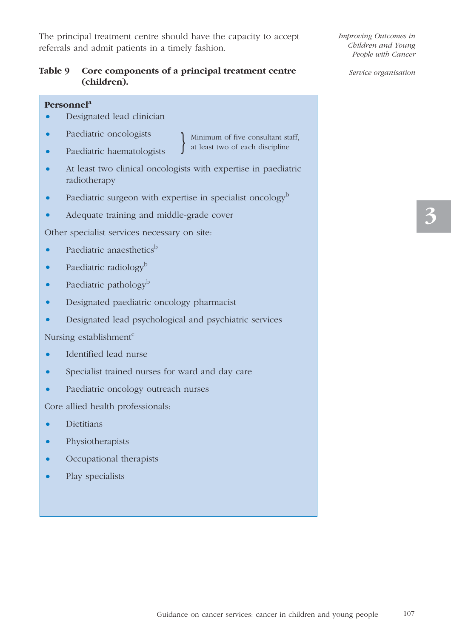The principal treatment centre should have the capacity to accept referrals and admit patients in a timely fashion.

#### **Table 9 Core components of a principal treatment centre (children).**

#### **Personnela**

- Designated lead clinician
- Paediatric oncologists
- Paediatric haematologists
- } Minimum of five consultant staff, at least two of each discipline
- At least two clinical oncologists with expertise in paediatric radiotherapy
- Paediatric surgeon with expertise in specialist oncology<sup>b</sup>
- Adequate training and middle-grade cover

Other specialist services necessary on site:

- Paediatric anaesthetics $b$
- Paediatric radiology<sup>b</sup>
- Paediatric pathology<sup>b</sup>
- Designated paediatric oncology pharmacist
- Designated lead psychological and psychiatric services

Nursing establishment<sup>c</sup>

- Identified lead nurse
- Specialist trained nurses for ward and day care
- Paediatric oncology outreach nurses

Core allied health professionals:

- Dietitians
- Physiotherapists
- Occupational therapists
- Play specialists

*Improving Outcomes in Children and Young People with Cancer*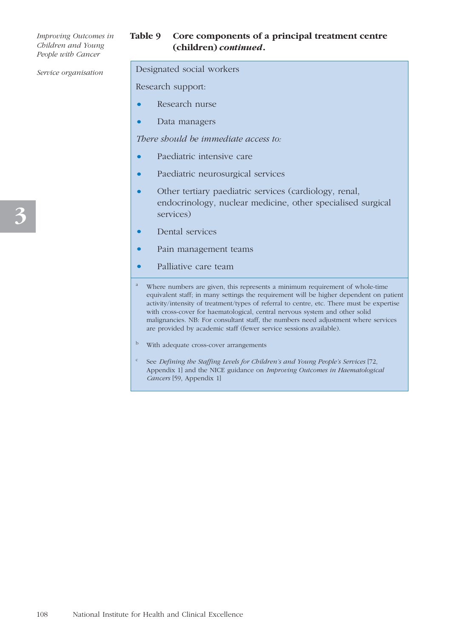#### **Table 9 Core components of a principal treatment centre (children)** *continued***.**

*Service organisation*

#### Designated social workers

Research support:

- Research nurse
- Data managers

*There should be immediate access to:*

- Paediatric intensive care
- Paediatric neurosurgical services
- Other tertiary paediatric services (cardiology, renal, endocrinology, nuclear medicine, other specialised surgical services)
- Dental services
- Pain management teams
- Palliative care team
- <sup>a</sup> Where numbers are given, this represents a minimum requirement of whole-time equivalent staff; in many settings the requirement will be higher dependent on patient activity/intensity of treatment/types of referral to centre, etc. There must be expertise with cross-cover for haematological, central nervous system and other solid malignancies. NB: For consultant staff, the numbers need adjustment where services are provided by academic staff (fewer service sessions available).
- <sup>b</sup> With adequate cross-cover arrangements
- <sup>c</sup> See *Defining the Staffing Levels for Children's and Young People's Services* [72, Appendix 1] and the NICE guidance on *Improving Outcomes in Haematological Cancers* [59, Appendix 1]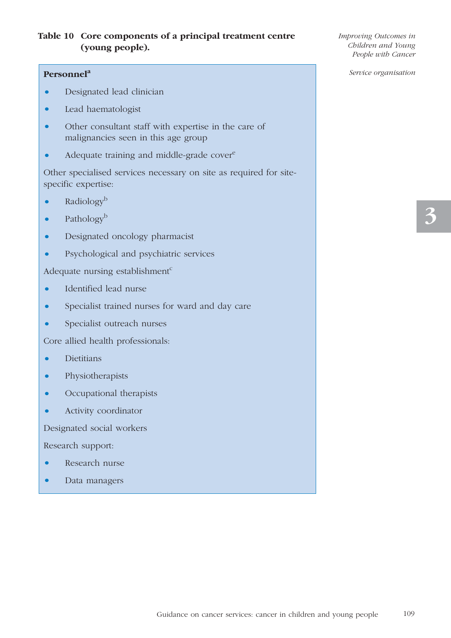#### **Table 10 Core components of a principal treatment centre (young people).**

#### **Personnela**

- Designated lead clinician
- Lead haematologist
- Other consultant staff with expertise in the care of malignancies seen in this age group
- Adequate training and middle-grade cover<sup>e</sup>

Other specialised services necessary on site as required for sitespecific expertise:

- Radiology<sup>b</sup>
- Pathology<sup>b</sup>
- Designated oncology pharmacist
- Psychological and psychiatric services

Adequate nursing establishment $c$ 

- Identified lead nurse
- Specialist trained nurses for ward and day care
- Specialist outreach nurses

Core allied health professionals:

- Dietitians
- Physiotherapists
- Occupational therapists
- Activity coordinator

Designated social workers

Research support:

- Research nurse
- Data managers

*Improving Outcomes in Children and Young People with Cancer*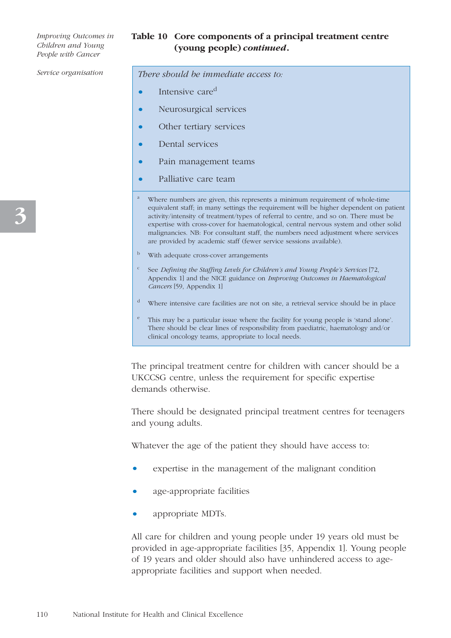#### **Table 10 Core components of a principal treatment centre (young people)** *continued***.**

*Service organisation*

*There should be immediate access to:*

- Intensive care<sup>d</sup>
- Neurosurgical services
- Other tertiary services
- Dental services
- Pain management teams
- Palliative care team
- Where numbers are given, this represents a minimum requirement of whole-time equivalent staff; in many settings the requirement will be higher dependent on patient activity/intensity of treatment/types of referral to centre, and so on. There must be expertise with cross-cover for haematological, central nervous system and other solid malignancies. NB: For consultant staff, the numbers need adjustment where services are provided by academic staff (fewer service sessions available).
- <sup>b</sup> With adequate cross-cover arrangements
- <sup>c</sup> See *Defining the Staffing Levels for Children's and Young People's Services* [72, Appendix 1] and the NICE guidance on *Improving Outcomes in Haematological Cancers* [59, Appendix 1]
- <sup>d</sup> Where intensive care facilities are not on site, a retrieval service should be in place
- This may be a particular issue where the facility for young people is 'stand alone'. There should be clear lines of responsibility from paediatric, haematology and/or clinical oncology teams, appropriate to local needs.

The principal treatment centre for children with cancer should be a UKCCSG centre, unless the requirement for specific expertise demands otherwise.

There should be designated principal treatment centres for teenagers and young adults.

Whatever the age of the patient they should have access to:

- expertise in the management of the malignant condition
- age-appropriate facilities
- appropriate MDTs.

All care for children and young people under 19 years old must be provided in age-appropriate facilities [35, Appendix 1]. Young people of 19 years and older should also have unhindered access to ageappropriate facilities and support when needed.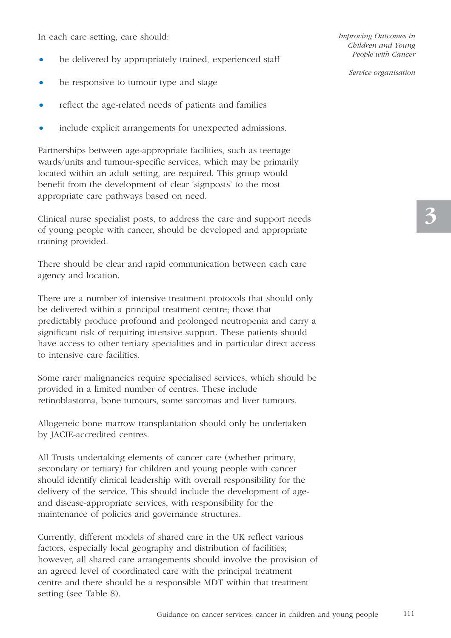In each care setting, care should:

- be delivered by appropriately trained, experienced staff
- be responsive to tumour type and stage
- reflect the age-related needs of patients and families
- include explicit arrangements for unexpected admissions.

Partnerships between age-appropriate facilities, such as teenage wards/units and tumour-specific services, which may be primarily located within an adult setting, are required. This group would benefit from the development of clear 'signposts' to the most appropriate care pathways based on need.

Clinical nurse specialist posts, to address the care and support needs of young people with cancer, should be developed and appropriate training provided.

There should be clear and rapid communication between each care agency and location.

There are a number of intensive treatment protocols that should only be delivered within a principal treatment centre; those that predictably produce profound and prolonged neutropenia and carry a significant risk of requiring intensive support. These patients should have access to other tertiary specialities and in particular direct access to intensive care facilities.

Some rarer malignancies require specialised services, which should be provided in a limited number of centres. These include retinoblastoma, bone tumours, some sarcomas and liver tumours.

Allogeneic bone marrow transplantation should only be undertaken by JACIE-accredited centres.

All Trusts undertaking elements of cancer care (whether primary, secondary or tertiary) for children and young people with cancer should identify clinical leadership with overall responsibility for the delivery of the service. This should include the development of ageand disease-appropriate services, with responsibility for the maintenance of policies and governance structures.

Currently, different models of shared care in the UK reflect various factors, especially local geography and distribution of facilities; however, all shared care arrangements should involve the provision of an agreed level of coordinated care with the principal treatment centre and there should be a responsible MDT within that treatment setting (see Table 8).

*Improving Outcomes in Children and Young People with Cancer*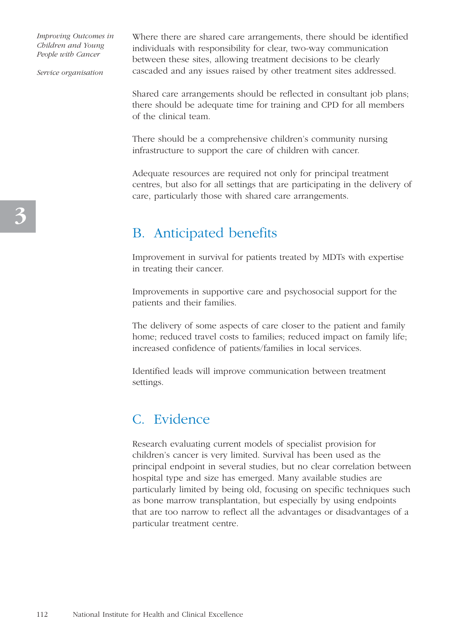*Service organisation*

Where there are shared care arrangements, there should be identified individuals with responsibility for clear, two-way communication between these sites, allowing treatment decisions to be clearly cascaded and any issues raised by other treatment sites addressed.

Shared care arrangements should be reflected in consultant job plans; there should be adequate time for training and CPD for all members of the clinical team.

There should be a comprehensive children's community nursing infrastructure to support the care of children with cancer.

Adequate resources are required not only for principal treatment centres, but also for all settings that are participating in the delivery of care, particularly those with shared care arrangements.

## B. Anticipated benefits

Improvement in survival for patients treated by MDTs with expertise in treating their cancer.

Improvements in supportive care and psychosocial support for the patients and their families.

The delivery of some aspects of care closer to the patient and family home; reduced travel costs to families; reduced impact on family life; increased confidence of patients/families in local services.

Identified leads will improve communication between treatment settings.

## C. Evidence

Research evaluating current models of specialist provision for children's cancer is very limited. Survival has been used as the principal endpoint in several studies, but no clear correlation between hospital type and size has emerged. Many available studies are particularly limited by being old, focusing on specific techniques such as bone marrow transplantation, but especially by using endpoints that are too narrow to reflect all the advantages or disadvantages of a particular treatment centre.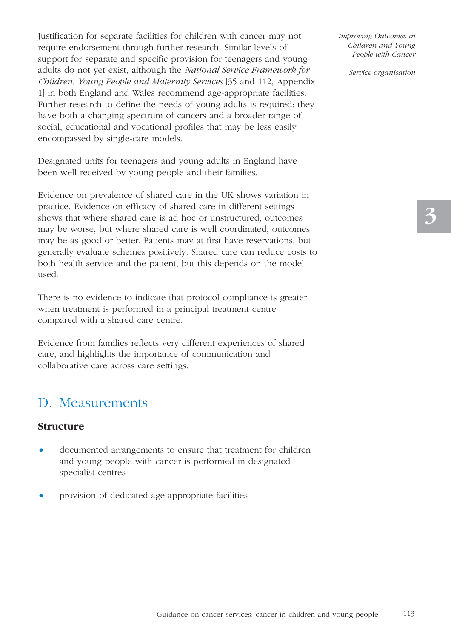Justification for separate facilities for children with cancer may not require endorsement through further research. Similar levels of support for separate and specific provision for teenagers and young adults do not yet exist, although the *National Service Framework for Children, Young People and Maternity Services* [35 and 112, Appendix 1] in both England and Wales recommend age-appropriate facilities. Further research to define the needs of young adults is required: they have both a changing spectrum of cancers and a broader range of social, educational and vocational profiles that may be less easily encompassed by single-care models.

Designated units for teenagers and young adults in England have been well received by young people and their families.

Evidence on prevalence of shared care in the UK shows variation in practice. Evidence on efficacy of shared care in different settings shows that where shared care is ad hoc or unstructured, outcomes may be worse, but where shared care is well coordinated, outcomes may be as good or better. Patients may at first have reservations, but generally evaluate schemes positively. Shared care can reduce costs to both health service and the patient, but this depends on the model used.

There is no evidence to indicate that protocol compliance is greater when treatment is performed in a principal treatment centre compared with a shared care centre.

Evidence from families reflects very different experiences of shared care, and highlights the importance of communication and collaborative care across care settings.

### D. Measurements

#### **Structure**

- documented arrangements to ensure that treatment for children and young people with cancer is performed in designated specialist centres
- provision of dedicated age-appropriate facilities

*Improving Outcomes in Children and Young People with Cancer*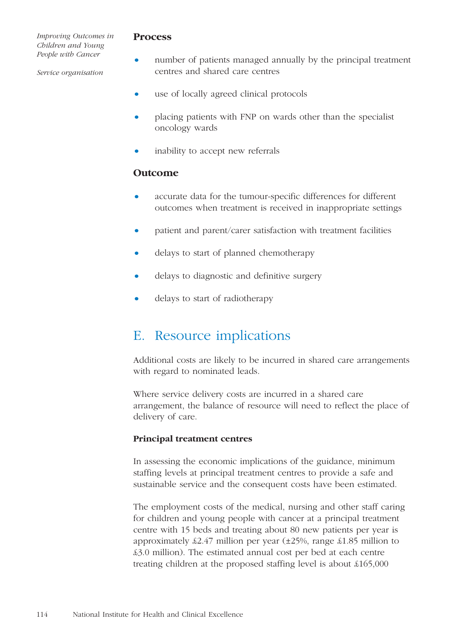#### *Service organisation*

#### **Process**

- number of patients managed annually by the principal treatment centres and shared care centres
- use of locally agreed clinical protocols
- placing patients with FNP on wards other than the specialist oncology wards
- inability to accept new referrals

#### **Outcome**

- accurate data for the tumour-specific differences for different outcomes when treatment is received in inappropriate settings
- patient and parent/carer satisfaction with treatment facilities
- delays to start of planned chemotherapy
- delays to diagnostic and definitive surgery
- delays to start of radiotherapy

# E. Resource implications

Additional costs are likely to be incurred in shared care arrangements with regard to nominated leads.

Where service delivery costs are incurred in a shared care arrangement, the balance of resource will need to reflect the place of delivery of care.

#### **Principal treatment centres**

In assessing the economic implications of the guidance, minimum staffing levels at principal treatment centres to provide a safe and sustainable service and the consequent costs have been estimated.

The employment costs of the medical, nursing and other staff caring for children and young people with cancer at a principal treatment centre with 15 beds and treating about 80 new patients per year is approximately  $\text{\&}2.47$  million per year ( $\pm 25\%$ , range  $\text{\&}1.85$  million to £3.0 million). The estimated annual cost per bed at each centre treating children at the proposed staffing level is about £165,000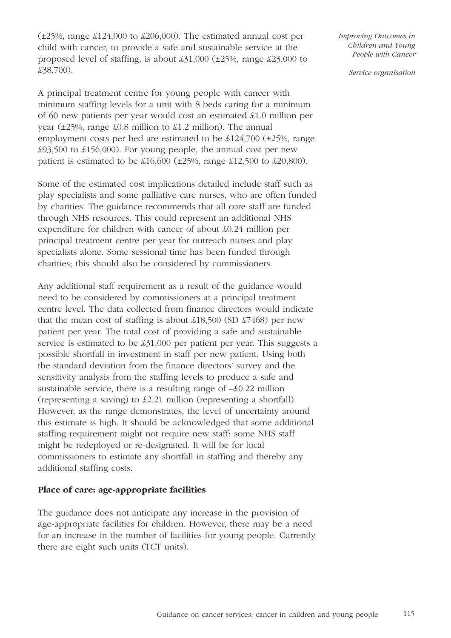$(\pm 25\%$ , range  $\text{\pounds}124,000$  to  $\text{\pounds}206,000$ . The estimated annual cost per child with cancer, to provide a safe and sustainable service at the proposed level of staffing, is about £31,000 (±25%, range £23,000 to £38,700).

A principal treatment centre for young people with cancer with minimum staffing levels for a unit with 8 beds caring for a minimum of 60 new patients per year would cost an estimated £1.0 million per year  $(\pm 25\%$ , range  $\pounds 0.8$  million to  $\pounds 1.2$  million). The annual employment costs per bed are estimated to be £124,700 (±25%, range £93,500 to £156,000). For young people, the annual cost per new patient is estimated to be  $\text{\pounds}16,600$  ( $\pm 25\%$ , range  $\text{\pounds}12,500$  to  $\text{\pounds}20,800$ ).

Some of the estimated cost implications detailed include staff such as play specialists and some palliative care nurses, who are often funded by charities. The guidance recommends that all core staff are funded through NHS resources. This could represent an additional NHS expenditure for children with cancer of about £0.24 million per principal treatment centre per year for outreach nurses and play specialists alone. Some sessional time has been funded through charities; this should also be considered by commissioners.

Any additional staff requirement as a result of the guidance would need to be considered by commissioners at a principal treatment centre level. The data collected from finance directors would indicate that the mean cost of staffing is about  $\pounds18,500$  (SD  $\pounds7468$ ) per new patient per year. The total cost of providing a safe and sustainable service is estimated to be £31,000 per patient per year. This suggests a possible shortfall in investment in staff per new patient. Using both the standard deviation from the finance directors' survey and the sensitivity analysis from the staffing levels to produce a safe and sustainable service, there is a resulting range of –£0.22 million (representing a saving) to £2.21 million (representing a shortfall). However, as the range demonstrates, the level of uncertainty around this estimate is high. It should be acknowledged that some additional staffing requirement might not require new staff: some NHS staff might be redeployed or re-designated. It will be for local commissioners to estimate any shortfall in staffing and thereby any additional staffing costs.

#### **Place of care: age-appropriate facilities**

The guidance does not anticipate any increase in the provision of age-appropriate facilities for children. However, there may be a need for an increase in the number of facilities for young people. Currently there are eight such units (TCT units).

*Improving Outcomes in Children and Young People with Cancer*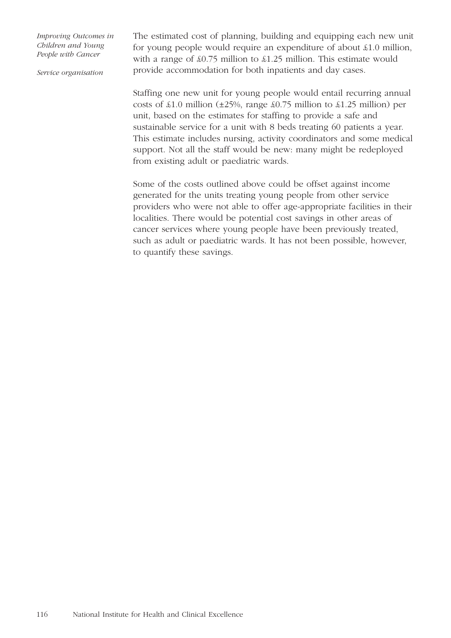*Service organisation*

The estimated cost of planning, building and equipping each new unit for young people would require an expenditure of about £1.0 million, with a range of  $\text{\&}0.75$  million to  $\text{\&}1.25$  million. This estimate would provide accommodation for both inpatients and day cases.

Staffing one new unit for young people would entail recurring annual costs of  $\pounds1.0$  million ( $\pm 25\%$ , range  $\pounds0.75$  million to  $\pounds1.25$  million) per unit, based on the estimates for staffing to provide a safe and sustainable service for a unit with 8 beds treating 60 patients a year. This estimate includes nursing, activity coordinators and some medical support. Not all the staff would be new: many might be redeployed from existing adult or paediatric wards.

Some of the costs outlined above could be offset against income generated for the units treating young people from other service providers who were not able to offer age-appropriate facilities in their localities. There would be potential cost savings in other areas of cancer services where young people have been previously treated, such as adult or paediatric wards. It has not been possible, however, to quantify these savings.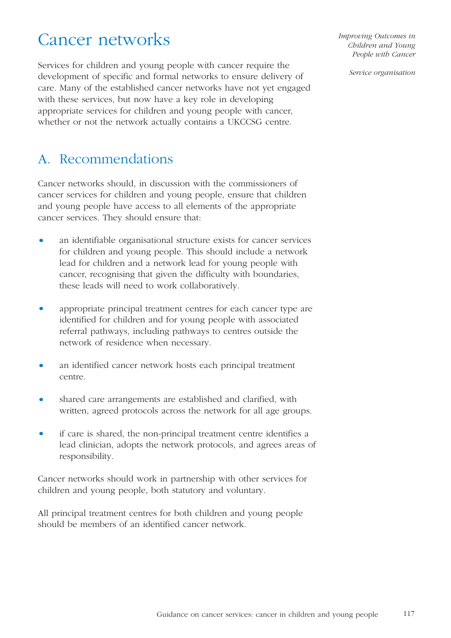# Cancer networks

Services for children and young people with cancer require the development of specific and formal networks to ensure delivery of care. Many of the established cancer networks have not yet engaged with these services, but now have a key role in developing appropriate services for children and young people with cancer, whether or not the network actually contains a UKCCSG centre.

A. Recommendations

Cancer networks should, in discussion with the commissioners of cancer services for children and young people, ensure that children and young people have access to all elements of the appropriate cancer services. They should ensure that:

- an identifiable organisational structure exists for cancer services for children and young people. This should include a network lead for children and a network lead for young people with cancer, recognising that given the difficulty with boundaries, these leads will need to work collaboratively.
- appropriate principal treatment centres for each cancer type are identified for children and for young people with associated referral pathways, including pathways to centres outside the network of residence when necessary.
- an identified cancer network hosts each principal treatment centre.
- shared care arrangements are established and clarified, with written, agreed protocols across the network for all age groups.
- if care is shared, the non-principal treatment centre identifies a lead clinician, adopts the network protocols, and agrees areas of responsibility.

Cancer networks should work in partnership with other services for children and young people, both statutory and voluntary.

All principal treatment centres for both children and young people should be members of an identified cancer network.

*Improving Outcomes in Children and Young People with Cancer*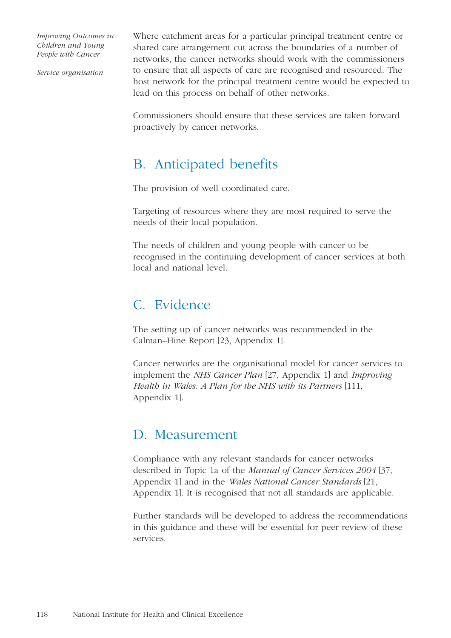*Service organisation*

Where catchment areas for a particular principal treatment centre or shared care arrangement cut across the boundaries of a number of networks, the cancer networks should work with the commissioners to ensure that all aspects of care are recognised and resourced. The host network for the principal treatment centre would be expected to lead on this process on behalf of other networks.

Commissioners should ensure that these services are taken forward proactively by cancer networks.

# B. Anticipated benefits

The provision of well coordinated care.

Targeting of resources where they are most required to serve the needs of their local population.

The needs of children and young people with cancer to be recognised in the continuing development of cancer services at both local and national level.

# C. Evidence

The setting up of cancer networks was recommended in the Calman–Hine Report [23, Appendix 1].

Cancer networks are the organisational model for cancer services to implement the *NHS Cancer Plan* [27, Appendix 1] and *Improving Health in Wales: A Plan for the NHS with its Partners* [111, Appendix 1].

# D. Measurement

Compliance with any relevant standards for cancer networks described in Topic 1a of the *Manual of Cancer Services 2004* [37, Appendix 1] and in the *Wales National Cancer Standards* [21, Appendix 1]. It is recognised that not all standards are applicable.

Further standards will be developed to address the recommendations in this guidance and these will be essential for peer review of these services.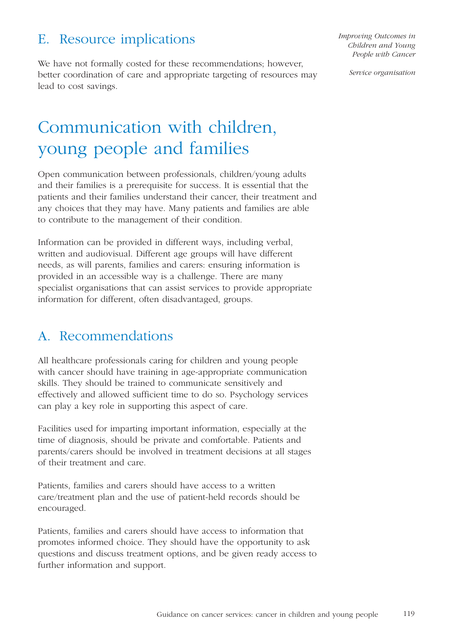# E. Resource implications

We have not formally costed for these recommendations; however, better coordination of care and appropriate targeting of resources may lead to cost savings.

*Improving Outcomes in Children and Young People with Cancer* 

*Service organisation*

# Communication with children, young people and families

Open communication between professionals, children/young adults and their families is a prerequisite for success. It is essential that the patients and their families understand their cancer, their treatment and any choices that they may have. Many patients and families are able to contribute to the management of their condition.

Information can be provided in different ways, including verbal, written and audiovisual. Different age groups will have different needs, as will parents, families and carers: ensuring information is provided in an accessible way is a challenge. There are many specialist organisations that can assist services to provide appropriate information for different, often disadvantaged, groups.

## A. Recommendations

All healthcare professionals caring for children and young people with cancer should have training in age-appropriate communication skills. They should be trained to communicate sensitively and effectively and allowed sufficient time to do so. Psychology services can play a key role in supporting this aspect of care.

Facilities used for imparting important information, especially at the time of diagnosis, should be private and comfortable. Patients and parents/carers should be involved in treatment decisions at all stages of their treatment and care.

Patients, families and carers should have access to a written care/treatment plan and the use of patient-held records should be encouraged.

Patients, families and carers should have access to information that promotes informed choice. They should have the opportunity to ask questions and discuss treatment options, and be given ready access to further information and support.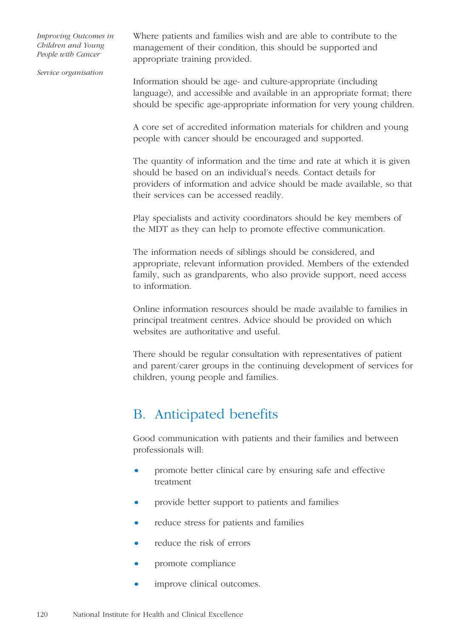Where patients and families wish and are able to contribute to the management of their condition, this should be supported and appropriate training provided.

*Service organisation*

Information should be age- and culture-appropriate (including language), and accessible and available in an appropriate format; there should be specific age-appropriate information for very young children.

A core set of accredited information materials for children and young people with cancer should be encouraged and supported.

The quantity of information and the time and rate at which it is given should be based on an individual's needs. Contact details for providers of information and advice should be made available, so that their services can be accessed readily.

Play specialists and activity coordinators should be key members of the MDT as they can help to promote effective communication.

The information needs of siblings should be considered, and appropriate, relevant information provided. Members of the extended family, such as grandparents, who also provide support, need access to information.

Online information resources should be made available to families in principal treatment centres. Advice should be provided on which websites are authoritative and useful.

There should be regular consultation with representatives of patient and parent/carer groups in the continuing development of services for children, young people and families.

# B. Anticipated benefits

Good communication with patients and their families and between professionals will:

- promote better clinical care by ensuring safe and effective treatment
- provide better support to patients and families
- reduce stress for patients and families
- reduce the risk of errors
- promote compliance
- improve clinical outcomes.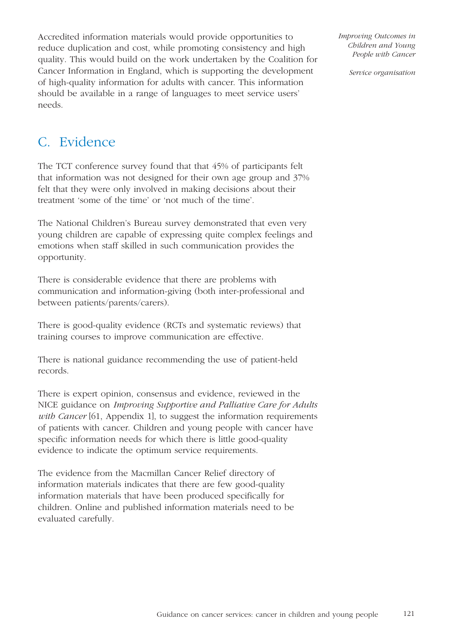Accredited information materials would provide opportunities to reduce duplication and cost, while promoting consistency and high quality. This would build on the work undertaken by the Coalition for Cancer Information in England, which is supporting the development of high-quality information for adults with cancer. This information should be available in a range of languages to meet service users' needs.

*Improving Outcomes in Children and Young People with Cancer* 

*Service organisation*

# C. Evidence

The TCT conference survey found that that 45% of participants felt that information was not designed for their own age group and 37% felt that they were only involved in making decisions about their treatment 'some of the time' or 'not much of the time'.

The National Children's Bureau survey demonstrated that even very young children are capable of expressing quite complex feelings and emotions when staff skilled in such communication provides the opportunity.

There is considerable evidence that there are problems with communication and information-giving (both inter-professional and between patients/parents/carers).

There is good-quality evidence (RCTs and systematic reviews) that training courses to improve communication are effective.

There is national guidance recommending the use of patient-held records.

There is expert opinion, consensus and evidence, reviewed in the NICE guidance on *Improving Supportive and Palliative Care for Adults with Cancer* [61, Appendix 1], to suggest the information requirements of patients with cancer. Children and young people with cancer have specific information needs for which there is little good-quality evidence to indicate the optimum service requirements.

The evidence from the Macmillan Cancer Relief directory of information materials indicates that there are few good-quality information materials that have been produced specifically for children. Online and published information materials need to be evaluated carefully.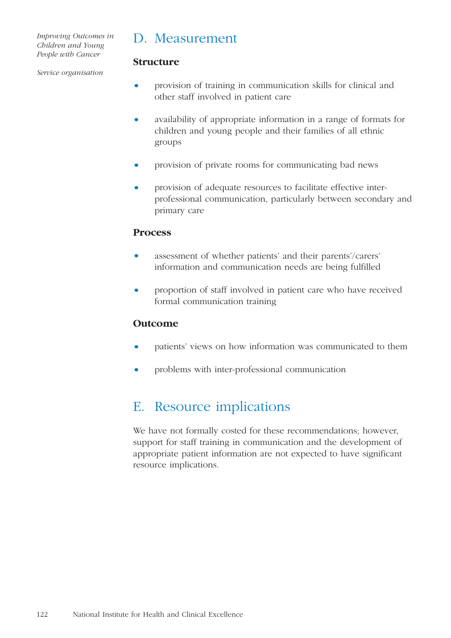### D. Measurement

#### *Service organisation*

#### **Structure**

- provision of training in communication skills for clinical and other staff involved in patient care
- availability of appropriate information in a range of formats for children and young people and their families of all ethnic groups
- provision of private rooms for communicating bad news
- provision of adequate resources to facilitate effective interprofessional communication, particularly between secondary and primary care

#### **Process**

- assessment of whether patients' and their parents'/carers' information and communication needs are being fulfilled
- proportion of staff involved in patient care who have received formal communication training

#### **Outcome**

- patients' views on how information was communicated to them
- problems with inter-professional communication

## E. Resource implications

We have not formally costed for these recommendations; however, support for staff training in communication and the development of appropriate patient information are not expected to have significant resource implications.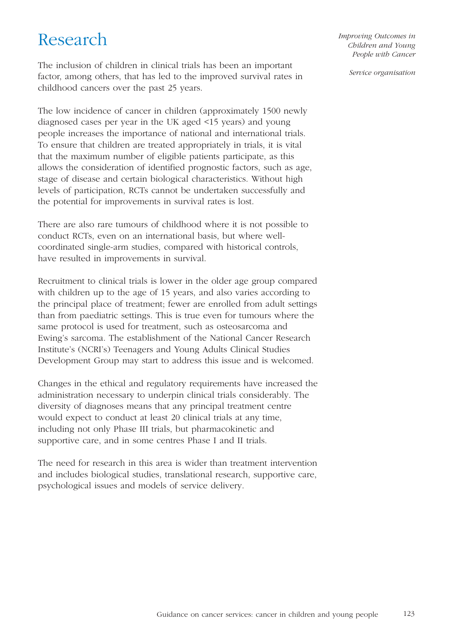# Research

The inclusion of children in clinical trials has been an important factor, among others, that has led to the improved survival rates in childhood cancers over the past 25 years.

The low incidence of cancer in children (approximately 1500 newly diagnosed cases per year in the UK aged <15 years) and young people increases the importance of national and international trials. To ensure that children are treated appropriately in trials, it is vital that the maximum number of eligible patients participate, as this allows the consideration of identified prognostic factors, such as age, stage of disease and certain biological characteristics. Without high levels of participation, RCTs cannot be undertaken successfully and the potential for improvements in survival rates is lost.

There are also rare tumours of childhood where it is not possible to conduct RCTs, even on an international basis, but where wellcoordinated single-arm studies, compared with historical controls, have resulted in improvements in survival.

Recruitment to clinical trials is lower in the older age group compared with children up to the age of 15 years, and also varies according to the principal place of treatment; fewer are enrolled from adult settings than from paediatric settings. This is true even for tumours where the same protocol is used for treatment, such as osteosarcoma and Ewing's sarcoma. The establishment of the National Cancer Research Institute's (NCRI's) Teenagers and Young Adults Clinical Studies Development Group may start to address this issue and is welcomed.

Changes in the ethical and regulatory requirements have increased the administration necessary to underpin clinical trials considerably. The diversity of diagnoses means that any principal treatment centre would expect to conduct at least 20 clinical trials at any time, including not only Phase III trials, but pharmacokinetic and supportive care, and in some centres Phase I and II trials.

The need for research in this area is wider than treatment intervention and includes biological studies, translational research, supportive care, psychological issues and models of service delivery.

*Improving Outcomes in Children and Young People with Cancer*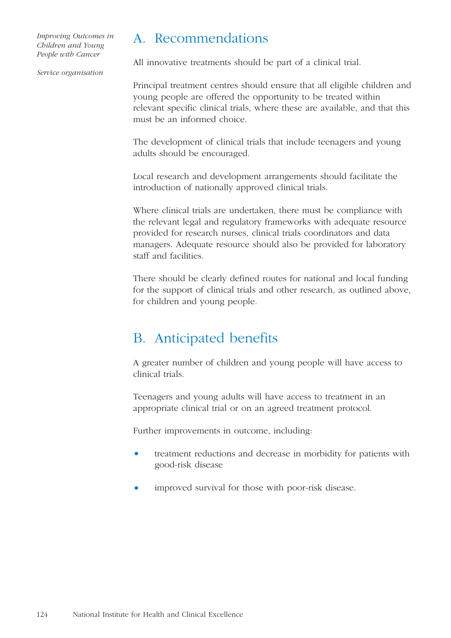#### *Service organisation*

### A. Recommendations

All innovative treatments should be part of a clinical trial.

Principal treatment centres should ensure that all eligible children and young people are offered the opportunity to be treated within relevant specific clinical trials, where these are available, and that this must be an informed choice.

The development of clinical trials that include teenagers and young adults should be encouraged.

Local research and development arrangements should facilitate the introduction of nationally approved clinical trials.

Where clinical trials are undertaken, there must be compliance with the relevant legal and regulatory frameworks with adequate resource provided for research nurses, clinical trials coordinators and data managers. Adequate resource should also be provided for laboratory staff and facilities.

There should be clearly defined routes for national and local funding for the support of clinical trials and other research, as outlined above, for children and young people.

## B. Anticipated benefits

A greater number of children and young people will have access to clinical trials.

Teenagers and young adults will have access to treatment in an appropriate clinical trial or on an agreed treatment protocol.

Further improvements in outcome, including:

- treatment reductions and decrease in morbidity for patients with good-risk disease
- improved survival for those with poor-risk disease.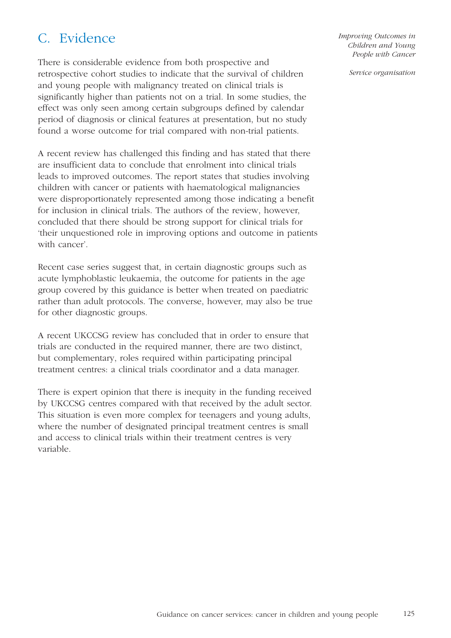# C. Evidence

There is considerable evidence from both prospective and retrospective cohort studies to indicate that the survival of children and young people with malignancy treated on clinical trials is significantly higher than patients not on a trial. In some studies, the effect was only seen among certain subgroups defined by calendar period of diagnosis or clinical features at presentation, but no study found a worse outcome for trial compared with non-trial patients.

A recent review has challenged this finding and has stated that there are insufficient data to conclude that enrolment into clinical trials leads to improved outcomes. The report states that studies involving children with cancer or patients with haematological malignancies were disproportionately represented among those indicating a benefit for inclusion in clinical trials. The authors of the review, however, concluded that there should be strong support for clinical trials for 'their unquestioned role in improving options and outcome in patients with cancer'.

Recent case series suggest that, in certain diagnostic groups such as acute lymphoblastic leukaemia, the outcome for patients in the age group covered by this guidance is better when treated on paediatric rather than adult protocols. The converse, however, may also be true for other diagnostic groups.

A recent UKCCSG review has concluded that in order to ensure that trials are conducted in the required manner, there are two distinct, but complementary, roles required within participating principal treatment centres: a clinical trials coordinator and a data manager.

There is expert opinion that there is inequity in the funding received by UKCCSG centres compared with that received by the adult sector. This situation is even more complex for teenagers and young adults, where the number of designated principal treatment centres is small and access to clinical trials within their treatment centres is very variable.

*Improving Outcomes in Children and Young People with Cancer*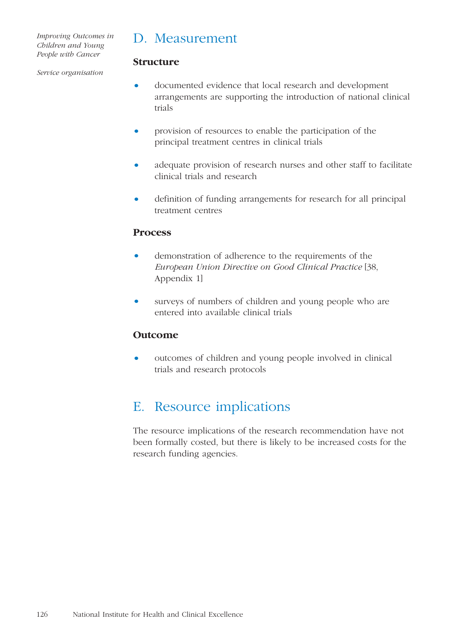### D. Measurement

**Structure**

#### *Service organisation*

- 
- documented evidence that local research and development arrangements are supporting the introduction of national clinical trials
- provision of resources to enable the participation of the principal treatment centres in clinical trials
- adequate provision of research nurses and other staff to facilitate clinical trials and research
- definition of funding arrangements for research for all principal treatment centres

#### **Process**

- demonstration of adherence to the requirements of the *European Union Directive on Good Clinical Practice* [38, Appendix 1]
- surveys of numbers of children and young people who are entered into available clinical trials

#### **Outcome**

• outcomes of children and young people involved in clinical trials and research protocols

## E. Resource implications

The resource implications of the research recommendation have not been formally costed, but there is likely to be increased costs for the research funding agencies.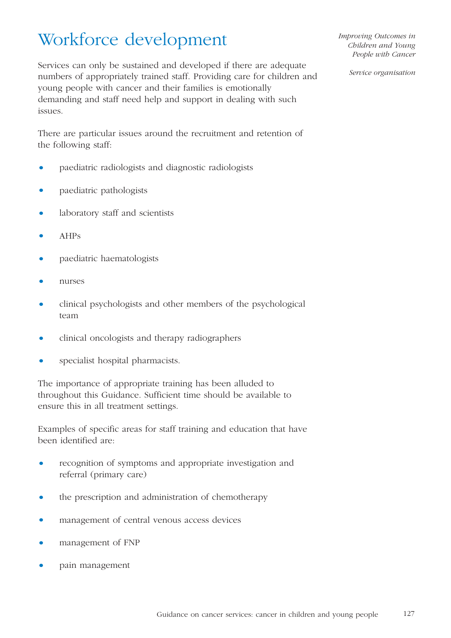# Workforce development

Services can only be sustained and developed if there are adequate numbers of appropriately trained staff. Providing care for children and young people with cancer and their families is emotionally demanding and staff need help and support in dealing with such issues.

There are particular issues around the recruitment and retention of the following staff:

- paediatric radiologists and diagnostic radiologists
- paediatric pathologists
- laboratory staff and scientists
- AHPs
- paediatric haematologists
- nurses
- clinical psychologists and other members of the psychological team
- clinical oncologists and therapy radiographers
- specialist hospital pharmacists.

The importance of appropriate training has been alluded to throughout this Guidance. Sufficient time should be available to ensure this in all treatment settings.

Examples of specific areas for staff training and education that have been identified are:

- recognition of symptoms and appropriate investigation and referral (primary care)
- the prescription and administration of chemotherapy
- management of central venous access devices
- management of FNP
- pain management

*Improving Outcomes in Children and Young People with Cancer*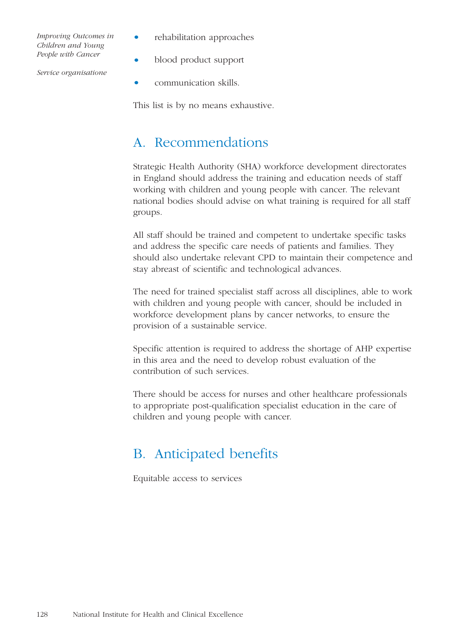- rehabilitation approaches
- blood product support
- communication skills.

This list is by no means exhaustive.

## A. Recommendations

Strategic Health Authority (SHA) workforce development directorates in England should address the training and education needs of staff working with children and young people with cancer. The relevant national bodies should advise on what training is required for all staff groups.

All staff should be trained and competent to undertake specific tasks and address the specific care needs of patients and families. They should also undertake relevant CPD to maintain their competence and stay abreast of scientific and technological advances.

The need for trained specialist staff across all disciplines, able to work with children and young people with cancer, should be included in workforce development plans by cancer networks, to ensure the provision of a sustainable service.

Specific attention is required to address the shortage of AHP expertise in this area and the need to develop robust evaluation of the contribution of such services.

There should be access for nurses and other healthcare professionals to appropriate post-qualification specialist education in the care of children and young people with cancer.

# B. Anticipated benefits

Equitable access to services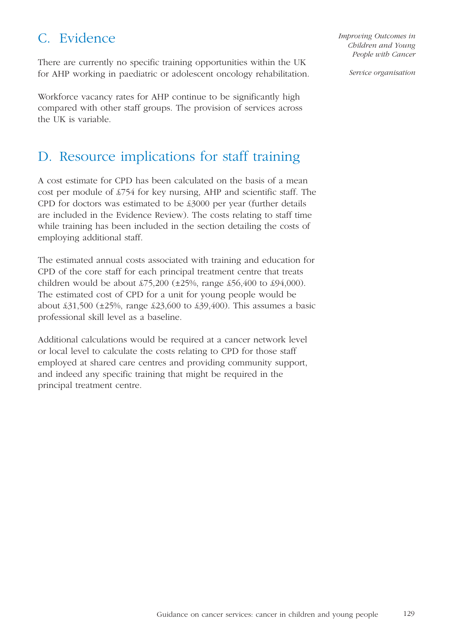# C. Evidence

There are currently no specific training opportunities within the UK for AHP working in paediatric or adolescent oncology rehabilitation.

Workforce vacancy rates for AHP continue to be significantly high compared with other staff groups. The provision of services across the UK is variable.

# D. Resource implications for staff training

A cost estimate for CPD has been calculated on the basis of a mean cost per module of £754 for key nursing, AHP and scientific staff. The CPD for doctors was estimated to be £3000 per year (further details are included in the Evidence Review). The costs relating to staff time while training has been included in the section detailing the costs of employing additional staff.

The estimated annual costs associated with training and education for CPD of the core staff for each principal treatment centre that treats children would be about  $\frac{275,200}{25\%}$ , range  $\frac{256,400}{250}$  to  $\frac{294,000}{250}$ . The estimated cost of CPD for a unit for young people would be about £31,500 (±25%, range £23,600 to £39,400). This assumes a basic professional skill level as a baseline.

Additional calculations would be required at a cancer network level or local level to calculate the costs relating to CPD for those staff employed at shared care centres and providing community support, and indeed any specific training that might be required in the principal treatment centre.

*Improving Outcomes in Children and Young People with Cancer*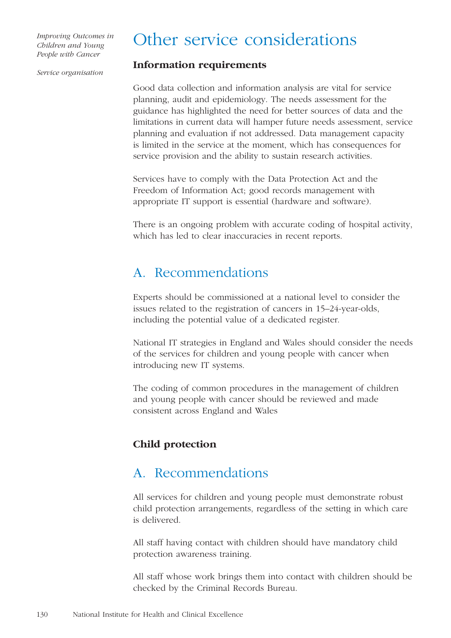# Other service considerations

*Service organisation*

#### **Information requirements**

Good data collection and information analysis are vital for service planning, audit and epidemiology. The needs assessment for the guidance has highlighted the need for better sources of data and the limitations in current data will hamper future needs assessment, service planning and evaluation if not addressed. Data management capacity is limited in the service at the moment, which has consequences for service provision and the ability to sustain research activities.

Services have to comply with the Data Protection Act and the Freedom of Information Act; good records management with appropriate IT support is essential (hardware and software).

There is an ongoing problem with accurate coding of hospital activity, which has led to clear inaccuracies in recent reports.

## A. Recommendations

Experts should be commissioned at a national level to consider the issues related to the registration of cancers in 15–24-year-olds, including the potential value of a dedicated register.

National IT strategies in England and Wales should consider the needs of the services for children and young people with cancer when introducing new IT systems.

The coding of common procedures in the management of children and young people with cancer should be reviewed and made consistent across England and Wales

#### **Child protection**

### A. Recommendations

All services for children and young people must demonstrate robust child protection arrangements, regardless of the setting in which care is delivered.

All staff having contact with children should have mandatory child protection awareness training.

All staff whose work brings them into contact with children should be checked by the Criminal Records Bureau.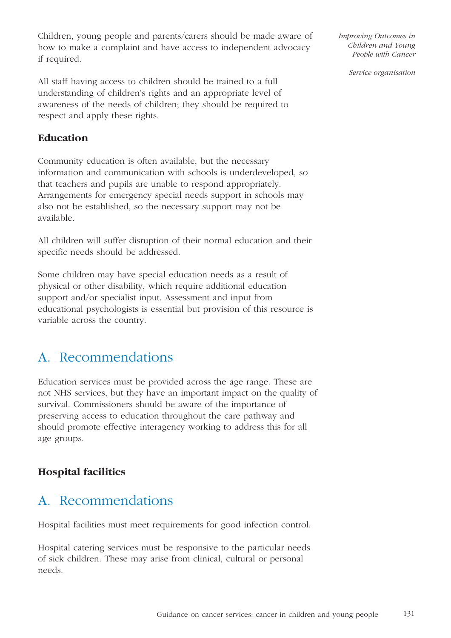Children, young people and parents/carers should be made aware of how to make a complaint and have access to independent advocacy if required.

All staff having access to children should be trained to a full understanding of children's rights and an appropriate level of awareness of the needs of children; they should be required to respect and apply these rights.

#### **Education**

Community education is often available, but the necessary information and communication with schools is underdeveloped, so that teachers and pupils are unable to respond appropriately. Arrangements for emergency special needs support in schools may also not be established, so the necessary support may not be available.

All children will suffer disruption of their normal education and their specific needs should be addressed.

Some children may have special education needs as a result of physical or other disability, which require additional education support and/or specialist input. Assessment and input from educational psychologists is essential but provision of this resource is variable across the country.

# A. Recommendations

Education services must be provided across the age range. These are not NHS services, but they have an important impact on the quality of survival. Commissioners should be aware of the importance of preserving access to education throughout the care pathway and should promote effective interagency working to address this for all age groups.

#### **Hospital facilities**

# A. Recommendations

Hospital facilities must meet requirements for good infection control.

Hospital catering services must be responsive to the particular needs of sick children. These may arise from clinical, cultural or personal needs.

*Improving Outcomes in Children and Young People with Cancer*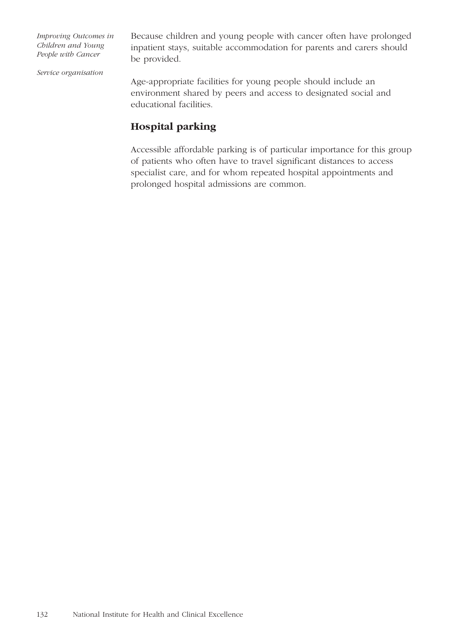Because children and young people with cancer often have prolonged inpatient stays, suitable accommodation for parents and carers should be provided.

*Service organisation*

Age-appropriate facilities for young people should include an environment shared by peers and access to designated social and educational facilities.

#### **Hospital parking**

Accessible affordable parking is of particular importance for this group of patients who often have to travel significant distances to access specialist care, and for whom repeated hospital appointments and prolonged hospital admissions are common.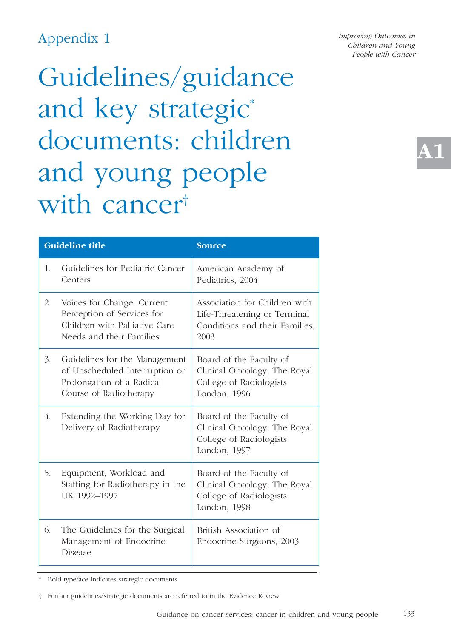# Appendix 1

Guidelines/guidance and key strategic\* documents: children and young people with cancer<sup>†</sup>

*Improving Outcomes in Children and Young People with Cancer* 

**A1**

|    | <b>Guideline title</b>                                                                                                 | <b>Source</b>                                                                                           |
|----|------------------------------------------------------------------------------------------------------------------------|---------------------------------------------------------------------------------------------------------|
| 1. | Guidelines for Pediatric Cancer<br>Centers                                                                             | American Academy of<br>Pediatrics, 2004                                                                 |
| 2. | Voices for Change. Current<br>Perception of Services for<br>Children with Palliative Care<br>Needs and their Families  | Association for Children with<br>Life-Threatening or Terminal<br>Conditions and their Families,<br>2003 |
| 3. | Guidelines for the Management<br>of Unscheduled Interruption or<br>Prolongation of a Radical<br>Course of Radiotherapy | Board of the Faculty of<br>Clinical Oncology, The Royal<br>College of Radiologists<br>London, 1996      |
| 4. | Extending the Working Day for<br>Delivery of Radiotherapy                                                              | Board of the Faculty of<br>Clinical Oncology, The Royal<br>College of Radiologists<br>London, 1997      |
| 5. | Equipment, Workload and<br>Staffing for Radiotherapy in the<br>UK 1992-1997                                            | Board of the Faculty of<br>Clinical Oncology, The Royal<br>College of Radiologists<br>London, 1998      |
| 6. | The Guidelines for the Surgical<br>Management of Endocrine<br>Disease                                                  | British Association of<br>Endocrine Surgeons, 2003                                                      |

Bold typeface indicates strategic documents

<sup>†</sup> Further guidelines/strategic documents are referred to in the Evidence Review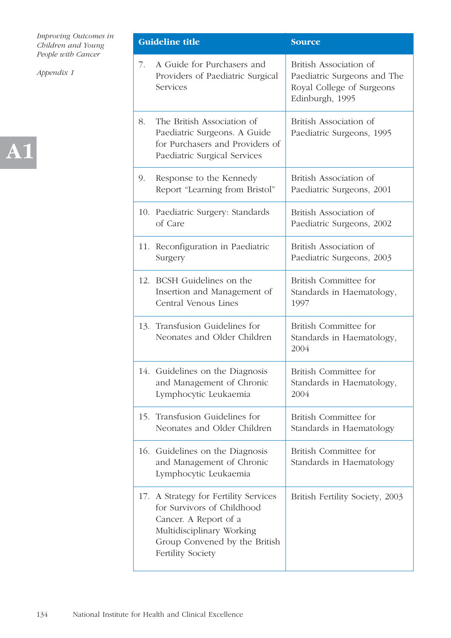

|    | <b>Guideline title</b>                                                                                                                                                                 | <b>Source</b>                                                                                         |
|----|----------------------------------------------------------------------------------------------------------------------------------------------------------------------------------------|-------------------------------------------------------------------------------------------------------|
| 7. | A Guide for Purchasers and<br>Providers of Paediatric Surgical<br>Services                                                                                                             | British Association of<br>Paediatric Surgeons and The<br>Royal College of Surgeons<br>Edinburgh, 1995 |
| 8. | The British Association of<br>Paediatric Surgeons. A Guide<br>for Purchasers and Providers of<br>Paediatric Surgical Services                                                          | British Association of<br>Paediatric Surgeons, 1995                                                   |
| 9. | Response to the Kennedy<br>Report "Learning from Bristol"                                                                                                                              | British Association of<br>Paediatric Surgeons, 2001                                                   |
|    | 10. Paediatric Surgery: Standards<br>of Care                                                                                                                                           | British Association of<br>Paediatric Surgeons, 2002                                                   |
|    | 11. Reconfiguration in Paediatric<br>Surgery                                                                                                                                           | British Association of<br>Paediatric Surgeons, 2003                                                   |
|    | 12. BCSH Guidelines on the<br>Insertion and Management of<br>Central Venous Lines                                                                                                      | British Committee for<br>Standards in Haematology,<br>1997                                            |
|    | 13. Transfusion Guidelines for<br>Neonates and Older Children                                                                                                                          | British Committee for<br>Standards in Haematology,<br>2004                                            |
|    | 14. Guidelines on the Diagnosis<br>and Management of Chronic<br>Lymphocytic Leukaemia                                                                                                  | British Committee for<br>Standards in Haematology,<br>2004                                            |
|    | 15. Transfusion Guidelines for<br>Neonates and Older Children                                                                                                                          | British Committee for<br>Standards in Haematology                                                     |
|    | 16. Guidelines on the Diagnosis<br>and Management of Chronic<br>Lymphocytic Leukaemia                                                                                                  | British Committee for<br>Standards in Haematology                                                     |
|    | 17. A Strategy for Fertility Services<br>for Survivors of Childhood<br>Cancer. A Report of a<br>Multidisciplinary Working<br>Group Convened by the British<br><b>Fertility Society</b> | British Fertility Society, 2003                                                                       |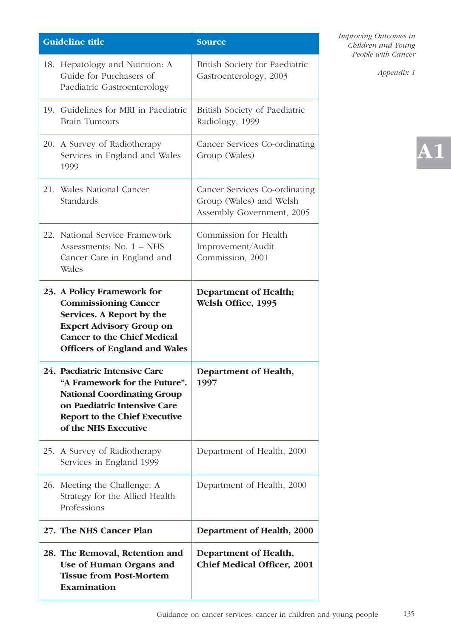| <b>Guideline title</b>                                                                                                                                                                                  | <b>Source</b>                                                                         |
|---------------------------------------------------------------------------------------------------------------------------------------------------------------------------------------------------------|---------------------------------------------------------------------------------------|
| 18. Hepatology and Nutrition: A<br>Guide for Purchasers of<br>Paediatric Gastroenterology                                                                                                               | British Society for Paediatric<br>Gastroenterology, 2003                              |
| 19. Guidelines for MRI in Paediatric<br><b>Brain Tumours</b>                                                                                                                                            | British Society of Paediatric<br>Radiology, 1999                                      |
| 20. A Survey of Radiotherapy<br>Services in England and Wales<br>1999                                                                                                                                   | Cancer Services Co-ordinating<br>Group (Wales)                                        |
| 21. Wales National Cancer<br>Standards                                                                                                                                                                  | Cancer Services Co-ordinating<br>Group (Wales) and Welsh<br>Assembly Government, 2005 |
| 22. National Service Framework                                                                                                                                                                          | Commission for Health                                                                 |
| Assessments: $No. 1 - NHS$<br>Cancer Care in England and                                                                                                                                                | Improvement/Audit<br>Commission, 2001                                                 |
| Wales                                                                                                                                                                                                   |                                                                                       |
| 23. A Policy Framework for<br><b>Commissioning Cancer</b><br>Services. A Report by the<br><b>Expert Advisory Group on</b><br><b>Cancer to the Chief Medical</b><br><b>Officers of England and Wales</b> | <b>Department of Health;</b><br>Welsh Office, 1995                                    |
| 24. Paediatric Intensive Care<br>"A Framework for the Future".<br><b>National Coordinating Group</b><br>on Paediatric Intensive Care<br><b>Report to the Chief Executive</b><br>of the NHS Executive    | Department of Health,<br>1997                                                         |
| 25. A Survey of Radiotherapy<br>Services in England 1999                                                                                                                                                | Department of Health, 2000                                                            |
| 26. Meeting the Challenge: A<br>Strategy for the Allied Health<br>Professions                                                                                                                           | Department of Health, 2000                                                            |
| 27. The NHS Cancer Plan                                                                                                                                                                                 | Department of Health, 2000                                                            |
| 28. The Removal, Retention and<br>Use of Human Organs and<br><b>Tissue from Post-Mortem</b><br><b>Examination</b>                                                                                       | Department of Health,<br><b>Chief Medical Officer, 2001</b>                           |

*Appendix 1*

# **A1**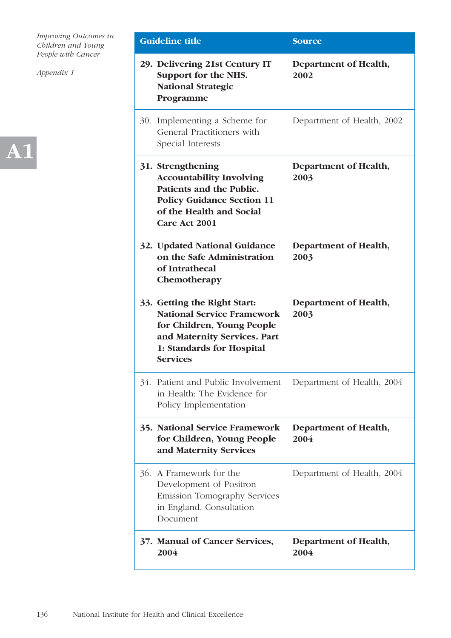

| <b>Guideline title</b>                                                                                                                                                          | <b>Source</b>                 |
|---------------------------------------------------------------------------------------------------------------------------------------------------------------------------------|-------------------------------|
| 29. Delivering 21st Century IT<br>Support for the NHS.<br><b>National Strategic</b><br>Programme                                                                                | Department of Health,<br>2002 |
| 30. Implementing a Scheme for<br>General Practitioners with<br>Special Interests                                                                                                | Department of Health, 2002    |
| 31. Strengthening<br><b>Accountability Involving</b><br>Patients and the Public.<br><b>Policy Guidance Section 11</b><br>of the Health and Social<br>Care Act 2001              | Department of Health,<br>2003 |
| 32. Updated National Guidance<br>on the Safe Administration<br>of Intrathecal<br>Chemotherapy                                                                                   | Department of Health,<br>2003 |
| 33. Getting the Right Start:<br><b>National Service Framework</b><br>for Children, Young People<br>and Maternity Services. Part<br>1: Standards for Hospital<br><b>Services</b> | Department of Health,<br>2003 |
| 34. Patient and Public Involvement<br>in Health: The Evidence for<br>Policy Implementation                                                                                      | Department of Health, 2004    |
| <b>35. National Service Framework</b><br>for Children, Young People<br>and Maternity Services                                                                                   | Department of Health,<br>2004 |
| 36. A Framework for the<br>Development of Positron<br>Emission Tomography Services<br>in England. Consultation<br>Document                                                      | Department of Health, 2004    |
| 37. Manual of Cancer Services,<br>2004                                                                                                                                          | Department of Health,<br>2004 |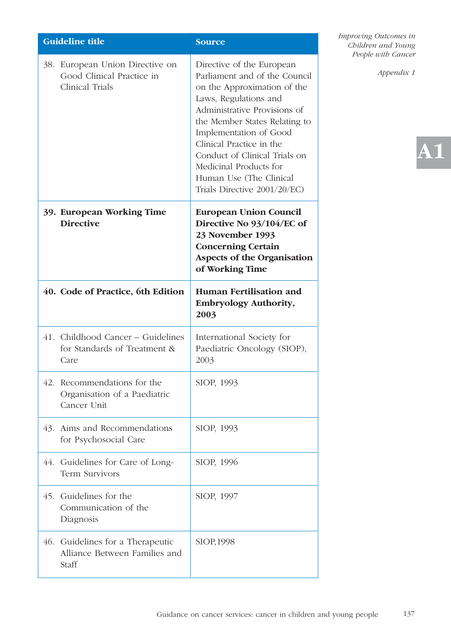| Guideline title |                                                                                 | <b>Source</b>                                                                                                                                                                                                                                                                                                                                                   |
|-----------------|---------------------------------------------------------------------------------|-----------------------------------------------------------------------------------------------------------------------------------------------------------------------------------------------------------------------------------------------------------------------------------------------------------------------------------------------------------------|
|                 | 38. European Union Directive on<br>Good Clinical Practice in<br>Clinical Trials | Directive of the European<br>Parliament and of the Council<br>on the Approximation of the<br>Laws, Regulations and<br>Administrative Provisions of<br>the Member States Relating to<br>Implementation of Good<br>Clinical Practice in the<br>Conduct of Clinical Trials on<br>Medicinal Products for<br>Human Use (The Clinical<br>Trials Directive 2001/20/EC) |
|                 | 39. European Working Time<br><b>Directive</b>                                   | <b>European Union Council</b><br>Directive No 93/104/EC of<br>23 November 1993<br><b>Concerning Certain</b><br><b>Aspects of the Organisation</b><br>of Working Time                                                                                                                                                                                            |
|                 | 40. Code of Practice, 6th Edition                                               | <b>Human Fertilisation and</b><br><b>Embryology Authority,</b><br>2003                                                                                                                                                                                                                                                                                          |
|                 | 41. Childhood Cancer – Guidelines<br>for Standards of Treatment &<br>Care       | International Society for<br>Paediatric Oncology (SIOP),<br>2003                                                                                                                                                                                                                                                                                                |
|                 | 42. Recommendations for the<br>Organisation of a Paediatric<br>Cancer Unit      | SIOP, 1993                                                                                                                                                                                                                                                                                                                                                      |
|                 | 43. Aims and Recommendations<br>for Psychosocial Care                           | SIOP, 1993                                                                                                                                                                                                                                                                                                                                                      |
|                 | 44. Guidelines for Care of Long-<br>Term Survivors                              | SIOP, 1996                                                                                                                                                                                                                                                                                                                                                      |
|                 | 45. Guidelines for the<br>Communication of the<br>Diagnosis                     | SIOP, 1997                                                                                                                                                                                                                                                                                                                                                      |
|                 | 46. Guidelines for a Therapeutic<br>Alliance Between Families and<br>Staff      | SIOP, 1998                                                                                                                                                                                                                                                                                                                                                      |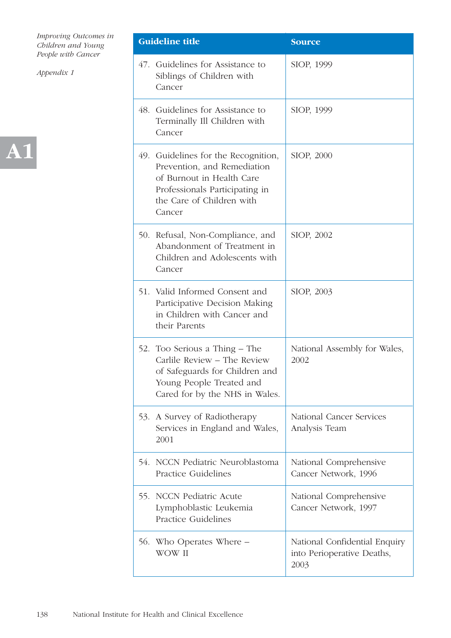

| <b>Guideline title</b>                                                                                                                                                   | <b>Source</b>                                                       |
|--------------------------------------------------------------------------------------------------------------------------------------------------------------------------|---------------------------------------------------------------------|
| 47. Guidelines for Assistance to<br>Siblings of Children with<br>Cancer                                                                                                  | SIOP, 1999                                                          |
| 48. Guidelines for Assistance to<br>Terminally Ill Children with<br>Cancer                                                                                               | SIOP, 1999                                                          |
| 49. Guidelines for the Recognition,<br>Prevention, and Remediation<br>of Burnout in Health Care<br>Professionals Participating in<br>the Care of Children with<br>Cancer | SIOP, 2000                                                          |
| 50. Refusal, Non-Compliance, and<br>Abandonment of Treatment in<br>Children and Adolescents with<br>Cancer                                                               | SIOP, 2002                                                          |
| 51. Valid Informed Consent and<br>Participative Decision Making<br>in Children with Cancer and<br>their Parents                                                          | SIOP, 2003                                                          |
| 52. Too Serious a Thing – The<br>Carlile Review - The Review<br>of Safeguards for Children and<br>Young People Treated and<br>Cared for by the NHS in Wales.             | National Assembly for Wales,<br>2002                                |
| 53. A Survey of Radiotherapy<br>Services in England and Wales,<br>2001                                                                                                   | National Cancer Services<br>Analysis Team                           |
| 54. NCCN Pediatric Neuroblastoma<br><b>Practice Guidelines</b>                                                                                                           | National Comprehensive<br>Cancer Network, 1996                      |
| 55. NCCN Pediatric Acute<br>Lymphoblastic Leukemia<br><b>Practice Guidelines</b>                                                                                         | National Comprehensive<br>Cancer Network, 1997                      |
| 56. Who Operates Where –<br>WOW II                                                                                                                                       | National Confidential Enquiry<br>into Perioperative Deaths,<br>2003 |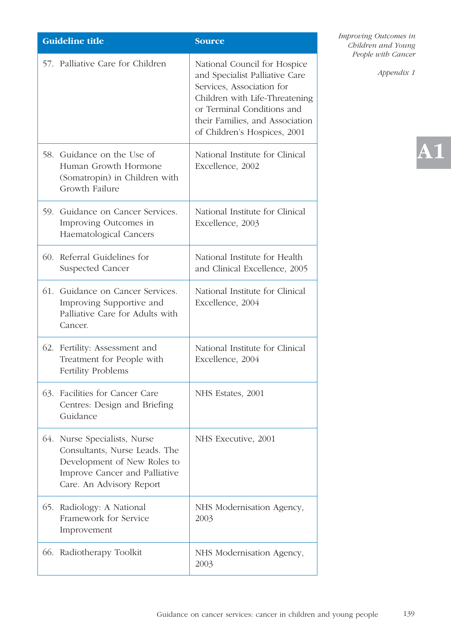| <b>Guideline title</b> |                                                                                                                                                           | <b>Source</b>                                                                                                                                                                                                                  |
|------------------------|-----------------------------------------------------------------------------------------------------------------------------------------------------------|--------------------------------------------------------------------------------------------------------------------------------------------------------------------------------------------------------------------------------|
|                        | 57. Palliative Care for Children                                                                                                                          | National Council for Hospice<br>and Specialist Palliative Care<br>Services, Association for<br>Children with Life-Threatening<br>or Terminal Conditions and<br>their Families, and Association<br>of Children's Hospices, 2001 |
|                        | 58. Guidance on the Use of<br>Human Growth Hormone<br>(Somatropin) in Children with<br>Growth Failure                                                     | National Institute for Clinical<br>Excellence, 2002                                                                                                                                                                            |
|                        | 59. Guidance on Cancer Services.<br>Improving Outcomes in<br>Haematological Cancers                                                                       | National Institute for Clinical<br>Excellence, 2003                                                                                                                                                                            |
|                        | 60. Referral Guidelines for<br>Suspected Cancer                                                                                                           | National Institute for Health<br>and Clinical Excellence, 2005                                                                                                                                                                 |
|                        | 61. Guidance on Cancer Services.<br>Improving Supportive and<br>Palliative Care for Adults with<br>Cancer.                                                | National Institute for Clinical<br>Excellence, 2004                                                                                                                                                                            |
|                        | 62. Fertility: Assessment and<br>Treatment for People with<br><b>Fertility Problems</b>                                                                   | National Institute for Clinical<br>Excellence, 2004                                                                                                                                                                            |
|                        | 63. Facilities for Cancer Care<br>Centres: Design and Briefing<br>Guidance                                                                                | NHS Estates, 2001                                                                                                                                                                                                              |
|                        | 64. Nurse Specialists, Nurse<br>Consultants, Nurse Leads. The<br>Development of New Roles to<br>Improve Cancer and Palliative<br>Care. An Advisory Report | NHS Executive, 2001                                                                                                                                                                                                            |
|                        | 65. Radiology: A National<br>Framework for Service<br>Improvement                                                                                         | NHS Modernisation Agency,<br>2003                                                                                                                                                                                              |
|                        | 66. Radiotherapy Toolkit                                                                                                                                  | NHS Modernisation Agency,<br>2003                                                                                                                                                                                              |

*Appendix 1*

**A1**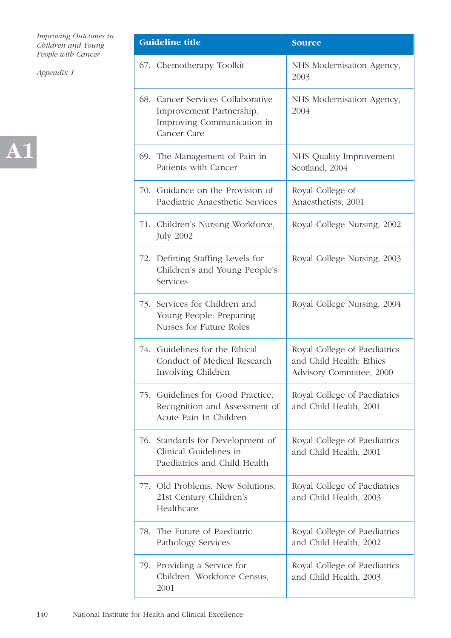

| <b>Guideline title</b>                                                                                     | <b>Source</b>                                                                        |
|------------------------------------------------------------------------------------------------------------|--------------------------------------------------------------------------------------|
| 67. Chemotherapy Toolkit                                                                                   | NHS Modernisation Agency,<br>2003                                                    |
| 68. Cancer Services Collaborative<br>Improvement Partnership.<br>Improving Communication in<br>Cancer Care | NHS Modernisation Agency,<br>2004                                                    |
| 69. The Management of Pain in<br>Patients with Cancer                                                      | NHS Quality Improvement<br>Scotland, 2004                                            |
| 70. Guidance on the Provision of<br>Paediatric Anaesthetic Services                                        | Royal College of<br>Anaesthetists, 2001                                              |
| 71. Children's Nursing Workforce,<br><b>July 2002</b>                                                      | Royal College Nursing, 2002                                                          |
| 72. Defining Staffing Levels for<br>Children's and Young People's<br>Services                              | Royal College Nursing, 2003                                                          |
| 73. Services for Children and<br>Young People: Preparing<br>Nurses for Future Roles                        | Royal College Nursing, 2004                                                          |
| 74. Guidelines for the Ethical<br>Conduct of Medical Research<br>Involving Children                        | Royal College of Paediatrics<br>and Child Health: Ethics<br>Advisory Committee, 2000 |
| 75. Guidelines for Good Practice.<br>Recognition and Assessment of<br>Acute Pain In Children               | Royal College of Paediatrics<br>and Child Health, 2001                               |
| 76. Standards for Development of<br>Clinical Guidelines in<br>Paediatrics and Child Health                 | Royal College of Paediatrics<br>and Child Health, 2001                               |
| 77. Old Problems, New Solutions.<br>21st Century Children's<br>Healthcare                                  | Royal College of Paediatrics<br>and Child Health, 2003                               |
| 78. The Future of Paediatric<br>Pathology Services                                                         | Royal College of Paediatrics<br>and Child Health, 2002                               |
| 79. Providing a Service for<br>Children. Workforce Census,<br>2001                                         | Royal College of Paediatrics<br>and Child Health, 2003                               |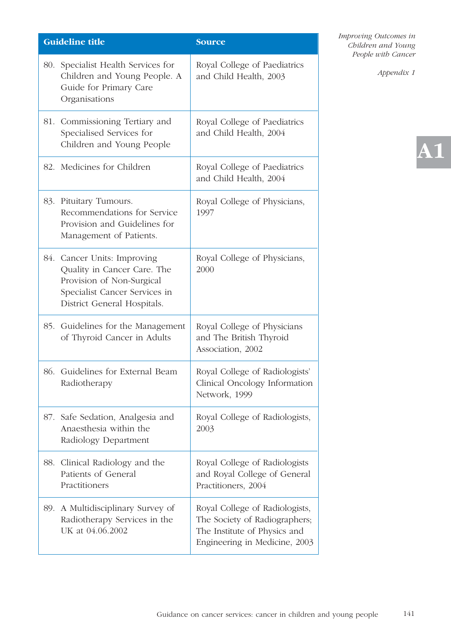|     | <b>Guideline title</b>                                                                                                                                  | <b>Source</b>                                                                                                                    |
|-----|---------------------------------------------------------------------------------------------------------------------------------------------------------|----------------------------------------------------------------------------------------------------------------------------------|
| 80. | Specialist Health Services for<br>Children and Young People. A<br>Guide for Primary Care<br>Organisations                                               | Royal College of Paediatrics<br>and Child Health, 2003                                                                           |
|     | 81. Commissioning Tertiary and<br>Specialised Services for<br>Children and Young People                                                                 | Royal College of Paediatrics<br>and Child Health, 2004                                                                           |
|     | 82. Medicines for Children                                                                                                                              | Royal College of Paediatrics<br>and Child Health, 2004                                                                           |
|     | 83. Pituitary Tumours.<br>Recommendations for Service<br>Provision and Guidelines for<br>Management of Patients.                                        | Royal College of Physicians,<br>1997                                                                                             |
|     | 84. Cancer Units: Improving<br>Quality in Cancer Care. The<br>Provision of Non-Surgical<br>Specialist Cancer Services in<br>District General Hospitals. | Royal College of Physicians,<br>2000                                                                                             |
|     | 85. Guidelines for the Management<br>of Thyroid Cancer in Adults                                                                                        | Royal College of Physicians<br>and The British Thyroid<br>Association, 2002                                                      |
|     | 86. Guidelines for External Beam<br>Radiotherapy                                                                                                        | Royal College of Radiologists'<br>Clinical Oncology Information<br>Network, 1999                                                 |
| 87. | Safe Sedation, Analgesia and<br>Anaesthesia within the<br>Radiology Department                                                                          | Royal College of Radiologists,<br>2003                                                                                           |
| 88. | Clinical Radiology and the<br>Patients of General<br>Practitioners                                                                                      | Royal College of Radiologists<br>and Royal College of General<br>Practitioners, 2004                                             |
| 89. | A Multidisciplinary Survey of<br>Radiotherapy Services in the<br>UK at 04.06.2002                                                                       | Royal College of Radiologists,<br>The Society of Radiographers;<br>The Institute of Physics and<br>Engineering in Medicine, 2003 |

*Appendix 1*

# **A1**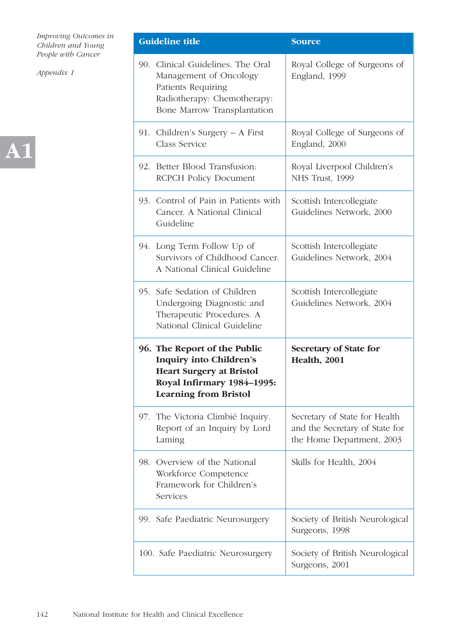

| <b>Guideline title</b>                                                                                                                                          | <b>Source</b>                                                                                |
|-----------------------------------------------------------------------------------------------------------------------------------------------------------------|----------------------------------------------------------------------------------------------|
| 90. Clinical Guidelines. The Oral<br>Management of Oncology<br>Patients Requiring<br>Radiotherapy: Chemotherapy:<br>Bone Marrow Transplantation                 | Royal College of Surgeons of<br>England, 1999                                                |
| 91. Children's Surgery – A First<br>Class Service                                                                                                               | Royal College of Surgeons of<br>England, 2000                                                |
| 92. Better Blood Transfusion:<br><b>RCPCH Policy Document</b>                                                                                                   | Royal Liverpool Children's<br>NHS Trust, 1999                                                |
| 93. Control of Pain in Patients with<br>Cancer. A National Clinical<br>Guideline                                                                                | Scottish Intercollegiate<br>Guidelines Network, 2000                                         |
| 94. Long Term Follow Up of<br>Survivors of Childhood Cancer.<br>A National Clinical Guideline                                                                   | Scottish Intercollegiate<br>Guidelines Network, 2004                                         |
| 95. Safe Sedation of Children<br>Undergoing Diagnostic and<br>Therapeutic Procedures. A<br>National Clinical Guideline                                          | Scottish Intercollegiate<br>Guidelines Network, 2004                                         |
| 96. The Report of the Public<br><b>Inquiry into Children's</b><br><b>Heart Surgery at Bristol</b><br>Royal Infirmary 1984-1995:<br><b>Learning from Bristol</b> | <b>Secretary of State for</b><br><b>Health, 2001</b>                                         |
| 97. The Victoria Climbié Inquiry.<br>Report of an Inquiry by Lord<br>Laming                                                                                     | Secretary of State for Health<br>and the Secretary of State for<br>the Home Department, 2003 |
| 98. Overview of the National<br>Workforce Competence<br>Framework for Children's<br><b>Services</b>                                                             | Skills for Health, 2004                                                                      |
| 99. Safe Paediatric Neurosurgery                                                                                                                                | Society of British Neurological<br>Surgeons, 1998                                            |
| 100. Safe Paediatric Neurosurgery                                                                                                                               | Society of British Neurological<br>Surgeons, 2001                                            |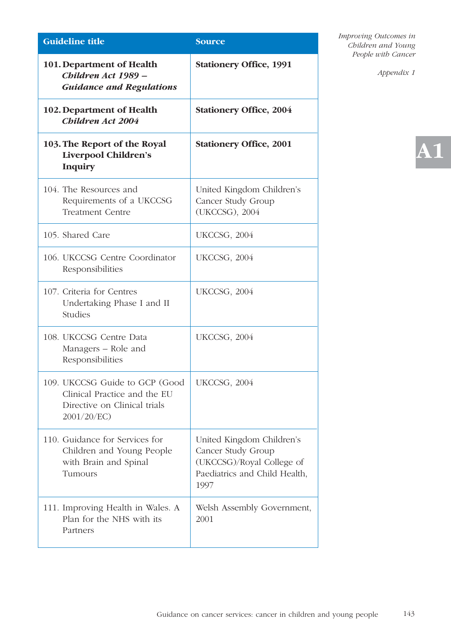| <b>Guideline title</b>                                                                                       | <b>Source</b>                                                                                                         |  |
|--------------------------------------------------------------------------------------------------------------|-----------------------------------------------------------------------------------------------------------------------|--|
| 101. Department of Health<br>Children Act 1989 -<br><b>Guidance and Regulations</b>                          | <b>Stationery Office, 1991</b>                                                                                        |  |
| 102. Department of Health<br><b>Children Act 2004</b>                                                        | <b>Stationery Office, 2004</b>                                                                                        |  |
| 103. The Report of the Royal<br>Liverpool Children's<br><b>Inquiry</b>                                       | <b>Stationery Office, 2001</b>                                                                                        |  |
| 104. The Resources and<br>Requirements of a UKCCSG<br><b>Treatment Centre</b>                                | United Kingdom Children's<br>Cancer Study Group<br>(UKCCSG), 2004                                                     |  |
| 105. Shared Care                                                                                             | <b>UKCCSG, 2004</b>                                                                                                   |  |
| 106. UKCCSG Centre Coordinator<br>Responsibilities                                                           | <b>UKCCSG, 2004</b>                                                                                                   |  |
| 107. Criteria for Centres<br>Undertaking Phase I and II<br><b>Studies</b>                                    | UKCCSG, 2004                                                                                                          |  |
| 108. UKCCSG Centre Data<br>Managers – Role and<br>Responsibilities                                           | UKCCSG, 2004                                                                                                          |  |
| 109. UKCCSG Guide to GCP (Good<br>Clinical Practice and the EU<br>Directive on Clinical trials<br>2001/20/EC | <b>UKCCSG, 2004</b>                                                                                                   |  |
| 110. Guidance for Services for<br>Children and Young People<br>with Brain and Spinal<br>Tumours              | United Kingdom Children's<br>Cancer Study Group<br>(UKCCSG)/Royal College of<br>Paediatrics and Child Health,<br>1997 |  |
| 111. Improving Health in Wales. A<br>Plan for the NHS with its<br>Partners                                   | Welsh Assembly Government,<br>2001                                                                                    |  |

*Appendix 1*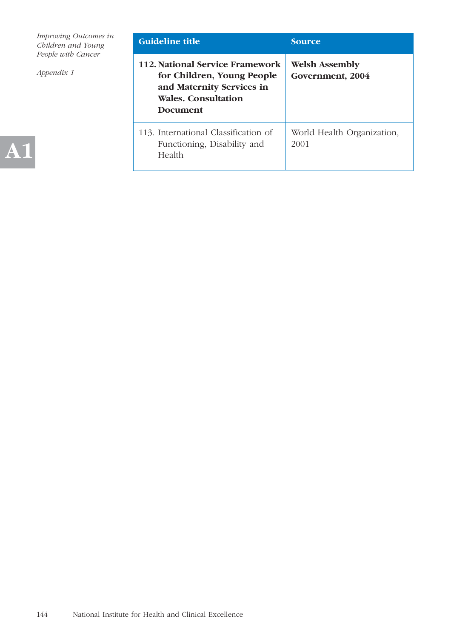| Improving Outcomes in<br>Children and Young | <b>Guideline title</b>                                                                                                                      | <b>Source</b>                             |
|---------------------------------------------|---------------------------------------------------------------------------------------------------------------------------------------------|-------------------------------------------|
| People with Cancer<br>Appendix 1            | 112. National Service Framework<br>for Children, Young People<br>and Maternity Services in<br><b>Wales. Consultation</b><br><b>Document</b> | <b>Welsh Assembly</b><br>Government, 2004 |
|                                             | 113. International Classification of<br>Functioning, Disability and<br><b>Health</b>                                                        | World Health Organization,<br>2001        |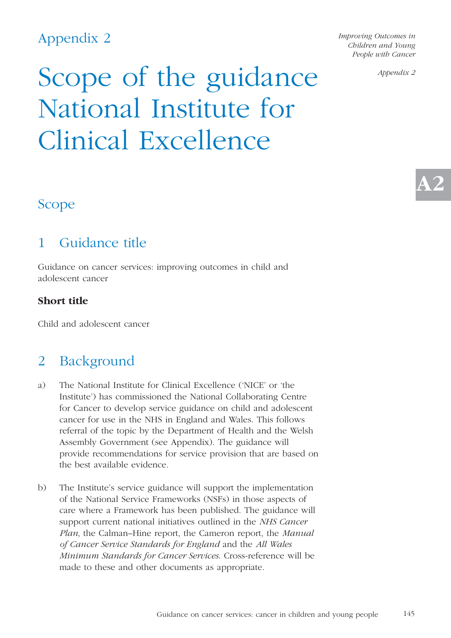*Improving Outcomes in Children and Young People with Cancer* 

*Appendix 2*

**A2**

## Scope of the guidance National Institute for Clinical Excellence

### Scope

### 1 Guidance title

Guidance on cancer services: improving outcomes in child and adolescent cancer

#### **Short title**

Child and adolescent cancer

### 2 Background

- a) The National Institute for Clinical Excellence ('NICE' or 'the Institute') has commissioned the National Collaborating Centre for Cancer to develop service guidance on child and adolescent cancer for use in the NHS in England and Wales. This follows referral of the topic by the Department of Health and the Welsh Assembly Government (see Appendix). The guidance will provide recommendations for service provision that are based on the best available evidence.
- b) The Institute's service guidance will support the implementation of the National Service Frameworks (NSFs) in those aspects of care where a Framework has been published. The guidance will support current national initiatives outlined in the *NHS Cancer Plan*, the Calman–Hine report, the Cameron report, the *Manual of Cancer Service Standards for England* and the *All Wales Minimum Standards for Cancer Services*. Cross-reference will be made to these and other documents as appropriate.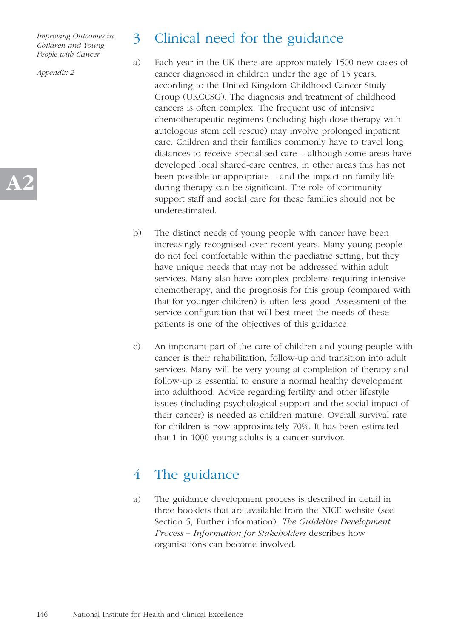*Appendix 2*

**A2**

### 3 Clinical need for the guidance

- a) Each year in the UK there are approximately 1500 new cases of cancer diagnosed in children under the age of 15 years, according to the United Kingdom Childhood Cancer Study Group (UKCCSG). The diagnosis and treatment of childhood cancers is often complex. The frequent use of intensive chemotherapeutic regimens (including high-dose therapy with autologous stem cell rescue) may involve prolonged inpatient care. Children and their families commonly have to travel long distances to receive specialised care – although some areas have developed local shared-care centres, in other areas this has not been possible or appropriate – and the impact on family life during therapy can be significant. The role of community support staff and social care for these families should not be underestimated.
- b) The distinct needs of young people with cancer have been increasingly recognised over recent years. Many young people do not feel comfortable within the paediatric setting, but they have unique needs that may not be addressed within adult services. Many also have complex problems requiring intensive chemotherapy, and the prognosis for this group (compared with that for younger children) is often less good. Assessment of the service configuration that will best meet the needs of these patients is one of the objectives of this guidance.
- c) An important part of the care of children and young people with cancer is their rehabilitation, follow-up and transition into adult services. Many will be very young at completion of therapy and follow-up is essential to ensure a normal healthy development into adulthood. Advice regarding fertility and other lifestyle issues (including psychological support and the social impact of their cancer) is needed as children mature. Overall survival rate for children is now approximately 70%. It has been estimated that 1 in 1000 young adults is a cancer survivor.

### 4 The guidance

a) The guidance development process is described in detail in three booklets that are available from the NICE website (see Section 5, Further information). *The Guideline Development Process – Information for Stakeholders* describes how organisations can become involved.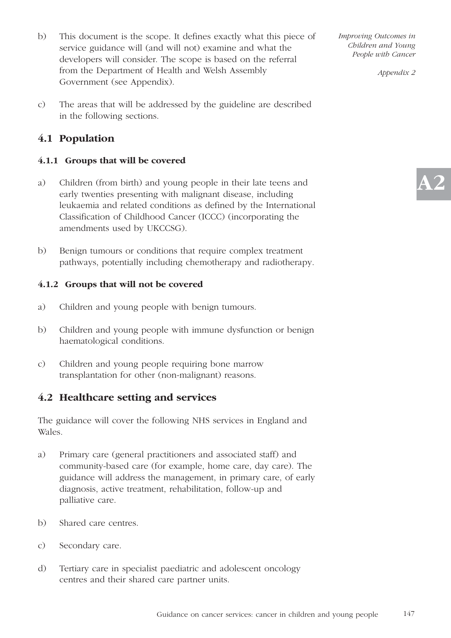- b) This document is the scope. It defines exactly what this piece of service guidance will (and will not) examine and what the developers will consider. The scope is based on the referral from the Department of Health and Welsh Assembly Government (see Appendix).
- c) The areas that will be addressed by the guideline are described in the following sections.

### **4.1 Population**

#### **4.1.1 Groups that will be covered**

- a) Children (from birth) and young people in their late teens and early twenties presenting with malignant disease, including leukaemia and related conditions as defined by the International Classification of Childhood Cancer (ICCC) (incorporating the amendments used by UKCCSG).
- b) Benign tumours or conditions that require complex treatment pathways, potentially including chemotherapy and radiotherapy.

#### **4.1.2 Groups that will not be covered**

- a) Children and young people with benign tumours.
- b) Children and young people with immune dysfunction or benign haematological conditions.
- c) Children and young people requiring bone marrow transplantation for other (non-malignant) reasons.

#### **4.2 Healthcare setting and services**

The guidance will cover the following NHS services in England and Wales.

- a) Primary care (general practitioners and associated staff) and community-based care (for example, home care, day care). The guidance will address the management, in primary care, of early diagnosis, active treatment, rehabilitation, follow-up and palliative care.
- b) Shared care centres.
- c) Secondary care.
- d) Tertiary care in specialist paediatric and adolescent oncology centres and their shared care partner units.

*Improving Outcomes in Children and Young People with Cancer* 

*Appendix 2*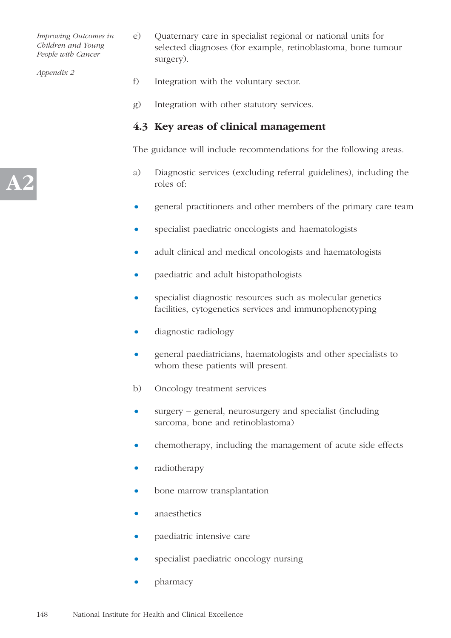*Appendix 2*

**A2**

- e) Quaternary care in specialist regional or national units for selected diagnoses (for example, retinoblastoma, bone tumour surgery).
- f) Integration with the voluntary sector.
- g) Integration with other statutory services.

#### **4.3 Key areas of clinical management**

The guidance will include recommendations for the following areas.

- a) Diagnostic services (excluding referral guidelines), including the roles of:
- general practitioners and other members of the primary care team
- specialist paediatric oncologists and haematologists
- adult clinical and medical oncologists and haematologists
- paediatric and adult histopathologists
- specialist diagnostic resources such as molecular genetics facilities, cytogenetics services and immunophenotyping
- diagnostic radiology
- general paediatricians, haematologists and other specialists to whom these patients will present.
- b) Oncology treatment services
- surgery general, neurosurgery and specialist (including sarcoma, bone and retinoblastoma)
- chemotherapy, including the management of acute side effects
- radiotherapy
- bone marrow transplantation
- anaesthetics
- paediatric intensive care
- specialist paediatric oncology nursing
- pharmacy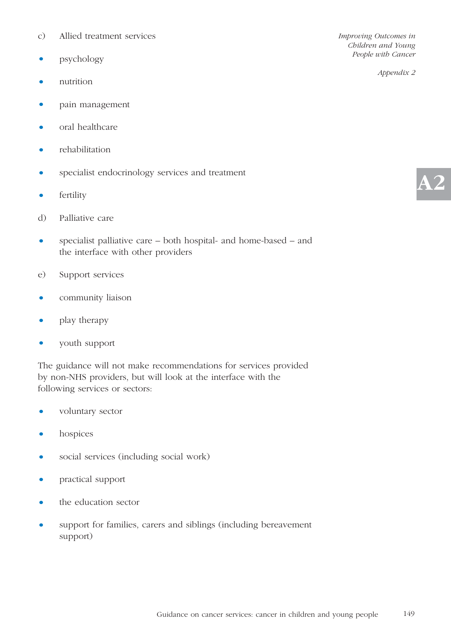- c) Allied treatment services
- psychology
- nutrition
- pain management
- oral healthcare
- rehabilitation
- specialist endocrinology services and treatment
- fertility
- d) Palliative care
- specialist palliative care both hospital- and home-based and the interface with other providers
- e) Support services
- community liaison
- play therapy
- youth support

The guidance will not make recommendations for services provided by non-NHS providers, but will look at the interface with the following services or sectors:

- voluntary sector
- hospices
- social services (including social work)
- practical support
- the education sector
- support for families, carers and siblings (including bereavement support)

*Improving Outcomes in Children and Young People with Cancer* 

*Appendix 2*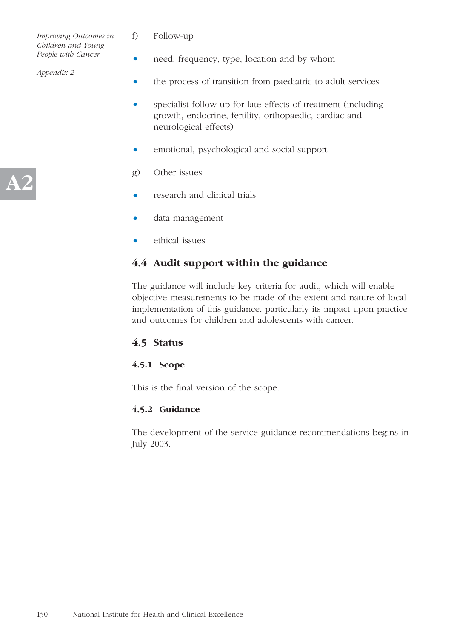- f) Follow-up
- need, frequency, type, location and by whom
- the process of transition from paediatric to adult services
- specialist follow-up for late effects of treatment (including growth, endocrine, fertility, orthopaedic, cardiac and neurological effects)
- emotional, psychological and social support
- g) Other issues
- research and clinical trials
- data management
- ethical issues

### **4.4 Audit support within the guidance**

The guidance will include key criteria for audit, which will enable objective measurements to be made of the extent and nature of local implementation of this guidance, particularly its impact upon practice and outcomes for children and adolescents with cancer.

#### **4.5 Status**

#### **4.5.1 Scope**

This is the final version of the scope.

#### **4.5.2 Guidance**

The development of the service guidance recommendations begins in July 2003.

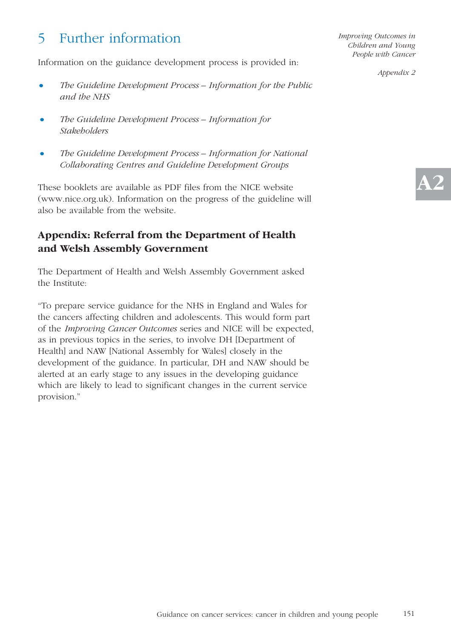## 5 Further information

Information on the guidance development process is provided in:

- *The Guideline Development Process Information for the Public and the NHS*
- *• The Guideline Development Process Information for Stakeholders*
- *• The Guideline Development Process Information for National Collaborating Centres and Guideline Development Groups*

These booklets are available as PDF files from the NICE website (www.nice.org.uk). Information on the progress of the guideline will also be available from the website.

### **Appendix: Referral from the Department of Health and Welsh Assembly Government**

The Department of Health and Welsh Assembly Government asked the Institute:

"To prepare service guidance for the NHS in England and Wales for the cancers affecting children and adolescents. This would form part of the *Improving Cancer Outcomes* series and NICE will be expected, as in previous topics in the series, to involve DH [Department of Health] and NAW [National Assembly for Wales] closely in the development of the guidance. In particular, DH and NAW should be alerted at an early stage to any issues in the developing guidance which are likely to lead to significant changes in the current service provision."

*Improving Outcomes in Children and Young People with Cancer* 

*Appendix 2*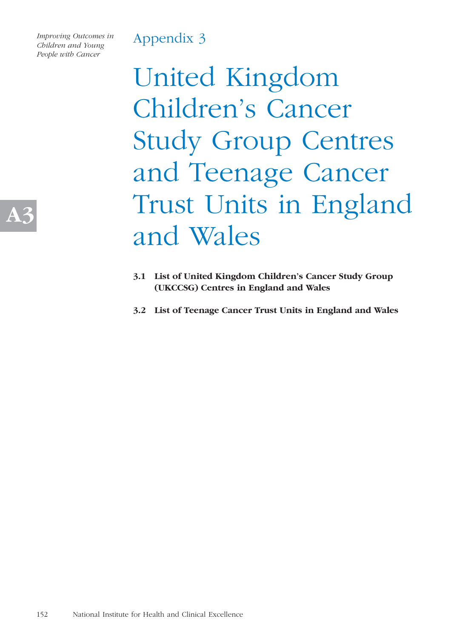*Improving Outcomes in Children and Young People with Cancer* 

> United Kingdom Children's Cancer Study Group Centres and Teenage Cancer Trust Units in England and Wales

- **3.1 List of United Kingdom Children's Cancer Study Group (UKCCSG) Centres in England and Wales**
- **3.2 List of Teenage Cancer Trust Units in England and Wales**

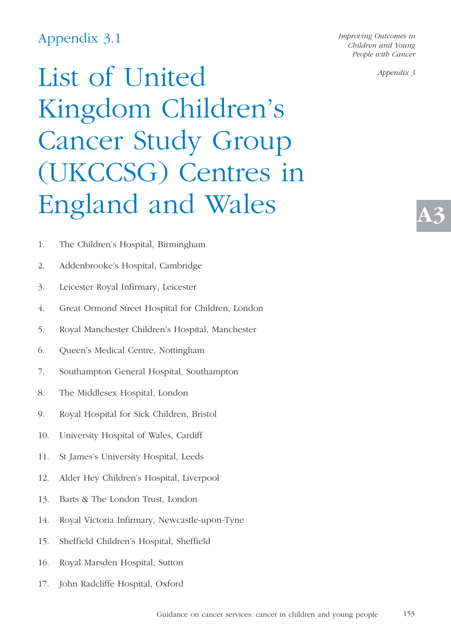### Appendix 3.1

*Improving Outcomes in Children and Young People with Cancer* 

*Appendix 3*

**A3**

# List of United Kingdom Children's Cancer Study Group (UKCCSG) Centres in England and Wales

- 1. The Children's Hospital, Birmingham
- 2. Addenbrooke's Hospital, Cambridge
- 3. Leicester Royal Infirmary, Leicester
- 4. Great Ormond Street Hospital for Children, London
- 5. Royal Manchester Children's Hospital, Manchester
- 6. Queen's Medical Centre, Nottingham
- 7. Southampton General Hospital, Southampton
- 8. The Middlesex Hospital, London
- 9. Royal Hospital for Sick Children, Bristol
- 10. University Hospital of Wales, Cardiff
- 11. St James's University Hospital, Leeds
- 12. Alder Hey Children's Hospital, Liverpool
- 13. Barts & The London Trust, London
- 14. Royal Victoria Infirmary, Newcastle-upon-Tyne
- 15. Sheffield Children's Hospital, Sheffield
- 16. Royal Marsden Hospital, Sutton
- 17. John Radcliffe Hospital, Oxford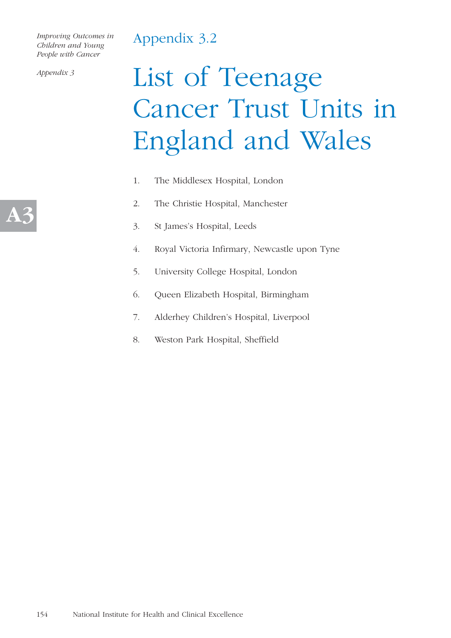### Appendix 3.2

*Improving Outcomes in Children and Young People with Cancer* 

*Appendix 3*

# List of Teenage Cancer Trust Units in England and Wales

- 1. The Middlesex Hospital, London
- 2. The Christie Hospital, Manchester
- 3. St James's Hospital, Leeds
- 4. Royal Victoria Infirmary, Newcastle upon Tyne
- 5. University College Hospital, London
- 6. Queen Elizabeth Hospital, Birmingham
- 7. Alderhey Children's Hospital, Liverpool
- 8. Weston Park Hospital, Sheffield

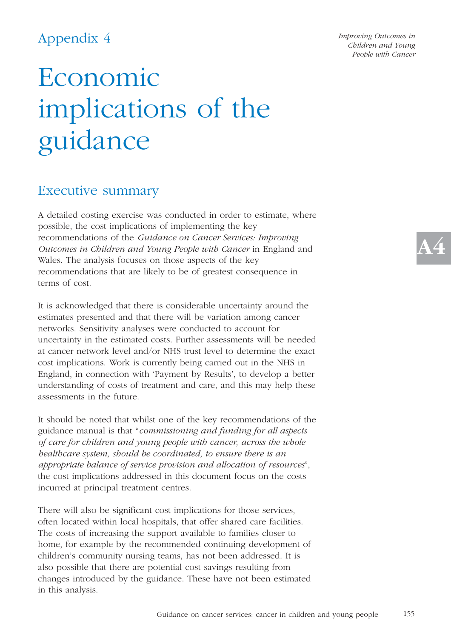## Economic implications of the guidance

### Executive summary

A detailed costing exercise was conducted in order to estimate, where possible, the cost implications of implementing the key recommendations of the *Guidance on Cancer Services: Improving Outcomes in Children and Young People with Cancer* in England and Wales. The analysis focuses on those aspects of the key recommendations that are likely to be of greatest consequence in terms of cost.

It is acknowledged that there is considerable uncertainty around the estimates presented and that there will be variation among cancer networks. Sensitivity analyses were conducted to account for uncertainty in the estimated costs. Further assessments will be needed at cancer network level and/or NHS trust level to determine the exact cost implications. Work is currently being carried out in the NHS in England, in connection with 'Payment by Results', to develop a better understanding of costs of treatment and care, and this may help these assessments in the future.

It should be noted that whilst one of the key recommendations of the guidance manual is that "*commissioning and funding for all aspects of care for children and young people with cancer, across the whole healthcare system, should be coordinated, to ensure there is an appropriate balance of service provision and allocation of resources*", the cost implications addressed in this document focus on the costs incurred at principal treatment centres.

There will also be significant cost implications for those services, often located within local hospitals, that offer shared care facilities. The costs of increasing the support available to families closer to home, for example by the recommended continuing development of children's community nursing teams, has not been addressed. It is also possible that there are potential cost savings resulting from changes introduced by the guidance. These have not been estimated in this analysis.

*Improving Outcomes in Children and Young People with Cancer*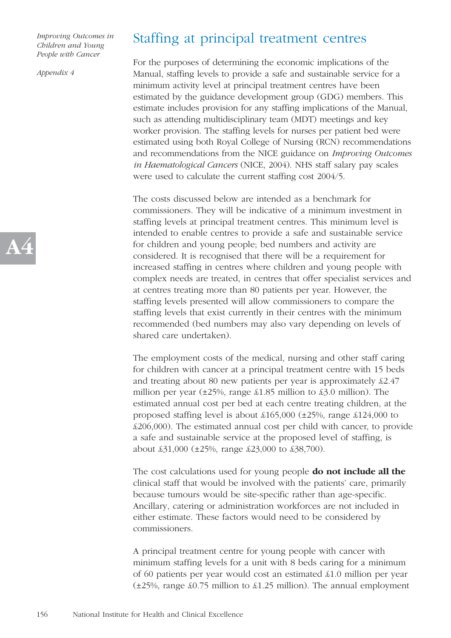*Appendix 4*

### Staffing at principal treatment centres

For the purposes of determining the economic implications of the Manual, staffing levels to provide a safe and sustainable service for a minimum activity level at principal treatment centres have been estimated by the guidance development group (GDG) members. This estimate includes provision for any staffing implications of the Manual, such as attending multidisciplinary team (MDT) meetings and key worker provision. The staffing levels for nurses per patient bed were estimated using both Royal College of Nursing (RCN) recommendations and recommendations from the NICE guidance on *Improving Outcomes in Haematological Cancers* (NICE, 2004). NHS staff salary pay scales were used to calculate the current staffing cost 2004/5.

The costs discussed below are intended as a benchmark for commissioners. They will be indicative of a minimum investment in staffing levels at principal treatment centres. This minimum level is intended to enable centres to provide a safe and sustainable service for children and young people; bed numbers and activity are considered. It is recognised that there will be a requirement for increased staffing in centres where children and young people with complex needs are treated, in centres that offer specialist services and at centres treating more than 80 patients per year. However, the staffing levels presented will allow commissioners to compare the staffing levels that exist currently in their centres with the minimum recommended (bed numbers may also vary depending on levels of shared care undertaken).

The employment costs of the medical, nursing and other staff caring for children with cancer at a principal treatment centre with 15 beds and treating about 80 new patients per year is approximately £2.47 million per year  $(\pm 25\%$ , range  $\pm 1.85$  million to  $\pm 3.0$  million). The estimated annual cost per bed at each centre treating children, at the proposed staffing level is about £165,000 (±25%, range £124,000 to £206,000). The estimated annual cost per child with cancer, to provide a safe and sustainable service at the proposed level of staffing, is about £31,000 (±25%, range £23,000 to £38,700).

The cost calculations used for young people **do not include all the** clinical staff that would be involved with the patients' care, primarily because tumours would be site-specific rather than age-specific. Ancillary, catering or administration workforces are not included in either estimate. These factors would need to be considered by commissioners.

A principal treatment centre for young people with cancer with minimum staffing levels for a unit with 8 beds caring for a minimum of 60 patients per year would cost an estimated £1.0 million per year  $(\pm 25\%$ , range  $\text{\pounds}0.75$  million to  $\text{\pounds}1.25$  million). The annual employment

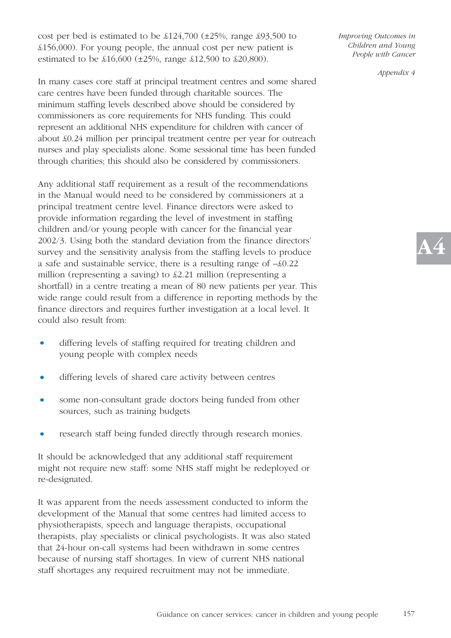cost per bed is estimated to be £124,700 (±25%, range £93,500 to £156,000). For young people, the annual cost per new patient is estimated to be £16,600 (±25%, range £12,500 to £20,800).

In many cases core staff at principal treatment centres and some shared care centres have been funded through charitable sources. The minimum staffing levels described above should be considered by commissioners as core requirements for NHS funding. This could represent an additional NHS expenditure for children with cancer of about £0.24 million per principal treatment centre per year for outreach nurses and play specialists alone. Some sessional time has been funded through charities; this should also be considered by commissioners.

Any additional staff requirement as a result of the recommendations in the Manual would need to be considered by commissioners at a principal treatment centre level. Finance directors were asked to provide information regarding the level of investment in staffing children and/or young people with cancer for the financial year 2002/3. Using both the standard deviation from the finance directors' survey and the sensitivity analysis from the staffing levels to produce a safe and sustainable service, there is a resulting range of –£0.22 million (representing a saving) to £2.21 million (representing a shortfall) in a centre treating a mean of 80 new patients per year. This wide range could result from a difference in reporting methods by the finance directors and requires further investigation at a local level. It could also result from:

- *•* differing levels of staffing required for treating children and young people with complex needs
- *•* differing levels of shared care activity between centres
- *•* some non-consultant grade doctors being funded from other sources, such as training budgets
- *•* research staff being funded directly through research monies.

It should be acknowledged that any additional staff requirement might not require new staff: some NHS staff might be redeployed or re-designated.

It was apparent from the needs assessment conducted to inform the development of the Manual that some centres had limited access to physiotherapists, speech and language therapists, occupational therapists, play specialists or clinical psychologists. It was also stated that 24-hour on-call systems had been withdrawn in some centres because of nursing staff shortages. In view of current NHS national staff shortages any required recruitment may not be immediate.

*Improving Outcomes in Children and Young People with Cancer* 

*Appendix 4*

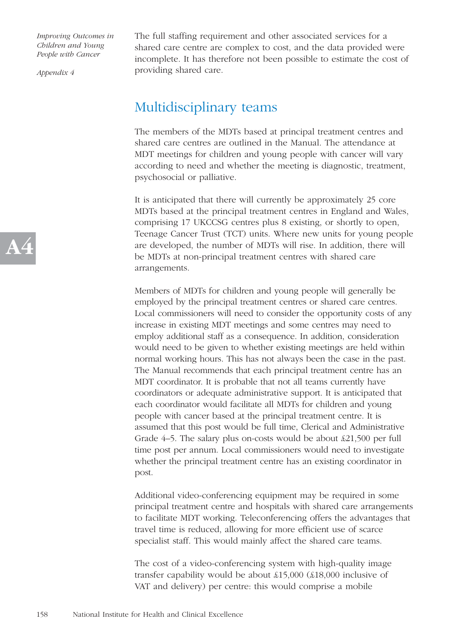*Appendix 4*

The full staffing requirement and other associated services for a shared care centre are complex to cost, and the data provided were incomplete. It has therefore not been possible to estimate the cost of providing shared care.

### Multidisciplinary teams

The members of the MDTs based at principal treatment centres and shared care centres are outlined in the Manual. The attendance at MDT meetings for children and young people with cancer will vary according to need and whether the meeting is diagnostic, treatment, psychosocial or palliative.

It is anticipated that there will currently be approximately 25 core MDTs based at the principal treatment centres in England and Wales, comprising 17 UKCCSG centres plus 8 existing, or shortly to open, Teenage Cancer Trust (TCT) units. Where new units for young people are developed, the number of MDTs will rise. In addition, there will be MDTs at non-principal treatment centres with shared care arrangements.

Members of MDTs for children and young people will generally be employed by the principal treatment centres or shared care centres. Local commissioners will need to consider the opportunity costs of any increase in existing MDT meetings and some centres may need to employ additional staff as a consequence. In addition, consideration would need to be given to whether existing meetings are held within normal working hours. This has not always been the case in the past. The Manual recommends that each principal treatment centre has an MDT coordinator. It is probable that not all teams currently have coordinators or adequate administrative support. It is anticipated that each coordinator would facilitate all MDTs for children and young people with cancer based at the principal treatment centre. It is assumed that this post would be full time, Clerical and Administrative Grade 4–5. The salary plus on-costs would be about £21,500 per full time post per annum. Local commissioners would need to investigate whether the principal treatment centre has an existing coordinator in post.

Additional video-conferencing equipment may be required in some principal treatment centre and hospitals with shared care arrangements to facilitate MDT working. Teleconferencing offers the advantages that travel time is reduced, allowing for more efficient use of scarce specialist staff. This would mainly affect the shared care teams.

The cost of a video-conferencing system with high-quality image transfer capability would be about £15,000 (£18,000 inclusive of VAT and delivery) per centre: this would comprise a mobile

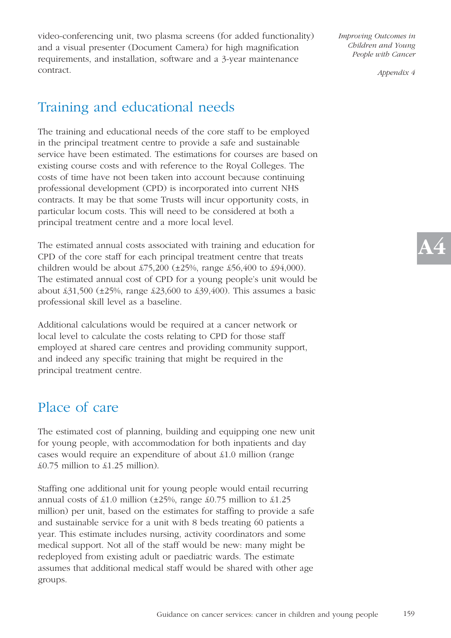video-conferencing unit, two plasma screens (for added functionality) and a visual presenter (Document Camera) for high magnification requirements, and installation, software and a 3-year maintenance contract.

## Training and educational needs

The training and educational needs of the core staff to be employed in the principal treatment centre to provide a safe and sustainable service have been estimated. The estimations for courses are based on existing course costs and with reference to the Royal Colleges. The costs of time have not been taken into account because continuing professional development (CPD) is incorporated into current NHS contracts. It may be that some Trusts will incur opportunity costs, in particular locum costs. This will need to be considered at both a principal treatment centre and a more local level.

The estimated annual costs associated with training and education for CPD of the core staff for each principal treatment centre that treats children would be about £75,200 ( $\pm 25\%$ , range £56,400 to £94,000). The estimated annual cost of CPD for a young people's unit would be about  $\text{\pounds}31,500$  ( $\pm 25\%$ , range  $\text{\pounds}23,600$  to  $\text{\pounds}39,400$ ). This assumes a basic professional skill level as a baseline.

Additional calculations would be required at a cancer network or local level to calculate the costs relating to CPD for those staff employed at shared care centres and providing community support, and indeed any specific training that might be required in the principal treatment centre.

### Place of care

The estimated cost of planning, building and equipping one new unit for young people, with accommodation for both inpatients and day cases would require an expenditure of about £1.0 million (range £0.75 million to £1.25 million).

Staffing one additional unit for young people would entail recurring annual costs of  $\pounds1.0$  million ( $\pm 25\%$ , range  $\pounds0.75$  million to  $\pounds1.25$ million) per unit, based on the estimates for staffing to provide a safe and sustainable service for a unit with 8 beds treating 60 patients a year. This estimate includes nursing, activity coordinators and some medical support. Not all of the staff would be new: many might be redeployed from existing adult or paediatric wards. The estimate assumes that additional medical staff would be shared with other age groups.

*Improving Outcomes in Children and Young People with Cancer* 

*Appendix 4*

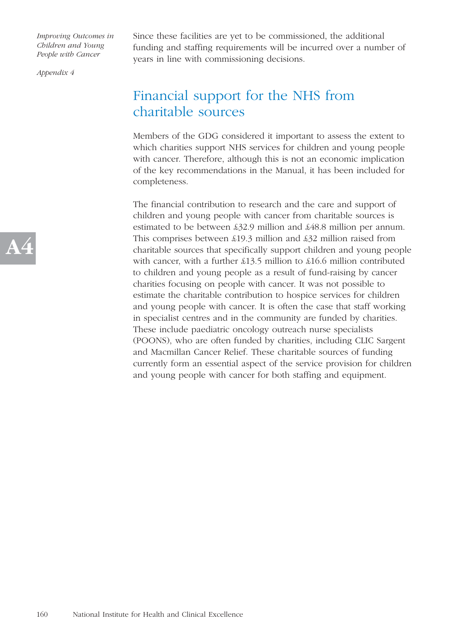*Appendix 4*

Since these facilities are yet to be commissioned, the additional funding and staffing requirements will be incurred over a number of years in line with commissioning decisions.

### Financial support for the NHS from charitable sources

Members of the GDG considered it important to assess the extent to which charities support NHS services for children and young people with cancer. Therefore, although this is not an economic implication of the key recommendations in the Manual, it has been included for completeness.

The financial contribution to research and the care and support of children and young people with cancer from charitable sources is estimated to be between £32.9 million and £48.8 million per annum. This comprises between £19.3 million and £32 million raised from charitable sources that specifically support children and young people with cancer, with a further £13.5 million to £16.6 million contributed to children and young people as a result of fund-raising by cancer charities focusing on people with cancer. It was not possible to estimate the charitable contribution to hospice services for children and young people with cancer. It is often the case that staff working in specialist centres and in the community are funded by charities. These include paediatric oncology outreach nurse specialists (POONS), who are often funded by charities, including CLIC Sargent and Macmillan Cancer Relief. These charitable sources of funding currently form an essential aspect of the service provision for children and young people with cancer for both staffing and equipment.

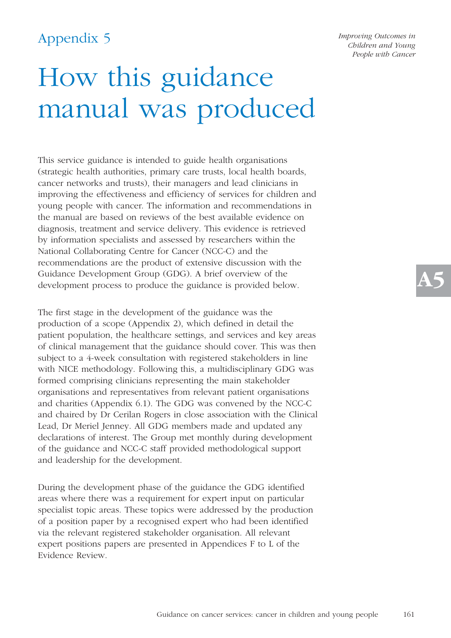## How this guidance manual was produced

This service guidance is intended to guide health organisations (strategic health authorities, primary care trusts, local health boards, cancer networks and trusts), their managers and lead clinicians in improving the effectiveness and efficiency of services for children and young people with cancer. The information and recommendations in the manual are based on reviews of the best available evidence on diagnosis, treatment and service delivery. This evidence is retrieved by information specialists and assessed by researchers within the National Collaborating Centre for Cancer (NCC-C) and the recommendations are the product of extensive discussion with the Guidance Development Group (GDG). A brief overview of the development process to produce the guidance is provided below.

The first stage in the development of the guidance was the production of a scope (Appendix 2), which defined in detail the patient population, the healthcare settings, and services and key areas of clinical management that the guidance should cover. This was then subject to a 4-week consultation with registered stakeholders in line with NICE methodology. Following this, a multidisciplinary GDG was formed comprising clinicians representing the main stakeholder organisations and representatives from relevant patient organisations and charities (Appendix 6.1). The GDG was convened by the NCC-C and chaired by Dr Cerilan Rogers in close association with the Clinical Lead, Dr Meriel Jenney. All GDG members made and updated any declarations of interest. The Group met monthly during development of the guidance and NCC-C staff provided methodological support and leadership for the development.

During the development phase of the guidance the GDG identified areas where there was a requirement for expert input on particular specialist topic areas. These topics were addressed by the production of a position paper by a recognised expert who had been identified via the relevant registered stakeholder organisation. All relevant expert positions papers are presented in Appendices F to L of the Evidence Review.

*Improving Outcomes in Children and Young People with Cancer*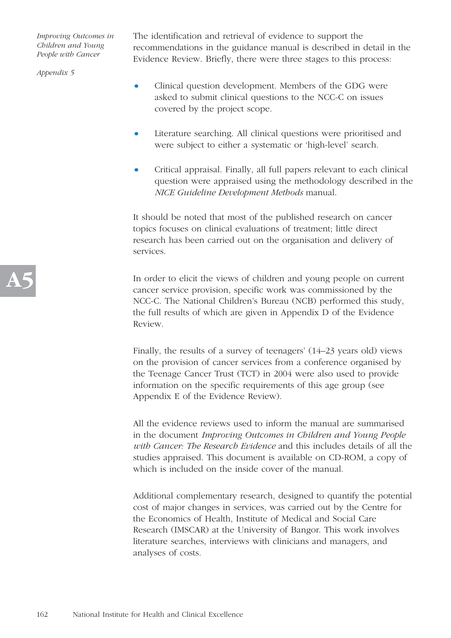*Appendix 5*

The identification and retrieval of evidence to support the recommendations in the guidance manual is described in detail in the Evidence Review. Briefly, there were three stages to this process:

- Clinical question development. Members of the GDG were asked to submit clinical questions to the NCC-C on issues covered by the project scope.
- Literature searching. All clinical questions were prioritised and were subject to either a systematic or 'high-level' search.
- Critical appraisal. Finally, all full papers relevant to each clinical question were appraised using the methodology described in the *NICE Guideline Development Methods* manual.

It should be noted that most of the published research on cancer topics focuses on clinical evaluations of treatment; little direct research has been carried out on the organisation and delivery of services.

In order to elicit the views of children and young people on current cancer service provision, specific work was commissioned by the NCC-C. The National Children's Bureau (NCB) performed this study, the full results of which are given in Appendix D of the Evidence Review.

Finally, the results of a survey of teenagers' (14–23 years old) views on the provision of cancer services from a conference organised by the Teenage Cancer Trust (TCT) in 2004 were also used to provide information on the specific requirements of this age group (see Appendix E of the Evidence Review).

All the evidence reviews used to inform the manual are summarised in the document *Improving Outcomes in Children and Young People with Cancer: The Research Evidence* and this includes details of all the studies appraised. This document is available on CD-ROM, a copy of which is included on the inside cover of the manual.

Additional complementary research, designed to quantify the potential cost of major changes in services, was carried out by the Centre for the Economics of Health, Institute of Medical and Social Care Research (IMSCAR) at the University of Bangor. This work involves literature searches, interviews with clinicians and managers, and analyses of costs.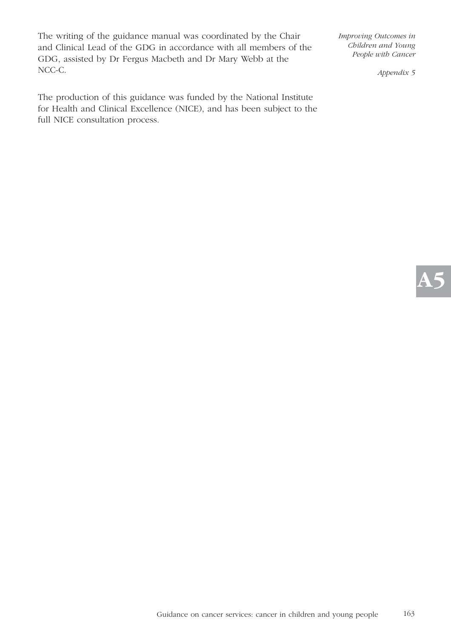The writing of the guidance manual was coordinated by the Chair and Clinical Lead of the GDG in accordance with all members of the GDG, assisted by Dr Fergus Macbeth and Dr Mary Webb at the NCC-C.

The production of this guidance was funded by the National Institute for Health and Clinical Excellence (NICE), and has been subject to the full NICE consultation process.

*Improving Outcomes in Children and Young People with Cancer* 

*Appendix 5*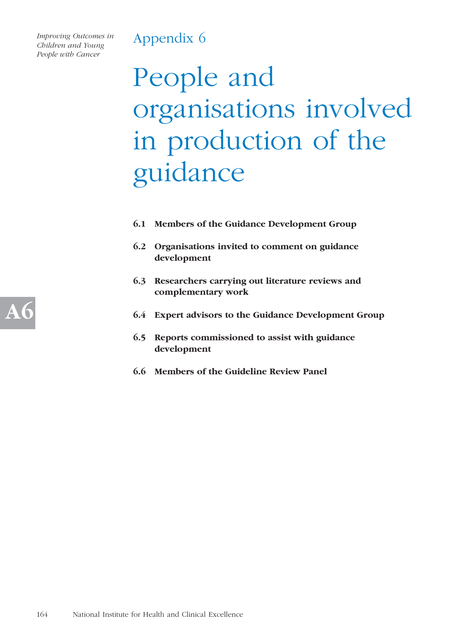*Improving Outcomes in Children and Young People with Cancer* 

# People and organisations involved in production of the guidance

- **6.1 Members of the Guidance Development Group**
- **6.2 Organisations invited to comment on guidance development**
- **6.3 Researchers carrying out literature reviews and complementary work**
- **6.4 Expert advisors to the Guidance Development Group**
- **6.5 Reports commissioned to assist with guidance development**
- **6.6 Members of the Guideline Review Panel**

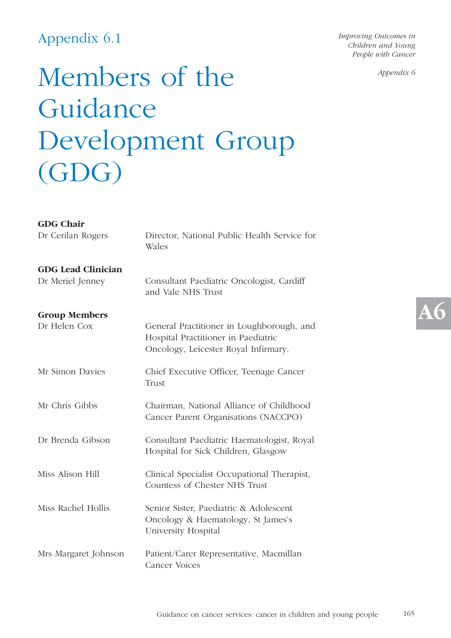### Appendix 6.1

*Improving Outcomes in Children and Young People with Cancer* 

*Appendix 6*

## Members of the Guidance Development Group (GDG)

| <b>GDG Chair</b>          |                                                                                                                          |  |
|---------------------------|--------------------------------------------------------------------------------------------------------------------------|--|
| Dr Cerilan Rogers         | Director, National Public Health Service for<br>Wales                                                                    |  |
| <b>GDG Lead Clinician</b> |                                                                                                                          |  |
| Dr Meriel Jenney          | Consultant Paediatric Oncologist, Cardiff<br>and Vale NHS Trust                                                          |  |
| <b>Group Members</b>      |                                                                                                                          |  |
| Dr Helen Cox              | General Practitioner in Loughborough, and<br>Hospital Practitioner in Paediatric<br>Oncology, Leicester Royal Infirmary. |  |
| Mr Simon Davies           | Chief Executive Officer, Teenage Cancer<br>Trust                                                                         |  |
| Mr Chris Gibbs            | Chairman, National Alliance of Childhood<br>Cancer Parent Organisations (NACCPO)                                         |  |
| Dr Brenda Gibson          | Consultant Paediatric Haematologist, Royal<br>Hospital for Sick Children, Glasgow                                        |  |
| Miss Alison Hill          | Clinical Specialist Occupational Therapist,<br>Countess of Chester NHS Trust                                             |  |
| Miss Rachel Hollis        | Senior Sister, Paediatric & Adolescent<br>Oncology & Haematology, St James's<br>University Hospital                      |  |
| Mrs Margaret Johnson      | Patient/Carer Representative, Macmillan<br><b>Cancer Voices</b>                                                          |  |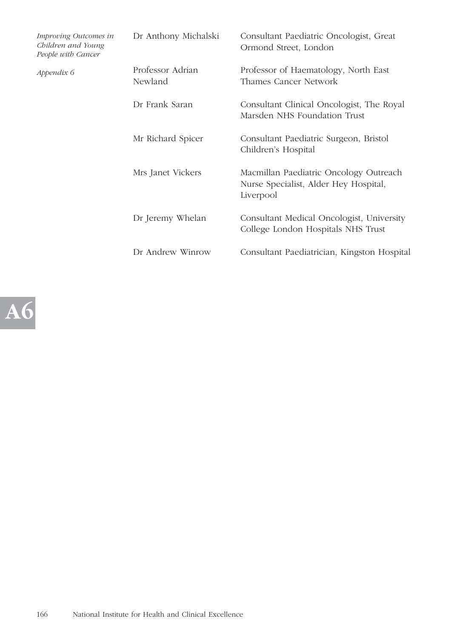| Improving Outcomes in<br>Children and Young<br>People with Cancer | Dr Anthony Michalski        | Consultant Paediatric Oncologist, Great<br>Ormond Street, London                             |
|-------------------------------------------------------------------|-----------------------------|----------------------------------------------------------------------------------------------|
| Appendix 6                                                        | Professor Adrian<br>Newland | Professor of Haematology, North East<br>Thames Cancer Network                                |
|                                                                   | Dr Frank Saran              | Consultant Clinical Oncologist, The Royal<br>Marsden NHS Foundation Trust                    |
|                                                                   | Mr Richard Spicer           | Consultant Paediatric Surgeon, Bristol<br>Children's Hospital                                |
|                                                                   | Mrs Janet Vickers           | Macmillan Paediatric Oncology Outreach<br>Nurse Specialist, Alder Hey Hospital,<br>Liverpool |
|                                                                   | Dr Jeremy Whelan            | Consultant Medical Oncologist, University<br>College London Hospitals NHS Trust              |
|                                                                   | Dr Andrew Winrow            | Consultant Paediatrician, Kingston Hospital                                                  |

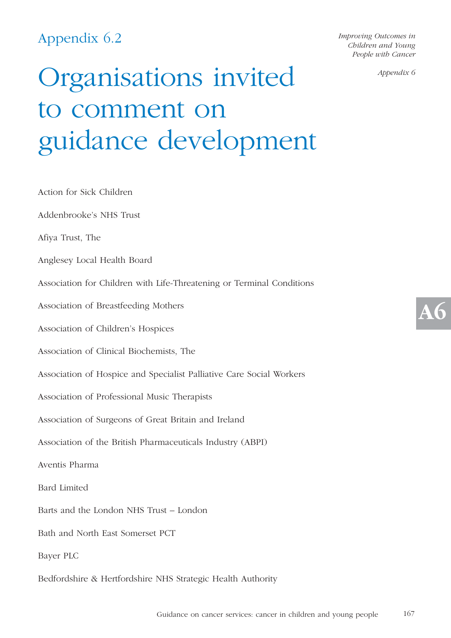## Appendix 6.2

*Improving Outcomes in Children and Young People with Cancer* 

*Appendix 6*

# Organisations invited to comment on guidance development

Action for Sick Children Addenbrooke's NHS Trust Afiya Trust, The Anglesey Local Health Board Association for Children with Life-Threatening or Terminal Conditions Association of Breastfeeding Mothers Association of Children's Hospices Association of Clinical Biochemists, The Association of Hospice and Specialist Palliative Care Social Workers Association of Professional Music Therapists Association of Surgeons of Great Britain and Ireland Association of the British Pharmaceuticals Industry (ABPI) Aventis Pharma Bard Limited Barts and the London NHS Trust – London Bath and North East Somerset PCT Bayer PLC

Bedfordshire & Hertfordshire NHS Strategic Health Authority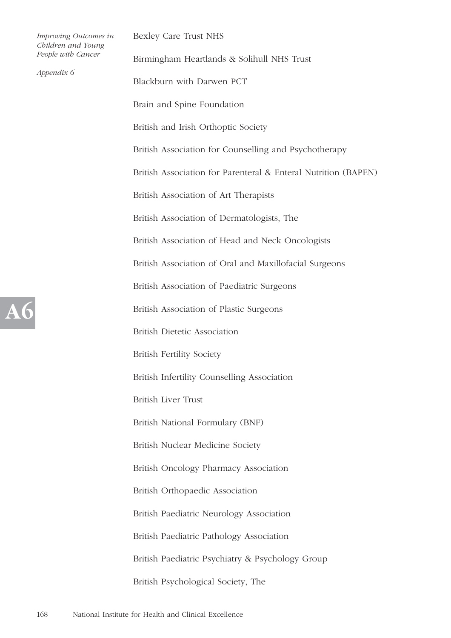|  | Improving Outcomes in<br>Children and Young | Bexley Care Trust NHS                                          |
|--|---------------------------------------------|----------------------------------------------------------------|
|  | People with Cancer<br>Appendix 6            | Birmingham Heartlands & Solihull NHS Trust                     |
|  |                                             | Blackburn with Darwen PCT                                      |
|  |                                             | Brain and Spine Foundation                                     |
|  |                                             | British and Irish Orthoptic Society                            |
|  |                                             | British Association for Counselling and Psychotherapy          |
|  |                                             | British Association for Parenteral & Enteral Nutrition (BAPEN) |
|  |                                             | British Association of Art Therapists                          |
|  |                                             | British Association of Dermatologists, The                     |
|  |                                             | British Association of Head and Neck Oncologists               |
|  |                                             | British Association of Oral and Maxillofacial Surgeons         |
|  |                                             | British Association of Paediatric Surgeons                     |
|  |                                             | British Association of Plastic Surgeons                        |
|  |                                             | <b>British Dietetic Association</b>                            |
|  |                                             | <b>British Fertility Society</b>                               |
|  |                                             | British Infertility Counselling Association                    |
|  |                                             | <b>British Liver Trust</b>                                     |
|  |                                             | British National Formulary (BNF)                               |
|  |                                             | British Nuclear Medicine Society                               |
|  |                                             | British Oncology Pharmacy Association                          |
|  |                                             | British Orthopaedic Association                                |
|  |                                             | British Paediatric Neurology Association                       |
|  |                                             | British Paediatric Pathology Association                       |
|  |                                             | British Paediatric Psychiatry & Psychology Group               |
|  |                                             | British Psychological Society, The                             |
|  |                                             |                                                                |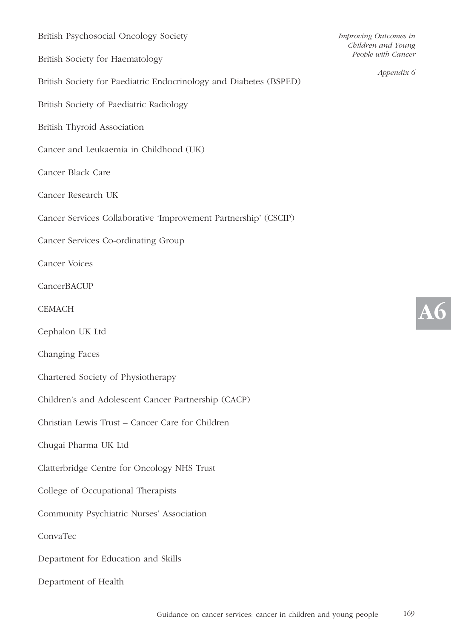| British Psychosocial Oncology Society                             |
|-------------------------------------------------------------------|
| British Society for Haematology                                   |
| British Society for Paediatric Endocrinology and Diabetes (BSPED) |
| British Society of Paediatric Radiology                           |
| British Thyroid Association                                       |
| Cancer and Leukaemia in Childhood (UK)                            |
| Cancer Black Care                                                 |
| Cancer Research UK                                                |
| Cancer Services Collaborative 'Improvement Partnership' (CSCIP)   |
| Cancer Services Co-ordinating Group                               |
| <b>Cancer Voices</b>                                              |
| CancerBACUP                                                       |
| <b>CEMACH</b>                                                     |
| Cephalon UK Ltd                                                   |
| Changing Faces                                                    |
| Chartered Society of Physiotherapy                                |
| Children's and Adolescent Cancer Partnership (CACP)               |
| Christian Lewis Trust - Cancer Care for Children                  |
| Chugai Pharma UK Ltd                                              |
| Clatterbridge Centre for Oncology NHS Trust                       |
| College of Occupational Therapists                                |
| Community Psychiatric Nurses' Association                         |
| ConvaTec                                                          |
| Department for Education and Skills                               |
| Department of Health                                              |

*Appendix 6*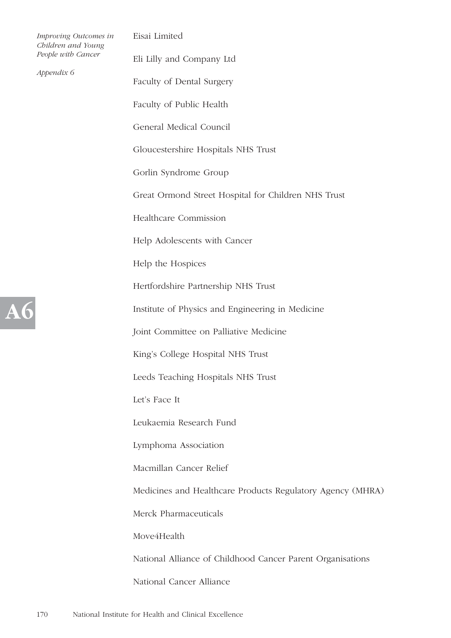| Improving Outcomes in<br>Children and Young | Eisai Limited                    |                                                            |
|---------------------------------------------|----------------------------------|------------------------------------------------------------|
|                                             | People with Cancer<br>Appendix 6 | Eli Lilly and Company Ltd                                  |
|                                             |                                  | Faculty of Dental Surgery                                  |
|                                             |                                  | Faculty of Public Health                                   |
|                                             |                                  | General Medical Council                                    |
|                                             |                                  | Gloucestershire Hospitals NHS Trust                        |
|                                             |                                  | Gorlin Syndrome Group                                      |
|                                             |                                  | Great Ormond Street Hospital for Children NHS Trust        |
|                                             |                                  | Healthcare Commission                                      |
|                                             |                                  | Help Adolescents with Cancer                               |
|                                             |                                  | Help the Hospices                                          |
|                                             |                                  | Hertfordshire Partnership NHS Trust                        |
| <b>A6</b>                                   |                                  | Institute of Physics and Engineering in Medicine           |
|                                             |                                  | Joint Committee on Palliative Medicine                     |
|                                             |                                  | King's College Hospital NHS Trust                          |
|                                             |                                  | Leeds Teaching Hospitals NHS Trust                         |
|                                             |                                  | Let's Face It                                              |
|                                             |                                  | Leukaemia Research Fund                                    |
|                                             |                                  | Lymphoma Association                                       |
|                                             |                                  | Macmillan Cancer Relief                                    |
|                                             |                                  | Medicines and Healthcare Products Regulatory Agency (MHRA) |
|                                             |                                  | Merck Pharmaceuticals                                      |
|                                             |                                  | Move4Health                                                |
|                                             |                                  | National Alliance of Childhood Cancer Parent Organisations |
|                                             |                                  | National Cancer Alliance                                   |
|                                             |                                  |                                                            |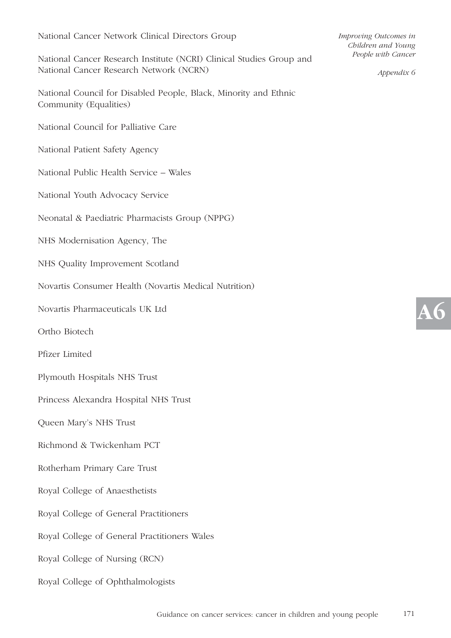#### National Cancer Network Clinical Directors Group

National Cancer Research Institute (NCRI) Clinical Studies Group and National Cancer Research Network (NCRN)

National Council for Disabled People, Black, Minority and Ethnic Community (Equalities)

National Council for Palliative Care

- National Patient Safety Agency
- National Public Health Service Wales
- National Youth Advocacy Service
- Neonatal & Paediatric Pharmacists Group (NPPG)
- NHS Modernisation Agency, The
- NHS Quality Improvement Scotland
- Novartis Consumer Health (Novartis Medical Nutrition)
- Novartis Pharmaceuticals UK Ltd
- Ortho Biotech
- Pfizer Limited
- Plymouth Hospitals NHS Trust
- Princess Alexandra Hospital NHS Trust
- Queen Mary's NHS Trust
- Richmond & Twickenham PCT
- Rotherham Primary Care Trust
- Royal College of Anaesthetists
- Royal College of General Practitioners
- Royal College of General Practitioners Wales
- Royal College of Nursing (RCN)
- Royal College of Ophthalmologists

*Improving Outcomes in Children and Young People with Cancer* 

*Appendix 6*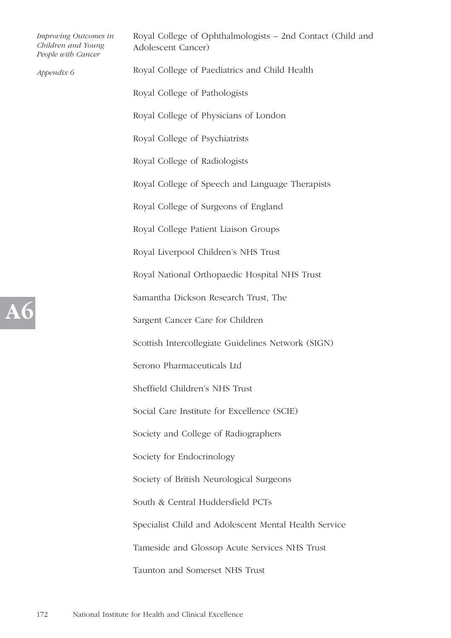|  | Improving Outcomes in<br>Children and Young<br>People with Cancer | Royal College of Ophthalmologists - 2nd Contact (Child and<br>Adolescent Cancer) |
|--|-------------------------------------------------------------------|----------------------------------------------------------------------------------|
|  | Appendix 6                                                        | Royal College of Paediatrics and Child Health                                    |
|  |                                                                   | Royal College of Pathologists                                                    |
|  |                                                                   | Royal College of Physicians of London                                            |
|  |                                                                   | Royal College of Psychiatrists                                                   |
|  |                                                                   | Royal College of Radiologists                                                    |
|  |                                                                   | Royal College of Speech and Language Therapists                                  |
|  |                                                                   | Royal College of Surgeons of England                                             |
|  |                                                                   | Royal College Patient Liaison Groups                                             |
|  |                                                                   | Royal Liverpool Children's NHS Trust                                             |
|  |                                                                   | Royal National Orthopaedic Hospital NHS Trust                                    |
|  |                                                                   | Samantha Dickson Research Trust, The                                             |
|  |                                                                   | Sargent Cancer Care for Children                                                 |
|  |                                                                   | Scottish Intercollegiate Guidelines Network (SIGN)                               |
|  |                                                                   | Serono Pharmaceuticals Ltd                                                       |
|  |                                                                   | Sheffield Children's NHS Trust                                                   |
|  |                                                                   | Social Care Institute for Excellence (SCIE)                                      |
|  |                                                                   | Society and College of Radiographers                                             |
|  |                                                                   | Society for Endocrinology                                                        |
|  |                                                                   | Society of British Neurological Surgeons                                         |
|  |                                                                   | South & Central Huddersfield PCTs                                                |
|  |                                                                   | Specialist Child and Adolescent Mental Health Service                            |
|  |                                                                   | Tameside and Glossop Acute Services NHS Trust                                    |
|  |                                                                   | Taunton and Somerset NHS Trust                                                   |
|  |                                                                   |                                                                                  |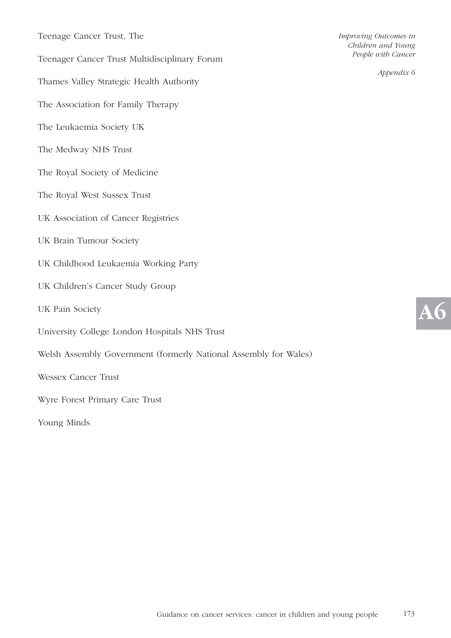| Teenage Cancer Trust, The |  |  |  |
|---------------------------|--|--|--|
|---------------------------|--|--|--|

Teenager Cancer Trust Multidisciplinary Forum

Thames Valley Strategic Health Authority

- The Association for Family Therapy
- The Leukaemia Society UK
- The Medway NHS Trust
- The Royal Society of Medicine
- The Royal West Sussex Trust
- UK Association of Cancer Registries
- UK Brain Tumour Society
- UK Childhood Leukaemia Working Party
- UK Children's Cancer Study Group
- UK Pain Society
- University College London Hospitals NHS Trust
- Welsh Assembly Government (formerly National Assembly for Wales)

Wessex Cancer Trust

Wyre Forest Primary Care Trust

Young Minds

*Improving Outcomes in Children and Young People with Cancer* 

*Appendix 6*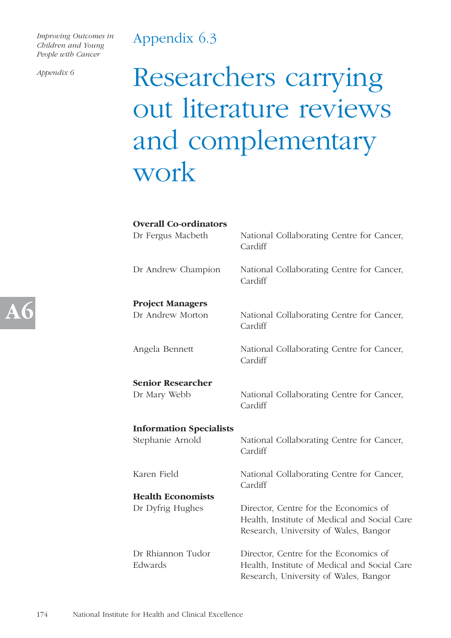### Appendix 6.3

*Improving Outcomes in Children and Young People with Cancer* 

*Appendix 6*

## Researchers carrying out literature reviews and complementary work

| <b>Overall Co-ordinators</b><br>Dr Fergus Macbeth | National Collaborating Centre for Cancer,<br>Cardiff                                                                           |
|---------------------------------------------------|--------------------------------------------------------------------------------------------------------------------------------|
| Dr Andrew Champion                                | National Collaborating Centre for Cancer,<br>Cardiff                                                                           |
| <b>Project Managers</b>                           |                                                                                                                                |
| Dr Andrew Morton                                  | National Collaborating Centre for Cancer,<br>Cardiff                                                                           |
| Angela Bennett                                    | National Collaborating Centre for Cancer,<br>Cardiff                                                                           |
| <b>Senior Researcher</b>                          |                                                                                                                                |
| Dr Mary Webb                                      | National Collaborating Centre for Cancer,<br>Cardiff                                                                           |
| <b>Information Specialists</b>                    |                                                                                                                                |
| Stephanie Arnold                                  | National Collaborating Centre for Cancer,<br>Cardiff                                                                           |
| Karen Field                                       | National Collaborating Centre for Cancer,<br>Cardiff                                                                           |
| <b>Health Economists</b>                          |                                                                                                                                |
| Dr Dyfrig Hughes                                  | Director, Centre for the Economics of<br>Health, Institute of Medical and Social Care<br>Research, University of Wales, Bangor |
| Dr Rhiannon Tudor<br>Edwards                      | Director, Centre for the Economics of<br>Health, Institute of Medical and Social Care<br>Research, University of Wales, Bangor |

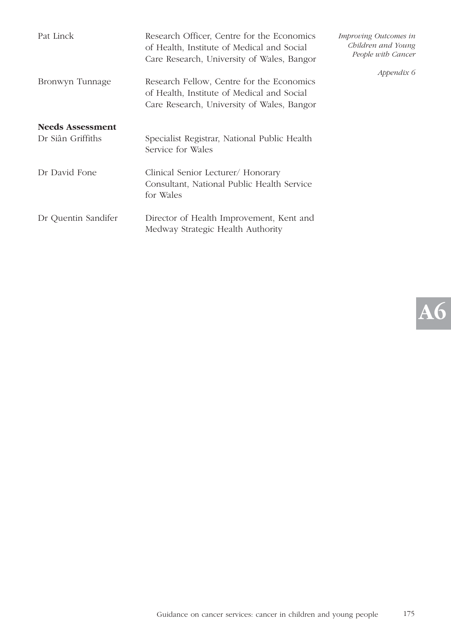| Pat Linck                                    | Research Officer, Centre for the Economics<br>of Health, Institute of Medical and Social<br>Care Research, University of Wales, Bangor | Improving Outcomes in<br>Children and Young<br>People with Cancer |
|----------------------------------------------|----------------------------------------------------------------------------------------------------------------------------------------|-------------------------------------------------------------------|
| Bronwyn Tunnage                              | Research Fellow, Centre for the Economics<br>of Health, Institute of Medical and Social<br>Care Research, University of Wales, Bangor  | Appendix 6                                                        |
| <b>Needs Assessment</b><br>Dr Siân Griffiths | Specialist Registrar, National Public Health<br>Service for Wales                                                                      |                                                                   |
| Dr David Fone                                | Clinical Senior Lecturer/ Honorary<br>Consultant, National Public Health Service<br>for Wales                                          |                                                                   |
| Dr Quentin Sandifer                          | Director of Health Improvement, Kent and<br>Medway Strategic Health Authority                                                          |                                                                   |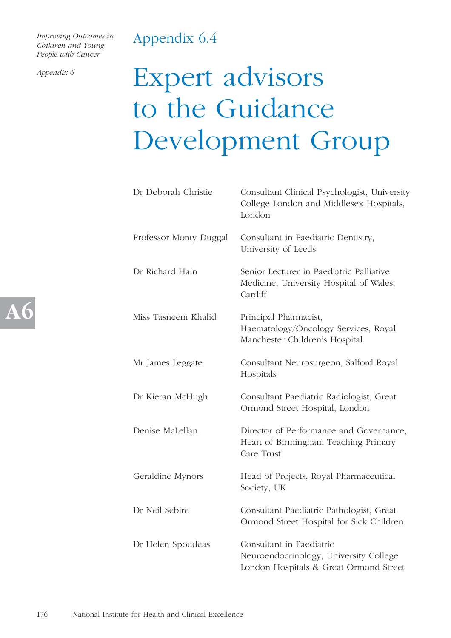### Appendix 6.4

*Improving Outcomes in Children and Young People with Cancer* 

*Appendix 6*

## Expert advisors to the Guidance Development Group

| Dr Deborah Christie    | Consultant Clinical Psychologist, University<br>College London and Middlesex Hospitals,<br>London            |  |
|------------------------|--------------------------------------------------------------------------------------------------------------|--|
| Professor Monty Duggal | Consultant in Paediatric Dentistry,<br>University of Leeds                                                   |  |
| Dr Richard Hain        | Senior Lecturer in Paediatric Palliative<br>Medicine, University Hospital of Wales,<br>Cardiff               |  |
| Miss Tasneem Khalid    | Principal Pharmacist,<br>Haematology/Oncology Services, Royal<br>Manchester Children's Hospital              |  |
| Mr James Leggate       | Consultant Neurosurgeon, Salford Royal<br>Hospitals                                                          |  |
| Dr Kieran McHugh       | Consultant Paediatric Radiologist, Great<br>Ormond Street Hospital, London                                   |  |
| Denise McLellan        | Director of Performance and Governance,<br>Heart of Birmingham Teaching Primary<br>Care Trust                |  |
| Geraldine Mynors       | Head of Projects, Royal Pharmaceutical<br>Society, UK                                                        |  |
| Dr Neil Sebire         | Consultant Paediatric Pathologist, Great<br>Ormond Street Hospital for Sick Children                         |  |
| Dr Helen Spoudeas      | Consultant in Paediatric<br>Neuroendocrinology, University College<br>London Hospitals & Great Ormond Street |  |

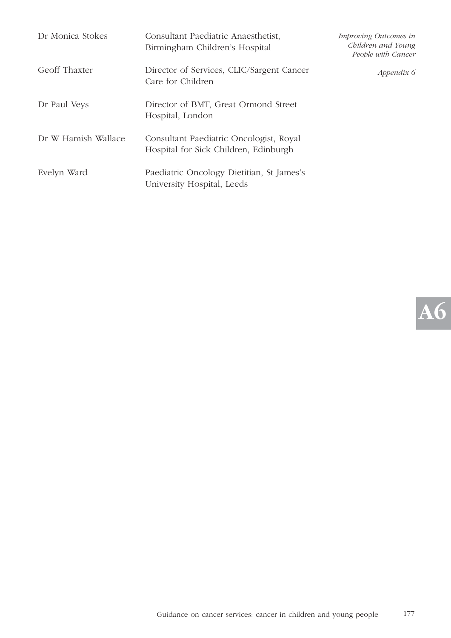| Dr Monica Stokes    | Consultant Paediatric Anaesthetist,<br>Birmingham Children's Hospital            | Improving Outcomes in<br>Children and Young<br>People with Cancer |
|---------------------|----------------------------------------------------------------------------------|-------------------------------------------------------------------|
| Geoff Thaxter       | Director of Services, CLIC/Sargent Cancer<br>Care for Children                   | Appendix 6                                                        |
| Dr Paul Veys        | Director of BMT, Great Ormond Street<br>Hospital, London                         |                                                                   |
| Dr W Hamish Wallace | Consultant Paediatric Oncologist, Royal<br>Hospital for Sick Children, Edinburgh |                                                                   |
| Evelyn Ward         | Paediatric Oncology Dietitian, St James's<br>University Hospital, Leeds          |                                                                   |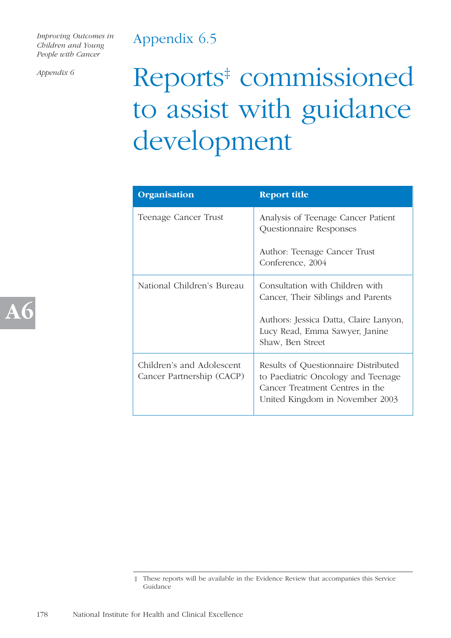# Appendix 6.5

*Improving Outcomes in Children and Young People with Cancer* 

*Appendix 6*

**A6**

# Reports<sup>‡</sup> commissioned to assist with guidance development

| Organisation                                           | <b>Report title</b>                                                                                                                              |
|--------------------------------------------------------|--------------------------------------------------------------------------------------------------------------------------------------------------|
| Teenage Cancer Trust                                   | Analysis of Teenage Cancer Patient<br>Questionnaire Responses                                                                                    |
|                                                        | Author: Teenage Cancer Trust<br>Conference, 2004                                                                                                 |
| National Children's Bureau                             | Consultation with Children with<br>Cancer, Their Siblings and Parents                                                                            |
|                                                        | Authors: Jessica Datta, Claire Lanyon,<br>Lucy Read, Emma Sawyer, Janine<br>Shaw, Ben Street                                                     |
| Children's and Adolescent<br>Cancer Partnership (CACP) | Results of Questionnaire Distributed<br>to Paediatric Oncology and Teenage<br>Cancer Treatment Centres in the<br>United Kingdom in November 2003 |

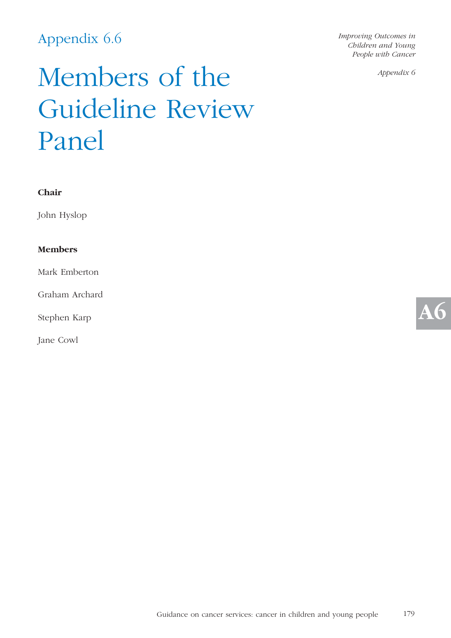# Appendix 6.6

*Improving Outcomes in Children and Young People with Cancer* 

*Appendix 6*

# Members of the Guideline Review Panel

John Hyslop

# **Members**

Mark Emberton

Graham Archard

Stephen Karp

Jane Cowl

**A6**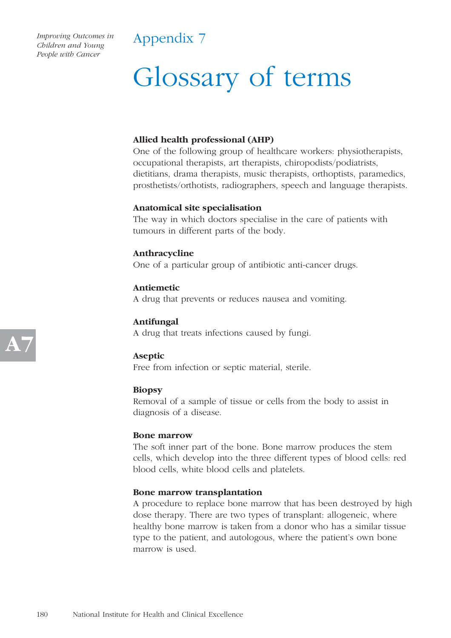# Appendix 7

# Glossary of terms

# **Allied health professional (AHP)**

One of the following group of healthcare workers: physiotherapists, occupational therapists, art therapists, chiropodists/podiatrists, dietitians, drama therapists, music therapists, orthoptists, paramedics, prosthetists/orthotists, radiographers, speech and language therapists.

# **Anatomical site specialisation**

The way in which doctors specialise in the care of patients with tumours in different parts of the body.

# **Anthracycline**

One of a particular group of antibiotic anti-cancer drugs.

**Antiemetic** A drug that prevents or reduces nausea and vomiting.

**Antifungal** A drug that treats infections caused by fungi.

**Aseptic** Free from infection or septic material, sterile.

# **Biopsy**

Removal of a sample of tissue or cells from the body to assist in diagnosis of a disease.

# **Bone marrow**

The soft inner part of the bone. Bone marrow produces the stem cells, which develop into the three different types of blood cells: red blood cells, white blood cells and platelets.

# **Bone marrow transplantation**

A procedure to replace bone marrow that has been destroyed by high dose therapy. There are two types of transplant: allogeneic, where healthy bone marrow is taken from a donor who has a similar tissue type to the patient, and autologous, where the patient's own bone marrow is used.

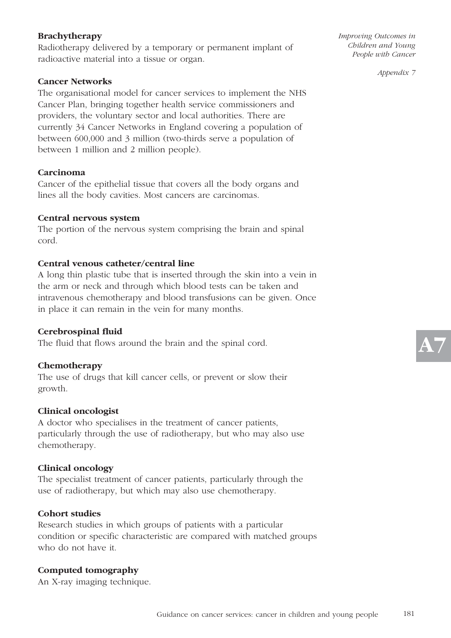# **Brachytherapy**

Radiotherapy delivered by a temporary or permanent implant of radioactive material into a tissue or organ.

### **Cancer Networks**

The organisational model for cancer services to implement the NHS Cancer Plan, bringing together health service commissioners and providers, the voluntary sector and local authorities. There are currently 34 Cancer Networks in England covering a population of between 600,000 and 3 million (two-thirds serve a population of between 1 million and 2 million people).

#### **Carcinoma**

Cancer of the epithelial tissue that covers all the body organs and lines all the body cavities. Most cancers are carcinomas.

#### **Central nervous system**

The portion of the nervous system comprising the brain and spinal cord.

# **Central venous catheter/central line**

A long thin plastic tube that is inserted through the skin into a vein in the arm or neck and through which blood tests can be taken and intravenous chemotherapy and blood transfusions can be given. Once in place it can remain in the vein for many months.

# **Cerebrospinal fluid**

The fluid that flows around the brain and the spinal cord.

#### **Chemotherapy**

The use of drugs that kill cancer cells, or prevent or slow their growth.

#### **Clinical oncologist**

A doctor who specialises in the treatment of cancer patients, particularly through the use of radiotherapy, but who may also use chemotherapy.

#### **Clinical oncology**

The specialist treatment of cancer patients, particularly through the use of radiotherapy, but which may also use chemotherapy.

#### **Cohort studies**

Research studies in which groups of patients with a particular condition or specific characteristic are compared with matched groups who do not have it.

# **Computed tomography**

An X-ray imaging technique.

*Improving Outcomes in Children and Young People with Cancer*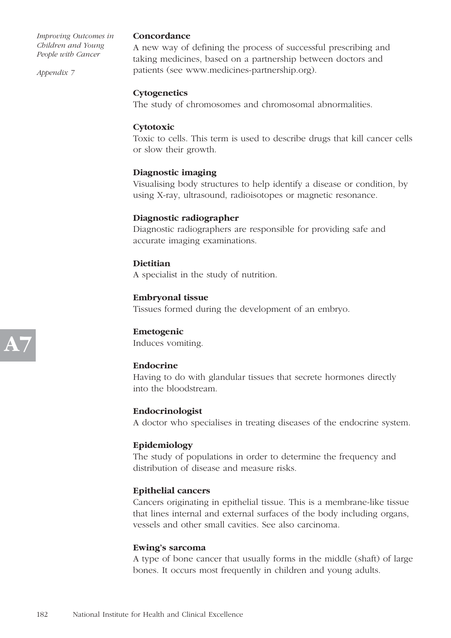*Appendix 7*

#### **Concordance**

A new way of defining the process of successful prescribing and taking medicines, based on a partnership between doctors and patients (see www.medicines-partnership.org).

#### **Cytogenetics**

The study of chromosomes and chromosomal abnormalities.

#### **Cytotoxic**

Toxic to cells. This term is used to describe drugs that kill cancer cells or slow their growth.

#### **Diagnostic imaging**

Visualising body structures to help identify a disease or condition, by using X-ray, ultrasound, radioisotopes or magnetic resonance.

#### **Diagnostic radiographer**

Diagnostic radiographers are responsible for providing safe and accurate imaging examinations.

#### **Dietitian**

A specialist in the study of nutrition.

#### **Embryonal tissue**

Tissues formed during the development of an embryo.

# **Emetogenic**

Induces vomiting.

# **Endocrine**

Having to do with glandular tissues that secrete hormones directly into the bloodstream.

#### **Endocrinologist**

A doctor who specialises in treating diseases of the endocrine system.

# **Epidemiology**

The study of populations in order to determine the frequency and distribution of disease and measure risks.

#### **Epithelial cancers**

Cancers originating in epithelial tissue. This is a membrane-like tissue that lines internal and external surfaces of the body including organs, vessels and other small cavities. See also carcinoma.

#### **Ewing's sarcoma**

A type of bone cancer that usually forms in the middle (shaft) of large bones. It occurs most frequently in children and young adults.

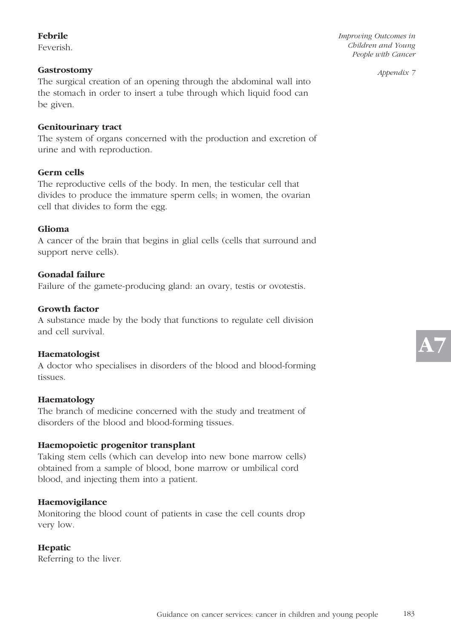# **Febrile**

Feverish.

# **Gastrostomy**

The surgical creation of an opening through the abdominal wall into the stomach in order to insert a tube through which liquid food can be given.

# **Genitourinary tract**

The system of organs concerned with the production and excretion of urine and with reproduction.

# **Germ cells**

The reproductive cells of the body. In men, the testicular cell that divides to produce the immature sperm cells; in women, the ovarian cell that divides to form the egg.

# **Glioma**

A cancer of the brain that begins in glial cells (cells that surround and support nerve cells).

# **Gonadal failure**

Failure of the gamete-producing gland: an ovary, testis or ovotestis.

# **Growth factor**

A substance made by the body that functions to regulate cell division and cell survival.

# **Haematologist**

A doctor who specialises in disorders of the blood and blood-forming tissues.

# **Haematology**

The branch of medicine concerned with the study and treatment of disorders of the blood and blood-forming tissues.

# **Haemopoietic progenitor transplant**

Taking stem cells (which can develop into new bone marrow cells) obtained from a sample of blood, bone marrow or umbilical cord blood, and injecting them into a patient.

# **Haemovigilance**

Monitoring the blood count of patients in case the cell counts drop very low.

# **Hepatic**

Referring to the liver.

*Improving Outcomes in Children and Young People with Cancer*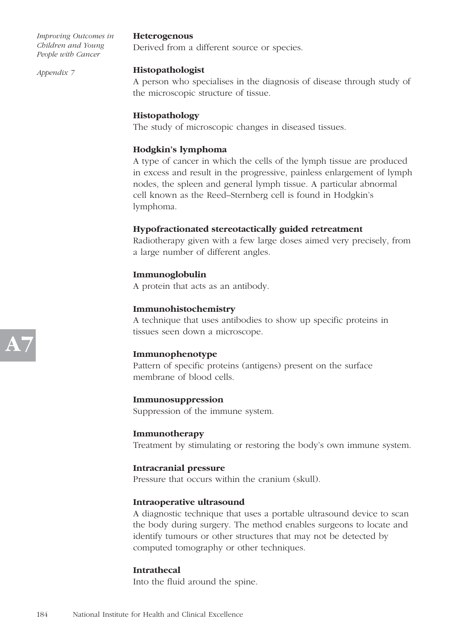*Appendix 7*

# **Heterogenous**

Derived from a different source or species.

#### **Histopathologist**

A person who specialises in the diagnosis of disease through study of the microscopic structure of tissue.

# **Histopathology**

The study of microscopic changes in diseased tissues.

# **Hodgkin's lymphoma**

A type of cancer in which the cells of the lymph tissue are produced in excess and result in the progressive, painless enlargement of lymph nodes, the spleen and general lymph tissue. A particular abnormal cell known as the Reed–Sternberg cell is found in Hodgkin's lymphoma.

# **Hypofractionated stereotactically guided retreatment**

Radiotherapy given with a few large doses aimed very precisely, from a large number of different angles.

# **Immunoglobulin**

A protein that acts as an antibody.

#### **Immunohistochemistry**

A technique that uses antibodies to show up specific proteins in tissues seen down a microscope.

# **Immunophenotype**

Pattern of specific proteins (antigens) present on the surface membrane of blood cells.

#### **Immunosuppression**

Suppression of the immune system.

#### **Immunotherapy**

Treatment by stimulating or restoring the body's own immune system.

# **Intracranial pressure**

Pressure that occurs within the cranium (skull).

#### **Intraoperative ultrasound**

A diagnostic technique that uses a portable ultrasound device to scan the body during surgery. The method enables surgeons to locate and identify tumours or other structures that may not be detected by computed tomography or other techniques.

# **Intrathecal**

Into the fluid around the spine.

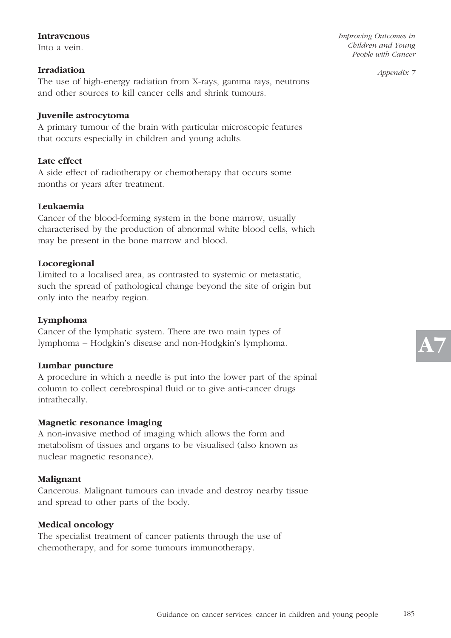#### **Intravenous**

Into a vein.

#### **Irradiation**

The use of high-energy radiation from X-rays, gamma rays, neutrons and other sources to kill cancer cells and shrink tumours.

# **Juvenile astrocytoma**

A primary tumour of the brain with particular microscopic features that occurs especially in children and young adults.

# **Late effect**

A side effect of radiotherapy or chemotherapy that occurs some months or years after treatment.

#### **Leukaemia**

Cancer of the blood-forming system in the bone marrow, usually characterised by the production of abnormal white blood cells, which may be present in the bone marrow and blood.

#### **Locoregional**

Limited to a localised area, as contrasted to systemic or metastatic, such the spread of pathological change beyond the site of origin but only into the nearby region.

#### **Lymphoma**

Cancer of the lymphatic system. There are two main types of lymphoma – Hodgkin's disease and non-Hodgkin's lymphoma.

#### **Lumbar puncture**

A procedure in which a needle is put into the lower part of the spinal column to collect cerebrospinal fluid or to give anti-cancer drugs intrathecally.

#### **Magnetic resonance imaging**

A non-invasive method of imaging which allows the form and metabolism of tissues and organs to be visualised (also known as nuclear magnetic resonance).

#### **Malignant**

Cancerous. Malignant tumours can invade and destroy nearby tissue and spread to other parts of the body.

#### **Medical oncology**

The specialist treatment of cancer patients through the use of chemotherapy, and for some tumours immunotherapy.

*Improving Outcomes in Children and Young People with Cancer* 

*Appendix 7*

**A7**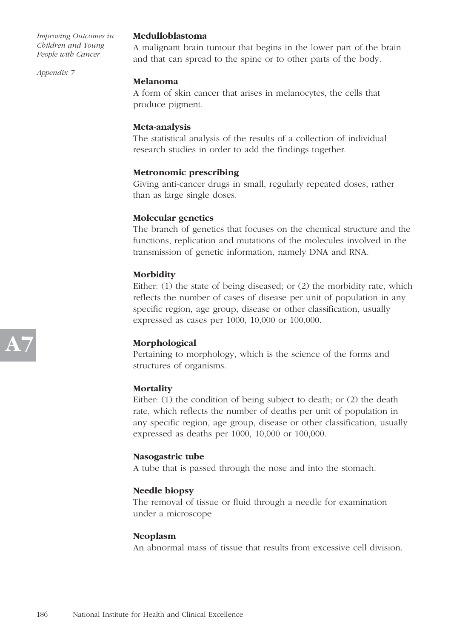*Appendix 7*

#### **Medulloblastoma**

A malignant brain tumour that begins in the lower part of the brain and that can spread to the spine or to other parts of the body.

# **Melanoma**

A form of skin cancer that arises in melanocytes, the cells that produce pigment.

# **Meta-analysis**

The statistical analysis of the results of a collection of individual research studies in order to add the findings together.

# **Metronomic prescribing**

Giving anti-cancer drugs in small, regularly repeated doses, rather than as large single doses.

# **Molecular genetics**

The branch of genetics that focuses on the chemical structure and the functions, replication and mutations of the molecules involved in the transmission of genetic information, namely DNA and RNA.

# **Morbidity**

Either: (1) the state of being diseased; or (2) the morbidity rate, which reflects the number of cases of disease per unit of population in any specific region, age group, disease or other classification, usually expressed as cases per 1000, 10,000 or 100,000.

# **Morphological**

Pertaining to morphology, which is the science of the forms and structures of organisms.

# **Mortality**

Either: (1) the condition of being subject to death; or (2) the death rate, which reflects the number of deaths per unit of population in any specific region, age group, disease or other classification, usually expressed as deaths per 1000, 10,000 or 100,000.

# **Nasogastric tube**

A tube that is passed through the nose and into the stomach.

# **Needle biopsy**

The removal of tissue or fluid through a needle for examination under a microscope

# **Neoplasm**

An abnormal mass of tissue that results from excessive cell division.

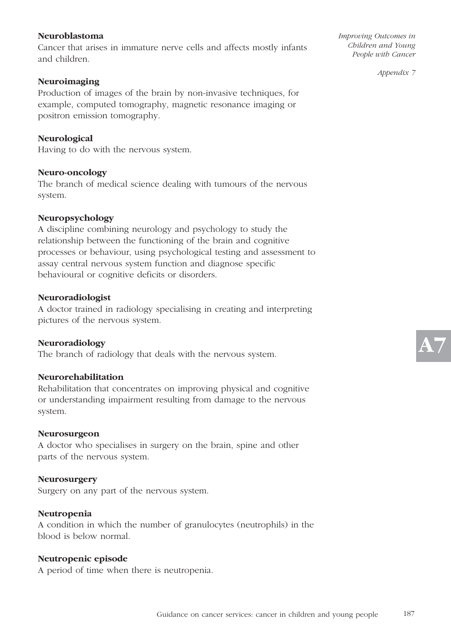### **Neuroblastoma**

Cancer that arises in immature nerve cells and affects mostly infants and children.

#### **Neuroimaging**

Production of images of the brain by non-invasive techniques, for example, computed tomography, magnetic resonance imaging or positron emission tomography.

**Neurological** Having to do with the nervous system.

#### **Neuro-oncology**

The branch of medical science dealing with tumours of the nervous system.

#### **Neuropsychology**

A discipline combining neurology and psychology to study the relationship between the functioning of the brain and cognitive processes or behaviour, using psychological testing and assessment to assay central nervous system function and diagnose specific behavioural or cognitive deficits or disorders.

#### **Neuroradiologist**

A doctor trained in radiology specialising in creating and interpreting pictures of the nervous system.

#### **Neuroradiology**

The branch of radiology that deals with the nervous system.

### **Neurorehabilitation**

Rehabilitation that concentrates on improving physical and cognitive or understanding impairment resulting from damage to the nervous system.

#### **Neurosurgeon**

A doctor who specialises in surgery on the brain, spine and other parts of the nervous system.

#### **Neurosurgery**

Surgery on any part of the nervous system.

#### **Neutropenia**

A condition in which the number of granulocytes (neutrophils) in the blood is below normal.

#### **Neutropenic episode**

A period of time when there is neutropenia.

*Improving Outcomes in Children and Young People with Cancer*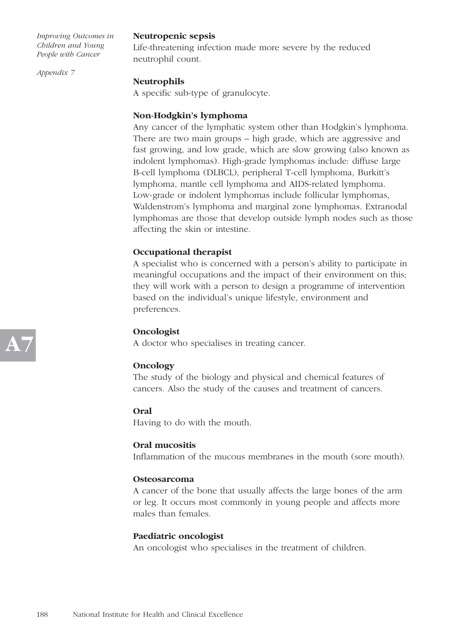*Appendix 7*

# **Neutropenic sepsis**

Life-threatening infection made more severe by the reduced neutrophil count.

# **Neutrophils**

A specific sub-type of granulocyte.

# **Non-Hodgkin's lymphoma**

Any cancer of the lymphatic system other than Hodgkin's lymphoma. There are two main groups – high grade, which are aggressive and fast growing, and low grade, which are slow growing (also known as indolent lymphomas). High-grade lymphomas include: diffuse large B-cell lymphoma (DLBCL), peripheral T-cell lymphoma, Burkitt's lymphoma, mantle cell lymphoma and AIDS-related lymphoma. Low-grade or indolent lymphomas include follicular lymphomas, Waldenstrom's lymphoma and marginal zone lymphomas. Extranodal lymphomas are those that develop outside lymph nodes such as those affecting the skin or intestine.

# **Occupational therapist**

A specialist who is concerned with a person's ability to participate in meaningful occupations and the impact of their environment on this; they will work with a person to design a programme of intervention based on the individual's unique lifestyle, environment and preferences.

# **Oncologist**

A doctor who specialises in treating cancer.

# **Oncology**

The study of the biology and physical and chemical features of cancers. Also the study of the causes and treatment of cancers.

# **Oral**

Having to do with the mouth.

# **Oral mucositis**

Inflammation of the mucous membranes in the mouth (sore mouth).

# **Osteosarcoma**

A cancer of the bone that usually affects the large bones of the arm or leg. It occurs most commonly in young people and affects more males than females.

# **Paediatric oncologist**

An oncologist who specialises in the treatment of children.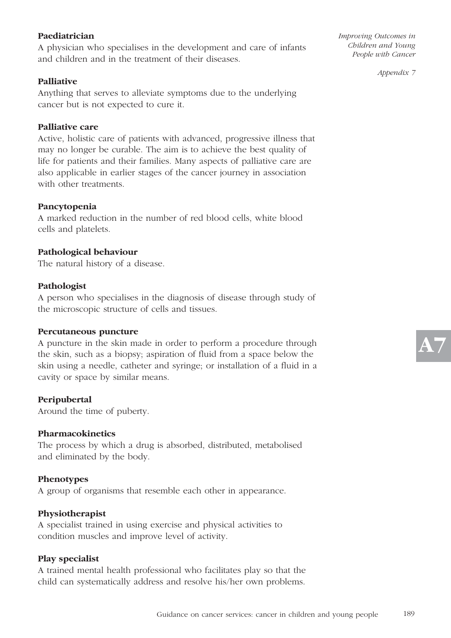# **Paediatrician**

A physician who specialises in the development and care of infants and children and in the treatment of their diseases.

# **Palliative**

Anything that serves to alleviate symptoms due to the underlying cancer but is not expected to cure it.

#### **Palliative care**

Active, holistic care of patients with advanced, progressive illness that may no longer be curable. The aim is to achieve the best quality of life for patients and their families. Many aspects of palliative care are also applicable in earlier stages of the cancer journey in association with other treatments.

#### **Pancytopenia**

A marked reduction in the number of red blood cells, white blood cells and platelets.

#### **Pathological behaviour**

The natural history of a disease.

#### **Pathologist**

A person who specialises in the diagnosis of disease through study of the microscopic structure of cells and tissues.

#### **Percutaneous puncture**

A puncture in the skin made in order to perform a procedure through the skin, such as a biopsy; aspiration of fluid from a space below the skin using a needle, catheter and syringe; or installation of a fluid in a cavity or space by similar means.

#### **Peripubertal**

Around the time of puberty.

#### **Pharmacokinetics**

The process by which a drug is absorbed, distributed, metabolised and eliminated by the body.

#### **Phenotypes**

A group of organisms that resemble each other in appearance.

#### **Physiotherapist**

A specialist trained in using exercise and physical activities to condition muscles and improve level of activity.

#### **Play specialist**

A trained mental health professional who facilitates play so that the child can systematically address and resolve his/her own problems.

*Improving Outcomes in Children and Young People with Cancer* 

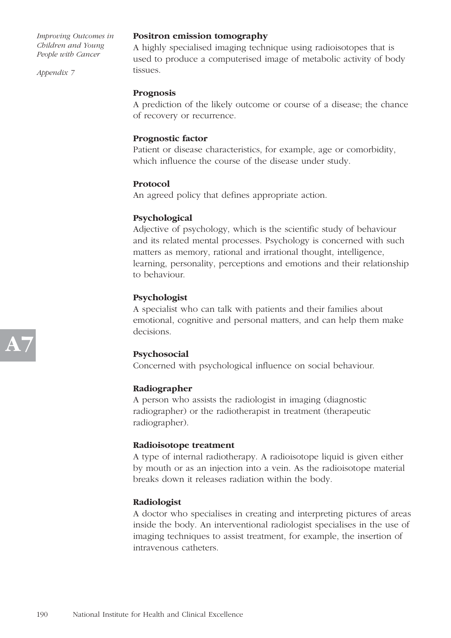*Appendix 7*

#### **Positron emission tomography**

A highly specialised imaging technique using radioisotopes that is used to produce a computerised image of metabolic activity of body tissues.

#### **Prognosis**

A prediction of the likely outcome or course of a disease; the chance of recovery or recurrence.

### **Prognostic factor**

Patient or disease characteristics, for example, age or comorbidity, which influence the course of the disease under study.

#### **Protocol**

An agreed policy that defines appropriate action.

#### **Psychological**

Adjective of psychology, which is the scientific study of behaviour and its related mental processes. Psychology is concerned with such matters as memory, rational and irrational thought, intelligence, learning, personality, perceptions and emotions and their relationship to behaviour.

# **Psychologist**

A specialist who can talk with patients and their families about emotional, cognitive and personal matters, and can help them make decisions.

# **Psychosocial**

Concerned with psychological influence on social behaviour.

#### **Radiographer**

A person who assists the radiologist in imaging (diagnostic radiographer) or the radiotherapist in treatment (therapeutic radiographer).

#### **Radioisotope treatment**

A type of internal radiotherapy. A radioisotope liquid is given either by mouth or as an injection into a vein. As the radioisotope material breaks down it releases radiation within the body.

#### **Radiologist**

A doctor who specialises in creating and interpreting pictures of areas inside the body. An interventional radiologist specialises in the use of imaging techniques to assist treatment, for example, the insertion of intravenous catheters.

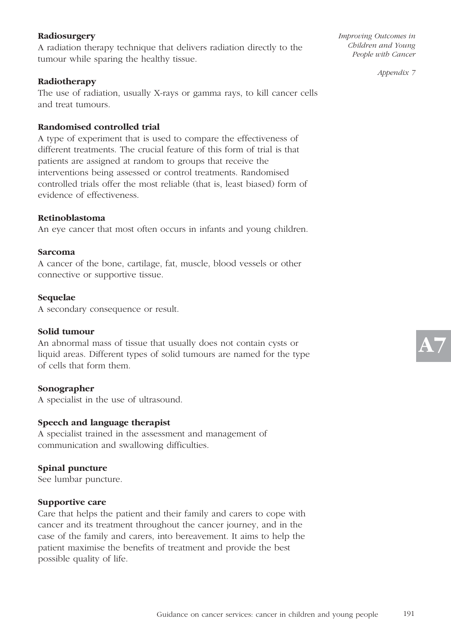# **Radiosurgery**

A radiation therapy technique that delivers radiation directly to the tumour while sparing the healthy tissue.

#### **Radiotherapy**

The use of radiation, usually X-rays or gamma rays, to kill cancer cells and treat tumours.

### **Randomised controlled trial**

A type of experiment that is used to compare the effectiveness of different treatments. The crucial feature of this form of trial is that patients are assigned at random to groups that receive the interventions being assessed or control treatments. Randomised controlled trials offer the most reliable (that is, least biased) form of evidence of effectiveness.

#### **Retinoblastoma**

An eye cancer that most often occurs in infants and young children.

#### **Sarcoma**

A cancer of the bone, cartilage, fat, muscle, blood vessels or other connective or supportive tissue.

#### **Sequelae**

A secondary consequence or result.

#### **Solid tumour**

An abnormal mass of tissue that usually does not contain cysts or liquid areas. Different types of solid tumours are named for the type of cells that form them.

#### **Sonographer**

A specialist in the use of ultrasound.

#### **Speech and language therapist**

A specialist trained in the assessment and management of communication and swallowing difficulties.

#### **Spinal puncture**

See lumbar puncture.

#### **Supportive care**

Care that helps the patient and their family and carers to cope with cancer and its treatment throughout the cancer journey, and in the case of the family and carers, into bereavement. It aims to help the patient maximise the benefits of treatment and provide the best possible quality of life.

*Improving Outcomes in Children and Young People with Cancer*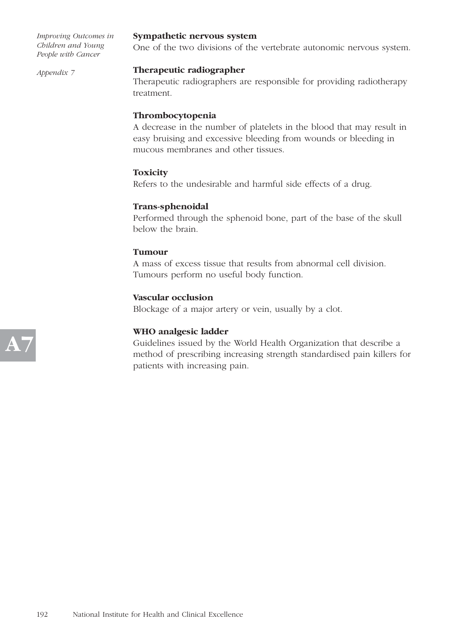*Appendix 7*

#### **Sympathetic nervous system**

One of the two divisions of the vertebrate autonomic nervous system.

# **Therapeutic radiographer**

Therapeutic radiographers are responsible for providing radiotherapy treatment.

# **Thrombocytopenia**

A decrease in the number of platelets in the blood that may result in easy bruising and excessive bleeding from wounds or bleeding in mucous membranes and other tissues.

# **Toxicity**

Refers to the undesirable and harmful side effects of a drug.

# **Trans-sphenoidal**

Performed through the sphenoid bone, part of the base of the skull below the brain.

# **Tumour**

A mass of excess tissue that results from abnormal cell division. Tumours perform no useful body function.

# **Vascular occlusion**

Blockage of a major artery or vein, usually by a clot.

# **WHO analgesic ladder**

Guidelines issued by the World Health Organization that describe a method of prescribing increasing strength standardised pain killers for patients with increasing pain.

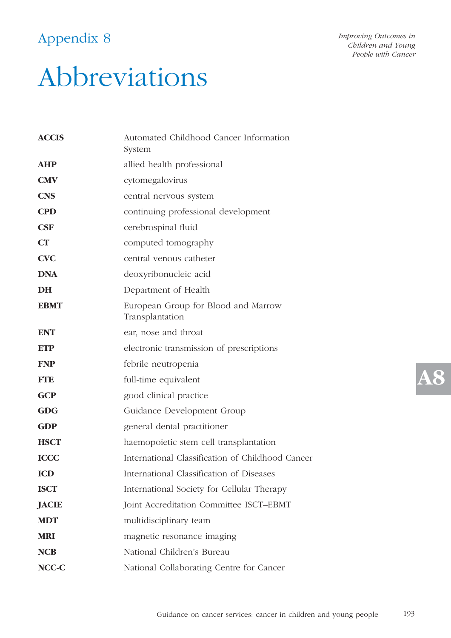# Appendix 8

*Improving Outcomes in Children and Young People with Cancer* 

# Abbreviations

| <b>ACCIS</b> | Automated Childhood Cancer Information<br>System       |  |
|--------------|--------------------------------------------------------|--|
| <b>AHP</b>   | allied health professional                             |  |
| <b>CMV</b>   | cytomegalovirus                                        |  |
| <b>CNS</b>   | central nervous system                                 |  |
| <b>CPD</b>   | continuing professional development                    |  |
| <b>CSF</b>   | cerebrospinal fluid                                    |  |
| CT           | computed tomography                                    |  |
| <b>CVC</b>   | central venous catheter                                |  |
| <b>DNA</b>   | deoxyribonucleic acid                                  |  |
| <b>DH</b>    | Department of Health                                   |  |
| <b>EBMT</b>  | European Group for Blood and Marrow<br>Transplantation |  |
| <b>ENT</b>   | ear, nose and throat                                   |  |
| <b>ETP</b>   | electronic transmission of prescriptions               |  |
| <b>FNP</b>   | febrile neutropenia                                    |  |
| <b>FTE</b>   | full-time equivalent                                   |  |
| <b>GCP</b>   | good clinical practice                                 |  |
| <b>GDG</b>   | Guidance Development Group                             |  |
| <b>GDP</b>   | general dental practitioner                            |  |
| <b>HSCT</b>  | haemopoietic stem cell transplantation                 |  |
| <b>ICCC</b>  | International Classification of Childhood Cancer       |  |
| <b>ICD</b>   | International Classification of Diseases               |  |
| <b>ISCT</b>  | International Society for Cellular Therapy             |  |
| <b>JACIE</b> | Joint Accreditation Committee ISCT-EBMT                |  |
| <b>MDT</b>   | multidisciplinary team                                 |  |
| <b>MRI</b>   | magnetic resonance imaging                             |  |
| <b>NCB</b>   | National Children's Bureau                             |  |
| NCC-C        | National Collaborating Centre for Cancer               |  |

**A8**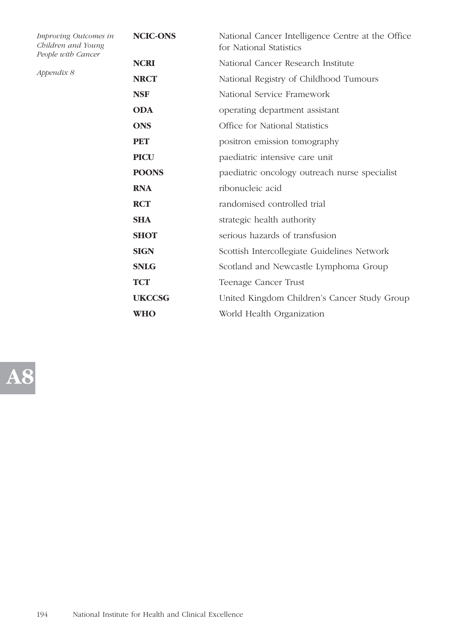| Improving Outcomes in<br>Children and Young<br>People with Cancer | <b>NCIC-ONS</b> | National Cancer Intelligence Centre at the Office<br>for National Statistics |
|-------------------------------------------------------------------|-----------------|------------------------------------------------------------------------------|
| Appendix 8                                                        | <b>NCRI</b>     | National Cancer Research Institute                                           |
|                                                                   | <b>NRCT</b>     | National Registry of Childhood Tumours                                       |
|                                                                   | <b>NSF</b>      | National Service Framework                                                   |
|                                                                   | <b>ODA</b>      | operating department assistant                                               |
|                                                                   | <b>ONS</b>      | Office for National Statistics                                               |
|                                                                   | <b>PET</b>      | positron emission tomography                                                 |
|                                                                   | <b>PICU</b>     | paediatric intensive care unit                                               |
|                                                                   | <b>POONS</b>    | paediatric oncology outreach nurse specialist                                |
|                                                                   | <b>RNA</b>      | ribonucleic acid                                                             |
|                                                                   | <b>RCT</b>      | randomised controlled trial                                                  |
|                                                                   | <b>SHA</b>      | strategic health authority                                                   |
|                                                                   | <b>SHOT</b>     | serious hazards of transfusion                                               |
|                                                                   | <b>SIGN</b>     | Scottish Intercollegiate Guidelines Network                                  |
|                                                                   | <b>SNLG</b>     | Scotland and Newcastle Lymphoma Group                                        |
|                                                                   | <b>TCT</b>      | Teenage Cancer Trust                                                         |
|                                                                   | <b>UKCCSG</b>   | United Kingdom Children's Cancer Study Group                                 |
|                                                                   | <b>WHO</b>      | World Health Organization                                                    |
|                                                                   |                 |                                                                              |